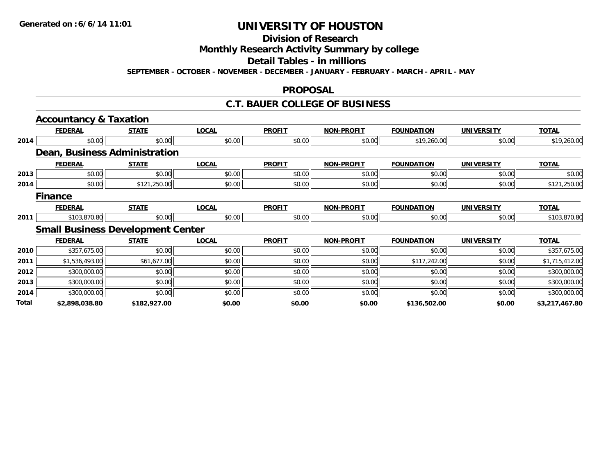# **Division of Research**

**Monthly Research Activity Summary by college**

**Detail Tables - in millions**

**SEPTEMBER - OCTOBER - NOVEMBER - DECEMBER - JANUARY - FEBRUARY - MARCH - APRIL - MAY**

### **PROPOSAL**

### **C.T. BAUER COLLEGE OF BUSINESS**

|       | <b>Accountancy &amp; Taxation</b> |                                          |              |               |                   |                   |                   |                |
|-------|-----------------------------------|------------------------------------------|--------------|---------------|-------------------|-------------------|-------------------|----------------|
|       | <b>FEDERAL</b>                    | <b>STATE</b>                             | <b>LOCAL</b> | <b>PROFIT</b> | <b>NON-PROFIT</b> | <b>FOUNDATION</b> | <b>UNIVERSITY</b> | <b>TOTAL</b>   |
| 2014  | \$0.00                            | \$0.00                                   | \$0.00       | \$0.00        | \$0.00            | \$19,260.00       | \$0.00            | \$19,260.00    |
|       |                                   | <b>Dean, Business Administration</b>     |              |               |                   |                   |                   |                |
|       | <b>FEDERAL</b>                    | <b>STATE</b>                             | <b>LOCAL</b> | <b>PROFIT</b> | <b>NON-PROFIT</b> | <b>FOUNDATION</b> | <b>UNIVERSITY</b> | <b>TOTAL</b>   |
| 2013  | \$0.00                            | \$0.00                                   | \$0.00       | \$0.00        | \$0.00            | \$0.00            | \$0.00            | \$0.00         |
| 2014  | \$0.00                            | \$121,250.00                             | \$0.00       | \$0.00        | \$0.00            | \$0.00            | \$0.00            | \$121,250.00   |
|       | <b>Finance</b>                    |                                          |              |               |                   |                   |                   |                |
|       | <b>FEDERAL</b>                    | <b>STATE</b>                             | <b>LOCAL</b> | <b>PROFIT</b> | <b>NON-PROFIT</b> | <b>FOUNDATION</b> | <b>UNIVERSITY</b> | <b>TOTAL</b>   |
| 2011  | \$103,870.80                      | \$0.00                                   | \$0.00       | \$0.00        | \$0.00            | \$0.00            | \$0.00            | \$103,870.80   |
|       |                                   | <b>Small Business Development Center</b> |              |               |                   |                   |                   |                |
|       | <b>FEDERAL</b>                    | <b>STATE</b>                             | <b>LOCAL</b> | <b>PROFIT</b> | <b>NON-PROFIT</b> | <b>FOUNDATION</b> | <b>UNIVERSITY</b> | <b>TOTAL</b>   |
| 2010  | \$357,675.00                      | \$0.00                                   | \$0.00       | \$0.00        | \$0.00            | \$0.00            | \$0.00            | \$357,675.00   |
| 2011  | \$1,536,493.00                    | \$61,677.00                              | \$0.00       | \$0.00        | \$0.00            | \$117,242.00      | \$0.00            | \$1,715,412.00 |
| 2012  | \$300,000.00                      | \$0.00                                   | \$0.00       | \$0.00        | \$0.00            | \$0.00            | \$0.00            | \$300,000.00   |
| 2013  | \$300,000.00                      | \$0.00                                   | \$0.00       | \$0.00        | \$0.00            | \$0.00            | \$0.00            | \$300,000.00   |
| 2014  | \$300,000.00                      | \$0.00                                   | \$0.00       | \$0.00        | \$0.00            | \$0.00            | \$0.00            | \$300,000.00   |
| Total | \$2,898,038.80                    | \$182,927.00                             | \$0.00       | \$0.00        | \$0.00            | \$136,502.00      | \$0.00            | \$3,217,467.80 |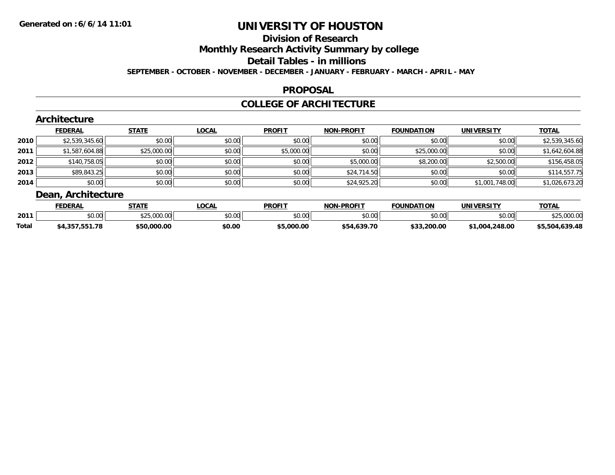## **Division of Research**

**Monthly Research Activity Summary by college**

**Detail Tables - in millions**

**SEPTEMBER - OCTOBER - NOVEMBER - DECEMBER - JANUARY - FEBRUARY - MARCH - APRIL - MAY**

### **PROPOSAL**

## **COLLEGE OF ARCHITECTURE**

|        | Architecture       |              |              |               |                   |                   |                   |                |
|--------|--------------------|--------------|--------------|---------------|-------------------|-------------------|-------------------|----------------|
|        | <b>FEDERAL</b>     | <b>STATE</b> | <b>LOCAL</b> | <b>PROFIT</b> | <b>NON-PROFIT</b> | <b>FOUNDATION</b> | <b>UNIVERSITY</b> | <b>TOTAL</b>   |
| ا 2010 | \$2,539,345.60     | \$0.00       | \$0.00       | \$0.00        | \$0.00            | \$0.00            | \$0.00            | \$2,539,345.60 |
| 2011   | \$1,587,604.88     | \$25,000.00  | \$0.00       | \$5,000.00    | \$0.00            | \$25,000.00       | \$0.00            | \$1,642,604.88 |
| 2012   | \$140,758.05       | \$0.00       | \$0.00       | \$0.00        | \$5,000.00        | \$8,200.00        | \$2,500.00        | \$156,458.05   |
| 2013   | \$89,843.25        | \$0.00       | \$0.00       | \$0.00        | \$24,714.50       | \$0.00            | \$0.00            | \$114,557.75   |
| 2014   | \$0.00             | \$0.00       | \$0.00       | \$0.00        | \$24,925.20       | \$0.00            | \$1,001,748.00    | \$1,026,673.20 |
|        | Dean, Architecture |              |              |               |                   |                   |                   |                |

|       | <b>FEDERAI</b>  | <b>CTATE</b>      | LOCAL                   | <b>PROFIT</b>  | -PROFIT<br><b>NON</b> | <b>FOUNDATION</b> | <b>UNIVEDSITY</b>  | $T^{\sim}$ |
|-------|-----------------|-------------------|-------------------------|----------------|-----------------------|-------------------|--------------------|------------|
| 2011  | امہ مد<br>טע.טע | 00000<br>923.WW.W | $\sim$ $\sim$<br>vv.vv. | ≮N UU<br>JU.UU | ልስ ባህ<br>,u.uu        | $\cdots$<br>טט.טע | $\sim$ 00<br>DU.UQ |            |
| Total | 170             | .000.00<br>05 T   | \$0.00                  | 000.00. ر      | \$54.639.70           | \$33,200.00       | .248.00<br>ഹ       | 630 48     |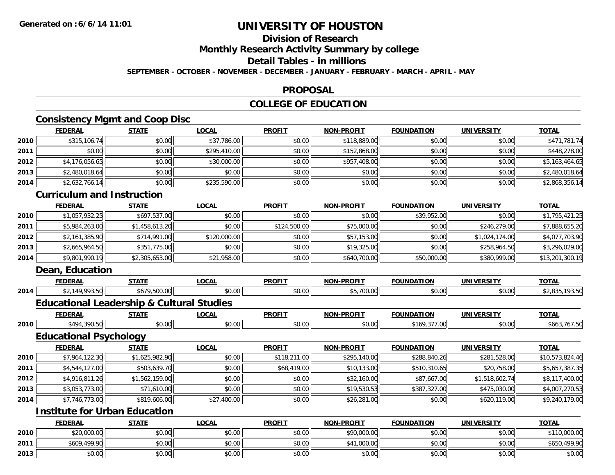#### **Division of Research**

**Monthly Research Activity Summary by college**

### **Detail Tables - in millions**

**SEPTEMBER - OCTOBER - NOVEMBER - DECEMBER - JANUARY - FEBRUARY - MARCH - APRIL - MAY**

### **PROPOSAL**

## **COLLEGE OF EDUCATION**

# **Consistency Mgmt and Coop Disc**

|      | Consistency might and Coop Disc                      |                |              |               |                   |                   |                   |                 |
|------|------------------------------------------------------|----------------|--------------|---------------|-------------------|-------------------|-------------------|-----------------|
|      | <b>FEDERAL</b>                                       | <b>STATE</b>   | <b>LOCAL</b> | <b>PROFIT</b> | <b>NON-PROFIT</b> | <b>FOUNDATION</b> | <b>UNIVERSITY</b> | <b>TOTAL</b>    |
| 2010 | \$315,106.74                                         | \$0.00         | \$37,786.00  | \$0.00        | \$118,889.00      | \$0.00            | \$0.00            | \$471,781.74    |
| 2011 | \$0.00                                               | \$0.00         | \$295,410.00 | \$0.00        | \$152,868.00      | \$0.00            | \$0.00            | \$448,278.00    |
| 2012 | \$4,176,056.65                                       | \$0.00         | \$30,000.00  | \$0.00        | \$957,408.00      | \$0.00            | \$0.00            | \$5,163,464.65  |
| 2013 | \$2,480,018.64                                       | \$0.00         | \$0.00       | \$0.00        | \$0.00            | \$0.00            | \$0.00            | \$2,480,018.64  |
| 2014 | \$2,632,766.14                                       | \$0.00         | \$235,590.00 | \$0.00        | \$0.00            | \$0.00            | \$0.00            | \$2,868,356.14  |
|      | <b>Curriculum and Instruction</b>                    |                |              |               |                   |                   |                   |                 |
|      | <b>FEDERAL</b>                                       | <b>STATE</b>   | <b>LOCAL</b> | <b>PROFIT</b> | <b>NON-PROFIT</b> | <b>FOUNDATION</b> | <b>UNIVERSITY</b> | <b>TOTAL</b>    |
| 2010 | \$1,057,932.25                                       | \$697,537.00   | \$0.00       | \$0.00        | \$0.00            | \$39,952.00       | \$0.00            | \$1,795,421.25  |
| 2011 | \$5,984,263.00                                       | \$1,458,613.20 | \$0.00       | \$124,500.00  | \$75,000.00       | \$0.00            | \$246,279.00      | \$7,888,655.20  |
| 2012 | \$2,161,385.90                                       | \$714,991.00   | \$120,000.00 | \$0.00        | \$57,153.00       | \$0.00            | \$1,024,174.00    | \$4,077,703.90  |
| 2013 | \$2,665,964.50                                       | \$351,775.00   | \$0.00       | \$0.00        | \$19,325.00       | \$0.00            | \$258,964.50      | \$3,296,029.00  |
| 2014 | \$9,801,990.19                                       | \$2,305,653.00 | \$21,958.00  | \$0.00        | \$640,700.00      | \$50,000.00       | \$380,999.00      | \$13,201,300.19 |
|      | Dean, Education                                      |                |              |               |                   |                   |                   |                 |
|      | <b>FEDERAL</b>                                       | <b>STATE</b>   | <b>LOCAL</b> | <b>PROFIT</b> | <b>NON-PROFIT</b> | <b>FOUNDATION</b> | <b>UNIVERSITY</b> | <b>TOTAL</b>    |
| 2014 | \$2,149,993.50                                       | \$679,500.00   | \$0.00       | \$0.00        | \$5,700.00        | \$0.00            | \$0.00            | \$2,835,193.50  |
|      | <b>Educational Leadership &amp; Cultural Studies</b> |                |              |               |                   |                   |                   |                 |
|      | <b>FEDERAL</b>                                       | <b>STATE</b>   | <b>LOCAL</b> | <b>PROFIT</b> | <b>NON-PROFIT</b> | <b>FOUNDATION</b> | <b>UNIVERSITY</b> | <b>TOTAL</b>    |
| 2010 | \$494,390.50                                         | \$0.00         | \$0.00       | \$0.00        | \$0.00            | \$169,377.00      | \$0.00            | \$663,767.50    |
|      | <b>Educational Psychology</b>                        |                |              |               |                   |                   |                   |                 |
|      | <b>FEDERAL</b>                                       | <b>STATE</b>   | <b>LOCAL</b> | <b>PROFIT</b> | <b>NON-PROFIT</b> | <b>FOUNDATION</b> | <b>UNIVERSITY</b> | <b>TOTAL</b>    |
| 2010 | \$7,964,122.30                                       | \$1,625,982.90 | \$0.00       | \$118,211.00  | \$295,140.00      | \$288,840.26      | \$281,528.00      | \$10,573,824.46 |
| 2011 | \$4,544,127.00                                       | \$503,639.70   | \$0.00       | \$68,419.00   | \$10,133.00       | \$510,310.65      | \$20,758.00       | \$5,657,387.35  |
| 2012 | \$4,916,811.26                                       | \$1,562,159.00 | \$0.00       | \$0.00        | \$32,160.00       | \$87,667.00       | \$1,518,602.74    | \$8,117,400.00  |
| 2013 | \$3,053,773.00                                       | \$71,610.00    | \$0.00       | \$0.00        | \$19,530.53       | \$387,327.00      | \$475,030.00      | \$4,007,270.53  |
| 2014 | \$7,746,773.00                                       | \$819,606.00   | \$27,400.00  | \$0.00        | \$26,281.00       | \$0.00            | \$620,119.00      | \$9,240,179.00  |

## **Institute for Urban Education**

|      | <b>FEDERAL</b> | <b>STATE</b> | <u>LOCAL</u> | <b>PROFIT</b> | <b>NON-PROFIT</b> | <b>FOUNDATION</b> | UNIVERSITY | <b>TOTAL</b> |
|------|----------------|--------------|--------------|---------------|-------------------|-------------------|------------|--------------|
| 2010 | \$20,000.00    | \$0.00       | \$0.00       | \$0.00        | \$90,000.00       | \$0.00            | \$0.00     | \$110,000.00 |
| 2011 | \$609,499.90   | \$0.00       | \$0.00       | \$0.00        | .000.00           | \$0.00            | \$0.00     | \$650,499.90 |
| 2013 | \$0.00         | \$0.00       | \$0.00       | \$0.00        | \$0.00            | \$0.00            | \$0.00     | \$0.00       |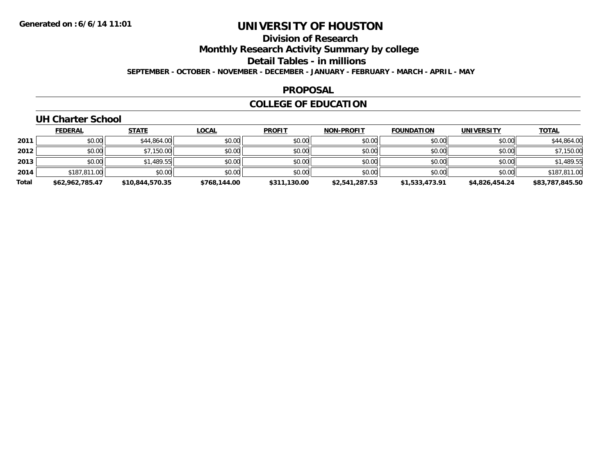## **Division of Research**

**Monthly Research Activity Summary by college**

**Detail Tables - in millions**

**SEPTEMBER - OCTOBER - NOVEMBER - DECEMBER - JANUARY - FEBRUARY - MARCH - APRIL - MAY**

### **PROPOSAL**

## **COLLEGE OF EDUCATION**

## **UH Charter School**

|       | <u>FEDERAL</u>  | <b>STATE</b>    | <u>LOCAL</u> | <b>PROFIT</b> | <b>NON-PROFIT</b> | <b>FOUNDATION</b> | <b>UNIVERSITY</b> | <b>TOTAL</b>    |
|-------|-----------------|-----------------|--------------|---------------|-------------------|-------------------|-------------------|-----------------|
| 2011  | \$0.00          | \$44,864.00     | \$0.00       | \$0.00        | \$0.00            | \$0.00            | \$0.00            | \$44,864.00     |
| 2012  | \$0.00          | \$7,150.00      | \$0.00       | \$0.00        | \$0.00            | \$0.00            | \$0.00            | \$7,150.00      |
| 2013  | \$0.00          | \$1,489.55      | \$0.00       | \$0.00        | \$0.00            | \$0.00            | \$0.00            | \$1,489.55      |
| 2014  | \$187,811.00    | \$0.00          | \$0.00       | \$0.00        | \$0.00            | \$0.00            | \$0.00            | \$187,811.00    |
| Total | \$62.962.785.47 | \$10,844,570.35 | \$768,144.00 | \$311,130.00  | \$2,541,287.53    | \$1,533,473.91    | \$4.826.454.24    | \$83,787,845.50 |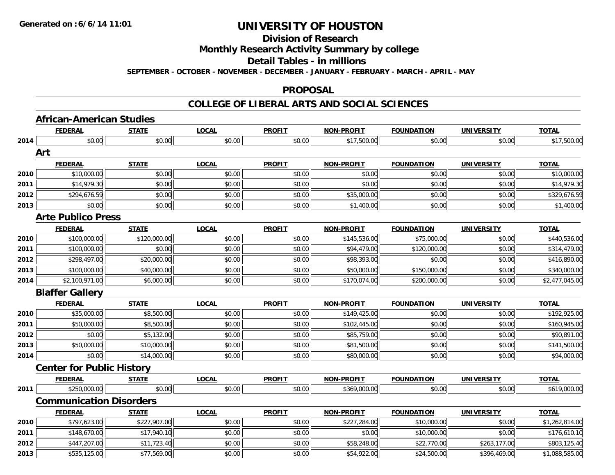**Division of Research**

**Monthly Research Activity Summary by college**

**Detail Tables - in millions**

**SEPTEMBER - OCTOBER - NOVEMBER - DECEMBER - JANUARY - FEBRUARY - MARCH - APRIL - MAY**

## **PROPOSAL**

|      | <b>African-American Studies</b>  |              |              |               |                   |                   |                   |                |
|------|----------------------------------|--------------|--------------|---------------|-------------------|-------------------|-------------------|----------------|
|      | <b>FEDERAL</b>                   | <b>STATE</b> | <b>LOCAL</b> | <b>PROFIT</b> | <b>NON-PROFIT</b> | <b>FOUNDATION</b> | <b>UNIVERSITY</b> | <b>TOTAL</b>   |
| 2014 | \$0.00                           | \$0.00       | \$0.00       | \$0.00        | \$17,500.00       | \$0.00            | \$0.00            | \$17,500.00    |
|      | Art                              |              |              |               |                   |                   |                   |                |
|      | <b>FEDERAL</b>                   | <b>STATE</b> | <b>LOCAL</b> | <b>PROFIT</b> | <b>NON-PROFIT</b> | <b>FOUNDATION</b> | <b>UNIVERSITY</b> | <b>TOTAL</b>   |
| 2010 | \$10,000.00                      | \$0.00       | \$0.00       | \$0.00        | \$0.00            | \$0.00            | \$0.00            | \$10,000.00    |
| 2011 | \$14,979.30                      | \$0.00       | \$0.00       | \$0.00        | \$0.00            | \$0.00            | \$0.00            | \$14,979.30    |
| 2012 | \$294,676.59                     | \$0.00       | \$0.00       | \$0.00        | \$35,000.00       | \$0.00            | \$0.00            | \$329,676.59   |
| 2013 | \$0.00                           | \$0.00       | \$0.00       | \$0.00        | \$1,400.00        | \$0.00            | \$0.00            | \$1,400.00     |
|      | <b>Arte Publico Press</b>        |              |              |               |                   |                   |                   |                |
|      | <b>FEDERAL</b>                   | <b>STATE</b> | <b>LOCAL</b> | <b>PROFIT</b> | <b>NON-PROFIT</b> | <b>FOUNDATION</b> | <b>UNIVERSITY</b> | <b>TOTAL</b>   |
| 2010 | \$100,000.00                     | \$120,000.00 | \$0.00       | \$0.00        | \$145,536.00      | \$75,000.00       | \$0.00            | \$440,536.00   |
| 2011 | \$100,000.00                     | \$0.00       | \$0.00       | \$0.00        | \$94,479.00       | \$120,000.00      | \$0.00            | \$314,479.00   |
| 2012 | \$298,497.00                     | \$20,000.00  | \$0.00       | \$0.00        | \$98,393.00       | \$0.00            | \$0.00            | \$416,890.00   |
| 2013 | \$100,000.00                     | \$40,000.00  | \$0.00       | \$0.00        | \$50,000.00       | \$150,000.00      | \$0.00            | \$340,000.00   |
| 2014 | \$2,100,971.00                   | \$6,000.00   | \$0.00       | \$0.00        | \$170,074.00      | \$200,000.00      | \$0.00            | \$2,477,045.00 |
|      | <b>Blaffer Gallery</b>           |              |              |               |                   |                   |                   |                |
|      | <b>FEDERAL</b>                   | <b>STATE</b> | <b>LOCAL</b> | <b>PROFIT</b> | NON-PROFIT        | <b>FOUNDATION</b> | <b>UNIVERSITY</b> | <b>TOTAL</b>   |
| 2010 | \$35,000.00                      | \$8,500.00   | \$0.00       | \$0.00        | \$149,425.00      | \$0.00            | \$0.00            | \$192,925.00   |
| 2011 | \$50,000.00                      | \$8,500.00   | \$0.00       | \$0.00        | \$102,445.00      | \$0.00            | \$0.00            | \$160,945.00   |
| 2012 | \$0.00                           | \$5,132.00   | \$0.00       | \$0.00        | \$85,759.00       | \$0.00            | \$0.00            | \$90,891.00    |
| 2013 | \$50,000.00                      | \$10,000.00  | \$0.00       | \$0.00        | \$81,500.00       | \$0.00            | \$0.00            | \$141,500.00   |
| 2014 | \$0.00                           | \$14,000.00  | \$0.00       | \$0.00        | \$80,000.00       | \$0.00            | \$0.00            | \$94,000.00    |
|      | <b>Center for Public History</b> |              |              |               |                   |                   |                   |                |
|      | <b>FEDERAL</b>                   | <b>STATE</b> | <b>LOCAL</b> | <b>PROFIT</b> | <b>NON-PROFIT</b> | <b>FOUNDATION</b> | <b>UNIVERSITY</b> | <b>TOTAL</b>   |
| 2011 | \$250,000.00                     | \$0.00       | \$0.00       | \$0.00        | \$369,000.00      | \$0.00            | \$0.00            | \$619,000.00   |
|      | <b>Communication Disorders</b>   |              |              |               |                   |                   |                   |                |
|      | <b>FEDERAL</b>                   | <b>STATE</b> | <b>LOCAL</b> | <b>PROFIT</b> | NON-PROFIT        | <b>FOUNDATION</b> | <b>UNIVERSITY</b> | <b>TOTAL</b>   |
| 2010 | \$797,623.00                     | \$227,907.00 | \$0.00       | \$0.00        | \$227,284.00      | \$10,000.00       | \$0.00            | \$1,262,814.00 |
| 2011 | \$148,670.00                     | \$17,940.10  | \$0.00       | \$0.00        | \$0.00            | \$10,000.00       | \$0.00            | \$176,610.10   |
| 2012 | \$447,207.00                     | \$11,723.40  | \$0.00       | \$0.00        | \$58,248.00       | \$22,770.00       | \$263,177.00      | \$803,125.40   |
| 2013 | \$535,125.00                     | \$77,569.00  | \$0.00       | \$0.00        | \$54,922.00       | \$24,500.00       | \$396,469.00      | \$1,088,585.00 |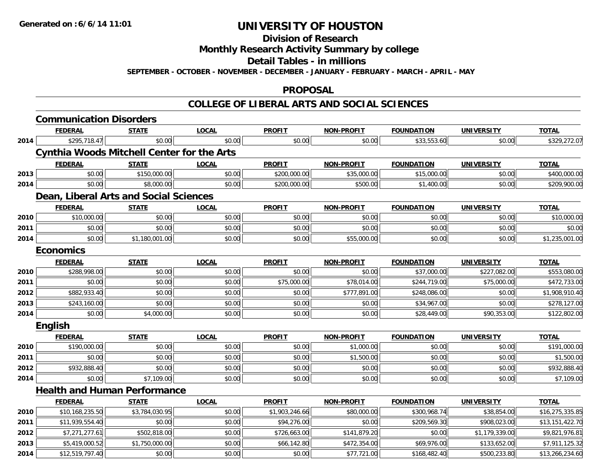**Division of Research**

**Monthly Research Activity Summary by college**

**Detail Tables - in millions**

**SEPTEMBER - OCTOBER - NOVEMBER - DECEMBER - JANUARY - FEBRUARY - MARCH - APRIL - MAY**

## **PROPOSAL**

|      | <b>Communication Disorders</b>                    |                |              |                |                   |                   |                   |                 |
|------|---------------------------------------------------|----------------|--------------|----------------|-------------------|-------------------|-------------------|-----------------|
|      | <b>FEDERAL</b>                                    | <b>STATE</b>   | <b>LOCAL</b> | <b>PROFIT</b>  | <b>NON-PROFIT</b> | <b>FOUNDATION</b> | <b>UNIVERSITY</b> | <b>TOTAL</b>    |
| 2014 | \$295,718.47                                      | \$0.00         | \$0.00       | \$0.00         | \$0.00            | \$33,553.60       | \$0.00            | \$329,272.07    |
|      | <b>Cynthia Woods Mitchell Center for the Arts</b> |                |              |                |                   |                   |                   |                 |
|      | <b>FEDERAL</b>                                    | <b>STATE</b>   | <b>LOCAL</b> | <b>PROFIT</b>  | <b>NON-PROFIT</b> | <b>FOUNDATION</b> | <b>UNIVERSITY</b> | <b>TOTAL</b>    |
| 2013 | \$0.00                                            | \$150,000.00   | \$0.00       | \$200,000.00   | \$35,000.00       | \$15,000.00       | \$0.00            | \$400,000.00    |
| 2014 | \$0.00                                            | \$8,000.00     | \$0.00       | \$200,000.00   | \$500.00          | \$1,400.00        | \$0.00            | \$209,900.00    |
|      | Dean, Liberal Arts and Social Sciences            |                |              |                |                   |                   |                   |                 |
|      | <b>FEDERAL</b>                                    | <b>STATE</b>   | <b>LOCAL</b> | <b>PROFIT</b>  | <b>NON-PROFIT</b> | <b>FOUNDATION</b> | <b>UNIVERSITY</b> | <b>TOTAL</b>    |
| 2010 | \$10,000.00                                       | \$0.00         | \$0.00       | \$0.00         | \$0.00            | \$0.00            | \$0.00            | \$10,000.00     |
| 2011 | \$0.00                                            | \$0.00         | \$0.00       | \$0.00         | \$0.00            | \$0.00            | \$0.00            | \$0.00          |
| 2014 | \$0.00                                            | \$1,180,001.00 | \$0.00       | \$0.00         | \$55,000.00       | \$0.00            | \$0.00            | \$1,235,001.00  |
|      | <b>Economics</b>                                  |                |              |                |                   |                   |                   |                 |
|      | <b>FEDERAL</b>                                    | <b>STATE</b>   | <b>LOCAL</b> | <b>PROFIT</b>  | <b>NON-PROFIT</b> | <b>FOUNDATION</b> | <b>UNIVERSITY</b> | <b>TOTAL</b>    |
| 2010 | \$288,998.00                                      | \$0.00         | \$0.00       | \$0.00         | \$0.00            | \$37,000.00       | \$227,082.00      | \$553,080.00    |
| 2011 | \$0.00                                            | \$0.00         | \$0.00       | \$75,000.00    | \$78,014.00       | \$244,719.00      | \$75,000.00       | \$472,733.00    |
| 2012 | \$882,933.40                                      | \$0.00         | \$0.00       | \$0.00         | \$777,891.00      | \$248,086.00      | \$0.00            | \$1,908,910.40  |
| 2013 | \$243,160.00                                      | \$0.00         | \$0.00       | \$0.00         | \$0.00            | \$34,967.00       | \$0.00            | \$278,127.00    |
| 2014 | \$0.00                                            | \$4,000.00     | \$0.00       | \$0.00         | \$0.00            | \$28,449.00       | \$90,353.00       | \$122,802.00    |
|      | English                                           |                |              |                |                   |                   |                   |                 |
|      | <b>FEDERAL</b>                                    | <b>STATE</b>   | <b>LOCAL</b> | <b>PROFIT</b>  | <b>NON-PROFIT</b> | <b>FOUNDATION</b> | <b>UNIVERSITY</b> | <b>TOTAL</b>    |
| 2010 | \$190,000.00                                      | \$0.00         | \$0.00       | \$0.00         | \$1,000.00        | \$0.00            | \$0.00            | \$191,000.00    |
| 2011 | \$0.00                                            | \$0.00         | \$0.00       | \$0.00         | \$1,500.00        | \$0.00            | \$0.00            | \$1,500.00      |
| 2012 | \$932,888.40                                      | \$0.00         | \$0.00       | \$0.00         | \$0.00            | \$0.00            | \$0.00            | \$932,888.40    |
| 2014 | \$0.00                                            | \$7,109.00     | \$0.00       | \$0.00         | \$0.00            | \$0.00            | \$0.00            | \$7,109.00      |
|      | <b>Health and Human Performance</b>               |                |              |                |                   |                   |                   |                 |
|      | <b>FEDERAL</b>                                    | <b>STATE</b>   | <b>LOCAL</b> | <b>PROFIT</b>  | <b>NON-PROFIT</b> | <b>FOUNDATION</b> | <b>UNIVERSITY</b> | <b>TOTAL</b>    |
| 2010 | \$10,168,235.50                                   | \$3,784,030.95 | \$0.00       | \$1,903,246.66 | \$80,000.00       | \$300,968.74      | \$38,854.00       | \$16,275,335.85 |
| 2011 | \$11,939,554.40                                   | \$0.00         | \$0.00       | \$94,276.00    | \$0.00            | \$209,569.30      | \$908,023.00      | \$13,151,422.70 |
| 2012 | \$7,271,277.61                                    | \$502,818.00   | \$0.00       | \$726,663.00   | \$141,879.20      | \$0.00            | \$1,179,339.00    | \$9,821,976.81  |
| 2013 | \$5,419,000.52                                    | \$1,750,000.00 | \$0.00       | \$66,142.80    | \$472,354.00      | \$69,976.00       | \$133,652.00      | \$7,911,125.32  |
| 2014 | \$12,519,797.40                                   | \$0.00         | \$0.00       | \$0.00         | \$77,721.00       | \$168,482.40      | \$500,233.80      | \$13,266,234.60 |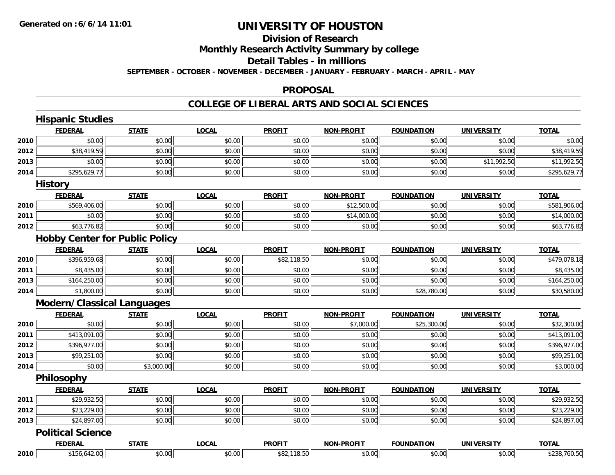# **Division of Research**

**Monthly Research Activity Summary by college**

**Detail Tables - in millions**

**SEPTEMBER - OCTOBER - NOVEMBER - DECEMBER - JANUARY - FEBRUARY - MARCH - APRIL - MAY**

### **PROPOSAL**

|      | <b>Hispanic Studies</b>               |              |              |               |                   |                   |                   |              |
|------|---------------------------------------|--------------|--------------|---------------|-------------------|-------------------|-------------------|--------------|
|      | <b>FEDERAL</b>                        | <b>STATE</b> | <b>LOCAL</b> | <b>PROFIT</b> | NON-PROFIT        | <b>FOUNDATION</b> | <b>UNIVERSITY</b> | <b>TOTAL</b> |
| 2010 | \$0.00                                | \$0.00       | \$0.00       | \$0.00        | \$0.00            | \$0.00            | \$0.00            | \$0.00       |
| 2012 | \$38,419.59                           | \$0.00       | \$0.00       | \$0.00        | \$0.00            | \$0.00            | \$0.00            | \$38,419.59  |
| 2013 | \$0.00                                | \$0.00       | \$0.00       | \$0.00        | \$0.00            | \$0.00            | \$11,992.50       | \$11,992.50  |
| 2014 | \$295,629.77                          | \$0.00       | \$0.00       | \$0.00        | \$0.00            | \$0.00            | \$0.00            | \$295,629.77 |
|      | <b>History</b>                        |              |              |               |                   |                   |                   |              |
|      | <b>FEDERAL</b>                        | <b>STATE</b> | <b>LOCAL</b> | <b>PROFIT</b> | <b>NON-PROFIT</b> | <b>FOUNDATION</b> | <b>UNIVERSITY</b> | <b>TOTAL</b> |
| 2010 | \$569,406.00                          | \$0.00       | \$0.00       | \$0.00        | \$12,500.00       | \$0.00            | \$0.00            | \$581,906.00 |
| 2011 | \$0.00                                | \$0.00       | \$0.00       | \$0.00        | \$14,000.00       | \$0.00            | \$0.00            | \$14,000.00  |
| 2012 | \$63,776.82                           | \$0.00       | \$0.00       | \$0.00        | \$0.00            | \$0.00            | \$0.00            | \$63,776.82  |
|      | <b>Hobby Center for Public Policy</b> |              |              |               |                   |                   |                   |              |
|      | <b>FEDERAL</b>                        | <b>STATE</b> | <b>LOCAL</b> | <b>PROFIT</b> | <b>NON-PROFIT</b> | <b>FOUNDATION</b> | <b>UNIVERSITY</b> | <b>TOTAL</b> |
| 2010 | \$396,959.68                          | \$0.00       | \$0.00       | \$82,118.50   | \$0.00            | \$0.00            | \$0.00            | \$479,078.18 |
| 2011 | \$8,435.00                            | \$0.00       | \$0.00       | \$0.00        | \$0.00            | \$0.00            | \$0.00            | \$8,435.00   |
| 2013 | \$164,250.00                          | \$0.00       | \$0.00       | \$0.00        | \$0.00            | \$0.00            | \$0.00            | \$164,250.00 |
| 2014 | \$1,800.00                            | \$0.00       | \$0.00       | \$0.00        | \$0.00            | \$28,780.00       | \$0.00            | \$30,580.00  |
|      | <b>Modern/Classical Languages</b>     |              |              |               |                   |                   |                   |              |
|      | <b>FEDERAL</b>                        | <b>STATE</b> | <b>LOCAL</b> | <b>PROFIT</b> | <b>NON-PROFIT</b> | <b>FOUNDATION</b> | <b>UNIVERSITY</b> | <b>TOTAL</b> |
| 2010 | \$0.00                                | \$0.00       | \$0.00       | \$0.00        | \$7,000.00        | \$25,300.00       | \$0.00            | \$32,300.00  |
| 2011 | \$413,091.00                          | \$0.00       | \$0.00       | \$0.00        | \$0.00            | \$0.00            | \$0.00            | \$413,091.00 |
| 2012 | \$396,977.00                          | \$0.00       | \$0.00       | \$0.00        | \$0.00            | \$0.00            | \$0.00            | \$396,977.00 |
| 2013 | \$99,251.00                           | \$0.00       | \$0.00       | \$0.00        | \$0.00            | \$0.00            | \$0.00            | \$99,251.00  |
| 2014 | \$0.00                                | \$3,000.00   | \$0.00       | \$0.00        | \$0.00            | \$0.00            | \$0.00            | \$3,000.00   |
|      | Philosophy                            |              |              |               |                   |                   |                   |              |
|      | <b>FEDERAL</b>                        | <b>STATE</b> | <b>LOCAL</b> | <b>PROFIT</b> | <b>NON-PROFIT</b> | <b>FOUNDATION</b> | <b>UNIVERSITY</b> | <b>TOTAL</b> |
| 2011 | \$29,932.50                           | \$0.00       | \$0.00       | \$0.00        | \$0.00            | \$0.00            | \$0.00            | \$29,932.50  |
| 2012 | \$23,229.00                           | \$0.00       | \$0.00       | \$0.00        | \$0.00            | \$0.00            | \$0.00            | \$23,229.00  |
| 2013 | \$24,897.00                           | \$0.00       | \$0.00       | \$0.00        | \$0.00            | \$0.00            | \$0.00            | \$24,897.00  |
|      | <b>Political Science</b>              |              |              |               |                   |                   |                   |              |
|      | <b>FEDERAL</b>                        | <b>STATE</b> | <b>LOCAL</b> | <b>PROFIT</b> | <b>NON-PROFIT</b> | <b>FOUNDATION</b> | <b>UNIVERSITY</b> | <b>TOTAL</b> |
| 2010 | \$156,642.00                          | \$0.00       | \$0.00       | \$82,118.50   | \$0.00            | \$0.00            | \$0.00            | \$238,760.50 |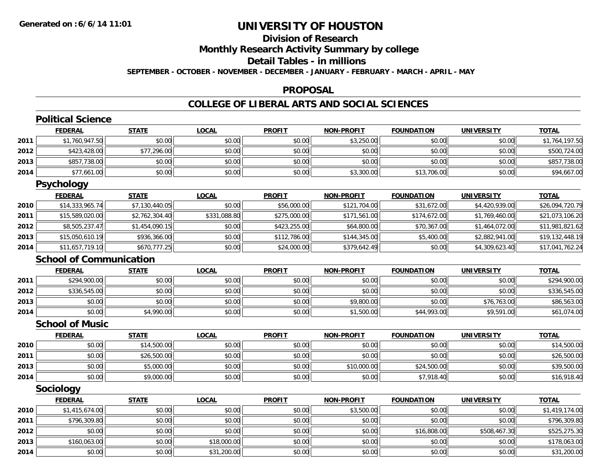# **Division of Research**

**Monthly Research Activity Summary by college**

**Detail Tables - in millions**

**SEPTEMBER - OCTOBER - NOVEMBER - DECEMBER - JANUARY - FEBRUARY - MARCH - APRIL - MAY**

### **PROPOSAL**

|      | <b>Political Science</b>       |                |              |               |                   |                   |                   |                 |
|------|--------------------------------|----------------|--------------|---------------|-------------------|-------------------|-------------------|-----------------|
|      | <b>FEDERAL</b>                 | <b>STATE</b>   | <b>LOCAL</b> | <b>PROFIT</b> | <b>NON-PROFIT</b> | <b>FOUNDATION</b> | <b>UNIVERSITY</b> | <b>TOTAL</b>    |
| 2011 | \$1,760,947.50                 | \$0.00         | \$0.00       | \$0.00        | \$3,250.00        | \$0.00            | \$0.00            | \$1,764,197.50  |
| 2012 | \$423,428.00                   | \$77,296.00    | \$0.00       | \$0.00        | \$0.00            | \$0.00            | \$0.00            | \$500,724.00    |
| 2013 | \$857,738.00                   | \$0.00         | \$0.00       | \$0.00        | \$0.00            | \$0.00            | \$0.00            | \$857,738.00    |
| 2014 | \$77,661.00                    | \$0.00         | \$0.00       | \$0.00        | \$3,300.00        | \$13,706.00       | \$0.00            | \$94,667.00     |
|      | <b>Psychology</b>              |                |              |               |                   |                   |                   |                 |
|      | <b>FEDERAL</b>                 | <b>STATE</b>   | <b>LOCAL</b> | <b>PROFIT</b> | <b>NON-PROFIT</b> | <b>FOUNDATION</b> | <b>UNIVERSITY</b> | <b>TOTAL</b>    |
| 2010 | \$14,333,965.74                | \$7,130,440.05 | \$0.00       | \$56,000.00   | \$121,704.00      | \$31,672.00       | \$4,420,939.00    | \$26,094,720.79 |
| 2011 | \$15,589,020.00                | \$2,762,304.40 | \$331,088.80 | \$275,000.00  | \$171,561.00      | \$174,672.00      | \$1,769,460.00    | \$21,073,106.20 |
| 2012 | \$8,505,237.47                 | \$1,454,090.15 | \$0.00       | \$423,255.00  | \$64,800.00       | \$70,367.00       | \$1,464,072.00    | \$11,981,821.62 |
| 2013 | \$15,050,610.19                | \$936.366.00   | \$0.00       | \$112,786.00  | \$144,345.00      | \$5,400.00        | \$2,882,941.00    | \$19,132,448.19 |
| 2014 | \$11,657,719.10                | \$670,777.25   | \$0.00       | \$24,000.00   | \$379,642.49      | \$0.00            | \$4,309,623.40    | \$17,041,762.24 |
|      | <b>School of Communication</b> |                |              |               |                   |                   |                   |                 |
|      | <b>FEDERAL</b>                 | <b>STATE</b>   | <b>LOCAL</b> | <b>PROFIT</b> | <b>NON-PROFIT</b> | <b>FOUNDATION</b> | <b>UNIVERSITY</b> | <b>TOTAL</b>    |
| 2011 | \$294,900.00                   | \$0.00         | \$0.00       | \$0.00        | \$0.00            | \$0.00            | \$0.00            | \$294,900.00    |
| 2012 | \$336,545.00                   | \$0.00         | \$0.00       | \$0.00        | \$0.00            | \$0.00            | \$0.00            | \$336,545.00    |
| 2013 | \$0.00                         | \$0.00         | \$0.00       | \$0.00        | \$9,800.00        | \$0.00            | \$76,763.00       | \$86,563.00     |
| 2014 | \$0.00                         | \$4,990.00     | \$0.00       | \$0.00        | \$1,500.00        | \$44,993.00       | \$9,591.00        | \$61,074.00     |
|      | <b>School of Music</b>         |                |              |               |                   |                   |                   |                 |
|      | <b>FEDERAL</b>                 | <b>STATE</b>   | <b>LOCAL</b> | <b>PROFIT</b> | <b>NON-PROFIT</b> | <b>FOUNDATION</b> | <b>UNIVERSITY</b> | <b>TOTAL</b>    |
| 2010 | \$0.00                         | \$14,500.00    | \$0.00       | \$0.00        | \$0.00            | \$0.00            | \$0.00            | \$14,500.00     |
| 2011 | \$0.00                         | \$26,500.00    | \$0.00       | \$0.00        | \$0.00            | \$0.00            | \$0.00            | \$26,500.00     |
| 2013 | \$0.00                         | \$5,000.00     | \$0.00       | \$0.00        | \$10,000.00       | \$24,500.00       | \$0.00            | \$39,500.00     |
| 2014 | \$0.00                         | \$9,000.00     | \$0.00       | \$0.00        | \$0.00            | \$7,918.40        | \$0.00            | \$16,918.40     |
|      | <b>Sociology</b>               |                |              |               |                   |                   |                   |                 |
|      | <b>FEDERAL</b>                 | <b>STATE</b>   | <b>LOCAL</b> | <b>PROFIT</b> | <b>NON-PROFIT</b> | <b>FOUNDATION</b> | <b>UNIVERSITY</b> | <b>TOTAL</b>    |
| 2010 | \$1,415,674.00                 | \$0.00         | \$0.00       | \$0.00        | \$3,500.00        | \$0.00            | \$0.00            | \$1,419,174.00  |
| 2011 | \$796,309.80                   | \$0.00         | \$0.00       | \$0.00        | \$0.00            | \$0.00            | \$0.00            | \$796,309.80    |
| 2012 | \$0.00                         | \$0.00         | \$0.00       | \$0.00        | \$0.00            | \$16,808.00       | \$508,467.30      | \$525,275.30    |
| 2013 | \$160,063.00                   | \$0.00         | \$18,000.00  | \$0.00        | \$0.00            | \$0.00            | \$0.00            | \$178,063.00    |
| 2014 | \$0.00                         | \$0.00         | \$31,200.00  | \$0.00        | \$0.00            | \$0.00            | \$0.00            | \$31,200.00     |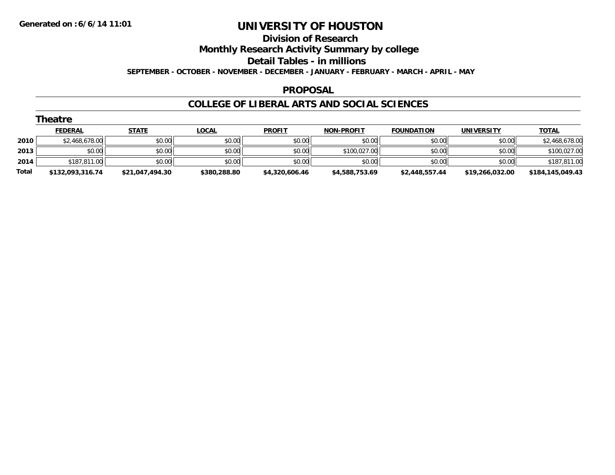## **Division of Research Monthly Research Activity Summary by college Detail Tables - in millions SEPTEMBER - OCTOBER - NOVEMBER - DECEMBER - JANUARY - FEBRUARY - MARCH - APRIL - MAY**

### **PROPOSAL**

|       | Theatre          |                 |              |                |                   |                   |                   |                  |
|-------|------------------|-----------------|--------------|----------------|-------------------|-------------------|-------------------|------------------|
|       | <b>FEDERAL</b>   | <b>STATE</b>    | <b>LOCAL</b> | <b>PROFIT</b>  | <b>NON-PROFIT</b> | <b>FOUNDATION</b> | <b>UNIVERSITY</b> | <b>TOTAL</b>     |
| 2010  | \$2,468,678.00   | \$0.00          | \$0.00       | \$0.00         | \$0.00            | \$0.00            | \$0.00            | \$2,468,678.00   |
| 2013  | \$0.00           | \$0.00          | \$0.00       | \$0.00         | \$100,027.00      | \$0.00            | \$0.00            | \$100,027.00     |
| 2014  | \$187,811.00     | \$0.00          | \$0.00       | \$0.00         | \$0.00            | \$0.00            | \$0.00            | \$187,811.00     |
| Total | \$132,093,316.74 | \$21,047,494.30 | \$380,288.80 | \$4,320,606.46 | \$4,588,753.69    | \$2,448,557.44    | \$19,266,032.00   | \$184,145,049.43 |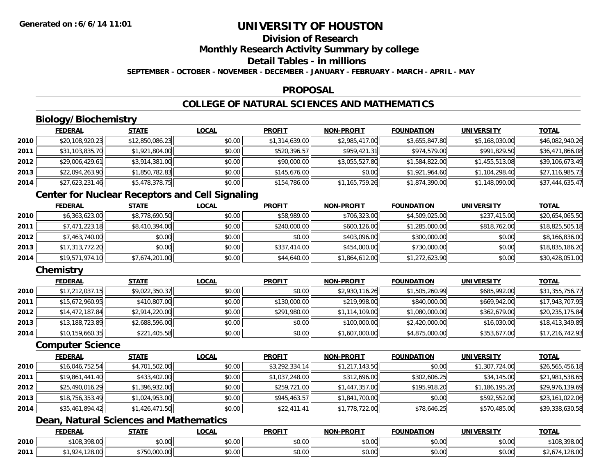# **Division of Research**

**Monthly Research Activity Summary by college**

## **Detail Tables - in millions**

**SEPTEMBER - OCTOBER - NOVEMBER - DECEMBER - JANUARY - FEBRUARY - MARCH - APRIL - MAY**

### **PROPOSAL**

## **COLLEGE OF NATURAL SCIENCES AND MATHEMATICS**

## **Biology/Biochemistry**

|      | <b>FEDERAL</b>  | <u>STATE</u>    | <b>LOCAL</b> | <b>PROFIT</b>  | <b>NON-PROFIT</b> | <b>FOUNDATION</b> | <b>UNIVERSITY</b> | <b>TOTAL</b>    |
|------|-----------------|-----------------|--------------|----------------|-------------------|-------------------|-------------------|-----------------|
| 2010 | \$20,108,920.23 | \$12,850,086.23 | \$0.00       | \$1,314,639.00 | \$2,985,417.00    | \$3,655,847.80    | \$5,168,030.00    | \$46,082,940.26 |
| 2011 | \$31,103,835.70 | \$1,921,804.00  | \$0.00       | \$520,396.57   | \$959,421.31      | \$974,579.00      | \$991,829.50      | \$36,471,866.08 |
| 2012 | \$29,006,429.61 | \$3,914,381.00  | \$0.00       | \$90,000.00    | \$3,055,527.80    | \$1,584,822.00    | \$1,455,513.08    | \$39,106,673.49 |
| 2013 | \$22,094,263.90 | \$1,850,782.83  | \$0.00       | \$145,676.00   | \$0.00            | \$1,921,964.60    | \$1,104,298.40    | \$27,116,985.73 |
| 2014 | \$27,623,231.46 | \$5,478,378.75  | \$0.00       | \$154,786.00   | \$1,165,759.26    | \$1,874,390.00    | \$1,148,090.00    | \$37,444,635.47 |

## **Center for Nuclear Receptors and Cell Signaling**

|      | <b>FEDERAL</b>  | <b>STATE</b>   | <b>LOCAL</b> | <b>PROFIT</b> | <b>NON-PROFIT</b> | <b>FOUNDATION</b> | <b>UNIVERSITY</b> | <u>TOTAL</u>    |
|------|-----------------|----------------|--------------|---------------|-------------------|-------------------|-------------------|-----------------|
| 2010 | \$6,363,623.00  | \$8,778,690.50 | \$0.00       | \$58,989.00   | \$706,323.00      | \$4,509,025.00    | \$237,415.00      | \$20,654,065.50 |
| 2011 | \$7,471,223.18  | \$8,410,394.00 | \$0.00       | \$240,000.00  | \$600,126.00      | \$1,285,000.00    | \$818,762.00      | \$18,825,505.18 |
| 2012 | \$7,463,740.00  | \$0.00         | \$0.00       | \$0.00        | \$403,096,00      | \$300,000.00      | \$0.00            | \$8,166,836.00  |
| 2013 | \$17,313,772.20 | \$0.00         | \$0.00       | \$337,414.00  | \$454,000.00      | \$730,000.00      | \$0.00            | \$18,835,186.20 |
| 2014 | \$19,571,974.10 | \$7,674,201.00 | \$0.00       | \$44,640.00   | \$1,864,612.00    | \$1,272,623.90    | \$0.00            | \$30,428,051.00 |

## **Chemistry**

|      | <b>FEDERAL</b>  | <b>STATE</b>   | <b>LOCAL</b> | <b>PROFIT</b> | <b>NON-PROFIT</b> | <b>FOUNDATION</b> | <b>UNIVERSITY</b> | <b>TOTAL</b>    |
|------|-----------------|----------------|--------------|---------------|-------------------|-------------------|-------------------|-----------------|
| 2010 | \$17,212,037.15 | \$9,022,350.37 | \$0.00       | \$0.00        | \$2,930,116.26    | \$1,505,260.99    | \$685,992,00      | \$31,355,756.77 |
| 2011 | \$15,672,960.95 | \$410,807.00   | \$0.00       | \$130,000.00  | \$219,998.00      | \$840,000.00      | \$669,942.00      | \$17,943,707.95 |
| 2012 | \$14,472,187.84 | \$2,914,220.00 | \$0.00       | \$291,980.00  | \$1,114,109.00    | \$1,080,000.00    | \$362,679.00      | \$20,235,175.84 |
| 2013 | \$13,188,723.89 | \$2,688,596.00 | \$0.00       | \$0.00        | \$100,000.00      | \$2,420,000.00    | \$16,030.00       | \$18,413,349.89 |
| 2014 | \$10,159,660.35 | \$221,405.58   | \$0.00       | \$0.00        | \$1,607,000.00    | \$4,875,000.00    | \$353,677.00      | \$17,216,742.93 |

### **Computer Science**

|      | <b>FEDERAL</b>  | <b>STATE</b>   | <b>LOCAL</b> | <b>PROFIT</b>  | <b>NON-PROFIT</b> | <b>FOUNDATION</b> | <b>UNIVERSITY</b> | <b>TOTAL</b>    |
|------|-----------------|----------------|--------------|----------------|-------------------|-------------------|-------------------|-----------------|
| 2010 | \$16,046,752.54 | \$4,701,502.00 | \$0.00       | \$3,292,334.14 | \$1,217,143.50    | \$0.00            | \$1,307,724.00    | \$26,565,456.18 |
| 2011 | \$19,861,441.40 | \$433,402.00   | \$0.00       | \$1,037,248.00 | \$312,696.00      | \$302,606.25      | \$34,145.00       | \$21,981,538.65 |
| 2012 | \$25,490,016.29 | \$1,396,932.00 | \$0.00       | \$259,721.00   | \$1,447,357.00    | \$195,918.20      | \$1,186,195.20    | \$29,976,139.69 |
| 2013 | \$18,756,353.49 | \$1,024,953.00 | \$0.00       | \$945,463.57   | \$1,841,700.00    | \$0.00            | \$592,552.00      | \$23,161,022.06 |
| 2014 | \$35,461,894.42 | \$1,426,471.50 | \$0.00       | \$22,411.41    | \$1,778,722.00    | \$78,646.25       | \$570,485.00      | \$39,338,630.58 |

## **Dean, Natural Sciences and Mathematics**

|      | <b>FEDERAL</b>                         | <b>STATE</b> | .OCAL                  | <b>PROFIT</b>          | <b>M-PROF!</b><br><b>NICK</b>              | FOUNDATION | EDCITY<br>UNIVE | <b>TOTAL</b>             |
|------|----------------------------------------|--------------|------------------------|------------------------|--------------------------------------------|------------|-----------------|--------------------------|
| 2010 | $\sim$<br><b>¢100</b><br>$\sim$<br>2 U | \$0.00       | ሶስ ሰሰ<br>JU.UU         | $\sim$ $\sim$<br>טט.טע | $\mathsf{A} \cap \mathsf{A} \cap$<br>vv.vv | \$0.00     | 0.00<br>JU.UU   | 200.00<br>\$108<br>70.UU |
| 2011 | $\sim$<br>∵Zŏ.UU.                      | .,,,,,,,,,,, | ሖ ∩<br>$\sim$<br>vu.uu | ሶስ ሰሰ<br>טט.טע         | $\sim$ 00<br>vu.vu                         | \$0.00     | \$0.00          | 0.00<br>, 120.UU         |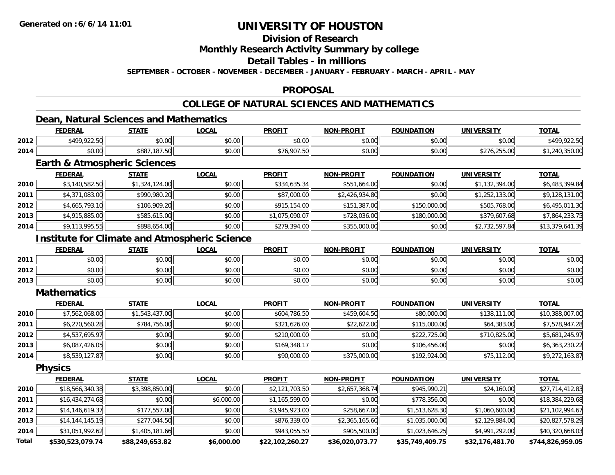## **Division of Research**

**Monthly Research Activity Summary by college**

**Detail Tables - in millions**

**SEPTEMBER - OCTOBER - NOVEMBER - DECEMBER - JANUARY - FEBRUARY - MARCH - APRIL - MAY**

### **PROPOSAL**

## **COLLEGE OF NATURAL SCIENCES AND MATHEMATICS**

## **Dean, Natural Sciences and Mathematics**

|      | <b>FEDERAL</b>      | <b>STATE</b>                    | ne n<br>.UUAI        | <b>PROFIT</b>           | <b>NON-PROFIT</b> | <b>FOUNDATION</b> | <b>UNIVERSITY</b>                                                       | <b>TOTAL</b> |
|------|---------------------|---------------------------------|----------------------|-------------------------|-------------------|-------------------|-------------------------------------------------------------------------|--------------|
| 2012 | <b>MAQ 022 50L1</b> | $\sim$ 00<br>JU.UU              | 0.00<br>pu.uu        | 0 <sub>n</sub><br>JU.UU | 0000<br>vu.vu     | \$0.00            | 0000<br>ง∪.∪บ                                                           | 0.0000       |
| 2014 | \$0.00              | $\sim$<br>\$887,<br>$\sim$<br>. | 0000<br><b>DU.UU</b> | \$76,907.50             | 0000<br>vu.vu     | \$0.00            | OFF OO<br>$\cdot$ , $\cup$ , $\cup$ , $\cup$ , $\cup$ , $\cup$ , $\cup$ | J. JU. U     |

## **Earth & Atmospheric Sciences**

|      | <b>FEDERAL</b> | <b>STATE</b>   | <b>LOCAL</b> | <b>PROFIT</b>  | NON-PROFIT     | <b>FOUNDATION</b> | <b>UNIVERSITY</b> | <b>TOTAL</b>    |
|------|----------------|----------------|--------------|----------------|----------------|-------------------|-------------------|-----------------|
| 2010 | \$3,140,582.50 | \$1,324,124.00 | \$0.00       | \$334,635.34   | \$551,664.00   | \$0.00            | \$1,132,394.00    | \$6,483,399.84  |
| 2011 | \$4,371,083.00 | \$990,980.20   | \$0.00       | \$87,000.00    | \$2,426,934.80 | \$0.00            | \$1,252,133.00    | \$9,128,131.00  |
| 2012 | \$4,665,793.10 | \$106,909.20   | \$0.00       | \$915,154.00   | \$151,387.00   | \$150,000.00      | \$505,768.00      | \$6,495,011.30  |
| 2013 | \$4,915,885.00 | \$585,615.00   | \$0.00       | \$1,075,090.07 | \$728,036.00   | \$180,000.00      | \$379,607.68      | \$7,864,233.75  |
| 2014 | \$9,113,995.55 | \$898,654.00   | \$0.00       | \$279,394.00   | \$355,000.00   | \$0.00            | \$2,732,597.84    | \$13,379,641.39 |

## **Institute for Climate and Atmospheric Science**

|      | <b>FEDERAL</b>            | <b>STATE</b>          | <u>LOCAL</u>  | <b>PROFIT</b>                                     | <b>NON-PROFIT</b> | <b>FOUNDATION</b> | <b>UNIVERSITY</b><br>⊤кэі. | <b>TOTAL</b> |
|------|---------------------------|-----------------------|---------------|---------------------------------------------------|-------------------|-------------------|----------------------------|--------------|
| 2011 | ልስ ስስ<br>PU.UU            | \$0.00                | 0000<br>JU.UU | ≮N UU<br>JU.UU                                    | \$0.00            | \$0.00            | \$0.00                     | \$0.00       |
| 2012 | ሶስ ሰሰ<br>pu.uu            | 0000<br>\$U.UU        | \$0.00        | $\mathsf{A}\cap\mathsf{A}\cap\mathsf{A}$<br>JU.UU | \$0.00            | \$0.00            | \$0.00                     | \$0.00       |
| 2013 | $\sim$<br>$\sim$<br>PU.UU | ልስ ስስ<br><b>JU.UU</b> | \$0.00        | <b>SU.UU</b>                                      | \$0.00            | \$0.00            | \$0.00                     | \$0.00       |

#### **Mathematics**

|      | <b>FEDERAL</b> | <b>STATE</b>   | <b>LOCAL</b> | <b>PROFIT</b> | <b>NON-PROFIT</b> | <b>FOUNDATION</b> | <b>UNIVERSITY</b> | <b>TOTAL</b>    |
|------|----------------|----------------|--------------|---------------|-------------------|-------------------|-------------------|-----------------|
| 2010 | \$7,562,068.00 | \$1,543,437.00 | \$0.00       | \$604,786.50  | \$459,604.50      | \$80,000.00       | \$138,111.00      | \$10,388,007.00 |
| 2011 | \$6,270,560.28 | \$784,756.00   | \$0.00       | \$321,626.00  | \$22,622.00       | \$115,000.00      | \$64,383.00       | \$7,578,947.28  |
| 2012 | \$4,537,695.97 | \$0.00         | \$0.00       | \$210,000.00  | \$0.00            | \$222,725.00      | \$710,825.00      | \$5,681,245.97  |
| 2013 | \$6,087,426.05 | \$0.00         | \$0.00       | \$169.348.17  | \$0.00            | \$106,456,00      | \$0.00            | \$6,363,230.22  |
| 2014 | \$8,539,127.87 | \$0.00         | \$0.00       | \$90,000.00   | \$375,000.00      | \$192,924.00      | \$75,112.00       | \$9,272,163.87  |

**Physics**

|              | <u>FEDERAL</u>   | <b>STATE</b>    | <u>LOCAL</u> | <b>PROFIT</b>   | <b>NON-PROFIT</b> | <b>FOUNDATION</b> | UNIVERSITY      | <b>TOTAL</b>     |
|--------------|------------------|-----------------|--------------|-----------------|-------------------|-------------------|-----------------|------------------|
| 2010         | \$18,566,340.38  | \$3,398,850.00  | \$0.00       | \$2,121,703.50  | \$2,657,368.74    | \$945,990.21      | \$24,160.00     | \$27,714,412.83  |
| 2011         | \$16,434,274.68  | \$0.00          | \$6,000.00   | \$1,165,599.00  | \$0.00            | \$778,356.00      | \$0.00          | \$18,384,229.68  |
| 2012         | \$14,146,619.37  | \$177,557.00    | \$0.00       | \$3,945,923.00  | \$258,667.00      | \$1,513,628.30    | \$1,060,600.00  | \$21,102,994.67  |
| 2013         | \$14,144,145.19  | \$277,044.50    | \$0.00       | \$876,339.00    | \$2,365,165.60    | \$1,035,000.00    | \$2,129,884.00  | \$20,827,578.29  |
| 2014         | \$31,051,992.62  | \$1,405,181.66  | \$0.00       | \$943,055.50    | \$905,500.00      | \$1,023,646.25    | \$4,991,292.00  | \$40,320,668.03  |
| <b>Total</b> | \$530,523,079.74 | \$88,249,653.82 | \$6,000.00   | \$22,102,260.27 | \$36,020,073.77   | \$35,749,409.75   | \$32,176,481.70 | \$744,826,959.05 |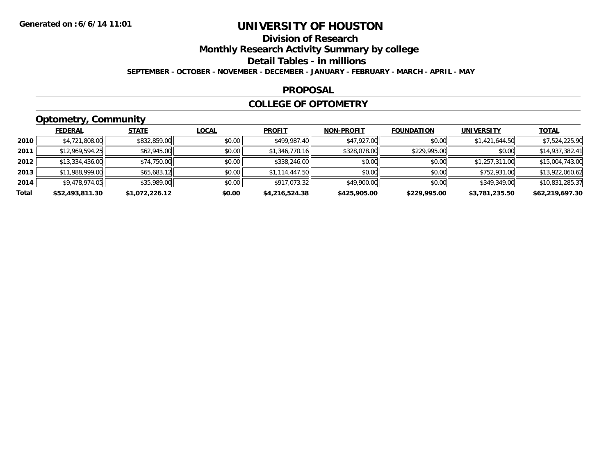## **Division of Research**

**Monthly Research Activity Summary by college**

**Detail Tables - in millions**

**SEPTEMBER - OCTOBER - NOVEMBER - DECEMBER - JANUARY - FEBRUARY - MARCH - APRIL - MAY**

### **PROPOSAL**

### **COLLEGE OF OPTOMETRY**

## **Optometry, Community**

|       | .               |                |              |                |                   |                   |                   |                 |
|-------|-----------------|----------------|--------------|----------------|-------------------|-------------------|-------------------|-----------------|
|       | <b>FEDERAL</b>  | <b>STATE</b>   | <b>LOCAL</b> | <b>PROFIT</b>  | <b>NON-PROFIT</b> | <b>FOUNDATION</b> | <b>UNIVERSITY</b> | <u>TOTAL</u>    |
| 2010  | \$4,721,808.00  | \$832,859.00   | \$0.00       | \$499,987.40   | \$47,927.00       | \$0.00            | \$1,421,644.50    | \$7,524,225.90  |
| 2011  | \$12,969,594.25 | \$62,945.00    | \$0.00       | \$1,346,770.16 | \$328,078.00      | \$229,995.00      | \$0.00            | \$14,937,382.41 |
| 2012  | \$13,334,436.00 | \$74,750.00    | \$0.00       | \$338,246.00   | \$0.00            | \$0.00            | \$1,257,311.00    | \$15,004,743.00 |
| 2013  | \$11,988,999.00 | \$65,683.12    | \$0.00       | \$1,114,447.50 | \$0.00            | \$0.00            | \$752,931.00      | \$13,922,060.62 |
| 2014  | \$9,478,974.05  | \$35,989.00    | \$0.00       | \$917,073.32   | \$49,900.00       | \$0.00            | \$349,349.00      | \$10,831,285.37 |
| Total | \$52,493,811.30 | \$1,072,226.12 | \$0.00       | \$4,216,524.38 | \$425,905.00      | \$229,995.00      | \$3,781,235.50    | \$62,219,697.30 |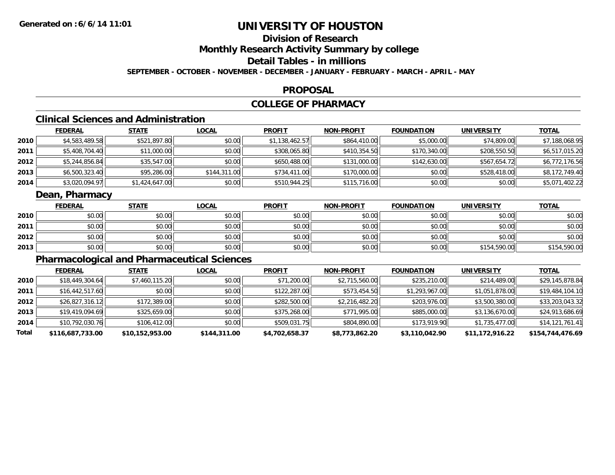# **Division of Research**

**Monthly Research Activity Summary by college**

**Detail Tables - in millions**

**SEPTEMBER - OCTOBER - NOVEMBER - DECEMBER - JANUARY - FEBRUARY - MARCH - APRIL - MAY**

### **PROPOSAL**

## **COLLEGE OF PHARMACY**

## **Clinical Sciences and Administration**

|        | <b>FEDERAL</b> | <u>STATE</u>   | <b>LOCAL</b> | <b>PROFIT</b>  | <b>NON-PROFIT</b> | <b>FOUNDATION</b> | <b>UNIVERSITY</b> | <b>TOTAL</b>   |
|--------|----------------|----------------|--------------|----------------|-------------------|-------------------|-------------------|----------------|
| ا 2010 | \$4,583,489.58 | \$521,897.80   | \$0.00       | \$1,138,462.57 | \$864,410.00      | \$5,000.00        | \$74,809.00       | \$7,188,068.95 |
| 2011   | \$5,408,704.40 | \$11,000.00    | \$0.00       | \$308,065.80   | \$410,354.50      | \$170,340.00      | \$208,550.50      | \$6,517,015.20 |
| 2012   | \$5,244,856.84 | \$35,547.00    | \$0.00       | \$650,488.00   | \$131,000.00      | \$142,630.00      | \$567,654.72      | \$6,772,176.56 |
| 2013   | \$6,500,323.40 | \$95,286.00    | \$144,311.00 | \$734,411.00   | \$170,000.00      | \$0.00            | \$528,418.00      | \$8,172,749.40 |
| 2014   | \$3,020,094.97 | \$1,424,647.00 | \$0.00       | \$510,944.25   | \$115,716.00      | \$0.00            | \$0.00            | \$5,071,402.22 |

## **Dean, Pharmacy**

|      | <b>FEDERAL</b> | <b>STATE</b> | <u>LOCAL</u> | <b>PROFIT</b> | <b>NON-PROFIT</b> | <b>FOUNDATION</b> | <b>UNIVERSITY</b> | <b>TOTAL</b> |
|------|----------------|--------------|--------------|---------------|-------------------|-------------------|-------------------|--------------|
| 2010 | \$0.00         | \$0.00       | \$0.00       | \$0.00        | \$0.00            | \$0.00            | \$0.00            | \$0.00       |
| 2011 | \$0.00         | \$0.00       | \$0.00       | \$0.00        | \$0.00            | \$0.00            | \$0.00            | \$0.00       |
| 2012 | \$0.00         | \$0.00       | \$0.00       | \$0.00        | \$0.00            | \$0.00            | \$0.00            | \$0.00       |
| 2013 | \$0.00         | \$0.00       | \$0.00       | \$0.00        | \$0.00            | \$0.00            | \$154,590.00      | \$154,590.00 |

## **Pharmacological and Pharmaceutical Sciences**

|       | <b>FEDERAL</b>   | <b>STATE</b>    | <b>LOCAL</b> | <b>PROFIT</b>  | <b>NON-PROFIT</b> | <b>FOUNDATION</b> | UNIVERSITY      | <b>TOTAL</b>     |
|-------|------------------|-----------------|--------------|----------------|-------------------|-------------------|-----------------|------------------|
| 2010  | \$18,449,304.64  | \$7,460,115.20  | \$0.00       | \$71,200.00    | \$2,715,560.00    | \$235,210.00      | \$214,489.00    | \$29,145,878.84  |
| 2011  | \$16,442,517.60  | \$0.00          | \$0.00       | \$122,287.00   | \$573,454.50      | \$1,293,967.00    | \$1,051,878.00  | \$19,484,104.10  |
| 2012  | \$26,827,316.12  | \$172,389.00    | \$0.00       | \$282,500.00   | \$2,216,482.20    | \$203,976.00      | \$3,500,380.00  | \$33,203,043.32  |
| 2013  | \$19,419,094.69  | \$325,659.00    | \$0.00       | \$375,268.00   | \$771,995.00      | \$885,000.00      | \$3,136,670.00  | \$24,913,686.69  |
| 2014  | \$10,792,030.76  | \$106,412.00    | \$0.00       | \$509,031.75   | \$804,890.00      | \$173,919.90      | \$1,735,477.00  | \$14,121,761.41  |
| Total | \$116,687,733.00 | \$10,152,953.00 | \$144,311.00 | \$4,702,658.37 | \$8,773,862.20    | \$3,110,042.90    | \$11,172,916.22 | \$154,744,476.69 |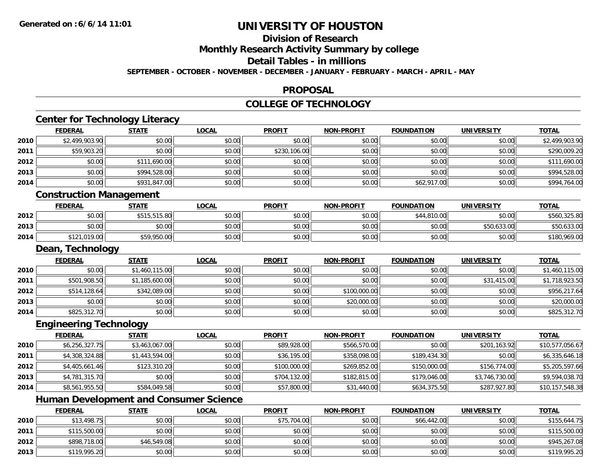**2013**

# **UNIVERSITY OF HOUSTON**

# **Division of Research**

**Monthly Research Activity Summary by college**

**Detail Tables - in millions**

**SEPTEMBER - OCTOBER - NOVEMBER - DECEMBER - JANUARY - FEBRUARY - MARCH - APRIL - MAY**

### **PROPOSAL**

### **COLLEGE OF TECHNOLOGY**

|      | <b>FEDERAL</b>                 | <b>STATE</b>                                  | <b>LOCAL</b> | <b>PROFIT</b> | <b>NON-PROFIT</b> | <b>FOUNDATION</b> | <b>UNIVERSITY</b> | <b>TOTAL</b>    |
|------|--------------------------------|-----------------------------------------------|--------------|---------------|-------------------|-------------------|-------------------|-----------------|
| 2010 | \$2,499,903.90                 | \$0.00                                        | \$0.00       | \$0.00        | \$0.00            | \$0.00            | \$0.00            | \$2,499,903.90  |
| 2011 | \$59,903.20                    | \$0.00                                        | \$0.00       | \$230,106.00  | \$0.00            | \$0.00            | \$0.00            | \$290,009.20    |
| 2012 | \$0.00                         | \$111,690.00                                  | \$0.00       | \$0.00        | \$0.00            | \$0.00            | \$0.00            | \$111,690.00    |
| 2013 | \$0.00                         | \$994,528.00                                  | \$0.00       | \$0.00        | \$0.00            | \$0.00            | \$0.00            | \$994,528.00    |
| 2014 | \$0.00                         | \$931,847.00                                  | \$0.00       | \$0.00        | \$0.00            | \$62,917.00       | \$0.00            | \$994,764.00    |
|      | <b>Construction Management</b> |                                               |              |               |                   |                   |                   |                 |
|      | <b>FEDERAL</b>                 | <b>STATE</b>                                  | <b>LOCAL</b> | <b>PROFIT</b> | <b>NON-PROFIT</b> | <b>FOUNDATION</b> | <b>UNIVERSITY</b> | <b>TOTAL</b>    |
| 2012 | \$0.00                         | \$515,515.80                                  | \$0.00       | \$0.00        | \$0.00            | \$44,810.00       | \$0.00            | \$560,325.80    |
| 2013 | \$0.00                         | \$0.00                                        | \$0.00       | \$0.00        | \$0.00            | \$0.00            | \$50,633.00       | \$50,633.00     |
| 2014 | \$121,019.00                   | \$59,950.00                                   | \$0.00       | \$0.00        | \$0.00            | \$0.00            | \$0.00            | \$180,969.00    |
|      | Dean, Technology               |                                               |              |               |                   |                   |                   |                 |
|      | <b>FEDERAL</b>                 | <b>STATE</b>                                  | <b>LOCAL</b> | <b>PROFIT</b> | <b>NON-PROFIT</b> | <b>FOUNDATION</b> | <b>UNIVERSITY</b> | <b>TOTAL</b>    |
| 2010 | \$0.00                         | \$1,460,115.00                                | \$0.00       | \$0.00        | \$0.00            | \$0.00            | \$0.00            | \$1,460,115.00  |
| 2011 | \$501,908.50                   | \$1,185,600.00                                | \$0.00       | \$0.00        | \$0.00            | \$0.00            | \$31,415.00       | \$1,718,923.50  |
| 2012 | \$514,128.64                   | \$342,089.00                                  | \$0.00       | \$0.00        | \$100,000.00      | \$0.00            | \$0.00            | \$956,217.64    |
| 2013 | \$0.00                         | \$0.00                                        | \$0.00       | \$0.00        | \$20,000.00       | \$0.00            | \$0.00            | \$20,000.00     |
| 2014 | \$825,312.70                   | \$0.00                                        | \$0.00       | \$0.00        | \$0.00            | \$0.00            | \$0.00            | \$825,312.70    |
|      | <b>Engineering Technology</b>  |                                               |              |               |                   |                   |                   |                 |
|      | <b>FEDERAL</b>                 | <b>STATE</b>                                  | <b>LOCAL</b> | <b>PROFIT</b> | <b>NON-PROFIT</b> | <b>FOUNDATION</b> | <b>UNIVERSITY</b> | <b>TOTAL</b>    |
| 2010 | \$6,256,327.75                 | \$3,463,067.00                                | \$0.00       | \$89,928.00   | \$566,570.00      | \$0.00            | \$201,163.92      | \$10,577,056.67 |
| 2011 | \$4,308,324.88                 | \$1,443,594.00                                | \$0.00       | \$36,195.00   | \$358,098.00      | \$189,434.30      | \$0.00            | \$6,335,646.18  |
| 2012 | \$4,405,661.46                 | \$123,310.20                                  | \$0.00       | \$100,000.00  | \$269,852.00      | \$150,000.00      | \$156,774.00      | \$5,205,597.66  |
| 2013 | \$4,781,315.70                 | \$0.00                                        | \$0.00       | \$704,132.00  | \$182,815.00      | \$179,046.00      | \$3,746,730.00    | \$9,594,038.70  |
| 2014 | \$8,561,955.50                 | \$584,049.58                                  | \$0.00       | \$57,800.00   | \$31,440.00       | \$634,375.50      | \$287,927.80      | \$10,157,548.38 |
|      |                                | <b>Human Development and Consumer Science</b> |              |               |                   |                   |                   |                 |
|      | <b>FEDERAL</b>                 | <b>STATE</b>                                  | <b>LOCAL</b> | <b>PROFIT</b> | <b>NON-PROFIT</b> | <b>FOUNDATION</b> | <b>UNIVERSITY</b> | <b>TOTAL</b>    |
| 2010 | \$13,498.75                    | \$0.00                                        | \$0.00       | \$75,704.00   | \$0.00            | \$66,442.00       | \$0.00            | \$155,644.75    |
| 2011 | \$115,500.00                   | \$0.00                                        | \$0.00       | \$0.00        | \$0.00            | \$0.00            | \$0.00            | \$115,500.00    |
| 2012 | \$898,718.00                   | \$46,549.08                                   | \$0.00       | \$0.00        | \$0.00            | \$0.00            | \$0.00            | \$945,267.08    |

\$119,995.20 \$0.00 \$0.00 \$0.00 \$0.00 \$0.00 \$0.00 \$119,995.20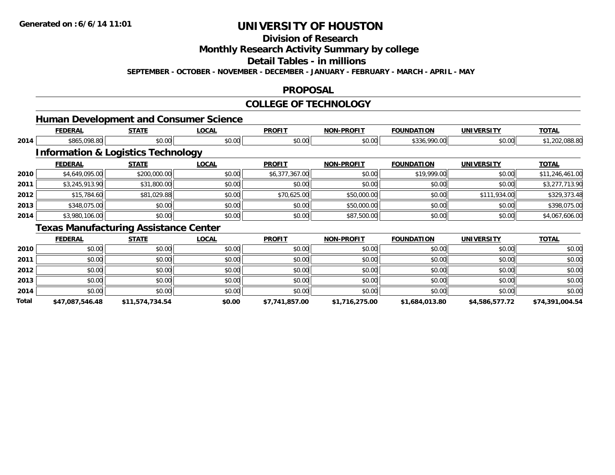**Division of Research**

**Monthly Research Activity Summary by college**

**Detail Tables - in millions**

**SEPTEMBER - OCTOBER - NOVEMBER - DECEMBER - JANUARY - FEBRUARY - MARCH - APRIL - MAY**

### **PROPOSAL**

## **COLLEGE OF TECHNOLOGY**

|      |                | <b>Human Development and Consumer Science</b> |              |                |                   |                   |                   |                 |
|------|----------------|-----------------------------------------------|--------------|----------------|-------------------|-------------------|-------------------|-----------------|
|      | <b>FEDERAL</b> | <b>STATE</b>                                  | <b>LOCAL</b> | <b>PROFIT</b>  | <b>NON-PROFIT</b> | <b>FOUNDATION</b> | <b>UNIVERSITY</b> | <b>TOTAL</b>    |
| 2014 | \$865,098.80   | \$0.00                                        | \$0.00       | \$0.00         | \$0.00            | \$336,990.00      | \$0.00            | \$1,202,088.80  |
|      |                | <b>Information &amp; Logistics Technology</b> |              |                |                   |                   |                   |                 |
|      | <b>FEDERAL</b> | <b>STATE</b>                                  | <b>LOCAL</b> | <b>PROFIT</b>  | <b>NON-PROFIT</b> | <b>FOUNDATION</b> | <b>UNIVERSITY</b> | <b>TOTAL</b>    |
| 2010 | \$4,649,095.00 | \$200,000.00                                  | \$0.00       | \$6,377,367.00 | \$0.00            | \$19,999.00       | \$0.00            | \$11,246,461.00 |
| 2011 | \$3,245,913.90 | \$31,800.00                                   | \$0.00       | \$0.00         | \$0.00            | \$0.00            | \$0.00            | \$3,277,713.90  |
| 2012 | \$15,784.60    | \$81,029.88                                   | \$0.00       | \$70,625.00    | \$50,000.00       | \$0.00            | \$111,934.00      | \$329,373.48    |
| 2013 | \$348,075.00   | \$0.00                                        | \$0.00       | \$0.00         | \$50,000.00       | \$0.00            | \$0.00            | \$398,075.00    |
| 2014 | \$3,980,106.00 | \$0.00                                        | \$0.00       | \$0.00         | \$87,500.00       | \$0.00            | \$0.00            | \$4,067,606.00  |
|      |                | <b>Texas Manufacturing Assistance Center</b>  |              |                |                   |                   |                   |                 |
|      | <b>FEDERAL</b> | <b>STATE</b>                                  | <b>LOCAL</b> | <b>PROFIT</b>  | <b>NON-PROFIT</b> | <b>FOUNDATION</b> | <b>UNIVERSITY</b> | <b>TOTAL</b>    |
| 2010 | \$0.00         | \$0.00                                        | \$0.00       | \$0.00         | \$0.00            | \$0.00            | \$0.00            | \$0.00          |
| 2011 | \$0.00         | \$0.00                                        | \$0.00       | \$0.00         | \$0.00            | \$0.00            | \$0.00            | \$0.00          |
| 2012 | \$0.00         | \$0.00                                        | \$0.00       | \$0.00         | \$0.00            | \$0.00            | \$0.00            | \$0.00          |

\$0.00 \$0.00 \$0.00 \$0.00 \$0.00 \$0.00 \$0.00 \$0.00

**2014**4 \$0.00 \$0.00 \$0.00 \$0.00 \$0.00 \$0.00 \$0.00 \$0.00 \$0.00 \$0.00 \$0.00 \$0.00 \$0.00 \$0.00 \$0.00 \$0.00 \$0.00 **Total**

**2013**

**\$47,087,546.48 \$11,574,734.54 \$0.00 \$7,741,857.00 \$1,716,275.00 \$1,684,013.80 \$4,586,577.72 \$74,391,004.54**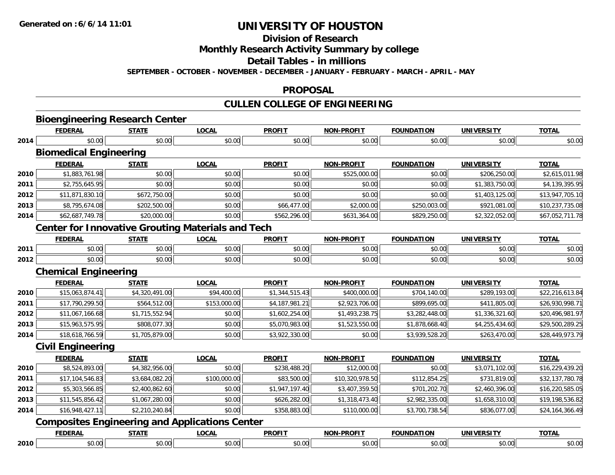**Division of Research**

**Monthly Research Activity Summary by college**

**Detail Tables - in millions**

**SEPTEMBER - OCTOBER - NOVEMBER - DECEMBER - JANUARY - FEBRUARY - MARCH - APRIL - MAY**

### **PROPOSAL**

# **CULLEN COLLEGE OF ENGINEERING**

|                      | <b>Bioengineering Research Center</b> |                        |                                                          |                |                   |                   |                   |                                                    |
|----------------------|---------------------------------------|------------------------|----------------------------------------------------------|----------------|-------------------|-------------------|-------------------|----------------------------------------------------|
|                      | <b>FEDERAL</b>                        | <b>STATE</b>           | <b>LOCAL</b>                                             | <b>PROFIT</b>  | <b>NON-PROFIT</b> | <b>FOUNDATION</b> | <b>UNIVERSITY</b> | <b>TOTAL</b>                                       |
| 2014                 | \$0.00                                | \$0.00                 | \$0.00                                                   | \$0.00         | \$0.00            | \$0.00            | \$0.00            | \$0.00                                             |
|                      | <b>Biomedical Engineering</b>         |                        |                                                          |                |                   |                   |                   |                                                    |
|                      | <b>FEDERAL</b>                        | <b>STATE</b>           | <b>LOCAL</b>                                             | <b>PROFIT</b>  | <b>NON-PROFIT</b> | <b>FOUNDATION</b> | <b>UNIVERSITY</b> | <b>TOTAL</b>                                       |
| 2010                 | \$1,883,761.98                        | \$0.00                 | \$0.00                                                   | \$0.00         | \$525,000.00      | \$0.00            | \$206,250.00      | \$2,615,011.98                                     |
| 2011                 | \$2,755,645.95                        | \$0.00                 | \$0.00                                                   | \$0.00         | \$0.00            | \$0.00            | \$1,383,750.00    | \$4,139,395.95                                     |
| 2012                 | \$11,871,830.10                       | \$672,750.00           | \$0.00                                                   | \$0.00         | \$0.00            | \$0.00            | \$1,403,125.00    | \$13,947,705.10                                    |
| 2013                 | \$8,795,674.08                        | \$202,500.00           | \$0.00                                                   | \$66,477.00    | \$2,000.00        | \$250,003.00      | \$921,081.00      | \$10,237,735.08                                    |
| 2014                 | \$62,687,749.78                       | \$20,000.00            | \$0.00                                                   | \$562,296.00   | \$631,364.00      | \$829,250.00      | \$2,322,052.00    | \$67,052,711.78                                    |
|                      |                                       |                        | <b>Center for Innovative Grouting Materials and Tech</b> |                |                   |                   |                   |                                                    |
|                      | <b>FEDERAL</b>                        | <b>STATE</b>           | <b>LOCAL</b>                                             | <b>PROFIT</b>  | <b>NON-PROFIT</b> | <b>FOUNDATION</b> | <b>UNIVERSITY</b> | <b>TOTAL</b>                                       |
| 2011                 | \$0.00                                | \$0.00                 | \$0.00                                                   | \$0.00         | \$0.00            | \$0.00            | \$0.00            | \$0.00                                             |
| 2012                 | \$0.00                                | \$0.00                 | \$0.00                                                   | \$0.00         | \$0.00            | \$0.00            | \$0.00            | \$0.00                                             |
|                      | <b>Chemical Engineering</b>           |                        |                                                          |                |                   |                   |                   |                                                    |
|                      | <b>FEDERAL</b>                        | <b>STATE</b>           | <b>LOCAL</b>                                             | <b>PROFIT</b>  | <b>NON-PROFIT</b> | <b>FOUNDATION</b> | <b>UNIVERSITY</b> | <b>TOTAL</b>                                       |
| 2010                 | \$15,063,874.41                       | \$4,320,491.00         | \$94,400.00                                              | \$1,344,515.43 | \$400,000.00      | \$704,140.00      | \$289,193.00      | \$22,216,613.84                                    |
| 2011                 | \$17,790,299.50                       | \$564,512.00           | \$153,000.00                                             | \$4,187,981.21 | \$2,923,706.00    | \$899,695.00      | \$411,805.00      | \$26,930,998.71                                    |
| 2012                 | \$11,067,166.68                       | \$1,715,552.94         | \$0.00                                                   | \$1,602,254.00 | \$1,493,238.75    | \$3,282,448.00    | \$1,336,321.60    | \$20,496,981.97                                    |
| 2013                 | \$15,963,575.95                       | \$808,077.30           | \$0.00                                                   | \$5,070,983.00 | \$1,523,550.00    | \$1,878,668.40    | \$4,255,434.60    | \$29,500,289.25                                    |
| 2014                 | \$18,618,766.59                       | \$1,705,879.00         | \$0.00                                                   | \$3,922,330.00 | \$0.00            | \$3,939,528.20    | \$263,470.00      | \$28,449,973.79                                    |
|                      | <b>Civil Engineering</b>              |                        |                                                          |                |                   |                   |                   |                                                    |
|                      | <b>FEDERAL</b>                        | <b>STATE</b>           | <b>LOCAL</b>                                             | <b>PROFIT</b>  | <b>NON-PROFIT</b> | <b>FOUNDATION</b> | <b>UNIVERSITY</b> | <b>TOTAL</b>                                       |
| 2010                 | \$8,524,893.00                        | \$4,382,956.00         | \$0.00                                                   | \$238,488.20   | \$12,000.00       | \$0.00            | \$3,071,102.00    | \$16,229,439.20                                    |
| 2011                 | \$17,104,546.83                       | \$3,684,082.20         | \$100,000.00                                             | \$83,500.00    | \$10,320,978.50   | \$112,854.25      | \$731,819.00      | \$32,137,780.78                                    |
|                      |                                       |                        |                                                          |                |                   |                   |                   |                                                    |
|                      | \$5,303,566.85                        | \$2,400,862.60         | \$0.00                                                   | \$1,947,197.40 | \$3,407,359.50    | \$701,202.70      | \$2,460,396.00    | \$16,220,585.05                                    |
|                      | \$11,545,856.42                       | \$1,067,280.00         | \$0.00                                                   | \$626,282.00   | \$1,318,473.40    | \$2,982,335.00    | \$1,658,310.00    |                                                    |
|                      | \$16,948,427.11                       | \$2,210,240.84         | \$0.00                                                   | \$358,883.00   | \$110,000.00      | \$3,700,738.54    | \$836,077.00      |                                                    |
|                      |                                       |                        | <b>Composites Engineering and Applications Center</b>    |                |                   |                   |                   |                                                    |
| 2012<br>2013<br>2014 | <b>FEDERAL</b>                        | <b>STATE</b><br>\$0.00 | <b>LOCAL</b>                                             | <b>PROFIT</b>  | <b>NON-PROFIT</b> | <b>FOUNDATION</b> | <b>UNIVERSITY</b> | \$19,198,536.82<br>\$24,164,366.49<br><b>TOTAL</b> |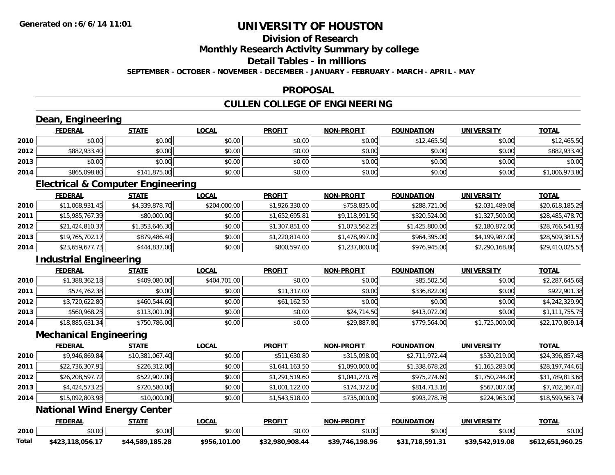# **Division of Research**

**Monthly Research Activity Summary by college**

**Detail Tables - in millions**

**SEPTEMBER - OCTOBER - NOVEMBER - DECEMBER - JANUARY - FEBRUARY - MARCH - APRIL - MAY**

### **PROPOSAL**

# **CULLEN COLLEGE OF ENGINEERING**

|       | Dean, Engineering                            |                 |              |                 |                   |                   |                   |                  |
|-------|----------------------------------------------|-----------------|--------------|-----------------|-------------------|-------------------|-------------------|------------------|
|       | <b>FEDERAL</b>                               | <b>STATE</b>    | <b>LOCAL</b> | <b>PROFIT</b>   | <b>NON-PROFIT</b> | <b>FOUNDATION</b> | <b>UNIVERSITY</b> | <b>TOTAL</b>     |
| 2010  | \$0.00                                       | \$0.00          | \$0.00       | \$0.00          | \$0.00            | \$12,465.50       | \$0.00            | \$12,465.50      |
| 2012  | \$882,933.40                                 | \$0.00          | \$0.00       | \$0.00          | \$0.00            | \$0.00            | \$0.00            | \$882,933.40     |
| 2013  | \$0.00                                       | \$0.00          | \$0.00       | \$0.00          | \$0.00            | \$0.00            | \$0.00            | \$0.00           |
| 2014  | \$865,098.80                                 | \$141,875.00    | \$0.00       | \$0.00          | \$0.00            | \$0.00            | \$0.00            | \$1,006,973.80   |
|       | <b>Electrical &amp; Computer Engineering</b> |                 |              |                 |                   |                   |                   |                  |
|       | <b>FEDERAL</b>                               | <b>STATE</b>    | <b>LOCAL</b> | <b>PROFIT</b>   | <b>NON-PROFIT</b> | <b>FOUNDATION</b> | <b>UNIVERSITY</b> | <b>TOTAL</b>     |
| 2010  | \$11,068,931.45                              | \$4,339,878.70  | \$204,000.00 | \$1,926,330.00  | \$758,835.00      | \$288,721.06      | \$2,031,489.08    | \$20,618,185.29  |
| 2011  | \$15,985,767.39                              | \$80,000.00     | \$0.00       | \$1,652,695.81  | \$9,118,991.50    | \$320,524.00      | \$1,327,500.00    | \$28,485,478.70  |
| 2012  | \$21,424,810.37                              | \$1,353,646.30  | \$0.00       | \$1,307,851.00  | \$1,073,562.25    | \$1,425,800.00    | \$2,180,872.00    | \$28,766,541.92  |
| 2013  | \$19,765,702.17                              | \$879,486.40    | \$0.00       | \$1,220,814.00  | \$1,478,997.00    | \$964,395.00      | \$4,199,987.00    | \$28,509,381.57  |
| 2014  | \$23,659,677.73                              | \$444,837.00    | \$0.00       | \$800,597.00    | \$1,237,800.00    | \$976,945.00      | \$2,290,168.80    | \$29,410,025.53  |
|       | <b>Industrial Engineering</b>                |                 |              |                 |                   |                   |                   |                  |
|       | <b>FEDERAL</b>                               | <b>STATE</b>    | <b>LOCAL</b> | <b>PROFIT</b>   | <b>NON-PROFIT</b> | <b>FOUNDATION</b> | <b>UNIVERSITY</b> | <b>TOTAL</b>     |
| 2010  | \$1,388,362.18                               | \$409,080.00    | \$404,701.00 | \$0.00          | \$0.00            | \$85,502.50       | \$0.00            | \$2,287,645.68   |
| 2011  | \$574,762.38                                 | \$0.00          | \$0.00       | \$11,317.00     | \$0.00            | \$336,822.00      | \$0.00            | \$922,901.38     |
| 2012  | \$3,720,622.80                               | \$460,544.60    | \$0.00       | \$61,162.50     | \$0.00            | \$0.00            | \$0.00            | \$4,242,329.90   |
| 2013  | \$560,968.25                                 | \$113,001.00    | \$0.00       | \$0.00          | \$24,714.50       | \$413,072.00      | \$0.00            | \$1,111,755.75   |
| 2014  | \$18,885,631.34                              | \$750,786.00    | \$0.00       | \$0.00          | \$29,887.80       | \$779,564.00      | \$1,725,000.00    | \$22,170,869.14  |
|       | <b>Mechanical Engineering</b>                |                 |              |                 |                   |                   |                   |                  |
|       | <b>FEDERAL</b>                               | <b>STATE</b>    | <b>LOCAL</b> | <b>PROFIT</b>   | <b>NON-PROFIT</b> | <b>FOUNDATION</b> | <b>UNIVERSITY</b> | <b>TOTAL</b>     |
| 2010  | \$9,946,869.84                               | \$10,381,067.40 | \$0.00       | \$511,630.80    | \$315,098.00      | \$2,711,972.44    | \$530,219.00      | \$24,396,857.48  |
| 2011  | \$22,736,307.91                              | \$226,312.00    | \$0.00       | \$1,641,163.50  | \$1,090,000.00    | \$1,338,678.20    | \$1,165,283.00    | \$28,197,744.61  |
| 2012  | \$26,208,597.72                              | \$522,907.00    | \$0.00       | \$1,291,519.60  | \$1,041,270.76    | \$975,274.60      | \$1,750,244.00    | \$31,789,813.68  |
| 2013  | \$4,424,573.25                               | \$720,580.00    | \$0.00       | \$1,001,122.00  | \$174,372.00      | \$814,713.16      | \$567,007.00      | \$7,702,367.41   |
| 2014  | \$15,092,803.98                              | \$10,000.00     | \$0.00       | \$1,543,518.00  | \$735,000.00      | \$993,278.76      | \$224,963.00      | \$18,599,563.74  |
|       | <b>National Wind Energy Center</b>           |                 |              |                 |                   |                   |                   |                  |
|       | <b>FEDERAL</b>                               | <b>STATE</b>    | <b>LOCAL</b> | <b>PROFIT</b>   | <b>NON-PROFIT</b> | <b>FOUNDATION</b> | <b>UNIVERSITY</b> | <b>TOTAL</b>     |
| 2010  | \$0.00                                       | \$0.00          | \$0.00       | \$0.00          | \$0.00            | \$0.00            | \$0.00            | \$0.00           |
| Total | \$423,118,056.17                             | \$44,589,185.28 | \$956,101.00 | \$32,980,908.44 | \$39,746,198.96   | \$31,718,591.31   | \$39,542,919.08   | \$612,651,960.25 |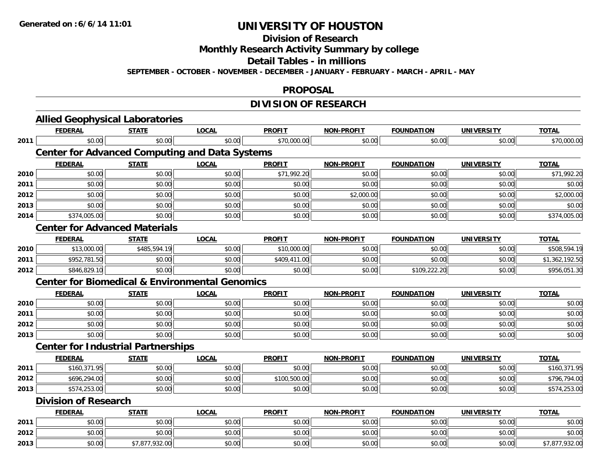# **Division of Research**

**Monthly Research Activity Summary by college**

**Detail Tables - in millions**

**SEPTEMBER - OCTOBER - NOVEMBER - DECEMBER - JANUARY - FEBRUARY - MARCH - APRIL - MAY**

### **PROPOSAL**

# **DIVISION OF RESEARCH**

|      | <b>Allied Geophysical Laboratories</b>                    |                |              |               |                   |                   |                   |                |
|------|-----------------------------------------------------------|----------------|--------------|---------------|-------------------|-------------------|-------------------|----------------|
|      | <b>FEDERAL</b>                                            | <b>STATE</b>   | <b>LOCAL</b> | <b>PROFIT</b> | <b>NON-PROFIT</b> | <b>FOUNDATION</b> | <b>UNIVERSITY</b> | <b>TOTAL</b>   |
| 2011 | \$0.00                                                    | \$0.00         | \$0.00       | \$70,000.00   | \$0.00            | \$0.00            | \$0.00            | \$70,000.00    |
|      | <b>Center for Advanced Computing and Data Systems</b>     |                |              |               |                   |                   |                   |                |
|      | <b>FEDERAL</b>                                            | <b>STATE</b>   | <b>LOCAL</b> | <b>PROFIT</b> | <b>NON-PROFIT</b> | <b>FOUNDATION</b> | <b>UNIVERSITY</b> | <b>TOTAL</b>   |
| 2010 | \$0.00                                                    | \$0.00         | \$0.00       | \$71,992.20   | \$0.00            | \$0.00            | \$0.00            | \$71,992.20    |
| 2011 | \$0.00                                                    | \$0.00         | \$0.00       | \$0.00        | \$0.00            | \$0.00            | \$0.00            | \$0.00         |
| 2012 | \$0.00                                                    | \$0.00         | \$0.00       | \$0.00        | \$2,000.00        | \$0.00            | \$0.00            | \$2,000.00     |
| 2013 | \$0.00                                                    | \$0.00         | \$0.00       | \$0.00        | \$0.00            | \$0.00            | \$0.00            | \$0.00         |
| 2014 | \$374,005.00                                              | \$0.00         | \$0.00       | \$0.00        | \$0.00            | \$0.00            | \$0.00            | \$374,005.00   |
|      | <b>Center for Advanced Materials</b>                      |                |              |               |                   |                   |                   |                |
|      | <b>FEDERAL</b>                                            | <b>STATE</b>   | <b>LOCAL</b> | <b>PROFIT</b> | <b>NON-PROFIT</b> | <b>FOUNDATION</b> | <b>UNIVERSITY</b> | <b>TOTAL</b>   |
| 2010 | \$13,000.00                                               | \$485,594.19   | \$0.00       | \$10,000.00   | \$0.00            | \$0.00            | \$0.00            | \$508,594.19   |
| 2011 | \$952,781.50                                              | \$0.00         | \$0.00       | \$409,411.00  | \$0.00            | \$0.00            | \$0.00            | \$1,362,192.50 |
| 2012 | \$846,829.10                                              | \$0.00         | \$0.00       | \$0.00        | \$0.00            | \$109,222.20      | \$0.00            | \$956,051.30   |
|      | <b>Center for Biomedical &amp; Environmental Genomics</b> |                |              |               |                   |                   |                   |                |
|      | <b>FEDERAL</b>                                            | <b>STATE</b>   | <b>LOCAL</b> | <b>PROFIT</b> | <b>NON-PROFIT</b> | <b>FOUNDATION</b> | <b>UNIVERSITY</b> | <b>TOTAL</b>   |
| 2010 | \$0.00                                                    | \$0.00         | \$0.00       | \$0.00        | \$0.00            | \$0.00            | \$0.00            | \$0.00         |
| 2011 | \$0.00                                                    | \$0.00         | \$0.00       | \$0.00        | \$0.00            | \$0.00            | \$0.00            | \$0.00         |
| 2012 | \$0.00                                                    | \$0.00         | \$0.00       | \$0.00        | \$0.00            | \$0.00            | \$0.00            | \$0.00         |
| 2013 | \$0.00                                                    | \$0.00         | \$0.00       | \$0.00        | \$0.00            | \$0.00            | \$0.00            | \$0.00         |
|      | <b>Center for Industrial Partnerships</b>                 |                |              |               |                   |                   |                   |                |
|      | <b>FEDERAL</b>                                            | <b>STATE</b>   | <b>LOCAL</b> | <b>PROFIT</b> | <b>NON-PROFIT</b> | <b>FOUNDATION</b> | <b>UNIVERSITY</b> | <b>TOTAL</b>   |
| 2011 | \$160,371.95                                              | \$0.00         | \$0.00       | \$0.00        | \$0.00            | \$0.00            | \$0.00            | \$160,371.95   |
| 2012 | \$696,294.00                                              | \$0.00         | \$0.00       | \$100,500.00  | \$0.00            | \$0.00            | \$0.00            | \$796,794.00   |
| 2013 | \$574,253.00                                              | \$0.00         | \$0.00       | \$0.00        | \$0.00            | \$0.00            | \$0.00            | \$574,253.00   |
|      | <b>Division of Research</b>                               |                |              |               |                   |                   |                   |                |
|      | <b>FEDERAL</b>                                            | <b>STATE</b>   | <b>LOCAL</b> | <b>PROFIT</b> | <b>NON-PROFIT</b> | <b>FOUNDATION</b> | <b>UNIVERSITY</b> | <b>TOTAL</b>   |
| 2011 | \$0.00                                                    | \$0.00         | \$0.00       | \$0.00        | \$0.00            | \$0.00            | \$0.00            | \$0.00         |
| 2012 | \$0.00                                                    | \$0.00         | \$0.00       | \$0.00        | \$0.00            | \$0.00            | \$0.00            | \$0.00         |
| 2013 | \$0.00                                                    | \$7,877,932.00 | \$0.00       | \$0.00        | \$0.00            | \$0.00            | \$0.00            | \$7,877,932.00 |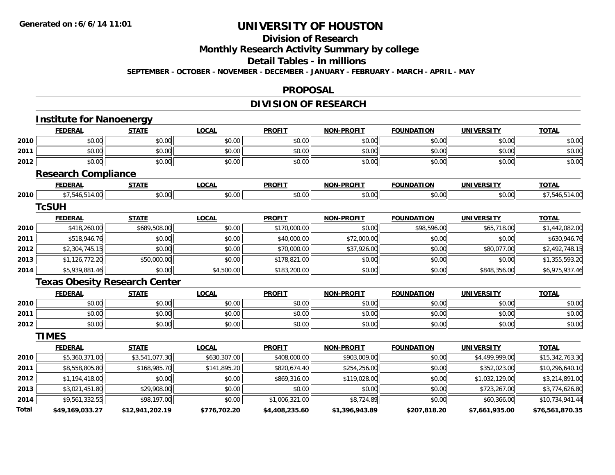# **Division of Research**

**Monthly Research Activity Summary by college**

**Detail Tables - in millions**

**SEPTEMBER - OCTOBER - NOVEMBER - DECEMBER - JANUARY - FEBRUARY - MARCH - APRIL - MAY**

### **PROPOSAL**

## **DIVISION OF RESEARCH**

|       | <b>Institute for Nanoenergy</b>      |                 |              |                |                   |                   |                   |                 |
|-------|--------------------------------------|-----------------|--------------|----------------|-------------------|-------------------|-------------------|-----------------|
|       | <b>FEDERAL</b>                       | <b>STATE</b>    | <b>LOCAL</b> | <b>PROFIT</b>  | <b>NON-PROFIT</b> | <b>FOUNDATION</b> | <b>UNIVERSITY</b> | <b>TOTAL</b>    |
| 2010  | \$0.00                               | \$0.00          | \$0.00       | \$0.00         | \$0.00            | \$0.00            | \$0.00            | \$0.00          |
| 2011  | \$0.00                               | \$0.00          | \$0.00       | \$0.00         | \$0.00            | \$0.00            | \$0.00            | \$0.00          |
| 2012  | \$0.00                               | \$0.00          | \$0.00       | \$0.00         | \$0.00            | \$0.00            | \$0.00            | \$0.00          |
|       | <b>Research Compliance</b>           |                 |              |                |                   |                   |                   |                 |
|       | <b>FEDERAL</b>                       | <b>STATE</b>    | <b>LOCAL</b> | <b>PROFIT</b>  | <b>NON-PROFIT</b> | <b>FOUNDATION</b> | <b>UNIVERSITY</b> | <b>TOTAL</b>    |
| 2010  | \$7,546,514.00                       | \$0.00          | \$0.00       | \$0.00         | \$0.00            | \$0.00            | \$0.00            | \$7,546,514.00  |
|       | <b>TcSUH</b>                         |                 |              |                |                   |                   |                   |                 |
|       | <b>FEDERAL</b>                       | <b>STATE</b>    | <b>LOCAL</b> | <b>PROFIT</b>  | <b>NON-PROFIT</b> | <b>FOUNDATION</b> | <b>UNIVERSITY</b> | <b>TOTAL</b>    |
| 2010  | \$418,260.00                         | \$689,508.00    | \$0.00       | \$170,000.00   | \$0.00            | \$98,596.00       | \$65,718.00       | \$1,442,082.00  |
| 2011  | \$518,946.76                         | \$0.00          | \$0.00       | \$40,000.00    | \$72,000.00       | \$0.00            | \$0.00            | \$630,946.76    |
| 2012  | \$2,304,745.15                       | \$0.00          | \$0.00       | \$70,000.00    | \$37,926.00       | \$0.00            | \$80,077.00       | \$2,492,748.15  |
| 2013  | \$1,126,772.20                       | \$50,000.00     | \$0.00       | \$178,821.00   | \$0.00            | \$0.00            | \$0.00            | \$1,355,593.20  |
| 2014  | \$5,939,881.46                       | \$0.00          | \$4,500.00   | \$183,200.00   | \$0.00            | \$0.00            | \$848,356.00      | \$6,975,937.46  |
|       | <b>Texas Obesity Research Center</b> |                 |              |                |                   |                   |                   |                 |
|       | <b>FEDERAL</b>                       | <b>STATE</b>    | <b>LOCAL</b> | <b>PROFIT</b>  | <b>NON-PROFIT</b> | <b>FOUNDATION</b> | <b>UNIVERSITY</b> | <b>TOTAL</b>    |
| 2010  | \$0.00                               | \$0.00          | \$0.00       | \$0.00         | \$0.00            | \$0.00            | \$0.00            | \$0.00          |
| 2011  | \$0.00                               | \$0.00          | \$0.00       | \$0.00         | \$0.00            | \$0.00            | \$0.00            | \$0.00          |
| 2012  | \$0.00                               | \$0.00          | \$0.00       | \$0.00         | \$0.00            | \$0.00            | \$0.00            | \$0.00          |
|       | <b>TIMES</b>                         |                 |              |                |                   |                   |                   |                 |
|       | <b>FEDERAL</b>                       | <b>STATE</b>    | <b>LOCAL</b> | <b>PROFIT</b>  | <b>NON-PROFIT</b> | <b>FOUNDATION</b> | <b>UNIVERSITY</b> | <b>TOTAL</b>    |
| 2010  | \$5,360,371.00                       | \$3,541,077.30  | \$630,307.00 | \$408,000.00   | \$903,009.00      | \$0.00            | \$4,499,999.00    | \$15,342,763.30 |
| 2011  | \$8,558,805.80                       | \$168,985.70    | \$141,895.20 | \$820,674.40   | \$254,256.00      | \$0.00            | \$352,023.00      | \$10,296,640.10 |
| 2012  | \$1,194,418.00                       | \$0.00          | \$0.00       | \$869,316.00   | \$119,028.00      | \$0.00            | \$1,032,129.00    | \$3,214,891.00  |
| 2013  | \$3,021,451.80                       | \$29,908.00     | \$0.00       | \$0.00         | \$0.00            | \$0.00            | \$723,267.00      | \$3,774,626.80  |
| 2014  | \$9,561,332.55                       | \$98,197.00     | \$0.00       | \$1,006,321.00 | \$8,724.89        | \$0.00            | \$60,366.00       | \$10,734,941.44 |
| Total | \$49,169,033.27                      | \$12,941,202.19 | \$776,702.20 | \$4,408,235.60 | \$1,396,943.89    | \$207,818.20      | \$7,661,935.00    | \$76,561,870.35 |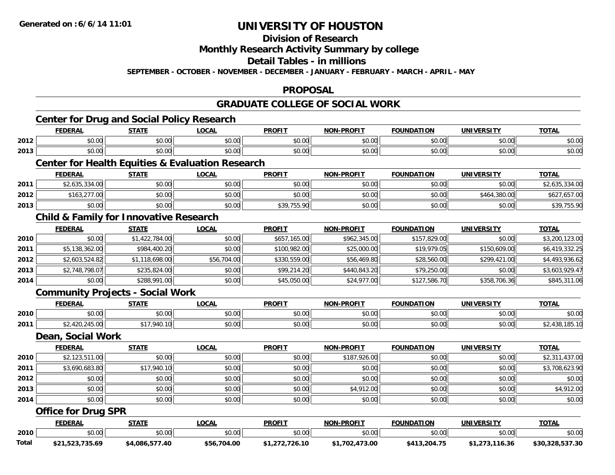## **Division of Research**

## **Monthly Research Activity Summary by college**

### **Detail Tables - in millions**

**SEPTEMBER - OCTOBER - NOVEMBER - DECEMBER - JANUARY - FEBRUARY - MARCH - APRIL - MAY**

## **PROPOSAL**

## **GRADUATE COLLEGE OF SOCIAL WORK**

# **Center for Drug and Social Policy Research**

|      | <b>FEDERAL</b>                                   | <b>STATE</b> | _OCAI  | <b>PROFIT</b> | <b>NON-PROFIT</b> | <b>FOUNDATION</b> | UNIVERSITY | <b>TOTAL</b> |  |
|------|--------------------------------------------------|--------------|--------|---------------|-------------------|-------------------|------------|--------------|--|
| 2012 | \$0.00                                           | \$0.00       | \$0.00 | \$0.00        | \$0.00            | \$0.00            | \$0.00     | \$0.00       |  |
| 2013 | \$0.00                                           | \$0.00       | \$0.00 | \$0.00        | \$0.00            | \$0.00            | \$0.00     | \$0.00       |  |
|      | Conter for Health Equities & Evaluation Desearch |              |        |               |                   |                   |            |              |  |

### **Center for Health Equities & Evaluation Research**

|      | <b>FEDERAL</b>            | <b>STATE</b> | <b>LOCAL</b> | <b>PROFIT</b>                        | <b>NON-PROFIT</b> | <b>FOUNDATION</b> | UNIVERSITY   | <b>TOTAL</b>   |
|------|---------------------------|--------------|--------------|--------------------------------------|-------------------|-------------------|--------------|----------------|
| 2011 | LOE 224 00<br>.635.334.00 | \$0.00       | \$0.00       | \$0.00                               | \$0.00            | \$0.00            | \$0.00       | \$2,635,334.00 |
| 2012 | \$163,277.00<br>\$163,2.  | \$0.00       | \$0.00       | \$0.00                               | \$0.00            | \$0.00            | \$464,380.00 | ,657.00        |
| 2013 | \$0.00                    | \$0.00       | \$0.00       | \$30 755 00<br><b>JUT, 1 JU. 7 C</b> | \$0.00            | \$0.00            | \$0.00       | \$39,755.90    |

## **Child & Family for Innovative Research**

|      | <b>FEDERAL</b> | <b>STATE</b>   | <b>LOCAL</b> | <b>PROFIT</b> | <b>NON-PROFIT</b> | <b>FOUNDATION</b> | <b>UNIVERSITY</b> | <b>TOTAL</b>   |
|------|----------------|----------------|--------------|---------------|-------------------|-------------------|-------------------|----------------|
| 2010 | \$0.00         | \$1,422,784.00 | \$0.00       | \$657,165.00  | \$962,345.00      | \$157,829.00      | \$0.00            | \$3,200,123.00 |
| 2011 | \$5,138,362.00 | \$984,400.20   | \$0.00       | \$100,982.00  | \$25,000.00       | \$19,979.05       | \$150,609.00      | \$6,419,332.25 |
| 2012 | \$2,603.524.82 | \$1,118,698.00 | \$56,704.00  | \$330,559.00  | \$56,469.80       | \$28,560.00       | \$299,421.00      | \$4,493,936.62 |
| 2013 | \$2,748,798.07 | \$235,824.00   | \$0.00       | \$99,214.20   | \$440,843.20      | \$79,250.00       | \$0.00            | \$3,603,929.47 |
| 2014 | \$0.00         | \$288,991.00   | \$0.00       | \$45,050.00   | \$24,977.00       | \$127,586.70      | \$358,706.36      | \$845,311.06   |

## **Community Projects - Social Work**

|      | <b>FEDERAL</b> | статі               | .OCAI              | <b>PROFIT</b>        | -----                   | $\cdots$<br>10 M |                        | <b>TOT</b>    |
|------|----------------|---------------------|--------------------|----------------------|-------------------------|------------------|------------------------|---------------|
| 2010 | 0000<br>ט.טע   | $\triangle$<br>vu.v | 0000<br>PO.OO      | 0000<br><b>JU.UU</b> | $\mathbb{R}^n$<br>vv.vv | 0000<br>JU.UU    | $n \cap \neg$<br>JU.UU | 0000<br>DU.UU |
| 2011 | $-$<br>UU.C+   | 14U.                | $\sim$ 00<br>PO.OO | 0000<br><b>JU.UU</b> | 0 <sub>0</sub><br>PO.OO | 0000<br>JU.UU    | \$0.00                 | .             |

#### **Dean, Social Work**

|      | <b>FEDERAL</b> | <b>STATE</b> | <u>LOCAL</u> | <b>PROFIT</b> | <b>NON-PROFIT</b> | <b>FOUNDATION</b> | <b>UNIVERSITY</b> | <b>TOTAL</b>   |
|------|----------------|--------------|--------------|---------------|-------------------|-------------------|-------------------|----------------|
| 2010 | \$2,123,511.00 | \$0.00       | \$0.00       | \$0.00        | \$187,926.00      | \$0.00            | \$0.00            | \$2,311,437.00 |
| 2011 | \$3,690,683.80 | \$17,940.10  | \$0.00       | \$0.00        | \$0.00            | \$0.00            | \$0.00            | \$3,708,623.90 |
| 2012 | \$0.00         | \$0.00       | \$0.00       | \$0.00        | \$0.00            | \$0.00            | \$0.00            | \$0.00         |
| 2013 | \$0.00         | \$0.00       | \$0.00       | \$0.00        | \$4,912.00        | \$0.00            | \$0.00            | \$4,912.00     |
| 2014 | \$0.00         | \$0.00       | \$0.00       | \$0.00        | \$0.00            | \$0.00            | \$0.00            | \$0.00         |

## **Office for Drug SPR**

|       | <b>FEDERAL</b>  | <b>STATI</b>        | LOCAI           | <b>PROFIT</b>            | <b>L-PROFIT</b><br><b>NON</b> | <b>FOUNDATION</b>    | UNIVERSITY              | <b>TOTAL</b>    |
|-------|-----------------|---------------------|-----------------|--------------------------|-------------------------------|----------------------|-------------------------|-----------------|
| 2010  | \$0.00          | ደስ ሰሰ<br>JU.UU      | ሶስ ሰሰ<br>DU.UG  | $n \cap \Omega$<br>JU.UU | 0.00<br>JU.UU                 | 0.00<br><b>JU.UU</b> | $n \cap \neg$<br>\$0.00 | \$0.00          |
| Total | \$21,523,735.69 | 40. /<br>\$4.086.57 | 704.00<br>\$56. | .726.10                  | 473.00<br>.702                | ,204.75              | 16.21<br>16.36          | \$30.328.537.30 |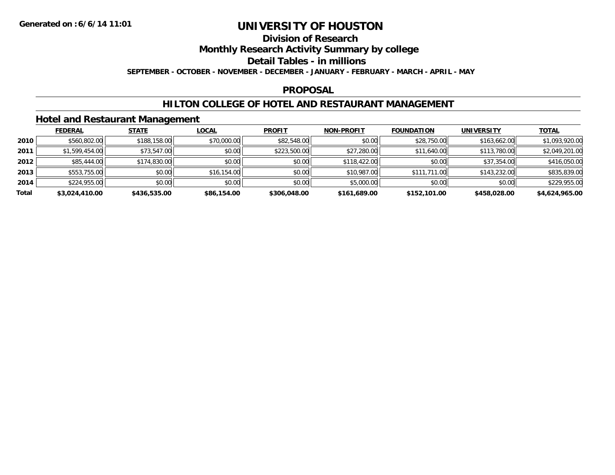## **Division of Research**

**Monthly Research Activity Summary by college**

**Detail Tables - in millions**

**SEPTEMBER - OCTOBER - NOVEMBER - DECEMBER - JANUARY - FEBRUARY - MARCH - APRIL - MAY**

### **PROPOSAL**

## **HILTON COLLEGE OF HOTEL AND RESTAURANT MANAGEMENT**

## **Hotel and Restaurant Management**

|       | <b>FEDERAL</b> | <b>STATE</b> | LOCAL       | <b>PROFIT</b> | <b>NON-PROFIT</b> | <b>FOUNDATION</b> | <b>UNIVERSITY</b> | <b>TOTAL</b>   |
|-------|----------------|--------------|-------------|---------------|-------------------|-------------------|-------------------|----------------|
| 2010  | \$560,802.00   | \$188,158.00 | \$70,000.00 | \$82,548.00   | \$0.00            | \$28,750.00       | \$163,662.00      | \$1,093,920.00 |
| 2011  | \$1,599,454.00 | \$73,547.00  | \$0.00      | \$223,500.00  | \$27,280.00       | \$11,640.00       | \$113,780.00      | \$2,049,201.00 |
| 2012  | \$85,444.00    | \$174,830.00 | \$0.00      | \$0.00        | \$118,422.00      | \$0.00            | \$37,354.00       | \$416,050.00   |
| 2013  | \$553,755.00   | \$0.00       | \$16,154.00 | \$0.00        | \$10,987.00       | \$111,711.00      | \$143,232.00      | \$835,839.00   |
| 2014  | \$224,955.00   | \$0.00       | \$0.00      | \$0.00        | \$5,000.00        | \$0.00            | \$0.00            | \$229,955.00   |
| Total | \$3,024,410.00 | \$436,535.00 | \$86,154.00 | \$306,048.00  | \$161,689.00      | \$152,101.00      | \$458,028.00      | \$4,624,965.00 |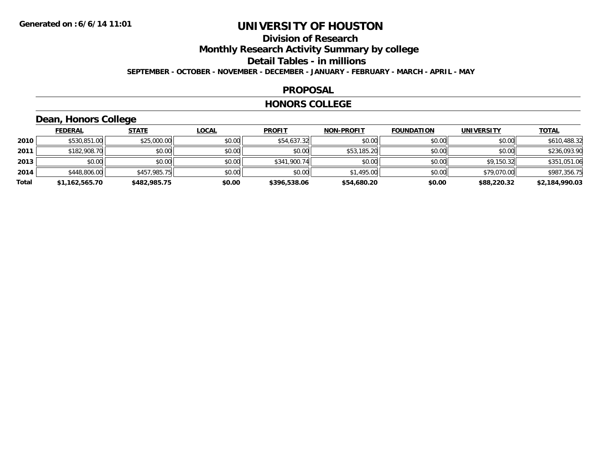## **Division of ResearchMonthly Research Activity Summary by college**

**Detail Tables - in millions**

**SEPTEMBER - OCTOBER - NOVEMBER - DECEMBER - JANUARY - FEBRUARY - MARCH - APRIL - MAY**

## **PROPOSAL**

### **HONORS COLLEGE**

## **Dean, Honors College**

|       | <b>FEDERAL</b> | <b>STATE</b> | <b>LOCAL</b> | <b>PROFIT</b> | <b>NON-PROFIT</b> | <b>FOUNDATION</b> | <b>UNIVERSITY</b> | <b>TOTAL</b>   |
|-------|----------------|--------------|--------------|---------------|-------------------|-------------------|-------------------|----------------|
| 2010  | \$530,851.00   | \$25,000.00  | \$0.00       | \$54,637.32   | \$0.00            | \$0.00            | \$0.00            | \$610,488.32   |
| 2011  | \$182,908.70   | \$0.00       | \$0.00       | \$0.00        | \$53,185.20       | \$0.00            | \$0.00            | \$236,093.90   |
| 2013  | \$0.00         | \$0.00       | \$0.00       | \$341,900.74  | \$0.00            | \$0.00            | \$9,150.32        | \$351,051.06   |
| 2014  | \$448,806.00   | \$457,985.75 | \$0.00       | \$0.00        | \$1,495.00        | \$0.00            | \$79,070.00       | \$987,356.75   |
| Total | \$1,162,565.70 | \$482,985.75 | \$0.00       | \$396,538.06  | \$54,680.20       | \$0.00            | \$88,220.32       | \$2,184,990.03 |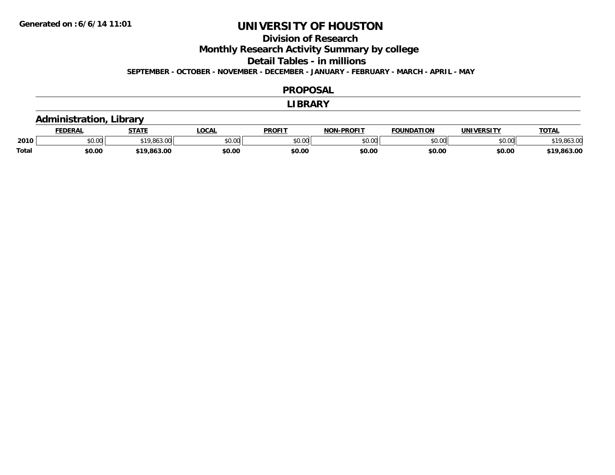## **Division of Research**

**Monthly Research Activity Summary by college**

**Detail Tables - in millions**

**SEPTEMBER - OCTOBER - NOVEMBER - DECEMBER - JANUARY - FEBRUARY - MARCH - APRIL - MAY**

#### **PROPOSAL**

#### **LIBRARY**

## **Administration, Library**

|       | <b>DERAI</b> | <b>STATE</b> | <b>LOCAL</b>  | <b>PROFIT</b> | -PROFIT<br>חרות | <b>FOUNDATION</b> | UNIVERSITY | <b>TOTAL</b>     |
|-------|--------------|--------------|---------------|---------------|-----------------|-------------------|------------|------------------|
| 2010  | \$0.00       | $*19.863.$   | 0000<br>งบ.บเ | 0000<br>JU.UU | 0000<br>,u.uu   | \$0.00            | \$0.00     | \$19.863.00      |
| Total | \$0.00       | \$19,863.00  | \$0.00        | \$0.00        | \$0.00          | \$0.00            | \$0.00     | .863.00<br>0 1 1 |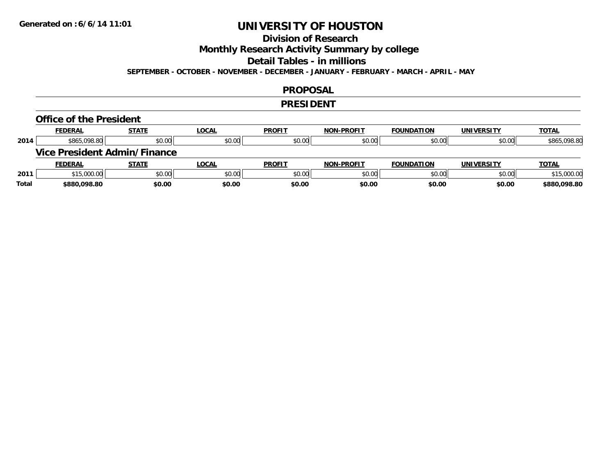## **Division of Research**

**Monthly Research Activity Summary by college**

**Detail Tables - in millions**

**SEPTEMBER - OCTOBER - NOVEMBER - DECEMBER - JANUARY - FEBRUARY - MARCH - APRIL - MAY**

### **PROPOSAL**

### **PRESIDENT**

#### **Office of the President**

|      | <b>FEDERAL</b> | <b>STATE</b>                        | <b>LOCAL</b> | <b>PROFIT</b> | <b>NON-PROFIT</b> | <b>FOUNDATION</b> | <b>UNIVERSITY</b> | <b>TOTAL</b> |
|------|----------------|-------------------------------------|--------------|---------------|-------------------|-------------------|-------------------|--------------|
| 2014 | \$865,098.80   | \$0.00                              | \$0.00       | \$0.00        | \$0.00            | \$0.00            | \$0.00            | \$865,098.80 |
|      |                | <b>Vice President Admin/Finance</b> |              |               |                   |                   |                   |              |
|      |                |                                     |              |               |                   |                   |                   |              |
|      | <b>FEDERAL</b> | <b>STATE</b>                        | <b>LOCAL</b> | <b>PROFIT</b> | <b>NON-PROFIT</b> | <b>FOUNDATION</b> | <b>UNIVERSITY</b> | <b>TOTAL</b> |
| 2011 | \$15,000.00    | \$0.00                              | \$0.00       | \$0.00        | \$0.00            | \$0.00            | \$0.00            | \$15,000.00  |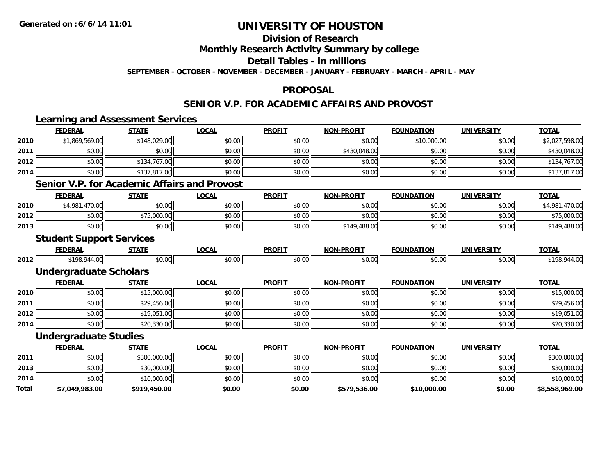#### **Division of Research**

**Monthly Research Activity Summary by college**

**Detail Tables - in millions**

**SEPTEMBER - OCTOBER - NOVEMBER - DECEMBER - JANUARY - FEBRUARY - MARCH - APRIL - MAY**

### **PROPOSAL**

## **SENIOR V.P. FOR ACADEMIC AFFAIRS AND PROVOST**

|       | <b>Learning and Assessment Services</b>             |              |              |               |                   |                   |                   |                |
|-------|-----------------------------------------------------|--------------|--------------|---------------|-------------------|-------------------|-------------------|----------------|
|       | <b>FEDERAL</b>                                      | <b>STATE</b> | <b>LOCAL</b> | <b>PROFIT</b> | <b>NON-PROFIT</b> | <b>FOUNDATION</b> | <b>UNIVERSITY</b> | <b>TOTAL</b>   |
| 2010  | \$1,869,569.00                                      | \$148,029.00 | \$0.00       | \$0.00        | \$0.00            | \$10,000.00       | \$0.00            | \$2,027,598.00 |
| 2011  | \$0.00                                              | \$0.00       | \$0.00       | \$0.00        | \$430,048.00      | \$0.00            | \$0.00            | \$430,048.00   |
| 2012  | \$0.00                                              | \$134,767.00 | \$0.00       | \$0.00        | \$0.00            | \$0.00            | \$0.00            | \$134,767.00   |
| 2014  | \$0.00                                              | \$137,817.00 | \$0.00       | \$0.00        | \$0.00            | \$0.00            | \$0.00            | \$137,817.00   |
|       | <b>Senior V.P. for Academic Affairs and Provost</b> |              |              |               |                   |                   |                   |                |
|       | <b>FEDERAL</b>                                      | <b>STATE</b> | <b>LOCAL</b> | <b>PROFIT</b> | <b>NON-PROFIT</b> | <b>FOUNDATION</b> | <b>UNIVERSITY</b> | <b>TOTAL</b>   |
| 2010  | \$4,981,470.00                                      | \$0.00       | \$0.00       | \$0.00        | \$0.00            | \$0.00            | \$0.00            | \$4,981,470.00 |
| 2012  | \$0.00                                              | \$75,000.00  | \$0.00       | \$0.00        | \$0.00            | \$0.00            | \$0.00            | \$75,000.00    |
| 2013  | \$0.00                                              | \$0.00       | \$0.00       | \$0.00        | \$149,488.00      | \$0.00            | \$0.00            | \$149,488.00   |
|       | <b>Student Support Services</b>                     |              |              |               |                   |                   |                   |                |
|       | <b>FEDERAL</b>                                      | <b>STATE</b> | <b>LOCAL</b> | <b>PROFIT</b> | <b>NON-PROFIT</b> | <b>FOUNDATION</b> | <b>UNIVERSITY</b> | <b>TOTAL</b>   |
| 2012  | \$198,944.00                                        | \$0.00       | \$0.00       | \$0.00        | \$0.00            | \$0.00            | \$0.00            | \$198,944.00   |
|       | <b>Undergraduate Scholars</b>                       |              |              |               |                   |                   |                   |                |
|       | <b>FEDERAL</b>                                      | <b>STATE</b> | <b>LOCAL</b> | <b>PROFIT</b> | <b>NON-PROFIT</b> | <b>FOUNDATION</b> | <b>UNIVERSITY</b> | <b>TOTAL</b>   |
| 2010  | \$0.00                                              | \$15,000.00  | \$0.00       | \$0.00        | \$0.00            | \$0.00            | \$0.00            | \$15,000.00    |
| 2011  | \$0.00                                              | \$29,456.00  | \$0.00       | \$0.00        | \$0.00            | \$0.00            | \$0.00            | \$29,456.00    |
| 2012  | \$0.00                                              | \$19,051.00  | \$0.00       | \$0.00        | \$0.00            | \$0.00            | \$0.00            | \$19,051.00    |
| 2014  | \$0.00                                              | \$20,330.00  | \$0.00       | \$0.00        | \$0.00            | \$0.00            | \$0.00            | \$20,330.00    |
|       | <b>Undergraduate Studies</b>                        |              |              |               |                   |                   |                   |                |
|       | <b>FEDERAL</b>                                      | <b>STATE</b> | <b>LOCAL</b> | <b>PROFIT</b> | <b>NON-PROFIT</b> | <b>FOUNDATION</b> | <b>UNIVERSITY</b> | <b>TOTAL</b>   |
| 2011  | \$0.00                                              | \$300,000.00 | \$0.00       | \$0.00        | \$0.00            | \$0.00            | \$0.00            | \$300,000.00   |
| 2013  | \$0.00                                              | \$30,000.00  | \$0.00       | \$0.00        | \$0.00            | \$0.00            | \$0.00            | \$30,000.00    |
| 2014  | \$0.00                                              | \$10,000.00  | \$0.00       | \$0.00        | \$0.00            | \$0.00            | \$0.00            | \$10,000.00    |
| Total | \$7,049,983.00                                      | \$919,450.00 | \$0.00       | \$0.00        | \$579,536.00      | \$10,000.00       | \$0.00            | \$8,558,969.00 |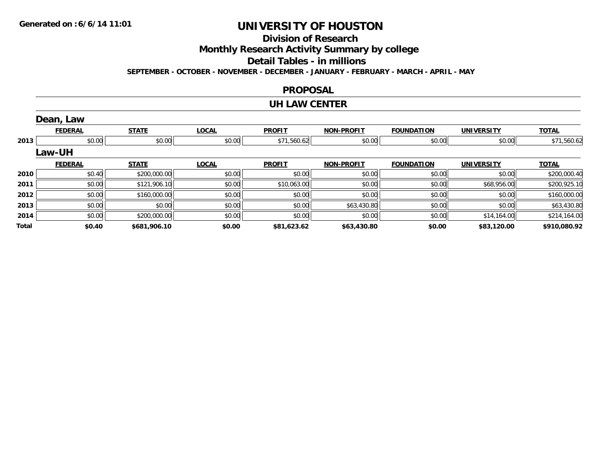**Division of Research**

**Monthly Research Activity Summary by college**

**Detail Tables - in millions**

**SEPTEMBER - OCTOBER - NOVEMBER - DECEMBER - JANUARY - FEBRUARY - MARCH - APRIL - MAY**

### **PROPOSAL**

### **UH LAW CENTER**

|       | Dean, Law      |              |              |               |                   |                   |                   |              |
|-------|----------------|--------------|--------------|---------------|-------------------|-------------------|-------------------|--------------|
|       | <b>FEDERAL</b> | <b>STATE</b> | <b>LOCAL</b> | <b>PROFIT</b> | <b>NON-PROFIT</b> | <b>FOUNDATION</b> | <b>UNIVERSITY</b> | <b>TOTAL</b> |
| 2013  | \$0.00         | \$0.00       | \$0.00       | \$71,560.62   | \$0.00            | \$0.00            | \$0.00            | \$71,560.62  |
|       | Law-UH         |              |              |               |                   |                   |                   |              |
|       | <b>FEDERAL</b> | <b>STATE</b> | <b>LOCAL</b> | <b>PROFIT</b> | <b>NON-PROFIT</b> | <b>FOUNDATION</b> | <b>UNIVERSITY</b> | <b>TOTAL</b> |
| 2010  | \$0.40         | \$200,000.00 | \$0.00       | \$0.00        | \$0.00            | \$0.00            | \$0.00            | \$200,000.40 |
| 2011  | \$0.00         | \$121,906.10 | \$0.00       | \$10,063.00   | \$0.00            | \$0.00            | \$68,956.00       | \$200,925.10 |
| 2012  | \$0.00         | \$160,000.00 | \$0.00       | \$0.00        | \$0.00            | \$0.00            | \$0.00            | \$160,000.00 |
| 2013  | \$0.00         | \$0.00       | \$0.00       | \$0.00        | \$63,430.80       | \$0.00            | \$0.00            | \$63,430.80  |
| 2014  | \$0.00         | \$200,000.00 | \$0.00       | \$0.00        | \$0.00            | \$0.00            | \$14,164.00       | \$214,164.00 |
| Total | \$0.40         | \$681,906.10 | \$0.00       | \$81,623.62   | \$63,430.80       | \$0.00            | \$83,120.00       | \$910,080.92 |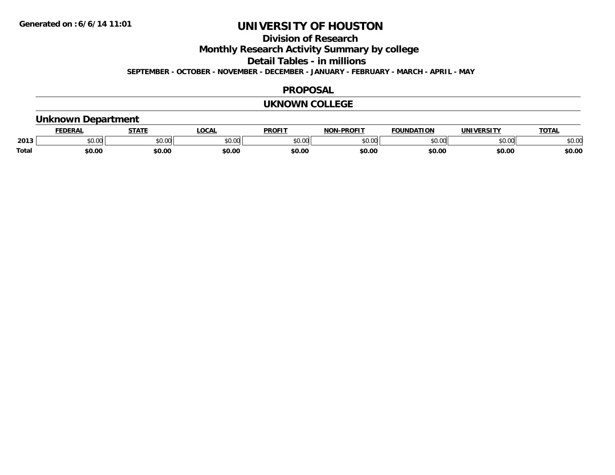## **Division of Research**

**Monthly Research Activity Summary by college**

**Detail Tables - in millions**

**SEPTEMBER - OCTOBER - NOVEMBER - DECEMBER - JANUARY - FEBRUARY - MARCH - APRIL - MAY**

### **PROPOSAL**

### **UKNOWN COLLEGE**

## **Unknown Department**

|       | DERAI  | <b>STATE</b>             | <b>LOCAL</b>                                          | PROFIT        | -PROFIT<br>חרות | <b>FOUNDATION</b> | UNIVERSITY | TOTA.  |
|-------|--------|--------------------------|-------------------------------------------------------|---------------|-----------------|-------------------|------------|--------|
| 2013  | \$0.00 | $\sim$ 0.0 $\sim$<br>JU. | $\mathsf{A} \cap \mathsf{A} \cap \mathsf{A}$<br>50.Ul | 0000<br>JU.UU | 0000<br>,u.uu   | $n \cap \Omega$   | \$0.00     | \$0.00 |
| Total | \$0.00 | \$0.00                   | \$0.00                                                | \$0.00        | \$0.00          | \$0.00            | \$0.00     | \$0.00 |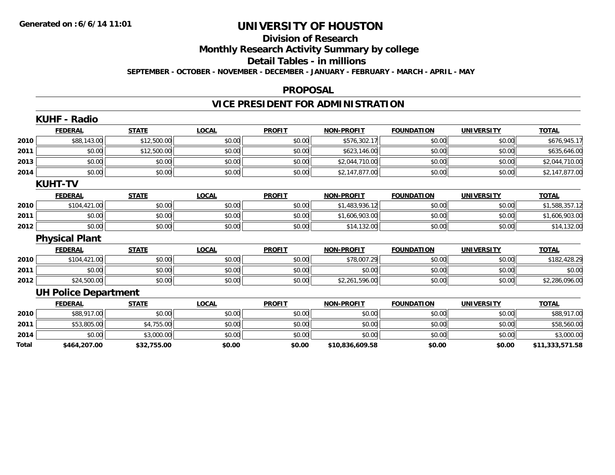# **Division of Research**

**Monthly Research Activity Summary by college**

**Detail Tables - in millions**

**SEPTEMBER - OCTOBER - NOVEMBER - DECEMBER - JANUARY - FEBRUARY - MARCH - APRIL - MAY**

### **PROPOSAL**

# **VICE PRESIDENT FOR ADMINISTRATION**

|       | KUHF - Radio                |              |              |               |                   |                   |                   |                 |
|-------|-----------------------------|--------------|--------------|---------------|-------------------|-------------------|-------------------|-----------------|
|       | <b>FEDERAL</b>              | <b>STATE</b> | <b>LOCAL</b> | <b>PROFIT</b> | <b>NON-PROFIT</b> | <b>FOUNDATION</b> | <b>UNIVERSITY</b> | <b>TOTAL</b>    |
| 2010  | \$88,143.00                 | \$12,500.00  | \$0.00       | \$0.00        | \$576,302.17      | \$0.00            | \$0.00            | \$676,945.17    |
| 2011  | \$0.00                      | \$12,500.00  | \$0.00       | \$0.00        | \$623,146.00      | \$0.00            | \$0.00            | \$635,646.00    |
| 2013  | \$0.00                      | \$0.00       | \$0.00       | \$0.00        | \$2,044,710.00    | \$0.00            | \$0.00            | \$2,044,710.00  |
| 2014  | \$0.00                      | \$0.00       | \$0.00       | \$0.00        | \$2,147,877.00    | \$0.00            | \$0.00            | \$2,147,877.00  |
|       | <b>KUHT-TV</b>              |              |              |               |                   |                   |                   |                 |
|       | <b>FEDERAL</b>              | <b>STATE</b> | <b>LOCAL</b> | <b>PROFIT</b> | <b>NON-PROFIT</b> | <b>FOUNDATION</b> | <b>UNIVERSITY</b> | <b>TOTAL</b>    |
| 2010  | \$104,421.00                | \$0.00       | \$0.00       | \$0.00        | \$1,483,936.12    | \$0.00            | \$0.00            | \$1,588,357.12  |
| 2011  | \$0.00                      | \$0.00       | \$0.00       | \$0.00        | \$1,606,903.00    | \$0.00            | \$0.00            | \$1,606,903.00  |
| 2012  | \$0.00                      | \$0.00       | \$0.00       | \$0.00        | \$14,132.00       | \$0.00            | \$0.00            | \$14,132.00     |
|       | <b>Physical Plant</b>       |              |              |               |                   |                   |                   |                 |
|       | <b>FEDERAL</b>              | <b>STATE</b> | <b>LOCAL</b> | <b>PROFIT</b> | <b>NON-PROFIT</b> | <b>FOUNDATION</b> | <b>UNIVERSITY</b> | <b>TOTAL</b>    |
| 2010  | \$104,421.00                | \$0.00       | \$0.00       | \$0.00        | \$78,007.29       | \$0.00            | \$0.00            | \$182,428.29    |
| 2011  | \$0.00                      | \$0.00       | \$0.00       | \$0.00        | \$0.00            | \$0.00            | \$0.00            | \$0.00          |
| 2012  | \$24,500.00                 | \$0.00       | \$0.00       | \$0.00        | \$2,261,596.00    | \$0.00            | \$0.00            | \$2,286,096.00  |
|       | <b>UH Police Department</b> |              |              |               |                   |                   |                   |                 |
|       | <b>FEDERAL</b>              | <b>STATE</b> | <b>LOCAL</b> | <b>PROFIT</b> | <b>NON-PROFIT</b> | <b>FOUNDATION</b> | <b>UNIVERSITY</b> | <b>TOTAL</b>    |
| 2010  | \$88,917.00                 | \$0.00       | \$0.00       | \$0.00        | \$0.00            | \$0.00            | \$0.00            | \$88,917.00     |
| 2011  | \$53,805.00                 | \$4,755.00   | \$0.00       | \$0.00        | \$0.00            | \$0.00            | \$0.00            | \$58,560.00     |
| 2014  | \$0.00                      | \$3,000.00   | \$0.00       | \$0.00        | \$0.00            | \$0.00            | \$0.00            | \$3,000.00      |
| Total | \$464,207.00                | \$32,755.00  | \$0.00       | \$0.00        | \$10,836,609.58   | \$0.00            | \$0.00            | \$11,333,571.58 |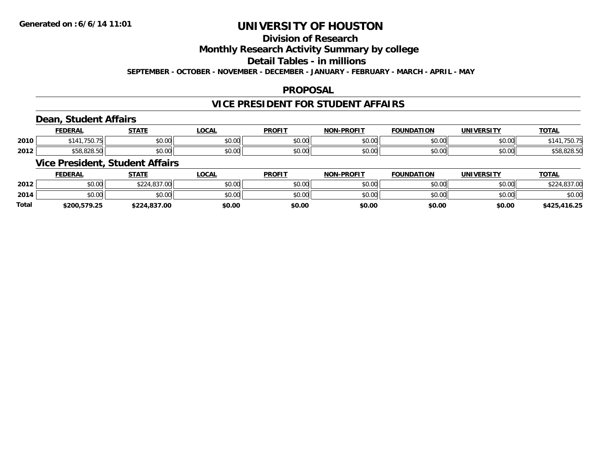## **Division of Research**

**Monthly Research Activity Summary by college**

**Detail Tables - in millions**

**SEPTEMBER - OCTOBER - NOVEMBER - DECEMBER - JANUARY - FEBRUARY - MARCH - APRIL - MAY**

## **PROPOSAL**

## **VICE PRESIDENT FOR STUDENT AFFAIRS**

## **Dean, Student Affairs**

|      | <b>FEDERAL</b>     | <b>STATE</b>  | LOCAL | <b>PROFIT</b>  | <b>DDAEIT</b><br><b>NON</b> | <b>FOUNDATION</b>  | <b>IINIVERSITY</b>        | $\cdots$<br>101 <sub>h</sub> |
|------|--------------------|---------------|-------|----------------|-----------------------------|--------------------|---------------------------|------------------------------|
| 2010 | 750.<br>\$141      | 0.00<br>DU.UU | vu.vu | \$0.00         | 0000<br>PU.UU               | $\sim$ 00<br>JU.UU | $\sim$ 00<br><b>DU.UG</b> | 75U.                         |
| 2012 | 0.000<br>DC.020.0U | 0000<br>DU.UU | JU.UU | 40.00<br>JU.UU | 0000<br>PU.UU               | $\sim$ 00<br>JU.UU | $\sim$ 00<br><b>DU.UG</b> | 558.828.50                   |

## **Vice President, Student Affairs**

|              | <b>FEDERAL</b> | <b>STATE</b> | LOCAL  | <b>PROFIT</b> | <b>NON-PROFIT</b> | <b>FOUNDATION</b> | UNIVERSITY | <b>TOTAL</b> |
|--------------|----------------|--------------|--------|---------------|-------------------|-------------------|------------|--------------|
| 2012         | \$0.00         | \$224,837.00 | \$0.00 | \$0.00        | \$0.00            | \$0.00            | \$0.00     | \$224,837.00 |
| 2014         | \$0.00         | \$0.00       | \$0.00 | \$0.00        | \$0.00            | \$0.00            | \$0.00     | \$0.00       |
| <b>Total</b> | \$200.579.25   | \$224.837.00 | \$0.00 | \$0.00        | \$0.00            | \$0.00            | \$0.00     | \$425,416.25 |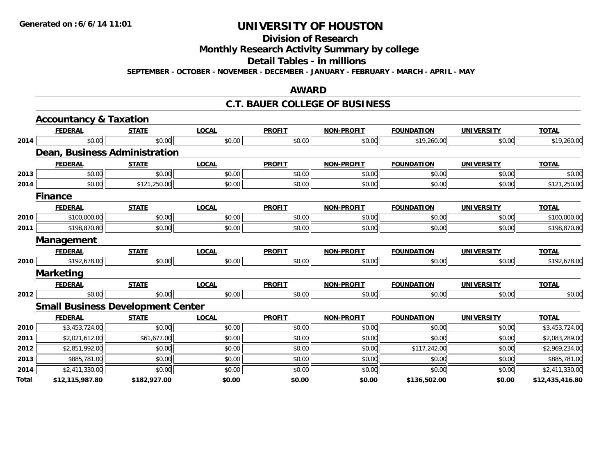**Division of Research**

**Monthly Research Activity Summary by college**

**Detail Tables - in millions**

**SEPTEMBER - OCTOBER - NOVEMBER - DECEMBER - JANUARY - FEBRUARY - MARCH - APRIL - MAY**

## **AWARD**

### **C.T. BAUER COLLEGE OF BUSINESS**

|       | <b>Accountancy &amp; Taxation</b>        |              |              |               |                   |                   |                   |                 |
|-------|------------------------------------------|--------------|--------------|---------------|-------------------|-------------------|-------------------|-----------------|
|       | <b>FEDERAL</b>                           | <b>STATE</b> | <b>LOCAL</b> | <b>PROFIT</b> | <b>NON-PROFIT</b> | <b>FOUNDATION</b> | <b>UNIVERSITY</b> | <b>TOTAL</b>    |
| 2014  | \$0.00                                   | \$0.00       | \$0.00       | \$0.00        | \$0.00            | \$19,260.00       | \$0.00            | \$19,260.00     |
|       | Dean, Business Administration            |              |              |               |                   |                   |                   |                 |
|       | <b>FEDERAL</b>                           | <b>STATE</b> | <b>LOCAL</b> | <b>PROFIT</b> | <b>NON-PROFIT</b> | <b>FOUNDATION</b> | <b>UNIVERSITY</b> | <b>TOTAL</b>    |
| 2013  | \$0.00                                   | \$0.00       | \$0.00       | \$0.00        | \$0.00            | \$0.00            | \$0.00            | \$0.00          |
| 2014  | \$0.00                                   | \$121,250.00 | \$0.00       | \$0.00        | \$0.00            | \$0.00            | \$0.00            | \$121,250.00    |
|       | <b>Finance</b>                           |              |              |               |                   |                   |                   |                 |
|       | <b>FEDERAL</b>                           | <b>STATE</b> | <b>LOCAL</b> | <b>PROFIT</b> | <b>NON-PROFIT</b> | <b>FOUNDATION</b> | <b>UNIVERSITY</b> | <b>TOTAL</b>    |
| 2010  | \$100,000.00                             | \$0.00       | \$0.00       | \$0.00        | \$0.00            | \$0.00            | \$0.00            | \$100,000.00    |
| 2011  | \$198,870.80                             | \$0.00       | \$0.00       | \$0.00        | \$0.00            | \$0.00            | \$0.00            | \$198,870.80    |
|       | Management                               |              |              |               |                   |                   |                   |                 |
|       | <b>FEDERAL</b>                           | <b>STATE</b> | <b>LOCAL</b> | <b>PROFIT</b> | <b>NON-PROFIT</b> | <b>FOUNDATION</b> | <b>UNIVERSITY</b> | <b>TOTAL</b>    |
| 2010  | \$192,678.00                             | \$0.00       | \$0.00       | \$0.00        | \$0.00            | \$0.00            | \$0.00            | \$192,678.00    |
|       | <b>Marketing</b>                         |              |              |               |                   |                   |                   |                 |
|       | <b>FEDERAL</b>                           | <b>STATE</b> | <b>LOCAL</b> | <b>PROFIT</b> | <b>NON-PROFIT</b> | <b>FOUNDATION</b> | <b>UNIVERSITY</b> | <b>TOTAL</b>    |
| 2012  | \$0.00                                   | \$0.00       | \$0.00       | \$0.00        | \$0.00            | \$0.00            | \$0.00            | \$0.00          |
|       | <b>Small Business Development Center</b> |              |              |               |                   |                   |                   |                 |
|       | <b>FEDERAL</b>                           | <b>STATE</b> | <b>LOCAL</b> | <b>PROFIT</b> | <b>NON-PROFIT</b> | <b>FOUNDATION</b> | <b>UNIVERSITY</b> | <b>TOTAL</b>    |
| 2010  | \$3,453,724.00                           | \$0.00       | \$0.00       | \$0.00        | \$0.00            | \$0.00            | \$0.00            | \$3,453,724.00  |
| 2011  | \$2,021,612.00                           | \$61,677.00  | \$0.00       | \$0.00        | \$0.00            | \$0.00            | \$0.00            | \$2,083,289.00  |
| 2012  | \$2,851,992.00                           | \$0.00       | \$0.00       | \$0.00        | \$0.00            | \$117,242.00      | \$0.00            | \$2,969,234.00  |
| 2013  | \$885,781.00                             | \$0.00       | \$0.00       | \$0.00        | \$0.00            | \$0.00            | \$0.00            | \$885,781.00    |
| 2014  | \$2,411,330.00                           | \$0.00       | \$0.00       | \$0.00        | \$0.00            | \$0.00            | \$0.00            | \$2,411,330.00  |
| Total | \$12,115,987.80                          | \$182,927.00 | \$0.00       | \$0.00        | \$0.00            | \$136,502.00      | \$0.00            | \$12,435,416.80 |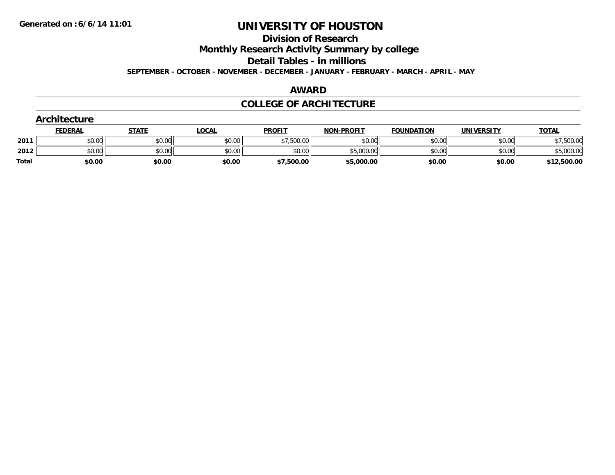**Division of Research**

**Monthly Research Activity Summary by college**

**Detail Tables - in millions**

**SEPTEMBER - OCTOBER - NOVEMBER - DECEMBER - JANUARY - FEBRUARY - MARCH - APRIL - MAY**

### **AWARD**

## **COLLEGE OF ARCHITECTURE**

|              | Architecture   |              |              |               |                   |                   |                   |              |  |  |  |
|--------------|----------------|--------------|--------------|---------------|-------------------|-------------------|-------------------|--------------|--|--|--|
|              | <b>FEDERAL</b> | <b>STATE</b> | <b>LOCAL</b> | <b>PROFIT</b> | <b>NON-PROFIT</b> | <b>FOUNDATION</b> | <b>UNIVERSITY</b> | <b>TOTAL</b> |  |  |  |
| 2011         | \$0.00         | \$0.00       | \$0.00       | \$7,500.00    | \$0.00            | \$0.00            | \$0.00            | \$7,500.00   |  |  |  |
| 2012         | \$0.00         | \$0.00       | \$0.00       | \$0.00        | \$5,000.00        | \$0.00            | \$0.00            | \$5,000.00   |  |  |  |
| <b>Total</b> | \$0.00         | \$0.00       | \$0.00       | \$7,500.00    | \$5,000.00        | \$0.00            | \$0.00            | \$12,500.00  |  |  |  |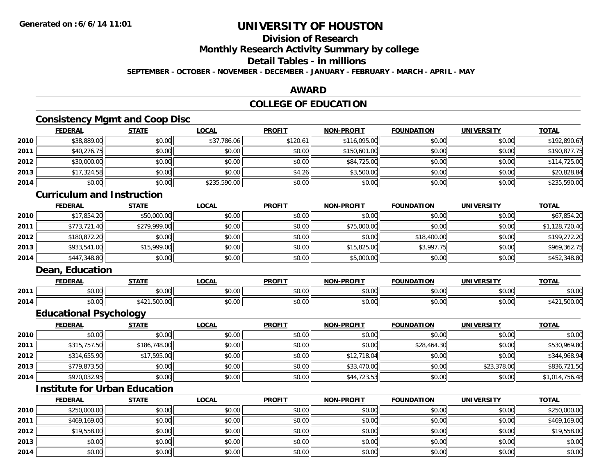## **Division of Research**

**Monthly Research Activity Summary by college**

**Detail Tables - in millions**

**SEPTEMBER - OCTOBER - NOVEMBER - DECEMBER - JANUARY - FEBRUARY - MARCH - APRIL - MAY**

## **AWARD**

## **COLLEGE OF EDUCATION**

## **Consistency Mgmt and Coop Disc**

|      | <b>FEDERAL</b> | <b>STATE</b> | <u>LOCAL</u> | <b>PROFIT</b> | <b>NON-PROFIT</b> | <b>FOUNDATION</b> | <b>UNIVERSITY</b> | <b>TOTAL</b> |
|------|----------------|--------------|--------------|---------------|-------------------|-------------------|-------------------|--------------|
| 2010 | \$38,889.00    | \$0.00       | \$37,786.06  | \$120.61      | \$116,095.00      | \$0.00            | \$0.00            | \$192,890.67 |
| 2011 | \$40,276.75    | \$0.00       | \$0.00       | \$0.00        | \$150,601.00      | \$0.00            | \$0.00            | \$190,877.75 |
| 2012 | \$30,000.00    | \$0.00       | \$0.00       | \$0.00        | \$84,725.00       | \$0.00            | \$0.00            | \$114,725.00 |
| 2013 | \$17,324.58    | \$0.00       | \$0.00       | \$4.26        | \$3,500.00        | \$0.00            | \$0.00            | \$20,828.84  |
| 2014 | \$0.00         | \$0.00       | \$235,590.00 | \$0.00        | \$0.00            | \$0.00            | \$0.00            | \$235,590.00 |

## **Curriculum and Instruction**

|      | <b>FEDERAL</b> | <b>STATE</b> | <u>LOCAL</u> | <b>PROFIT</b> | <b>NON-PROFIT</b> | <b>FOUNDATION</b> | <b>UNIVERSITY</b> | <b>TOTAL</b>   |
|------|----------------|--------------|--------------|---------------|-------------------|-------------------|-------------------|----------------|
| 2010 | \$17,854.20    | \$50,000.00  | \$0.00       | \$0.00        | \$0.00            | \$0.00            | \$0.00            | \$67,854.20    |
| 2011 | \$773.721.40   | \$279,999.00 | \$0.00       | \$0.00        | \$75,000.00       | \$0.00            | \$0.00            | \$1,128,720.40 |
| 2012 | \$180,872.20   | \$0.00       | \$0.00       | \$0.00        | \$0.00            | \$18,400.00       | \$0.00            | \$199,272.20   |
| 2013 | \$933,541.00   | \$15,999.00  | \$0.00       | \$0.00        | \$15,825.00       | \$3,997.75        | \$0.00            | \$969,362.75   |
| 2014 | \$447,348.80   | \$0.00       | \$0.00       | \$0.00        | \$5,000.00        | \$0.00            | \$0.00            | \$452,348.80   |

## **Dean, Education**

|      | <b>FEDERAL</b> | C T A T C                           | .OCAL              | <b>PROFIT</b>                                 | <b>DRAFIT</b><br><b>NICK</b> | <b>FOUNDATION</b> | -8011)<br>INIVE    | <b>TAT</b><br>. .     |
|------|----------------|-------------------------------------|--------------------|-----------------------------------------------|------------------------------|-------------------|--------------------|-----------------------|
| 2011 | 0000<br>pu.uu  | 0000<br>DU.UU                       | $\sim$ 00<br>pu.uu | 0.00<br>pu.uu                                 | $\sim$ $\sim$<br>vv.vv       | 0000<br>JU.UU     | $\sim$ 00<br>PO.OO | 0000<br>DU.UU         |
| 2014 | ልስ ለሰ<br>DU.UG | $-00$<br>$\sim$<br>, JUU.UU<br>, 42 | 0.00<br>JU.UU      | $\mathbb{R}^n$ $\mathbb{R}^n$<br><b>DU.UU</b> | vv.vv                        | 0000<br>vv.vv     | 0000<br>\$0.00     | $. , \cup$ UU. $\cup$ |

<u> 1989 - Johann Stoff, amerikansk politiker (d. 1989)</u>

## **Educational Psychology**

|      | <u>FEDERAL</u> | <b>STATE</b> | <b>LOCAL</b> | <b>PROFIT</b> | <b>NON-PROFIT</b> | <b>FOUNDATION</b> | <b>UNIVERSITY</b> | <b>TOTAL</b>   |
|------|----------------|--------------|--------------|---------------|-------------------|-------------------|-------------------|----------------|
| 2010 | \$0.00         | \$0.00       | \$0.00       | \$0.00        | \$0.00            | \$0.00            | \$0.00            | \$0.00         |
| 2011 | \$315,757.50   | \$186,748.00 | \$0.00       | \$0.00        | \$0.00            | \$28,464.30       | \$0.00            | \$530,969.80   |
| 2012 | \$314,655.90   | \$17,595.00  | \$0.00       | \$0.00        | \$12,718.04       | \$0.00            | \$0.00            | \$344,968.94   |
| 2013 | \$779,873.50   | \$0.00       | \$0.00       | \$0.00        | \$33,470.00       | \$0.00            | \$23,378.00       | \$836,721.50   |
| 2014 | \$970,032.95   | \$0.00       | \$0.00       | \$0.00        | \$44,723.53       | \$0.00            | \$0.00            | \$1,014,756.48 |

## **Institute for Urban Education**

|      | <b>FEDERAL</b> | <b>STATE</b> | <u>LOCAL</u> | <b>PROFIT</b> | <b>NON-PROFIT</b> | <b>FOUNDATION</b> | <b>UNIVERSITY</b> | <b>TOTAL</b> |
|------|----------------|--------------|--------------|---------------|-------------------|-------------------|-------------------|--------------|
| 2010 | \$250,000.00   | \$0.00       | \$0.00       | \$0.00        | \$0.00            | \$0.00            | \$0.00            | \$250,000.00 |
| 2011 | \$469,169.00   | \$0.00       | \$0.00       | \$0.00        | \$0.00            | \$0.00            | \$0.00            | \$469,169.00 |
| 2012 | \$19,558.00    | \$0.00       | \$0.00       | \$0.00        | \$0.00            | \$0.00            | \$0.00            | \$19,558.00  |
| 2013 | \$0.00         | \$0.00       | \$0.00       | \$0.00        | \$0.00            | \$0.00            | \$0.00            | \$0.00       |
| 2014 | \$0.00         | \$0.00       | \$0.00       | \$0.00        | \$0.00            | \$0.00            | \$0.00            | \$0.00       |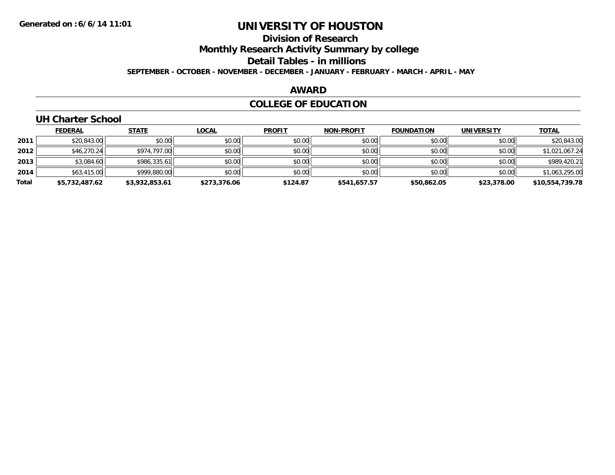# **Division of Research**

**Monthly Research Activity Summary by college**

**Detail Tables - in millions**

**SEPTEMBER - OCTOBER - NOVEMBER - DECEMBER - JANUARY - FEBRUARY - MARCH - APRIL - MAY**

### **AWARD**

## **COLLEGE OF EDUCATION**

## **UH Charter School**

|       | <b>FEDERAL</b> | <b>STATE</b>   | <b>LOCAL</b> | <b>PROFIT</b> | <b>NON-PROFIT</b> | <b>FOUNDATION</b> | <b>UNIVERSITY</b> | <b>TOTAL</b>    |
|-------|----------------|----------------|--------------|---------------|-------------------|-------------------|-------------------|-----------------|
| 2011  | \$20,843.00    | \$0.00         | \$0.00       | \$0.00        | \$0.00            | \$0.00            | \$0.00            | \$20,843.00     |
| 2012  | \$46,270.24    | \$974,797.00   | \$0.00       | \$0.00        | \$0.00            | \$0.00            | \$0.00            | \$1,021,067.24  |
| 2013  | \$3,084.60     | \$986,335.61   | \$0.00       | \$0.00        | \$0.00            | \$0.00            | \$0.00            | \$989,420.21    |
| 2014  | \$63,415.00    | \$999,880.00   | \$0.00       | \$0.00        | \$0.00            | \$0.00            | \$0.00            | \$1,063,295.00  |
| Total | \$5,732,487.62 | \$3,932,853.61 | \$273,376.06 | \$124.87      | \$541.657.57      | \$50,862.05       | \$23,378.00       | \$10,554,739.78 |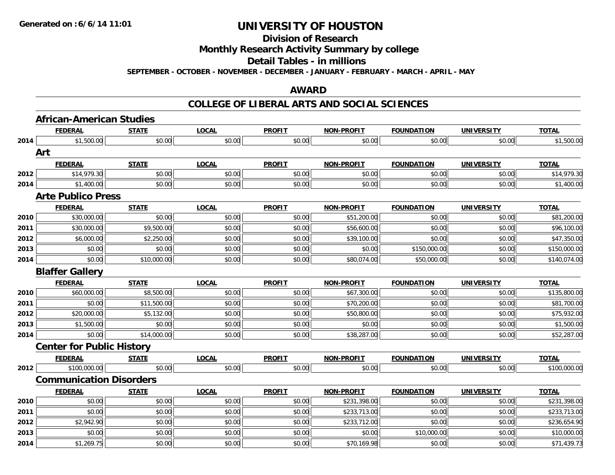**Division of Research**

**Monthly Research Activity Summary by college**

**Detail Tables - in millions**

**SEPTEMBER - OCTOBER - NOVEMBER - DECEMBER - JANUARY - FEBRUARY - MARCH - APRIL - MAY**

## **AWARD**

|      | <b>African-American Studies</b>  |              |              |               |                   |                   |                   |              |
|------|----------------------------------|--------------|--------------|---------------|-------------------|-------------------|-------------------|--------------|
|      | <b>FEDERAL</b>                   | <b>STATE</b> | <b>LOCAL</b> | <b>PROFIT</b> | <b>NON-PROFIT</b> | <b>FOUNDATION</b> | <b>UNIVERSITY</b> | <b>TOTAL</b> |
| 2014 | \$1,500.00                       | \$0.00       | \$0.00       | \$0.00        | \$0.00            | \$0.00            | \$0.00            | \$1,500.00   |
|      | Art                              |              |              |               |                   |                   |                   |              |
|      | <b>FEDERAL</b>                   | <b>STATE</b> | <b>LOCAL</b> | <b>PROFIT</b> | <b>NON-PROFIT</b> | <b>FOUNDATION</b> | <b>UNIVERSITY</b> | <b>TOTAL</b> |
| 2012 | \$14,979.30                      | \$0.00       | \$0.00       | \$0.00        | \$0.00            | \$0.00            | \$0.00            | \$14,979.30  |
| 2014 | \$1,400.00                       | \$0.00       | \$0.00       | \$0.00        | \$0.00            | \$0.00            | \$0.00            | \$1,400.00   |
|      | <b>Arte Publico Press</b>        |              |              |               |                   |                   |                   |              |
|      | <b>FEDERAL</b>                   | <b>STATE</b> | <b>LOCAL</b> | <b>PROFIT</b> | <b>NON-PROFIT</b> | <b>FOUNDATION</b> | <b>UNIVERSITY</b> | <b>TOTAL</b> |
| 2010 | \$30,000.00                      | \$0.00       | \$0.00       | \$0.00        | \$51,200.00       | \$0.00            | \$0.00            | \$81,200.00  |
| 2011 | \$30,000.00                      | \$9,500.00   | \$0.00       | \$0.00        | \$56,600.00       | \$0.00            | \$0.00            | \$96,100.00  |
| 2012 | \$6,000.00                       | \$2,250.00   | \$0.00       | \$0.00        | \$39,100.00       | \$0.00            | \$0.00            | \$47,350.00  |
| 2013 | \$0.00                           | \$0.00       | \$0.00       | \$0.00        | \$0.00            | \$150,000.00      | \$0.00            | \$150,000.00 |
| 2014 | \$0.00                           | \$10,000.00  | \$0.00       | \$0.00        | \$80,074.00       | \$50,000.00       | \$0.00            | \$140,074.00 |
|      | <b>Blaffer Gallery</b>           |              |              |               |                   |                   |                   |              |
|      | <b>FEDERAL</b>                   | <b>STATE</b> | <b>LOCAL</b> | <b>PROFIT</b> | <b>NON-PROFIT</b> | <b>FOUNDATION</b> | <b>UNIVERSITY</b> | <b>TOTAL</b> |
| 2010 | \$60,000.00                      | \$8,500.00   | \$0.00       | \$0.00        | \$67,300.00       | \$0.00            | \$0.00            | \$135,800.00 |
| 2011 | \$0.00                           | \$11,500.00  | \$0.00       | \$0.00        | \$70,200.00       | \$0.00            | \$0.00            | \$81,700.00  |
| 2012 | \$20,000.00                      | \$5,132.00   | \$0.00       | \$0.00        | \$50,800.00       | \$0.00            | \$0.00            | \$75,932.00  |
| 2013 | \$1,500.00                       | \$0.00       | \$0.00       | \$0.00        | \$0.00            | \$0.00            | \$0.00            | \$1,500.00   |
| 2014 | \$0.00                           | \$14,000.00  | \$0.00       | \$0.00        | \$38,287.00       | \$0.00            | \$0.00            | \$52,287.00  |
|      | <b>Center for Public History</b> |              |              |               |                   |                   |                   |              |
|      | <b>FEDERAL</b>                   | <b>STATE</b> | <b>LOCAL</b> | <b>PROFIT</b> | <b>NON-PROFIT</b> | <b>FOUNDATION</b> | <b>UNIVERSITY</b> | <b>TOTAL</b> |
| 2012 | \$100,000.00                     | \$0.00       | \$0.00       | \$0.00        | \$0.00            | \$0.00            | \$0.00            | \$100,000.00 |
|      | <b>Communication Disorders</b>   |              |              |               |                   |                   |                   |              |
|      | <b>FEDERAL</b>                   | <b>STATE</b> | <b>LOCAL</b> | <b>PROFIT</b> | <b>NON-PROFIT</b> | <b>FOUNDATION</b> | <b>UNIVERSITY</b> | <b>TOTAL</b> |
| 2010 | \$0.00                           | \$0.00       | \$0.00       | \$0.00        | \$231,398.00      | \$0.00            | \$0.00            | \$231,398.00 |
| 2011 | \$0.00                           | \$0.00       | \$0.00       | \$0.00        | \$233,713.00      | \$0.00            | \$0.00            | \$233,713.00 |
| 2012 | \$2,942.90                       | \$0.00       | \$0.00       | \$0.00        | \$233,712.00      | \$0.00            | \$0.00            | \$236,654.90 |
| 2013 | \$0.00                           | \$0.00       | \$0.00       | \$0.00        | \$0.00            | \$10,000.00       | \$0.00            | \$10,000.00  |
| 2014 | \$1,269.75                       | \$0.00       | \$0.00       | \$0.00        | \$70,169.98       | \$0.00            | \$0.00            | \$71,439.73  |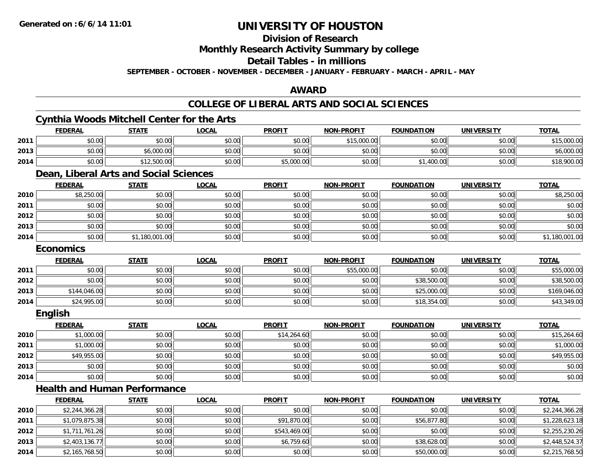## **Division of Research**

**Monthly Research Activity Summary by college**

## **Detail Tables - in millions**

**SEPTEMBER - OCTOBER - NOVEMBER - DECEMBER - JANUARY - FEBRUARY - MARCH - APRIL - MAY**

### **AWARD**

## **COLLEGE OF LIBERAL ARTS AND SOCIAL SCIENCES**

#### **Cynthia Woods Mitchell Center for the Arts FEDERAL STATE LOCAL PROFIT NON-PROFIT FOUNDATION UNIVERSITY TOTALTOTAL 2011** \$0.00 \$0.00 \$0.00 \$0.00 \$15,000.00 \$0.00 \$0.00 \$15,000.00 **2013**3 | \$0.00 \$0.00 \$0.00 \$0.00 \$0.00 \$0.00 \$0.00 \$0.00 \$0.00 \$0.00 \$0.00 \$0.00 \$0.00 \$0.00 \$6,000.00 \$6,000.00 **2014**4 \$0.00| \$12,500.00| \$0.00| \$5,000.00| \$0.00| \$1,400.00| \$0.00| \$18,900.00 **Dean, Liberal Arts and Social Sciences FEDERAL STATE LOCAL PROFIT NON-PROFIT FOUNDATION UNIVERSITY TOTALTOTAL 2010** $\textsf{0} \parallel \textsf{0} \parallel \textsf{0} \parallel \textsf{0} \parallel \textsf{0} \parallel \textsf{0} \parallel \textsf{0} \parallel \textsf{0} \parallel \textsf{0} \parallel \textsf{0} \parallel \textsf{0} \parallel \textsf{0} \parallel \textsf{0} \parallel \textsf{0} \parallel \textsf{0} \parallel \textsf{0} \parallel \textsf{0} \parallel \textsf{0} \parallel \textsf{0} \parallel \textsf{0} \parallel \textsf{0} \parallel \textsf{0} \parallel \textsf{0} \parallel \textsf{0} \parallel \textsf{0} \parallel \textsf{0} \parallel \textsf{0} \parallel \textsf{$ **2011** \$0.00 \$0.00 \$0.00 \$0.00 \$0.00 \$0.00 \$0.00 \$0.00 **2012**2 | \$0.00 \$0.00 \$0.00 \$0.00 \$0.00 \$0.00 \$0.00 \$0.00 \$0.00 \$0.00 \$0.00 \$0.00 \$0.00 \$0.00 \$0.00 \$0.00 \$0.00 **2013** \$0.00 \$0.00 \$0.00 \$0.00 \$0.00 \$0.00 \$0.00 \$0.00 **2014**4 \$0.00 \$0.00 \$0.00 \$1,180,001.00 \$0.00 \$0.00 \$0.00 \$0.00 \$0.00 \$0.00 \$0.00 \$0.00 \$1,180,001.00 **Economics FEDERAL STATE LOCAL PROFIT NON-PROFIT FOUNDATION UNIVERSITY TOTAL2011** \$0.00 \$0.00 \$0.00 \$0.00 \$55,000.00 \$0.00 \$0.00 \$55,000.00 **2012**2 | \$0.00 \$0.00 \$0.00 \$0.00 \$0.00 \$0.00 \$0.00 \$0.00 \$0.00 \$0.00 \$38,500.00 \$38,500.00 \$0.00 \$0.00 \$38,500.00 \$ **2013** \$144,046.00 \$0.00 \$0.00 \$0.00 \$0.00 \$25,000.00 \$0.00 \$169,046.00 **2014**4 \$24,995.00| \$0.00| \$0.00| \$0.00| \$0.00| \$0.00| \$0.00| \$0.00| \$18,354.00| \$19,354.00| \$0.00| \$43,349.00 **English FEDERAL STATE LOCAL PROFIT NON-PROFIT FOUNDATION UNIVERSITY TOTALTOTAL 2010**0 \$1,000.00|| \$0.00|| \$0.00|| \$14,264.60|| \$0.00|| \$0.00|| \$0.00|| \$15,264.60 **2011**1 \$1,000.00| \$0.00| \$0.00| \$0.00| \$0.00| \$0.00| \$1,000.00| \$1 **2012** \$49,955.00 \$0.00 \$0.00 \$0.00 \$0.00 \$0.00 \$0.00 \$49,955.00 **2013** \$0.00 \$0.00 \$0.00 \$0.00 \$0.00 \$0.00 \$0.00 \$0.00 **2014**4 \$0.00 \$0.00 \$0.00 \$0.00 \$0.00 \$0.00 \$0.00 \$0.00 \$0.00 \$0.00 \$0.00 \$0.00 \$0.00 \$0.00 \$0.00 \$0.00 \$0.00 **Health and Human PerformanceFEDERAL STATE LOCAL PROFIT NON-PROFIT FOUNDATION UNIVERSITY TOTAL**

| 2010 | \$2,244,366.28 | \$0.00 | \$0.00 | \$0.00       | \$0.00 | \$0.00      | \$0.00 | \$2,244,366.28 |
|------|----------------|--------|--------|--------------|--------|-------------|--------|----------------|
| 2011 | \$1,079,875.38 | \$0.00 | \$0.00 | \$91,870.00  | \$0.00 | \$56,877.80 | \$0.00 | \$1,228,623.18 |
| 2012 | \$1,711,761.26 | \$0.00 | \$0.00 | \$543,469.00 | \$0.00 | \$0.00      | \$0.00 | \$2,255,230.26 |
| 2013 | \$2,403,136.77 | \$0.00 | \$0.00 | \$6,759.60   | \$0.00 | \$38,628.00 | \$0.00 | \$2,448,524.37 |
| 2014 | \$2,165,768.50 | \$0.00 | \$0.00 | \$0.00       | \$0.00 | \$50,000.00 | \$0.00 | \$2,215,768.50 |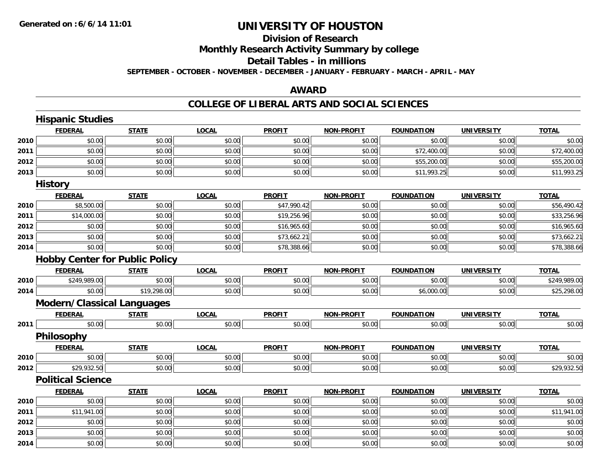## **Division of ResearchMonthly Research Activity Summary by college Detail Tables - in millions**

**SEPTEMBER - OCTOBER - NOVEMBER - DECEMBER - JANUARY - FEBRUARY - MARCH - APRIL - MAY**

## **AWARD**

|      | <b>Hispanic Studies</b>               |              |              |               |                   |                   |                   |              |
|------|---------------------------------------|--------------|--------------|---------------|-------------------|-------------------|-------------------|--------------|
|      | <b>FEDERAL</b>                        | <b>STATE</b> | <b>LOCAL</b> | <b>PROFIT</b> | NON-PROFIT        | <b>FOUNDATION</b> | <b>UNIVERSITY</b> | <b>TOTAL</b> |
| 2010 | \$0.00                                | \$0.00       | \$0.00       | \$0.00        | \$0.00            | \$0.00            | \$0.00            | \$0.00       |
| 2011 | \$0.00                                | \$0.00       | \$0.00       | \$0.00        | \$0.00            | \$72,400.00       | \$0.00            | \$72,400.00  |
| 2012 | \$0.00                                | \$0.00       | \$0.00       | \$0.00        | \$0.00            | \$55,200.00       | \$0.00            | \$55,200.00  |
| 2013 | \$0.00                                | \$0.00       | \$0.00       | \$0.00        | \$0.00            | \$11,993.25       | \$0.00            | \$11,993.25  |
|      | <b>History</b>                        |              |              |               |                   |                   |                   |              |
|      | <b>FEDERAL</b>                        | <b>STATE</b> | <b>LOCAL</b> | <b>PROFIT</b> | <b>NON-PROFIT</b> | <b>FOUNDATION</b> | <b>UNIVERSITY</b> | <b>TOTAL</b> |
| 2010 | \$8,500.00                            | \$0.00       | \$0.00       | \$47,990.42   | \$0.00            | \$0.00            | \$0.00            | \$56,490.42  |
| 2011 | \$14,000.00                           | \$0.00       | \$0.00       | \$19,256.96   | \$0.00            | \$0.00            | \$0.00            | \$33,256.96  |
| 2012 | \$0.00                                | \$0.00       | \$0.00       | \$16,965.60   | \$0.00            | \$0.00            | \$0.00            | \$16,965.60  |
| 2013 | \$0.00                                | \$0.00       | \$0.00       | \$73,662.21   | \$0.00            | \$0.00            | \$0.00            | \$73,662.21  |
| 2014 | \$0.00                                | \$0.00       | \$0.00       | \$78,388.66   | \$0.00            | \$0.00            | \$0.00            | \$78,388.66  |
|      | <b>Hobby Center for Public Policy</b> |              |              |               |                   |                   |                   |              |
|      | <b>FEDERAL</b>                        | <b>STATE</b> | <b>LOCAL</b> | <b>PROFIT</b> | <b>NON-PROFIT</b> | <b>FOUNDATION</b> | <b>UNIVERSITY</b> | <b>TOTAL</b> |
| 2010 | \$249,989.00                          | \$0.00       | \$0.00       | \$0.00        | \$0.00            | \$0.00            | \$0.00            | \$249,989.00 |
| 2014 | \$0.00                                | \$19,298.00  | \$0.00       | \$0.00        | \$0.00            | \$6,000.00        | \$0.00            | \$25,298.00  |
|      | <b>Modern/Classical Languages</b>     |              |              |               |                   |                   |                   |              |
|      | <b>FEDERAL</b>                        | <b>STATE</b> | <b>LOCAL</b> | <b>PROFIT</b> | NON-PROFIT        | <b>FOUNDATION</b> | <b>UNIVERSITY</b> | <b>TOTAL</b> |
| 2011 | \$0.00                                | \$0.00       | \$0.00       | \$0.00        | \$0.00            | \$0.00            | \$0.00            | \$0.00       |
|      | Philosophy                            |              |              |               |                   |                   |                   |              |
|      | <b>FEDERAL</b>                        | <b>STATE</b> | <b>LOCAL</b> | <b>PROFIT</b> | <b>NON-PROFIT</b> | <b>FOUNDATION</b> | <b>UNIVERSITY</b> | <b>TOTAL</b> |
| 2010 | \$0.00                                | \$0.00       | \$0.00       | \$0.00        | \$0.00            | \$0.00            | \$0.00            | \$0.00       |
| 2012 | \$29,932.50                           | \$0.00       | \$0.00       | \$0.00        | \$0.00            | \$0.00            | \$0.00            | \$29,932.50  |
|      | <b>Political Science</b>              |              |              |               |                   |                   |                   |              |
|      | <b>FEDERAL</b>                        | <b>STATE</b> | <b>LOCAL</b> | <b>PROFIT</b> | <b>NON-PROFIT</b> | <b>FOUNDATION</b> | <b>UNIVERSITY</b> | <b>TOTAL</b> |
| 2010 | \$0.00                                | \$0.00       | \$0.00       | \$0.00        | \$0.00            | \$0.00            | \$0.00            | \$0.00       |
| 2011 | \$11,941.00                           | \$0.00       | \$0.00       | \$0.00        | \$0.00            | \$0.00            | \$0.00            | \$11,941.00  |
| 2012 | \$0.00                                | \$0.00       | \$0.00       | \$0.00        | \$0.00            | \$0.00            | \$0.00            | \$0.00       |
| 2013 | \$0.00                                | \$0.00       | \$0.00       | \$0.00        | \$0.00            | \$0.00            | \$0.00            | \$0.00       |
| 2014 | \$0.00                                | \$0.00       | \$0.00       | \$0.00        | \$0.00            | \$0.00            | \$0.00            | \$0.00       |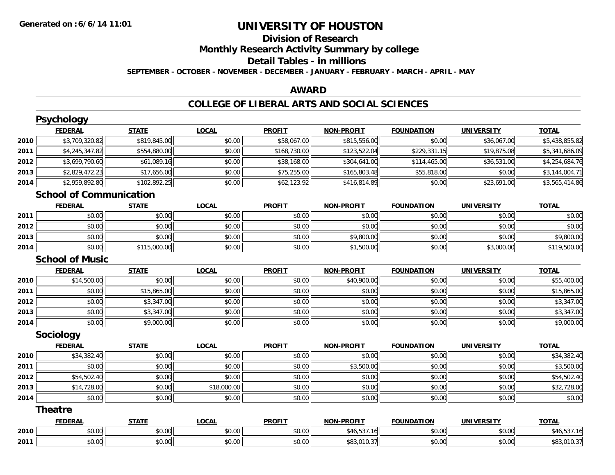## **Division of ResearchMonthly Research Activity Summary by college Detail Tables - in millions SEPTEMBER - OCTOBER - NOVEMBER - DECEMBER - JANUARY - FEBRUARY - MARCH - APRIL - MAY**

### **AWARD**

### **COLLEGE OF LIBERAL ARTS AND SOCIAL SCIENCES**

|      | <b>Psychology</b>              |              |              |               |                   |                   |                   |                |
|------|--------------------------------|--------------|--------------|---------------|-------------------|-------------------|-------------------|----------------|
|      | <b>FEDERAL</b>                 | <b>STATE</b> | <b>LOCAL</b> | <b>PROFIT</b> | <b>NON-PROFIT</b> | <b>FOUNDATION</b> | <b>UNIVERSITY</b> | <b>TOTAL</b>   |
| 2010 | \$3,709,320.82                 | \$819,845.00 | \$0.00       | \$58,067.00   | \$815,556.00      | \$0.00            | \$36,067.00       | \$5,438,855.82 |
| 2011 | \$4,245,347.82                 | \$554,880.00 | \$0.00       | \$168,730.00  | \$123,522.04      | \$229,331.15      | \$19,875.08       | \$5,341,686.09 |
| 2012 | \$3,699,790.60                 | \$61,089.16  | \$0.00       | \$38,168.00   | \$304,641.00      | \$114,465.00      | \$36,531.00       | \$4,254,684.76 |
| 2013 | \$2,829,472.23                 | \$17,656.00  | \$0.00       | \$75,255.00   | \$165,803.48      | \$55,818.00       | \$0.00            | \$3,144,004.71 |
| 2014 | \$2,959,892.80                 | \$102,892.25 | \$0.00       | \$62,123.92   | \$416,814.89      | \$0.00            | \$23,691.00       | \$3,565,414.86 |
|      | <b>School of Communication</b> |              |              |               |                   |                   |                   |                |
|      | <b>FEDERAL</b>                 | <b>STATE</b> | <b>LOCAL</b> | <b>PROFIT</b> | <b>NON-PROFIT</b> | <b>FOUNDATION</b> | <b>UNIVERSITY</b> | <b>TOTAL</b>   |
| 2011 | \$0.00                         | \$0.00       | \$0.00       | \$0.00        | \$0.00            | \$0.00            | \$0.00            | \$0.00         |
| 2012 | \$0.00                         | \$0.00       | \$0.00       | \$0.00        | \$0.00            | \$0.00            | \$0.00            | \$0.00         |
| 2013 | \$0.00                         | \$0.00       | \$0.00       | \$0.00        | \$9,800.00        | \$0.00            | \$0.00            | \$9,800.00     |
| 2014 | \$0.00                         | \$115,000.00 | \$0.00       | \$0.00        | \$1,500.00        | \$0.00            | \$3,000.00        | \$119,500.00   |
|      | <b>School of Music</b>         |              |              |               |                   |                   |                   |                |
|      | <b>FEDERAL</b>                 | <b>STATE</b> | <b>LOCAL</b> | <b>PROFIT</b> | <b>NON-PROFIT</b> | <b>FOUNDATION</b> | <b>UNIVERSITY</b> | <b>TOTAL</b>   |
| 2010 | \$14,500.00                    | \$0.00       | \$0.00       | \$0.00        | \$40,900.00       | \$0.00            | \$0.00            | \$55,400.00    |
| 2011 | \$0.00                         | \$15,865.00  | \$0.00       | \$0.00        | \$0.00            | \$0.00            | \$0.00            | \$15,865.00    |
| 2012 | \$0.00                         | \$3,347.00   | \$0.00       | \$0.00        | \$0.00            | \$0.00            | \$0.00            | \$3,347.00     |
| 2013 | \$0.00                         | \$3,347.00   | \$0.00       | \$0.00        | \$0.00            | \$0.00            | \$0.00            | \$3,347.00     |
| 2014 | \$0.00                         | \$9,000.00   | \$0.00       | \$0.00        | \$0.00            | \$0.00            | \$0.00            | \$9,000.00     |
|      | <b>Sociology</b>               |              |              |               |                   |                   |                   |                |
|      | <b>FEDERAL</b>                 | <b>STATE</b> | <b>LOCAL</b> | <b>PROFIT</b> | <b>NON-PROFIT</b> | <b>FOUNDATION</b> | <b>UNIVERSITY</b> | <b>TOTAL</b>   |
| 2010 | \$34,382.40                    | \$0.00       | \$0.00       | \$0.00        | \$0.00            | \$0.00            | \$0.00            | \$34,382.40    |
| 2011 | \$0.00                         | \$0.00       | \$0.00       | \$0.00        | \$3,500.00        | \$0.00            | \$0.00            | \$3,500.00     |
| 2012 | \$54,502.40                    | \$0.00       | \$0.00       | \$0.00        | \$0.00            | \$0.00            | \$0.00            | \$54,502.40    |
| 2013 | \$14,728.00                    | \$0.00       | \$18,000.00  | \$0.00        | \$0.00            | \$0.00            | \$0.00            | \$32,728.00    |
| 2014 | \$0.00                         | \$0.00       | \$0.00       | \$0.00        | \$0.00            | \$0.00            | \$0.00            | \$0.00         |
|      | <b>Theatre</b>                 |              |              |               |                   |                   |                   |                |
|      | <b>FEDERAL</b>                 | <b>STATE</b> | <b>LOCAL</b> | <b>PROFIT</b> | <b>NON-PROFIT</b> | <b>FOUNDATION</b> | <b>UNIVERSITY</b> | <b>TOTAL</b>   |
| 2010 | \$0.00                         | \$0.00       | \$0.00       | \$0.00        | \$46,537.16       | \$0.00            | \$0.00            | \$46,537.16    |
| 2011 | \$0.00                         | \$0.00       | \$0.00       | \$0.00        | \$83,010.37       | \$0.00            | \$0.00            | \$83,010.37    |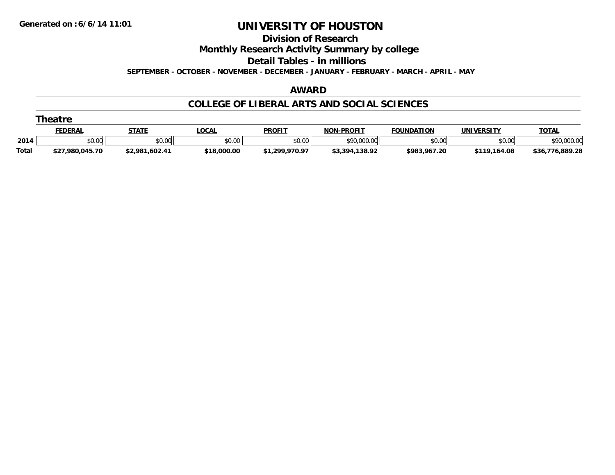**Division of Research**

**Monthly Research Activity Summary by college**

**Detail Tables - in millions**

**SEPTEMBER - OCTOBER - NOVEMBER - DECEMBER - JANUARY - FEBRUARY - MARCH - APRIL - MAY**

### **AWARD**

### **COLLEGE OF LIBERAL ARTS AND SOCIAL SCIENCES**

|              | Theatre         |                |             |                |                   |              |              |                 |  |  |  |  |
|--------------|-----------------|----------------|-------------|----------------|-------------------|--------------|--------------|-----------------|--|--|--|--|
|              | <u>FEDERAL</u>  | <b>STATE</b>   | .OCAL       | <b>PROFIT</b>  | <b>NON-PROFIT</b> | FOUNDATION   | UNIVERSITY   | <b>TOTAL</b>    |  |  |  |  |
| 2014         | \$0.00          | \$0.00         | \$0.00      | \$0.00         | \$90,000.00       | \$0.00       | \$0.00       | \$90,000.00     |  |  |  |  |
| <b>Total</b> | \$27,980,045.70 | \$2,981,602.41 | \$18,000.00 | \$1,299,970.97 | \$3,394,138.92    | \$983.967.20 | \$119,164.08 | \$36,776,889.28 |  |  |  |  |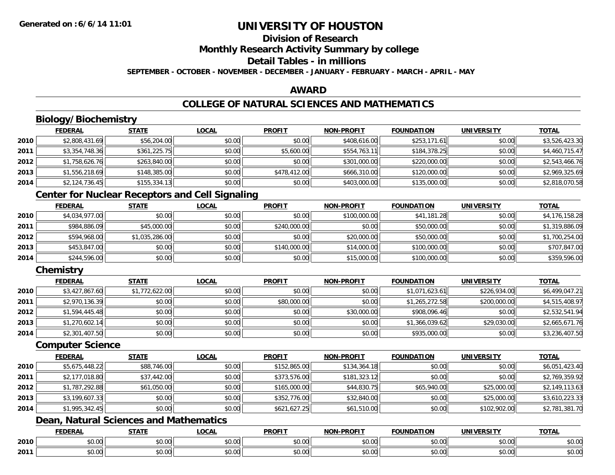## **Division of Research**

**Monthly Research Activity Summary by college**

## **Detail Tables - in millions**

**SEPTEMBER - OCTOBER - NOVEMBER - DECEMBER - JANUARY - FEBRUARY - MARCH - APRIL - MAY**

### **AWARD**

## **COLLEGE OF NATURAL SCIENCES AND MATHEMATICS**

## **Biology/Biochemistry**

|      | <b>FEDERAL</b> | <b>STATE</b> | <b>LOCAL</b> | <b>PROFIT</b> | <b>NON-PROFIT</b> | <b>FOUNDATION</b> | <b>UNIVERSITY</b> | <b>TOTAL</b>   |
|------|----------------|--------------|--------------|---------------|-------------------|-------------------|-------------------|----------------|
| 2010 | \$2,808,431.69 | \$56,204.00  | \$0.00       | \$0.00        | \$408,616.00      | \$253,171.61      | \$0.00            | \$3,526,423.30 |
| 2011 | \$3,354,748.36 | \$361,225.75 | \$0.00       | \$5,600.00    | \$554,763.11      | \$184,378.25      | \$0.00            | \$4,460,715.47 |
| 2012 | \$1,758,626.76 | \$263,840.00 | \$0.00       | \$0.00        | \$301,000.00      | \$220,000.00      | \$0.00            | \$2,543,466.76 |
| 2013 | \$1,556,218.69 | \$148,385.00 | \$0.00       | \$478,412.00  | \$666,310.00      | \$120,000.00      | \$0.00            | \$2,969,325.69 |
| 2014 | \$2,124,736.45 | \$155,334.13 | \$0.00       | \$0.00        | \$403,000.00      | \$135,000.00      | \$0.00            | \$2,818,070.58 |

## **Center for Nuclear Receptors and Cell Signaling**

|      | <b>FEDERAL</b> | STATE          | <b>LOCAL</b> | <b>PROFIT</b> | <b>NON-PROFIT</b> | <b>FOUNDATION</b> | <b>UNIVERSITY</b> | <b>TOTAL</b>   |
|------|----------------|----------------|--------------|---------------|-------------------|-------------------|-------------------|----------------|
| 2010 | \$4,034,977.00 | \$0.00         | \$0.00       | \$0.00        | \$100,000.00      | \$41,181.28       | \$0.00            | \$4,176,158.28 |
| 2011 | \$984,886.09   | \$45,000.00    | \$0.00       | \$240,000.00  | \$0.00            | \$50,000.00       | \$0.00            | \$1,319,886.09 |
| 2012 | \$594,968,00   | \$1,035,286.00 | \$0.00       | \$0.00        | \$20,000.00       | \$50,000.00       | \$0.00            | \$1,700,254.00 |
| 2013 | \$453,847.00   | \$0.00         | \$0.00       | \$140,000.00  | \$14,000.00       | \$100,000.00      | \$0.00            | \$707,847.00   |
| 2014 | \$244,596.00   | \$0.00         | \$0.00       | \$0.00        | \$15,000.00       | \$100,000.00      | \$0.00            | \$359,596.00   |

## **Chemistry**

|      | <b>FEDERAL</b> | <u>STATE</u>   | <u>LOCAL</u> | <b>PROFIT</b> | <b>NON-PROFIT</b> | <b>FOUNDATION</b> | <b>UNIVERSITY</b> | <b>TOTAL</b>   |
|------|----------------|----------------|--------------|---------------|-------------------|-------------------|-------------------|----------------|
| 2010 | \$3,427,867.60 | \$1,772,622.00 | \$0.00       | \$0.00        | \$0.00            | \$1,071,623.61    | \$226,934.00      | \$6,499,047.21 |
| 2011 | \$2,970,136.39 | \$0.00         | \$0.00       | \$80,000.00   | \$0.00            | \$1,265,272.58    | \$200,000.00      | \$4,515,408.97 |
| 2012 | \$1,594,445.48 | \$0.00         | \$0.00       | \$0.00        | \$30,000.00       | \$908.096.46      | \$0.00            | \$2,532,541.94 |
| 2013 | \$1,270,602.14 | \$0.00         | \$0.00       | \$0.00        | \$0.00            | \$1,366,039.62    | \$29,030.00       | \$2,665,671.76 |
| 2014 | \$2,301,407.50 | \$0.00         | \$0.00       | \$0.00        | \$0.00            | \$935,000.00      | \$0.00            | \$3,236,407.50 |

#### **Computer Science**

|      | <b>FEDERAL</b> | <b>STATE</b> | <u>LOCAL</u> | <b>PROFIT</b> | <b>NON-PROFIT</b> | <b>FOUNDATION</b> | <b>UNIVERSITY</b> | <b>TOTAL</b>   |
|------|----------------|--------------|--------------|---------------|-------------------|-------------------|-------------------|----------------|
| 2010 | \$5,675,448.22 | \$88,746.00  | \$0.00       | \$152,865.00  | \$134,364.18      | \$0.00            | \$0.00            | \$6,051,423.40 |
| 2011 | \$2,177,018.80 | \$37,442.00  | \$0.00       | \$373,576.00  | \$181,323.12      | \$0.00            | \$0.00            | \$2,769,359.92 |
| 2012 | \$1,787,292.88 | \$61,050.00  | \$0.00       | \$165,000.00  | \$44,830.75       | \$65,940.00       | \$25,000.00       | \$2,149,113.63 |
| 2013 | \$3,199,607.33 | \$0.00       | \$0.00       | \$352,776.00  | \$32,840.00       | \$0.00            | \$25,000.00       | \$3,610,223.33 |
| 2014 | \$1,995,342.45 | \$0.00       | \$0.00       | \$621,627.25  | \$61,510.00       | \$0.00            | \$102,902.00      | \$2,781,381.70 |

## **Dean, Natural Sciences and Mathematics**

|      | <b>FEDERAL</b> | <b>CTATE</b>    | LOCAI              | <b>PROFIT</b> | <b>DDAEIT</b><br><b>MAN</b><br>ж. | <b>FOUNDATION</b> | UNIVERSITY           | <b>TOTAL</b>             |
|------|----------------|-----------------|--------------------|---------------|-----------------------------------|-------------------|----------------------|--------------------------|
| 2010 | ልስ ባህ<br>שט.טע | ሖጣ<br>JU.UU     | $\sim$ 00<br>DU.UU | 0000<br>JU.UU | $\sim$<br>$\sim$<br>PO.OO         | 0.00<br>JU.UU     | 0000<br><b>DU.UG</b> | $\sim$<br><b>JU.UU</b>   |
| 2011 | \$0.00         | $\sim$<br>JU.UU | $\sim$ 00<br>PU.UU | 0000<br>JU.UU | 0.00<br>vv.vv                     | 0.00<br>JU.UU     | 0000<br><b>DU.UG</b> | $\cdots$<br><b>JU.UU</b> |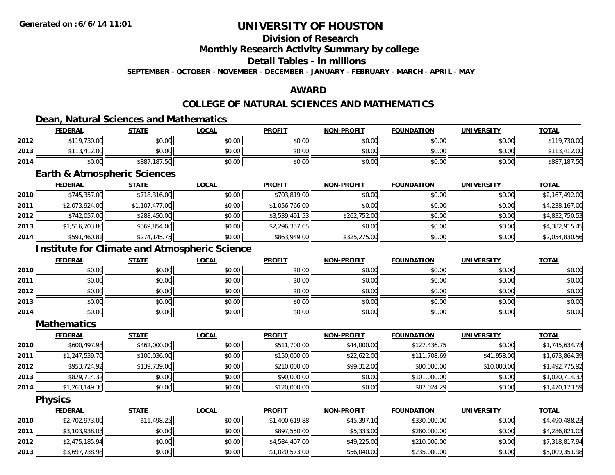## **Division of Research**

**Monthly Research Activity Summary by college**

## **Detail Tables - in millions**

**SEPTEMBER - OCTOBER - NOVEMBER - DECEMBER - JANUARY - FEBRUARY - MARCH - APRIL - MAY**

### **AWARD**

## **COLLEGE OF NATURAL SCIENCES AND MATHEMATICS**

## **Dean, Natural Sciences and Mathematics**

|      | <b>FEDERAL</b> | <u>STATE</u> | <u>LOCAL</u> | <b>PROFIT</b> | <b>NON-PROFIT</b> | <b>FOUNDATION</b> | <b>UNIVERSITY</b> | <b>TOTAL</b> |
|------|----------------|--------------|--------------|---------------|-------------------|-------------------|-------------------|--------------|
| 2012 | \$119,730.00   | \$0.00       | \$0.00       | \$0.00        | \$0.00            | \$0.00            | \$0.00            | \$119,730.00 |
| 2013 | \$113,412.00   | \$0.00       | \$0.00       | \$0.00        | \$0.00            | \$0.00            | \$0.00            | 412.00       |
| 2014 | \$0.00         | \$887,187.50 | \$0.00       | \$0.00        | \$0.00            | \$0.00            | \$0.00            | \$887,187.50 |

### **Earth & Atmospheric Sciences**

|      | <b>FEDERAL</b> | <b>STATE</b>   | <u>LOCAL</u> | <b>PROFIT</b>  | <b>NON-PROFIT</b> | <b>FOUNDATION</b> | <b>UNIVERSITY</b> | <u>TOTAL</u>   |
|------|----------------|----------------|--------------|----------------|-------------------|-------------------|-------------------|----------------|
| 2010 | \$745,357.00   | \$718,316.00   | \$0.00       | \$703,819.00   | \$0.00            | \$0.00            | \$0.00            | \$2,167,492.00 |
| 2011 | \$2,073,924.00 | \$1,107,477.00 | \$0.00       | \$1,056,766.00 | \$0.00            | \$0.00            | \$0.00            | \$4,238,167.00 |
| 2012 | \$742,057.00   | \$288,450.00   | \$0.00       | \$3,539,491.53 | \$262,752.00      | \$0.00            | \$0.00            | \$4,832,750.53 |
| 2013 | \$1,516,703.80 | \$569,854.00   | \$0.00       | \$2,296,357.65 | \$0.00            | \$0.00            | \$0.00            | \$4,382,915.45 |
| 2014 | \$591,460.81   | \$274,145.75   | \$0.00       | \$863,949.00   | \$325,275.00      | \$0.00            | \$0.00            | \$2,054,830.56 |

## **Institute for Climate and Atmospheric Science**

|      | <u>FEDERAL</u> | <b>STATE</b> | <u>LOCAL</u> | <b>PROFIT</b> | <b>NON-PROFIT</b> | <b>FOUNDATION</b> | <b>UNIVERSITY</b> | <b>TOTAL</b> |
|------|----------------|--------------|--------------|---------------|-------------------|-------------------|-------------------|--------------|
| 2010 | \$0.00         | \$0.00       | \$0.00       | \$0.00        | \$0.00            | \$0.00            | \$0.00            | \$0.00       |
| 2011 | \$0.00         | \$0.00       | \$0.00       | \$0.00        | \$0.00            | \$0.00            | \$0.00            | \$0.00       |
| 2012 | \$0.00         | \$0.00       | \$0.00       | \$0.00        | \$0.00            | \$0.00            | \$0.00            | \$0.00       |
| 2013 | \$0.00         | \$0.00       | \$0.00       | \$0.00        | \$0.00            | \$0.00            | \$0.00            | \$0.00       |
| 2014 | \$0.00         | \$0.00       | \$0.00       | \$0.00        | \$0.00            | \$0.00            | \$0.00            | \$0.00       |

#### **Mathematics**

|      | <b>FEDERAL</b> | <b>STATE</b> | <b>LOCAL</b> | <b>PROFIT</b> | <b>NON-PROFIT</b> | <b>FOUNDATION</b> | <b>UNIVERSITY</b> | <b>TOTAL</b>   |
|------|----------------|--------------|--------------|---------------|-------------------|-------------------|-------------------|----------------|
| 2010 | \$600.497.98   | \$462,000.00 | \$0.00       | \$511,700.00  | \$44,000.00       | \$127,436.75      | \$0.00            | \$1,745,634.73 |
| 2011 | \$1,247,539.70 | \$100,036.00 | \$0.00       | \$150,000.00  | \$22,622.00       | \$111,708.69      | \$41,958.00       | \$1,673,864.39 |
| 2012 | \$953,724.92   | \$139,739.00 | \$0.00       | \$210,000.00  | \$99,312.00       | \$80,000.00       | \$10,000.00       | \$1,492,775.92 |
| 2013 | \$829,714.32   | \$0.00       | \$0.00       | \$90,000.00   | \$0.00            | \$101,000.00      | \$0.00            | \$1,020,714.32 |
| 2014 | \$1,263,149.30 | \$0.00       | \$0.00       | \$120,000.00  | \$0.00            | \$87,024.29       | \$0.00            | \$1,470,173.59 |

### **Physics**

|      | <b>FEDERAL</b> | <u>STATE</u> | <b>LOCAL</b> | <b>PROFIT</b>  | <b>NON-PROFIT</b> | <b>FOUNDATION</b> | UNIVERSITY | <b>TOTAL</b>   |
|------|----------------|--------------|--------------|----------------|-------------------|-------------------|------------|----------------|
| 2010 | \$2,702,973.00 | \$11,498.25  | \$0.00       | \$1,400,619.88 | \$45,397.10       | \$330,000.00      | \$0.00     | \$4,490,488.23 |
| 2011 | \$3,103,938.03 | \$0.00       | \$0.00       | \$897,550.00   | \$5,333.00        | \$280,000.00      | \$0.00     | \$4,286,821.03 |
| 2012 | \$2,475,185.94 | \$0.00       | \$0.00       | \$4,584,407.00 | \$49,225.00       | \$210,000.00      | \$0.00     | \$7,318,817.94 |
| 2013 | \$3,697,738.98 | \$0.00       | \$0.00       | \$1,020,573.00 | \$56,040.00       | \$235,000.00      | \$0.00     | \$5,009,351.98 |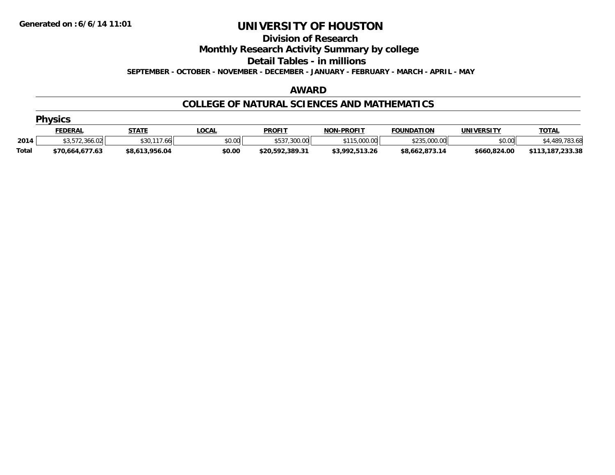#### **Division of Research**

**Monthly Research Activity Summary by college**

**Detail Tables - in millions**

**SEPTEMBER - OCTOBER - NOVEMBER - DECEMBER - JANUARY - FEBRUARY - MARCH - APRIL - MAY**

#### **AWARD**

### **COLLEGE OF NATURAL SCIENCES AND MATHEMATICS**

|              | <b>Physics</b>  |                   |        |                 |                   |                   |              |                  |  |  |  |
|--------------|-----------------|-------------------|--------|-----------------|-------------------|-------------------|--------------|------------------|--|--|--|
|              | <b>FEDERAL</b>  | <b>STATE</b>      | _OCAL  | <b>PROFIT</b>   | <b>NON-PROFIT</b> | <b>FOUNDATION</b> | UNIVERSITY   | <b>TOTAL</b>     |  |  |  |
| 2014         | \$3,572,366.02  | \$30.117.<br>7.66 | \$0.00 | \$537,300.00    | \$115,000.00      | \$235,000.00      | \$0.00       | \$4,489,783.68   |  |  |  |
| <b>Total</b> | \$70,664,677.63 | \$8,613,956.04    | \$0.00 | \$20,592,389.31 | \$3,992,513.26    | \$8,662,873.14    | \$660,824.00 | \$113,187,233.38 |  |  |  |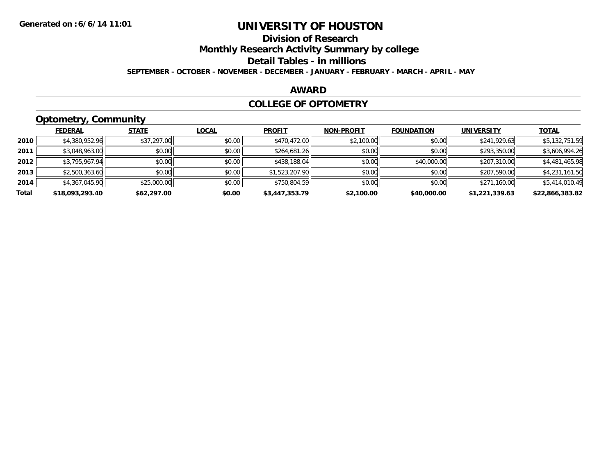## **Division of Research**

**Monthly Research Activity Summary by college**

**Detail Tables - in millions**

**SEPTEMBER - OCTOBER - NOVEMBER - DECEMBER - JANUARY - FEBRUARY - MARCH - APRIL - MAY**

### **AWARD**

### **COLLEGE OF OPTOMETRY**

## **Optometry, Community**

|       | .               |              |              |                |                   |                   |                   |                 |
|-------|-----------------|--------------|--------------|----------------|-------------------|-------------------|-------------------|-----------------|
|       | <b>FEDERAL</b>  | <b>STATE</b> | <b>LOCAL</b> | <b>PROFIT</b>  | <b>NON-PROFIT</b> | <b>FOUNDATION</b> | <b>UNIVERSITY</b> | <b>TOTAL</b>    |
| 2010  | \$4,380,952.96  | \$37,297.00  | \$0.00       | \$470,472.00   | \$2,100.00        | \$0.00            | \$241,929.63      | \$5,132,751.59  |
| 2011  | \$3,048,963.00  | \$0.00       | \$0.00       | \$264,681.26   | \$0.00            | \$0.00            | \$293,350.00      | \$3,606,994.26  |
| 2012  | \$3,795,967.94  | \$0.00       | \$0.00       | \$438,188.04   | \$0.00            | \$40,000.00       | \$207,310.00      | \$4,481,465.98  |
| 2013  | \$2,500,363.60  | \$0.00       | \$0.00       | \$1,523,207.90 | \$0.00            | \$0.00            | \$207,590.00      | \$4,231,161.50  |
| 2014  | \$4,367,045.90  | \$25,000.00  | \$0.00       | \$750,804.59   | \$0.00            | \$0.00            | \$271,160.00      | \$5,414,010.49  |
| Total | \$18,093,293.40 | \$62,297.00  | \$0.00       | \$3,447,353.79 | \$2,100.00        | \$40,000.00       | \$1,221,339.63    | \$22,866,383.82 |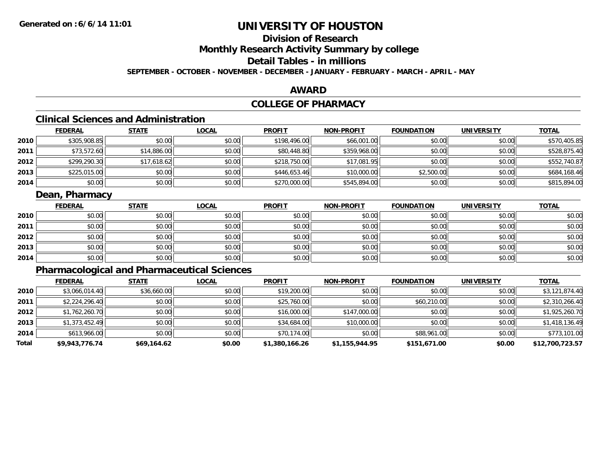## **Division of Research**

**Monthly Research Activity Summary by college**

## **Detail Tables - in millions**

**SEPTEMBER - OCTOBER - NOVEMBER - DECEMBER - JANUARY - FEBRUARY - MARCH - APRIL - MAY**

### **AWARD**

## **COLLEGE OF PHARMACY**

## **Clinical Sciences and Administration**

|      | <b>FEDERAL</b> | <b>STATE</b> | <u>LOCAL</u> | <b>PROFIT</b> | <b>NON-PROFIT</b> | <b>FOUNDATION</b> | <b>UNIVERSITY</b> | <b>TOTAL</b> |
|------|----------------|--------------|--------------|---------------|-------------------|-------------------|-------------------|--------------|
| 2010 | \$305,908.85   | \$0.00       | \$0.00       | \$198,496.00  | \$66,001.00       | \$0.00            | \$0.00            | \$570,405.85 |
| 2011 | \$73,572.60    | \$14,886.00  | \$0.00       | \$80,448.80   | \$359,968.00      | \$0.00            | \$0.00            | \$528,875.40 |
| 2012 | \$299,290.30   | \$17,618.62  | \$0.00       | \$218,750.00  | \$17,081.95       | \$0.00            | \$0.00            | \$552,740.87 |
| 2013 | \$225,015.00   | \$0.00       | \$0.00       | \$446,653.46  | \$10,000.00       | \$2,500.00        | \$0.00            | \$684,168.46 |
| 2014 | \$0.00         | \$0.00       | \$0.00       | \$270,000.00  | \$545,894.00      | \$0.00            | \$0.00            | \$815,894.00 |

### **Dean, Pharmacy**

|      | <b>FEDERAL</b> | <b>STATE</b> | <b>LOCAL</b> | <b>PROFIT</b> | <b>NON-PROFIT</b> | <b>FOUNDATION</b> | <b>UNIVERSITY</b> | <b>TOTAL</b> |
|------|----------------|--------------|--------------|---------------|-------------------|-------------------|-------------------|--------------|
| 2010 | \$0.00         | \$0.00       | \$0.00       | \$0.00        | \$0.00            | \$0.00            | \$0.00            | \$0.00       |
| 2011 | \$0.00         | \$0.00       | \$0.00       | \$0.00        | \$0.00            | \$0.00            | \$0.00            | \$0.00       |
| 2012 | \$0.00         | \$0.00       | \$0.00       | \$0.00        | \$0.00            | \$0.00            | \$0.00            | \$0.00       |
| 2013 | \$0.00         | \$0.00       | \$0.00       | \$0.00        | \$0.00            | \$0.00            | \$0.00            | \$0.00       |
| 2014 | \$0.00         | \$0.00       | \$0.00       | \$0.00        | \$0.00            | \$0.00            | \$0.00            | \$0.00       |

## **Pharmacological and Pharmaceutical Sciences**

|       | <b>FEDERAL</b> | <b>STATE</b> | <b>LOCAL</b> | <b>PROFIT</b>  | <b>NON-PROFIT</b> | <b>FOUNDATION</b> | <b>UNIVERSITY</b> | <u>TOTAL</u>    |
|-------|----------------|--------------|--------------|----------------|-------------------|-------------------|-------------------|-----------------|
| 2010  | \$3,066,014.40 | \$36,660.00  | \$0.00       | \$19,200.00    | \$0.00            | \$0.00            | \$0.00            | \$3,121,874.40  |
| 2011  | \$2,224,296.40 | \$0.00       | \$0.00       | \$25,760.00    | \$0.00            | \$60,210.00       | \$0.00            | \$2,310,266.40  |
| 2012  | \$1,762,260.70 | \$0.00       | \$0.00       | \$16,000.00    | \$147,000.00      | \$0.00            | \$0.00            | \$1,925,260.70  |
| 2013  | \$1,373,452.49 | \$0.00       | \$0.00       | \$34,684.00    | \$10,000.00       | \$0.00            | \$0.00            | \$1,418,136.49  |
| 2014  | \$613,966.00   | \$0.00       | \$0.00       | \$70,174.00    | \$0.00            | \$88,961.00       | \$0.00            | \$773,101.00    |
| Total | \$9,943,776.74 | \$69,164.62  | \$0.00       | \$1,380,166.26 | \$1,155,944.95    | \$151,671.00      | \$0.00            | \$12,700,723.57 |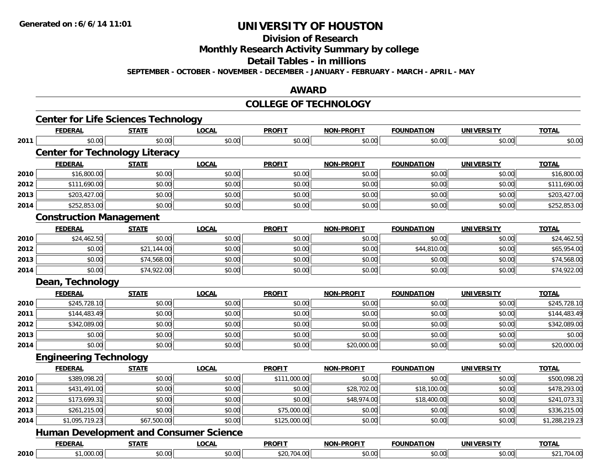**Division of Research**

**Monthly Research Activity Summary by college**

**Detail Tables - in millions**

**SEPTEMBER - OCTOBER - NOVEMBER - DECEMBER - JANUARY - FEBRUARY - MARCH - APRIL - MAY**

### **AWARD**

### **COLLEGE OF TECHNOLOGY**

|              | <b>Center for Life Sciences Technology</b>    |              |              |               |                   |                   |                   |                                                                                                                         |
|--------------|-----------------------------------------------|--------------|--------------|---------------|-------------------|-------------------|-------------------|-------------------------------------------------------------------------------------------------------------------------|
|              | <b>FEDERAL</b>                                | <b>STATE</b> | <b>LOCAL</b> | <b>PROFIT</b> | <b>NON-PROFIT</b> | <b>FOUNDATION</b> | <b>UNIVERSITY</b> | <b>TOTAL</b>                                                                                                            |
| 2011         | \$0.00                                        | \$0.00       | \$0.00       | \$0.00        | \$0.00            | \$0.00            | \$0.00            | \$0.00                                                                                                                  |
|              | <b>Center for Technology Literacy</b>         |              |              |               |                   |                   |                   |                                                                                                                         |
|              | <b>FEDERAL</b>                                | <b>STATE</b> | <b>LOCAL</b> | <b>PROFIT</b> | <b>NON-PROFIT</b> | <b>FOUNDATION</b> | <b>UNIVERSITY</b> | <b>TOTAL</b>                                                                                                            |
| 2010         | \$16,800.00                                   | \$0.00       | \$0.00       | \$0.00        | \$0.00            | \$0.00            | \$0.00            | \$16,800.00                                                                                                             |
| 2012         | \$111,690.00                                  | \$0.00       | \$0.00       | \$0.00        | \$0.00            | \$0.00            | \$0.00            | \$111,690.00                                                                                                            |
| 2013         | \$203,427.00                                  | \$0.00       | \$0.00       | \$0.00        | \$0.00            | \$0.00            | \$0.00            | \$203,427.00                                                                                                            |
| 2014         | \$252,853.00                                  | \$0.00       | \$0.00       | \$0.00        | \$0.00            | \$0.00            | \$0.00            | \$252,853.00                                                                                                            |
|              | <b>Construction Management</b>                |              |              |               |                   |                   |                   |                                                                                                                         |
|              | <b>FEDERAL</b>                                | <b>STATE</b> | <b>LOCAL</b> | <b>PROFIT</b> | <b>NON-PROFIT</b> | <b>FOUNDATION</b> | <b>UNIVERSITY</b> | <b>TOTAL</b>                                                                                                            |
| 2010         | \$24,462.50                                   | \$0.00       | \$0.00       | \$0.00        | \$0.00            | \$0.00            | \$0.00            | \$24,462.50                                                                                                             |
| 2012         | \$0.00                                        | \$21,144.00  | \$0.00       | \$0.00        | \$0.00            | \$44,810.00       | \$0.00            | \$65,954.00                                                                                                             |
| 2013         | \$0.00                                        | \$74,568.00  | \$0.00       | \$0.00        | \$0.00            | \$0.00            | \$0.00            | \$74,568.00                                                                                                             |
| 2014         | \$0.00                                        | \$74,922.00  | \$0.00       | \$0.00        | \$0.00            | \$0.00            | \$0.00            | \$74,922.00                                                                                                             |
|              | Dean, Technology                              |              |              |               |                   |                   |                   |                                                                                                                         |
|              | <b>FEDERAL</b>                                | <b>STATE</b> | <b>LOCAL</b> | <b>PROFIT</b> | <b>NON-PROFIT</b> | <b>FOUNDATION</b> | <b>UNIVERSITY</b> | <b>TOTAL</b>                                                                                                            |
| 2010         | \$245,728.10                                  | \$0.00       | \$0.00       | \$0.00        | \$0.00            | \$0.00            | \$0.00            | \$245,728.10                                                                                                            |
| 2011         | \$144,483.49                                  | \$0.00       | \$0.00       | \$0.00        | \$0.00            | \$0.00            | \$0.00            | \$144,483.49                                                                                                            |
| 2012         | \$342,089.00                                  | \$0.00       | \$0.00       | \$0.00        | \$0.00            | \$0.00            | \$0.00            | \$342,089.00                                                                                                            |
| 2013         | \$0.00                                        |              |              |               |                   |                   |                   |                                                                                                                         |
|              |                                               | \$0.00       | \$0.00       | \$0.00        | \$0.00            | \$0.00            | \$0.00            |                                                                                                                         |
|              | \$0.00                                        | \$0.00       | \$0.00       | \$0.00        | \$20,000.00       | \$0.00            | \$0.00            |                                                                                                                         |
|              | <b>Engineering Technology</b>                 |              |              |               |                   |                   |                   |                                                                                                                         |
| 2014         | <b>FEDERAL</b>                                | <b>STATE</b> | <b>LOCAL</b> | <b>PROFIT</b> | <b>NON-PROFIT</b> | <b>FOUNDATION</b> | <b>UNIVERSITY</b> | <b>TOTAL</b>                                                                                                            |
| 2010         | \$389,098.20                                  | \$0.00       | \$0.00       | \$111,000.00  | \$0.00            | \$0.00            | \$0.00            |                                                                                                                         |
| 2011         | \$431,491.00                                  | \$0.00       | \$0.00       | \$0.00        | \$28,702.00       | \$18,100.00       | \$0.00            |                                                                                                                         |
|              | \$173,699.31                                  | \$0.00       | \$0.00       | \$0.00        | \$48,974.00       | \$18,400.00       | \$0.00            |                                                                                                                         |
| 2012<br>2013 | \$261,215.00                                  | \$0.00       | \$0.00       | \$75,000.00   | \$0.00            | \$0.00            | \$0.00            |                                                                                                                         |
|              | \$1,095,719.23                                | \$67,500.00  | \$0.00       | \$125,000.00  | \$0.00            | \$0.00            | \$0.00            |                                                                                                                         |
| 2014         | <b>Human Development and Consumer Science</b> |              |              |               |                   |                   |                   |                                                                                                                         |
|              | <b>FEDERAL</b>                                | <b>STATE</b> | <b>LOCAL</b> | <b>PROFIT</b> | <b>NON-PROFIT</b> | <b>FOUNDATION</b> | <b>UNIVERSITY</b> | \$0.00<br>\$20,000.00<br>\$500,098.20<br>\$478,293.00<br>\$241,073.31<br>\$336,215.00<br>\$1,288,219.23<br><b>TOTAL</b> |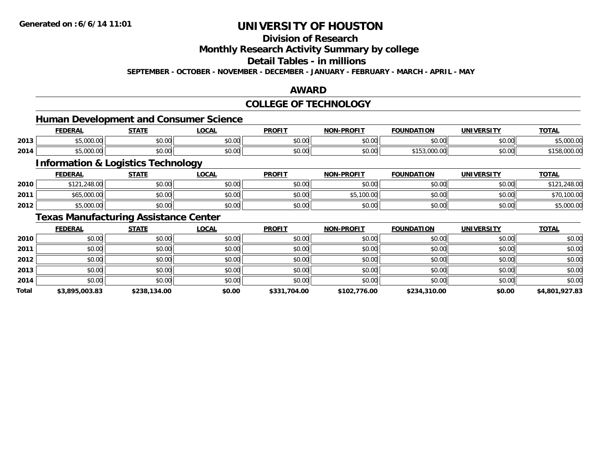## **Division of Research**

**Monthly Research Activity Summary by college**

**Detail Tables - in millions**

**SEPTEMBER - OCTOBER - NOVEMBER - DECEMBER - JANUARY - FEBRUARY - MARCH - APRIL - MAY**

### **AWARD**

## **COLLEGE OF TECHNOLOGY**

### **Human Development and Consumer Science**

|      | <b>JERAI</b> | <b>STATI</b>           | $\sim$<br>.UUNI    | <b>PROFIT</b> | -PROFIT<br>חחו                             | חחו־<br><b>OLINIDA</b> | $I$ rncity<br>JNI' | <b>TOTAL</b>          |
|------|--------------|------------------------|--------------------|---------------|--------------------------------------------|------------------------|--------------------|-----------------------|
| 2013 | 0.00         | ტი იი<br>90. UU        | $\sim$ 00<br>DU.UU | 0.00<br>JU.UU | $\mathsf{A} \cap \mathsf{A} \cap$<br>JU.UL | 0000<br>∪.∪∪           | \$0.00             | 0.0000<br>,,,,,,,,,,, |
| 2014 | $\sim$       | $\sim$ $\sim$<br>JU.UL | $\sim$ 00<br>JU.UU | 0.00<br>vu.vu | \$0.00                                     |                        | \$0.00             |                       |

<u> 1989 - Johann Stoff, deutscher Stoffen und der Stoffen und der Stoffen und der Stoffen und der Stoffen und de</u>

## **Information & Logistics Technology**

|      | <b>FEDERAL</b> | STATE  | <u>LOCAL</u> | <b>PROFIT</b> | <b>NON-PROFIT</b>   | <b>FOUNDATION</b> | <b>UNIVERSITY</b> | <u>TOTAL</u> |
|------|----------------|--------|--------------|---------------|---------------------|-------------------|-------------------|--------------|
| 2010 | \$121,248.00   | \$0.00 | \$0.00       | \$0.00        | \$0.00              | \$0.00            | \$0.00            | .248.00      |
| 2011 | \$65,000.00    | \$0.00 | \$0.00       | \$0.00        | 100.00<br>ሖг<br>υJ, | \$0.00            | \$0.00            | \$70,100.00  |
| 2012 | \$5,000.00     | \$0.00 | \$0.00       | \$0.00        | \$0.00              | \$0.00            | \$0.00            | \$5,000.00   |

## **Texas Manufacturing Assistance Center**

|              | <b>FEDERAL</b> | <b>STATE</b> | <b>LOCAL</b> | <b>PROFIT</b> | <b>NON-PROFIT</b> | <b>FOUNDATION</b> | <b>UNIVERSITY</b> | <b>TOTAL</b>   |
|--------------|----------------|--------------|--------------|---------------|-------------------|-------------------|-------------------|----------------|
| 2010         | \$0.00         | \$0.00       | \$0.00       | \$0.00        | \$0.00            | \$0.00            | \$0.00            | \$0.00         |
| 2011         | \$0.00         | \$0.00       | \$0.00       | \$0.00        | \$0.00            | \$0.00            | \$0.00            | \$0.00         |
| 2012         | \$0.00         | \$0.00       | \$0.00       | \$0.00        | \$0.00            | \$0.00            | \$0.00            | \$0.00         |
| 2013         | \$0.00         | \$0.00       | \$0.00       | \$0.00        | \$0.00            | \$0.00            | \$0.00            | \$0.00         |
| 2014         | \$0.00         | \$0.00       | \$0.00       | \$0.00        | \$0.00            | \$0.00            | \$0.00            | \$0.00         |
| <b>Total</b> | \$3,895,003.83 | \$238,134.00 | \$0.00       | \$331,704.00  | \$102,776.00      | \$234,310.00      | \$0.00            | \$4,801,927.83 |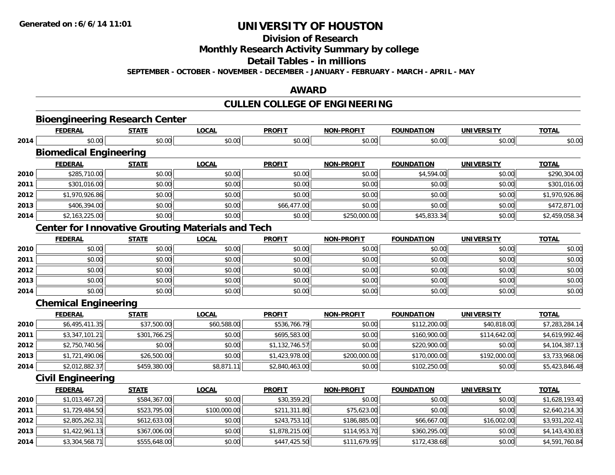**Division of Research**

**Monthly Research Activity Summary by college**

**Detail Tables - in millions**

**SEPTEMBER - OCTOBER - NOVEMBER - DECEMBER - JANUARY - FEBRUARY - MARCH - APRIL - MAY**

### **AWARD**

# **CULLEN COLLEGE OF ENGINEERING**

|      | <b>Bioengineering Research Center</b><br><b>FEDERAL</b>  | <b>STATE</b> | <b>LOCAL</b> | <b>PROFIT</b>  | <b>NON-PROFIT</b> | <b>FOUNDATION</b> | <b>UNIVERSITY</b> | <b>TOTAL</b>   |
|------|----------------------------------------------------------|--------------|--------------|----------------|-------------------|-------------------|-------------------|----------------|
| 2014 | \$0.00                                                   | \$0.00       | \$0.00       | \$0.00         | \$0.00            | \$0.00            | \$0.00            | \$0.00         |
|      | <b>Biomedical Engineering</b>                            |              |              |                |                   |                   |                   |                |
|      | <b>FEDERAL</b>                                           | <b>STATE</b> | <b>LOCAL</b> | <b>PROFIT</b>  | <b>NON-PROFIT</b> | <b>FOUNDATION</b> | <b>UNIVERSITY</b> | <b>TOTAL</b>   |
| 2010 | \$285,710.00                                             | \$0.00       | \$0.00       | \$0.00         | \$0.00            | \$4,594.00        | \$0.00            | \$290,304.00   |
| 2011 | \$301,016.00                                             | \$0.00       | \$0.00       | \$0.00         | \$0.00            | \$0.00            | \$0.00            | \$301,016.00   |
| 2012 | \$1,970,926.86                                           | \$0.00       | \$0.00       | \$0.00         | \$0.00            | \$0.00            | \$0.00            | \$1,970,926.86 |
| 2013 | \$406,394.00                                             | \$0.00       | \$0.00       | \$66,477.00    | \$0.00            | \$0.00            | \$0.00            | \$472,871.00   |
| 2014 | \$2,163,225.00                                           | \$0.00       | \$0.00       | \$0.00         | \$250,000.00      | \$45,833.34       | \$0.00            | \$2,459,058.34 |
|      | <b>Center for Innovative Grouting Materials and Tech</b> |              |              |                |                   |                   |                   |                |
|      | <b>FEDERAL</b>                                           | <b>STATE</b> | <b>LOCAL</b> | <b>PROFIT</b>  | <b>NON-PROFIT</b> | <b>FOUNDATION</b> | <b>UNIVERSITY</b> | <b>TOTAL</b>   |
| 2010 | \$0.00                                                   | \$0.00       | \$0.00       | \$0.00         | \$0.00            | \$0.00            | \$0.00            | \$0.00         |
| 2011 | \$0.00                                                   | \$0.00       | \$0.00       | \$0.00         | \$0.00            | \$0.00            | \$0.00            | \$0.00         |
| 2012 | \$0.00                                                   | \$0.00       | \$0.00       | \$0.00         | \$0.00            | \$0.00            | \$0.00            | \$0.00         |
| 2013 | \$0.00                                                   | \$0.00       | \$0.00       | \$0.00         | \$0.00            | \$0.00            | \$0.00            | \$0.00         |
| 2014 | \$0.00                                                   | \$0.00       | \$0.00       | \$0.00         | \$0.00            | \$0.00            | \$0.00            | \$0.00         |
|      | <b>Chemical Engineering</b>                              |              |              |                |                   |                   |                   |                |
|      | <b>FEDERAL</b>                                           | <b>STATE</b> | <b>LOCAL</b> | <b>PROFIT</b>  | <b>NON-PROFIT</b> | <b>FOUNDATION</b> | <b>UNIVERSITY</b> | <b>TOTAL</b>   |
| 2010 | \$6,495,411.35                                           | \$37,500.00  | \$60,588.00  | \$536,766.79   | \$0.00            | \$112,200.00      | \$40,818.00       | \$7,283,284.14 |
| 2011 | \$3,347,101.21                                           | \$301,766.25 | \$0.00       | \$695,583.00   | \$0.00            | \$160,900.00      | \$114,642.00      | \$4,619,992.46 |
| 2012 | \$2,750,740.56                                           | \$0.00       | \$0.00       | \$1,132,746.57 | \$0.00            | \$220,900.00      | \$0.00            | \$4,104,387.13 |
| 2013 | \$1,721,490.06                                           | \$26,500.00  | \$0.00       | \$1,423,978.00 | \$200,000.00      | \$170,000.00      | \$192,000.00      | \$3,733,968.06 |
| 2014 | \$2,012,882.37                                           | \$459,380.00 | \$8,871.11   | \$2,840,463.00 | \$0.00            | \$102,250.00      | \$0.00            | \$5,423,846.48 |
|      | <b>Civil Engineering</b>                                 |              |              |                |                   |                   |                   |                |
|      | <b>FEDERAL</b>                                           | <b>STATE</b> | <b>LOCAL</b> | <b>PROFIT</b>  | <b>NON-PROFIT</b> | <b>FOUNDATION</b> | <b>UNIVERSITY</b> | <b>TOTAL</b>   |
| 2010 | \$1,013,467.20                                           | \$584,367.00 | \$0.00       | \$30,359.20    | \$0.00            | \$0.00            | \$0.00            | \$1,628,193.40 |
| 2011 | \$1,729,484.50                                           | \$523,795.00 | \$100,000.00 | \$211,311.80   | \$75,623.00       | \$0.00            | \$0.00            | \$2,640,214.30 |
| 2012 | \$2,805,262.31                                           | \$612,633.00 | \$0.00       | \$243,753.10   | \$186,885.00      | \$66,667.00       | \$16,002.00       | \$3,931,202.41 |
| 2013 | \$1,422,961.13                                           | \$367,006.00 | \$0.00       | \$1,878,215.00 | \$114,953.70      | \$360,295.00      | \$0.00            | \$4,143,430.83 |
| 2014 | \$3,304,568.71                                           | \$555,648.00 | \$0.00       | \$447,425.50   | \$111,679.95      | \$172,438.68      | \$0.00            | \$4,591,760.84 |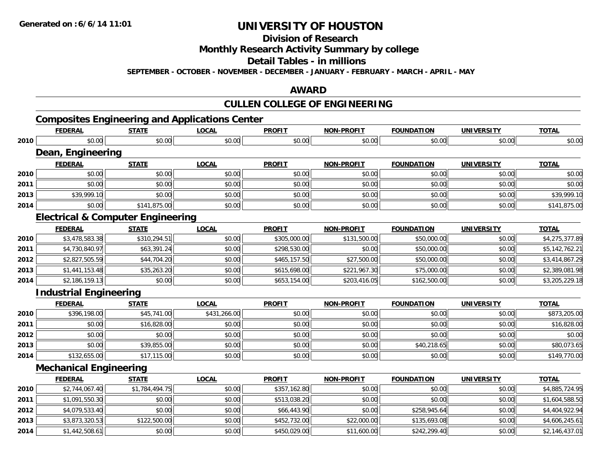**Division of Research**

**Monthly Research Activity Summary by college**

**Detail Tables - in millions**

**SEPTEMBER - OCTOBER - NOVEMBER - DECEMBER - JANUARY - FEBRUARY - MARCH - APRIL - MAY**

### **AWARD**

# **CULLEN COLLEGE OF ENGINEERING**

# **Composites Engineering and Applications Center**

|      | <b>FEDERAL</b>                               | <b>STATE</b>   | <b>LOCAL</b> | <b>PROFIT</b> | <b>NON-PROFIT</b> | <b>FOUNDATION</b> | <b>UNIVERSITY</b> | <b>TOTAL</b>   |
|------|----------------------------------------------|----------------|--------------|---------------|-------------------|-------------------|-------------------|----------------|
| 2010 | \$0.00                                       | \$0.00         | \$0.00       | \$0.00        | \$0.00            | \$0.00            | \$0.00            | \$0.00         |
|      | Dean, Engineering                            |                |              |               |                   |                   |                   |                |
|      | <b>FEDERAL</b>                               | <b>STATE</b>   | <b>LOCAL</b> | <b>PROFIT</b> | <b>NON-PROFIT</b> | <b>FOUNDATION</b> | <b>UNIVERSITY</b> | <b>TOTAL</b>   |
| 2010 | \$0.00                                       | \$0.00         | \$0.00       | \$0.00        | \$0.00            | \$0.00            | \$0.00            | \$0.00         |
| 2011 | \$0.00                                       | \$0.00         | \$0.00       | \$0.00        | \$0.00            | \$0.00            | \$0.00            | \$0.00         |
| 2013 | \$39,999.10                                  | \$0.00         | \$0.00       | \$0.00        | \$0.00            | \$0.00            | \$0.00            | \$39,999.10    |
| 2014 | \$0.00                                       | \$141,875.00   | \$0.00       | \$0.00        | \$0.00            | \$0.00            | \$0.00            | \$141,875.00   |
|      | <b>Electrical &amp; Computer Engineering</b> |                |              |               |                   |                   |                   |                |
|      | <b>FEDERAL</b>                               | <b>STATE</b>   | <b>LOCAL</b> | <b>PROFIT</b> | <b>NON-PROFIT</b> | <b>FOUNDATION</b> | <b>UNIVERSITY</b> | <b>TOTAL</b>   |
| 2010 | \$3,478,583.38                               | \$310,294.51   | \$0.00       | \$305,000.00  | \$131,500.00      | \$50,000.00       | \$0.00            | \$4,275,377.89 |
| 2011 | \$4,730,840.97                               | \$63,391.24    | \$0.00       | \$298,530.00  | \$0.00            | \$50,000.00       | \$0.00            | \$5,142,762.21 |
| 2012 | \$2,827,505.59                               | \$44,704.20    | \$0.00       | \$465,157.50  | \$27,500.00       | \$50,000.00       | \$0.00            | \$3,414,867.29 |
| 2013 | \$1,441,153.48                               | \$35,263.20    | \$0.00       | \$615,698.00  | \$221,967.30      | \$75,000.00       | \$0.00            | \$2,389,081.98 |
| 2014 | \$2,186,159.13                               | \$0.00         | \$0.00       | \$653,154.00  | \$203,416.05      | \$162,500.00      | \$0.00            | \$3,205,229.18 |
|      | <b>Industrial Engineering</b>                |                |              |               |                   |                   |                   |                |
|      | <b>FEDERAL</b>                               | <b>STATE</b>   | <b>LOCAL</b> | <b>PROFIT</b> | <b>NON-PROFIT</b> | <b>FOUNDATION</b> | <b>UNIVERSITY</b> | <b>TOTAL</b>   |
| 2010 | \$396,198.00                                 | \$45,741.00    | \$431,266.00 | \$0.00        | \$0.00            | \$0.00            | \$0.00            | \$873,205.00   |
| 2011 | \$0.00                                       | \$16,828.00    | \$0.00       | \$0.00        | \$0.00            | \$0.00            | \$0.00            | \$16,828.00    |
| 2012 | \$0.00                                       | \$0.00         | \$0.00       | \$0.00        | \$0.00            | \$0.00            | \$0.00            | \$0.00         |
| 2013 | \$0.00                                       | \$39,855.00    | \$0.00       | \$0.00        | \$0.00            | \$40,218.65       | \$0.00            | \$80,073.65    |
| 2014 | \$132,655.00                                 | \$17,115.00    | \$0.00       | \$0.00        | \$0.00            | \$0.00            | \$0.00            | \$149,770.00   |
|      | <b>Mechanical Engineering</b>                |                |              |               |                   |                   |                   |                |
|      | <b>FEDERAL</b>                               | <b>STATE</b>   | <b>LOCAL</b> | <b>PROFIT</b> | <b>NON-PROFIT</b> | <b>FOUNDATION</b> | <b>UNIVERSITY</b> | <b>TOTAL</b>   |
| 2010 | \$2,744,067.40                               | \$1,784,494.75 | \$0.00       | \$357,162.80  | \$0.00            | \$0.00            | \$0.00            | \$4,885,724.95 |
| 2011 | \$1,091,550.30                               | \$0.00         | \$0.00       | \$513,038.20  | \$0.00            | \$0.00            | \$0.00            | \$1,604,588.50 |
| 2012 | \$4,079,533.40                               | \$0.00         | \$0.00       | \$66,443.90   | \$0.00            | \$258,945.64      | \$0.00            | \$4,404,922.94 |
| 2013 | \$3,873,320.53                               | \$122,500.00   | \$0.00       | \$452,732.00  | \$22,000.00       | \$135,693.08      | \$0.00            | \$4,606,245.61 |
| 2014 | \$1,442,508.61                               | \$0.00         | \$0.00       | \$450,029.00  | \$11,600.00       | \$242,299.40      | \$0.00            | \$2,146,437.01 |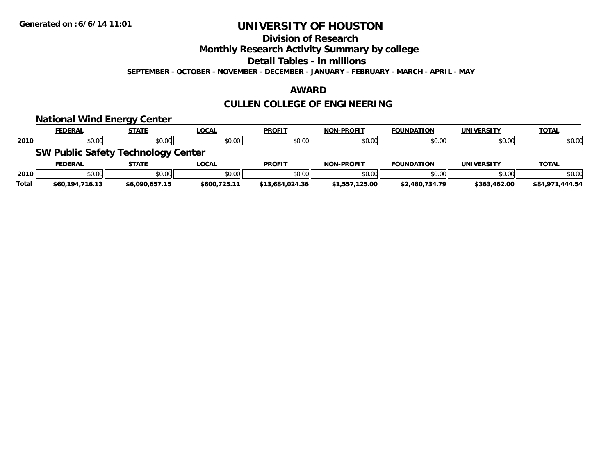## **Division of Research**

**Monthly Research Activity Summary by college**

**Detail Tables - in millions**

**SEPTEMBER - OCTOBER - NOVEMBER - DECEMBER - JANUARY - FEBRUARY - MARCH - APRIL - MAY**

### **AWARD**

# **CULLEN COLLEGE OF ENGINEERING**

|              | <b>National Wind Energy Center</b>        |                |              |                 |                   |                   |                   |                 |
|--------------|-------------------------------------------|----------------|--------------|-----------------|-------------------|-------------------|-------------------|-----------------|
|              | <b>FEDERAL</b>                            | <b>STATE</b>   | <u>LOCAL</u> | <b>PROFIT</b>   | <b>NON-PROFIT</b> | <b>FOUNDATION</b> | <b>UNIVERSITY</b> | <b>TOTAL</b>    |
| 2010         | \$0.00                                    | \$0.00         | \$0.00       | \$0.00          | \$0.00            | \$0.00            | \$0.00            | \$0.00          |
|              | <b>SW Public Safety Technology Center</b> |                |              |                 |                   |                   |                   |                 |
|              | <b>FEDERAL</b>                            | <b>STATE</b>   | <u>LOCAL</u> | <b>PROFIT</b>   | <b>NON-PROFIT</b> | <b>FOUNDATION</b> | <b>UNIVERSITY</b> | <b>TOTAL</b>    |
| 2010         | \$0.00                                    | \$0.00         | \$0.00       | \$0.00          | \$0.00            | \$0.00            | \$0.00            | \$0.00          |
| <b>Total</b> | \$60,194,716.13                           | \$6.090.657.15 | \$600.725.11 | \$13,684,024.36 | \$1,557,125.00    | \$2,480,734.79    | \$363,462.00      | \$84,971,444.54 |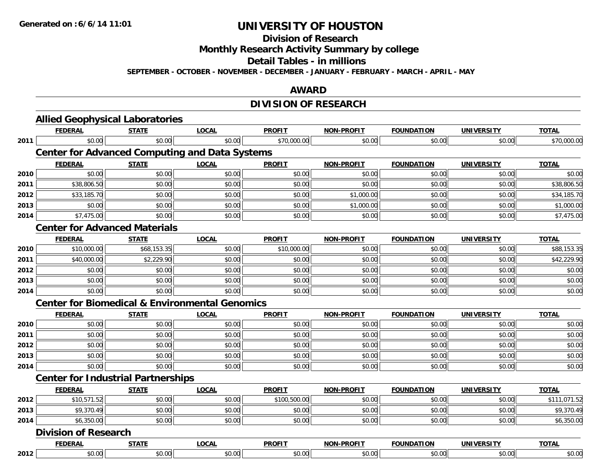**Division of Research**

**Monthly Research Activity Summary by college**

**Detail Tables - in millions**

**SEPTEMBER - OCTOBER - NOVEMBER - DECEMBER - JANUARY - FEBRUARY - MARCH - APRIL - MAY**

### **AWARD**

# **DIVISION OF RESEARCH**

|      | <b>Allied Geophysical Laboratories</b>                    |              |              |               |                   |                   |                   |              |
|------|-----------------------------------------------------------|--------------|--------------|---------------|-------------------|-------------------|-------------------|--------------|
|      | <b>FEDERAL</b>                                            | <b>STATE</b> | <b>LOCAL</b> | <b>PROFIT</b> | <b>NON-PROFIT</b> | <b>FOUNDATION</b> | <b>UNIVERSITY</b> | <b>TOTAL</b> |
| 2011 | \$0.00                                                    | \$0.00       | \$0.00       | \$70,000.00   | \$0.00            | \$0.00            | \$0.00            | \$70,000.00  |
|      | <b>Center for Advanced Computing and Data Systems</b>     |              |              |               |                   |                   |                   |              |
|      | <b>FEDERAL</b>                                            | <b>STATE</b> | <b>LOCAL</b> | <b>PROFIT</b> | <b>NON-PROFIT</b> | <b>FOUNDATION</b> | <b>UNIVERSITY</b> | <b>TOTAL</b> |
| 2010 | \$0.00                                                    | \$0.00       | \$0.00       | \$0.00        | \$0.00            | \$0.00            | \$0.00            | \$0.00       |
| 2011 | \$38,806.50                                               | \$0.00       | \$0.00       | \$0.00        | \$0.00            | \$0.00            | \$0.00            | \$38,806.50  |
| 2012 | \$33,185.70                                               | \$0.00       | \$0.00       | \$0.00        | \$1,000.00        | \$0.00            | \$0.00            | \$34,185.70  |
| 2013 | \$0.00                                                    | \$0.00       | \$0.00       | \$0.00        | \$1,000.00        | \$0.00            | \$0.00            | \$1,000.00   |
| 2014 | \$7,475.00                                                | \$0.00       | \$0.00       | \$0.00        | \$0.00            | \$0.00            | \$0.00            | \$7,475.00   |
|      | <b>Center for Advanced Materials</b>                      |              |              |               |                   |                   |                   |              |
|      | <b>FEDERAL</b>                                            | <b>STATE</b> | <b>LOCAL</b> | <b>PROFIT</b> | <b>NON-PROFIT</b> | <b>FOUNDATION</b> | <b>UNIVERSITY</b> | <b>TOTAL</b> |
| 2010 | \$10,000.00                                               | \$68,153.35  | \$0.00       | \$10,000.00   | \$0.00            | \$0.00            | \$0.00            | \$88,153.35  |
| 2011 | \$40,000.00                                               | \$2,229.90   | \$0.00       | \$0.00        | \$0.00            | \$0.00            | \$0.00            | \$42,229.90  |
| 2012 | \$0.00                                                    | \$0.00       | \$0.00       | \$0.00        | \$0.00            | \$0.00            | \$0.00            | \$0.00       |
| 2013 | \$0.00                                                    | \$0.00       | \$0.00       | \$0.00        | \$0.00            | \$0.00            | \$0.00            | \$0.00       |
| 2014 | \$0.00                                                    | \$0.00       | \$0.00       | \$0.00        | \$0.00            | \$0.00            | \$0.00            | \$0.00       |
|      | <b>Center for Biomedical &amp; Environmental Genomics</b> |              |              |               |                   |                   |                   |              |
|      | <b>FEDERAL</b>                                            | <b>STATE</b> | <b>LOCAL</b> | <b>PROFIT</b> | <b>NON-PROFIT</b> | <b>FOUNDATION</b> | <b>UNIVERSITY</b> | <b>TOTAL</b> |
| 2010 | \$0.00                                                    | \$0.00       | \$0.00       | \$0.00        | \$0.00            | \$0.00            | \$0.00            | \$0.00       |
| 2011 | \$0.00                                                    | \$0.00       | \$0.00       | \$0.00        | \$0.00            | \$0.00            | \$0.00            | \$0.00       |
| 2012 | \$0.00                                                    | \$0.00       | \$0.00       | \$0.00        | \$0.00            | \$0.00            | \$0.00            | \$0.00       |
| 2013 | \$0.00                                                    | \$0.00       | \$0.00       | \$0.00        | \$0.00            | \$0.00            | \$0.00            | \$0.00       |
| 2014 | \$0.00                                                    | \$0.00       | \$0.00       | \$0.00        | \$0.00            | \$0.00            | \$0.00            | \$0.00       |
|      | <b>Center for Industrial Partnerships</b>                 |              |              |               |                   |                   |                   |              |
|      | <b>FEDERAL</b>                                            | <b>STATE</b> | <b>LOCAL</b> | <b>PROFIT</b> | <b>NON-PROFIT</b> | <b>FOUNDATION</b> | <b>UNIVERSITY</b> | <b>TOTAL</b> |
| 2012 | \$10,571.52                                               | \$0.00       | \$0.00       | \$100,500.00  | \$0.00            | \$0.00            | \$0.00            | \$111,071.52 |
| 2013 | \$9,370.49                                                | \$0.00       | \$0.00       | \$0.00        | \$0.00            | \$0.00            | \$0.00            | \$9,370.49   |
| 2014 | \$6,350.00                                                | \$0.00       | \$0.00       | \$0.00        | \$0.00            | \$0.00            | \$0.00            | \$6,350.00   |
|      | <b>Division of Research</b>                               |              |              |               |                   |                   |                   |              |
|      | <b>FEDERAL</b>                                            | <b>STATE</b> | <b>LOCAL</b> | <b>PROFIT</b> | <b>NON-PROFIT</b> | <b>FOUNDATION</b> | <b>UNIVERSITY</b> | <b>TOTAL</b> |
| 2012 | \$0.00                                                    | \$0.00       | \$0.00       | \$0.00        | \$0.00            | \$0.00            | \$0.00            | \$0.00       |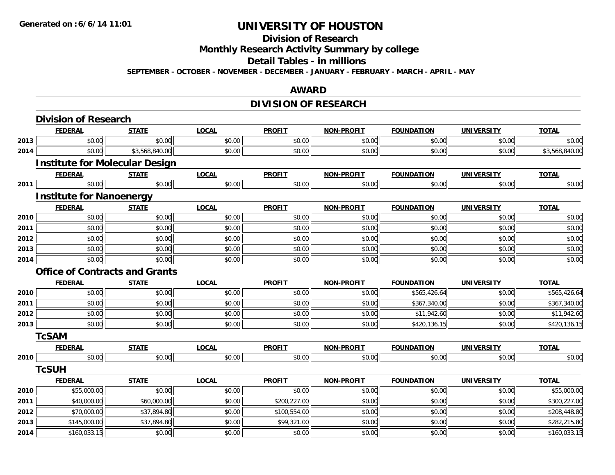# **Division of Research**

**Monthly Research Activity Summary by college**

**Detail Tables - in millions**

**SEPTEMBER - OCTOBER - NOVEMBER - DECEMBER - JANUARY - FEBRUARY - MARCH - APRIL - MAY**

### **AWARD**

# **DIVISION OF RESEARCH**

|      | <b>Division of Research</b>           |                |              |               |                   |                   |                   |                |
|------|---------------------------------------|----------------|--------------|---------------|-------------------|-------------------|-------------------|----------------|
|      | <b>FEDERAL</b>                        | <b>STATE</b>   | <b>LOCAL</b> | <b>PROFIT</b> | <b>NON-PROFIT</b> | <b>FOUNDATION</b> | <b>UNIVERSITY</b> | <b>TOTAL</b>   |
| 2013 | \$0.00                                | \$0.00         | \$0.00       | \$0.00        | \$0.00            | \$0.00            | \$0.00            | \$0.00         |
| 2014 | \$0.00                                | \$3,568,840.00 | \$0.00       | \$0.00        | \$0.00            | \$0.00            | \$0.00            | \$3,568,840.00 |
|      | <b>Institute for Molecular Design</b> |                |              |               |                   |                   |                   |                |
|      | <b>FEDERAL</b>                        | <b>STATE</b>   | <b>LOCAL</b> | <b>PROFIT</b> | <b>NON-PROFIT</b> | <b>FOUNDATION</b> | <b>UNIVERSITY</b> | <b>TOTAL</b>   |
| 2011 | \$0.00                                | \$0.00         | \$0.00       | \$0.00        | \$0.00            | \$0.00            | \$0.00            | \$0.00         |
|      | <b>Institute for Nanoenergy</b>       |                |              |               |                   |                   |                   |                |
|      | <b>FEDERAL</b>                        | <b>STATE</b>   | <b>LOCAL</b> | <b>PROFIT</b> | <b>NON-PROFIT</b> | <b>FOUNDATION</b> | <b>UNIVERSITY</b> | <b>TOTAL</b>   |
| 2010 | \$0.00                                | \$0.00         | \$0.00       | \$0.00        | \$0.00            | \$0.00            | \$0.00            | \$0.00         |
| 2011 | \$0.00                                | \$0.00         | \$0.00       | \$0.00        | \$0.00            | \$0.00            | \$0.00            | \$0.00         |
| 2012 | \$0.00                                | \$0.00         | \$0.00       | \$0.00        | \$0.00            | \$0.00            | \$0.00            | \$0.00         |
| 2013 | \$0.00                                | \$0.00         | \$0.00       | \$0.00        | \$0.00            | \$0.00            | \$0.00            | \$0.00         |
| 2014 | \$0.00                                | \$0.00         | \$0.00       | \$0.00        | \$0.00            | \$0.00            | \$0.00            | \$0.00         |
|      | <b>Office of Contracts and Grants</b> |                |              |               |                   |                   |                   |                |
|      | <b>FEDERAL</b>                        | <b>STATE</b>   | <b>LOCAL</b> | <b>PROFIT</b> | <b>NON-PROFIT</b> | <b>FOUNDATION</b> | <b>UNIVERSITY</b> | <b>TOTAL</b>   |
| 2010 | \$0.00                                | \$0.00         | \$0.00       | \$0.00        | \$0.00            | \$565,426.64      | \$0.00            | \$565,426.64   |
| 2011 | \$0.00                                | \$0.00         | \$0.00       | \$0.00        | \$0.00            | \$367,340.00      | \$0.00            | \$367,340.00   |
| 2012 | \$0.00                                | \$0.00         | \$0.00       | \$0.00        | \$0.00            | \$11,942.60       | \$0.00            | \$11,942.60    |
| 2013 | \$0.00                                | \$0.00         | \$0.00       | \$0.00        | \$0.00            | \$420,136.15      | \$0.00            | \$420,136.15   |
|      | <b>TcSAM</b>                          |                |              |               |                   |                   |                   |                |
|      | <b>FEDERAL</b>                        | <b>STATE</b>   | <b>LOCAL</b> | <b>PROFIT</b> | <b>NON-PROFIT</b> | <b>FOUNDATION</b> | <b>UNIVERSITY</b> | <b>TOTAL</b>   |
| 2010 | \$0.00                                | \$0.00         | \$0.00       | \$0.00        | \$0.00            | \$0.00            | \$0.00            | \$0.00         |
|      | <b>TcSUH</b>                          |                |              |               |                   |                   |                   |                |
|      | <b>FEDERAL</b>                        | <b>STATE</b>   | <b>LOCAL</b> | <b>PROFIT</b> | <b>NON-PROFIT</b> | <b>FOUNDATION</b> | <b>UNIVERSITY</b> | <b>TOTAL</b>   |
| 2010 | \$55,000.00                           | \$0.00         | \$0.00       | \$0.00        | \$0.00            | \$0.00            | \$0.00            | \$55,000.00    |
| 2011 | \$40,000.00                           | \$60,000.00    | \$0.00       | \$200,227.00  | \$0.00            | \$0.00            | \$0.00            | \$300,227.00   |
| 2012 | \$70,000.00                           | \$37,894.80    | \$0.00       | \$100,554.00  | \$0.00            | \$0.00            | \$0.00            | \$208,448.80   |
| 2013 | \$145,000.00                          | \$37,894.80    | \$0.00       | \$99,321.00   | \$0.00            | \$0.00            | \$0.00            | \$282,215.80   |
| 2014 | \$160,033.15                          | \$0.00         | \$0.00       | \$0.00        | \$0.00            | \$0.00            | \$0.00            | \$160,033.15   |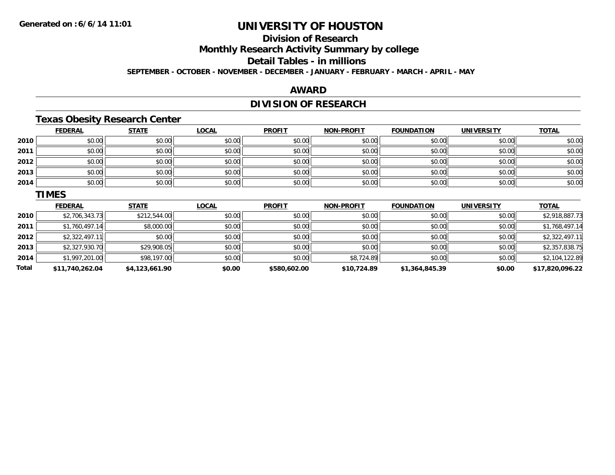# **Division of Research**

**Monthly Research Activity Summary by college**

**Detail Tables - in millions**

**SEPTEMBER - OCTOBER - NOVEMBER - DECEMBER - JANUARY - FEBRUARY - MARCH - APRIL - MAY**

### **AWARD**

# **DIVISION OF RESEARCH**

### **Texas Obesity Research Center**

|             | <b>FEDERAL</b>  | <b>STATE</b> | <b>LOCAL</b> | <b>PROFIT</b> | <b>NON-PROFIT</b> | <b>FOUNDATION</b> | <b>UNIVERSITY</b> | <b>TOTAL</b>    |
|-------------|-----------------|--------------|--------------|---------------|-------------------|-------------------|-------------------|-----------------|
| 2010        | \$0.00          | \$0.00       | \$0.00       | \$0.00        | \$0.00            | \$0.00            | \$0.00            | \$0.00          |
| 2011        | \$0.00          | \$0.00       | \$0.00       | \$0.00        | \$0.00            | \$0.00            | \$0.00            | \$0.00          |
| 2012        | \$0.00          | \$0.00       | \$0.00       | \$0.00        | \$0.00            | \$0.00            | \$0.00            | \$0.00          |
| 2013        | \$0.00          | \$0.00       | \$0.00       | \$0.00        | \$0.00            | \$0.00            | \$0.00            | \$0.00          |
| 2014        | \$0.00          | \$0.00       | \$0.00       | \$0.00        | \$0.00            | \$0.00            | \$0.00            | \$0.00          |
|             | <b>TIMES</b>    |              |              |               |                   |                   |                   |                 |
|             | <b>FEDERAL</b>  | <b>STATE</b> | <b>LOCAL</b> | <b>PROFIT</b> | <b>NON-PROFIT</b> | <b>FOUNDATION</b> | <b>UNIVERSITY</b> | <b>TOTAL</b>    |
| 2010        | \$2,706,343.73  | \$212,544.00 | \$0.00       | \$0.00        | \$0.00            | \$0.00            | \$0.00            | \$2,918,887.73  |
| <b>0044</b> | $A = 770.10711$ | 0.0000       | 0.00         | 0.00          | 0.00              | 0.00              | 0.00              | $A = 770.10734$ |

| <b>Total</b> | \$11,740,262.04 | \$4,123,661.90 | \$0.00 | \$580,602.00 | \$10,724.89 | \$1,364,845.39 | \$0.00 | \$17,820,096.22 |
|--------------|-----------------|----------------|--------|--------------|-------------|----------------|--------|-----------------|
| 2014         | \$1,997,201.00  | \$98,197.00    | \$0.00 | \$0.00       | \$8,724.89  | \$0.00         | \$0.00 | \$2,104,122.89  |
| 2013         | \$2,327,930.70  | \$29,908.05    | \$0.00 | \$0.00       | \$0.00      | \$0.00         | \$0.00 | \$2,357,838.75  |
| 2012         | \$2,322,497.11  | \$0.00         | \$0.00 | \$0.00       | \$0.00      | \$0.00         | \$0.00 | \$2,322,497.11  |
| 2011         | \$1,760,497.14  | \$8,000.00     | \$0.00 | \$0.00       | \$0.00      | \$0.00         | \$0.00 | \$1,768,497.14  |
|              |                 |                |        |              |             |                |        |                 |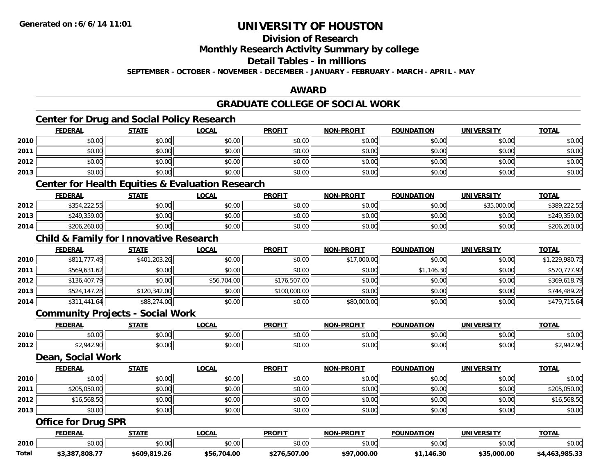# **Division of Research**

**Monthly Research Activity Summary by college**

**Detail Tables - in millions**

**SEPTEMBER - OCTOBER - NOVEMBER - DECEMBER - JANUARY - FEBRUARY - MARCH - APRIL - MAY**

### **AWARD**

# **GRADUATE COLLEGE OF SOCIAL WORK**

# **Center for Drug and Social Policy Research**

|       | <b>FEDERAL</b>                                    | <b>STATE</b> | <b>LOCAL</b>                                                | <b>PROFIT</b> | <b>NON-PROFIT</b> | <b>FOUNDATION</b> | <b>UNIVERSITY</b> | <b>TOTAL</b>   |
|-------|---------------------------------------------------|--------------|-------------------------------------------------------------|---------------|-------------------|-------------------|-------------------|----------------|
| 2010  | \$0.00                                            | \$0.00       | \$0.00                                                      | \$0.00        | \$0.00            | \$0.00            | \$0.00            | \$0.00         |
| 2011  | \$0.00                                            | \$0.00       | \$0.00                                                      | \$0.00        | \$0.00            | \$0.00            | \$0.00            | \$0.00         |
| 2012  | \$0.00                                            | \$0.00       | \$0.00                                                      | \$0.00        | \$0.00            | \$0.00            | \$0.00            | \$0.00         |
| 2013  | \$0.00                                            | \$0.00       | \$0.00                                                      | \$0.00        | \$0.00            | \$0.00            | \$0.00            | \$0.00         |
|       |                                                   |              | <b>Center for Health Equities &amp; Evaluation Research</b> |               |                   |                   |                   |                |
|       | <b>FEDERAL</b>                                    | <b>STATE</b> | <b>LOCAL</b>                                                | <b>PROFIT</b> | <b>NON-PROFIT</b> | <b>FOUNDATION</b> | <b>UNIVERSITY</b> | <b>TOTAL</b>   |
| 2012  | \$354,222.55                                      | \$0.00       | \$0.00                                                      | \$0.00        | \$0.00            | \$0.00            | \$35,000.00       | \$389,222.55   |
| 2013  | \$249,359.00                                      | \$0.00       | \$0.00                                                      | \$0.00        | \$0.00            | \$0.00            | \$0.00            | \$249,359.00   |
| 2014  | \$206,260.00                                      | \$0.00       | \$0.00                                                      | \$0.00        | \$0.00            | \$0.00            | \$0.00            | \$206,260.00   |
|       | <b>Child &amp; Family for Innovative Research</b> |              |                                                             |               |                   |                   |                   |                |
|       | <b>FEDERAL</b>                                    | <b>STATE</b> | <b>LOCAL</b>                                                | <b>PROFIT</b> | <b>NON-PROFIT</b> | <b>FOUNDATION</b> | <b>UNIVERSITY</b> | <b>TOTAL</b>   |
| 2010  | \$811,777.49                                      | \$401,203.26 | \$0.00                                                      | \$0.00        | \$17,000.00       | \$0.00            | \$0.00            | \$1,229,980.75 |
| 2011  | \$569,631.62                                      | \$0.00       | \$0.00                                                      | \$0.00        | \$0.00            | \$1,146.30        | \$0.00            | \$570,777.92   |
| 2012  | \$136,407.79                                      | \$0.00       | \$56,704.00                                                 | \$176,507.00  | \$0.00            | \$0.00            | \$0.00            | \$369,618.79   |
| 2013  | \$524,147.28                                      | \$120,342.00 | \$0.00                                                      | \$100,000.00  | \$0.00            | \$0.00            | \$0.00            | \$744,489.28   |
| 2014  | \$311,441.64                                      | \$88,274.00  | \$0.00                                                      | \$0.00        | \$80,000.00       | \$0.00            | \$0.00            | \$479,715.64   |
|       | <b>Community Projects - Social Work</b>           |              |                                                             |               |                   |                   |                   |                |
|       | <b>FEDERAL</b>                                    | <b>STATE</b> | <b>LOCAL</b>                                                | <b>PROFIT</b> | <b>NON-PROFIT</b> | <b>FOUNDATION</b> | <b>UNIVERSITY</b> | <b>TOTAL</b>   |
| 2010  | \$0.00                                            | \$0.00       | \$0.00                                                      | \$0.00        | \$0.00            | \$0.00            | \$0.00            | \$0.00         |
| 2012  | \$2,942.90                                        | \$0.00       | \$0.00                                                      | \$0.00        | \$0.00            | \$0.00            | \$0.00            | \$2,942.90     |
|       | Dean, Social Work                                 |              |                                                             |               |                   |                   |                   |                |
|       | <b>FEDERAL</b>                                    | <b>STATE</b> | <b>LOCAL</b>                                                | <b>PROFIT</b> | NON-PROFIT        | <b>FOUNDATION</b> | <b>UNIVERSITY</b> | <b>TOTAL</b>   |
| 2010  | \$0.00                                            | \$0.00       | \$0.00                                                      | \$0.00        | \$0.00            | \$0.00            | \$0.00            | \$0.00         |
| 2011  | \$205,050.00                                      | \$0.00       | \$0.00                                                      | \$0.00        | \$0.00            | \$0.00            | \$0.00            | \$205,050.00   |
| 2012  | \$16,568.50                                       | \$0.00       | \$0.00                                                      | \$0.00        | \$0.00            | \$0.00            | \$0.00            | \$16,568.50    |
| 2013  | \$0.00                                            | \$0.00       | \$0.00                                                      | \$0.00        | \$0.00            | \$0.00            | \$0.00            | \$0.00         |
|       | <b>Office for Drug SPR</b>                        |              |                                                             |               |                   |                   |                   |                |
|       | <b>FEDERAL</b>                                    | <b>STATE</b> | <b>LOCAL</b>                                                | <b>PROFIT</b> | <b>NON-PROFIT</b> | <b>FOUNDATION</b> | <b>UNIVERSITY</b> | <b>TOTAL</b>   |
| 2010  | \$0.00                                            | \$0.00       | \$0.00                                                      | \$0.00        | \$0.00            | \$0.00            | \$0.00            | \$0.00         |
| Total | \$3,387,808.77                                    | \$609,819.26 | \$56,704.00                                                 | \$276,507.00  | \$97,000.00       | \$1,146.30        | \$35,000.00       | \$4,463,985.33 |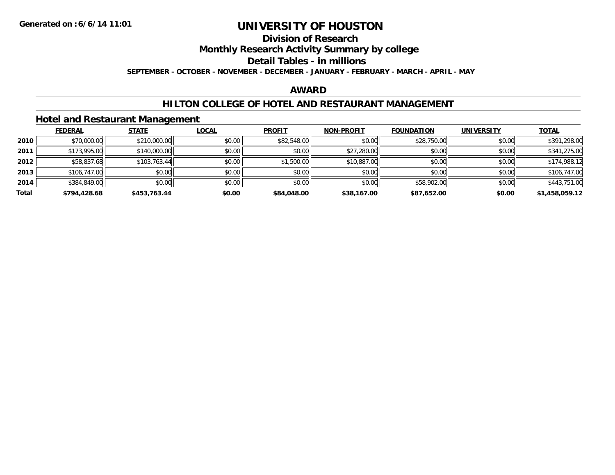# **Division of Research**

**Monthly Research Activity Summary by college**

#### **Detail Tables - in millions**

**SEPTEMBER - OCTOBER - NOVEMBER - DECEMBER - JANUARY - FEBRUARY - MARCH - APRIL - MAY**

### **AWARD**

### **HILTON COLLEGE OF HOTEL AND RESTAURANT MANAGEMENT**

### **Hotel and Restaurant Management**

|       | <b>FEDERAL</b> | <b>STATE</b> | <u>LOCAL</u> | <b>PROFIT</b> | <b>NON-PROFIT</b> | <b>FOUNDATION</b> | <b>UNIVERSITY</b> | <b>TOTAL</b>   |
|-------|----------------|--------------|--------------|---------------|-------------------|-------------------|-------------------|----------------|
| 2010  | \$70,000.00    | \$210,000.00 | \$0.00       | \$82,548.00   | \$0.00            | \$28,750.00       | \$0.00            | \$391,298.00   |
| 2011  | \$173,995.00   | \$140,000.00 | \$0.00       | \$0.00        | \$27,280.00       | \$0.00            | \$0.00            | \$341,275.00   |
| 2012  | \$58,837.68    | \$103,763.44 | \$0.00       | \$1,500.00    | \$10,887.00       | \$0.00            | \$0.00            | \$174,988.12   |
| 2013  | \$106,747.00   | \$0.00       | \$0.00       | \$0.00        | \$0.00            | \$0.00            | \$0.00            | \$106,747.00   |
| 2014  | \$384,849.00   | \$0.00       | \$0.00       | \$0.00        | \$0.00            | \$58,902.00       | \$0.00            | \$443,751.00   |
| Total | \$794,428.68   | \$453.763.44 | \$0.00       | \$84,048,00   | \$38,167.00       | \$87,652.00       | \$0.00            | \$1,458,059.12 |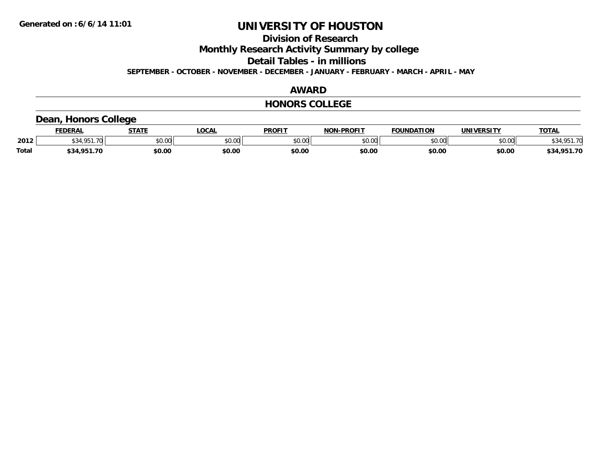**Division of Research**

**Monthly Research Activity Summary by college**

**Detail Tables - in millions**

**SEPTEMBER - OCTOBER - NOVEMBER - DECEMBER - JANUARY - FEBRUARY - MARCH - APRIL - MAY**

### **AWARD**

### **HONORS COLLEGE**

### **Dean, Honors College**

|              | <b>FEDERA</b>            | -----          | .OCAL                                                   | <b>PROFIT</b>            | <b>-PROFIT</b><br>NON                                                                   | חחד<br><b>JDAT</b> |                | <b>TOTAL</b> |
|--------------|--------------------------|----------------|---------------------------------------------------------|--------------------------|-----------------------------------------------------------------------------------------|--------------------|----------------|--------------|
| 2012         | $\overline{\phantom{a}}$ | 0.001<br>DU.UU | $\mathfrak{c}\cap\mathfrak{c}\cap\mathfrak{c}$<br>,u.uu | $\sim$ 0.0 $\sim$<br>υv. | $\begin{array}{c} \hline \text{A} & \text{A} & \text{B} \\ \hline \end{array}$<br>JU.UL | 0000<br>JU.UU      | 0.001<br>vv.vv |              |
| <b>Total</b> | ാറ<br>\$34.<br>ΩE        | \$0.00         | \$0.00                                                  | \$0.00                   | \$0.00                                                                                  | \$0.00             | \$0.00         | - 70<br>\$34 |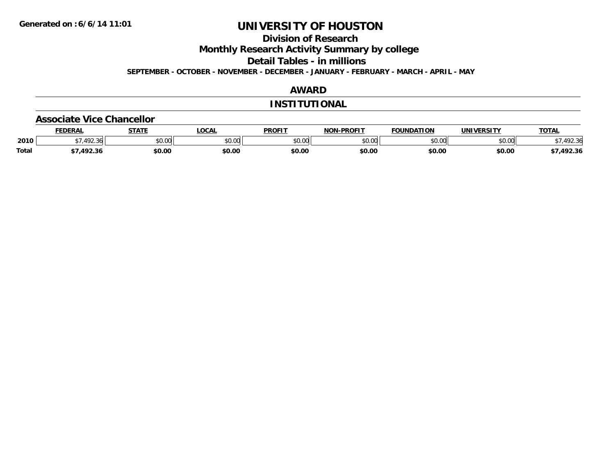**Division of Research**

**Monthly Research Activity Summary by college**

**Detail Tables - in millions**

**SEPTEMBER - OCTOBER - NOVEMBER - DECEMBER - JANUARY - FEBRUARY - MARCH - APRIL - MAY**

### **AWARD**

### **INSTITUTIONAL**

#### **Associate Vice Chancellor**

|              | <b>FEDERA</b>            | <b>STATE</b>  | .OCAL  | <b>PROFIT</b>           | -PROFIT<br>NON | <b>UNDATION</b> |               | <b>TOTAL</b>          |
|--------------|--------------------------|---------------|--------|-------------------------|----------------|-----------------|---------------|-----------------------|
| 2010         | $\sqrt{2}$<br>۔ مال کے ر | 0000<br>DU.UU | \$0.00 | 0 <sup>n</sup><br>JU.UL | 0000<br>JU.UL  | 0000<br>JU.UU   | 0000<br>vv.vv | $\sim$<br>יי<br>92.3t |
| <b>Total</b> | י ההו<br>2.3۱            | \$0.00        | \$0.00 | \$0.00                  | \$0.00         | \$0.00          | \$0.00        | 492.36.               |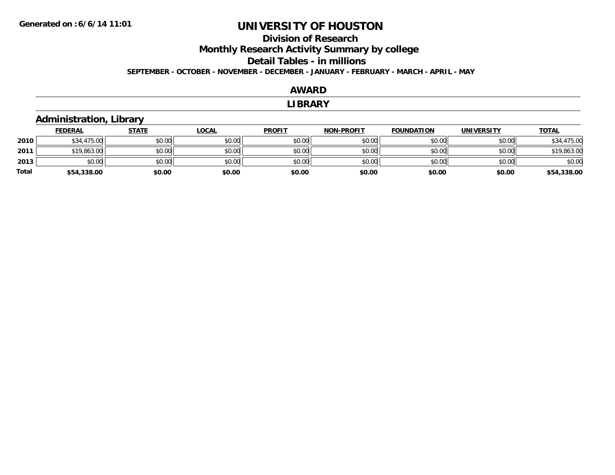## **Division of ResearchMonthly Research Activity Summary by college Detail Tables - in millions SEPTEMBER - OCTOBER - NOVEMBER - DECEMBER - JANUARY - FEBRUARY - MARCH - APRIL - MAY**

#### **AWARD**

#### **LIBRARY**

### **Administration, Library**

|       | <b>FEDERAL</b> | <b>STATE</b> | <b>LOCAL</b> | <b>PROFIT</b> | <b>NON-PROFIT</b> | <b>FOUNDATION</b> | <b>UNIVERSITY</b> | <b>TOTAL</b> |
|-------|----------------|--------------|--------------|---------------|-------------------|-------------------|-------------------|--------------|
| 2010  | \$34,475.00    | \$0.00       | \$0.00       | \$0.00        | \$0.00            | \$0.00            | \$0.00            | \$34,475.00  |
| 2011  | \$19,863.00    | \$0.00       | \$0.00       | \$0.00        | \$0.00            | \$0.00            | \$0.00            | \$19,863.00  |
| 2013  | \$0.00         | \$0.00       | \$0.00       | \$0.00        | \$0.00            | \$0.00            | \$0.00            | \$0.00       |
| Total | \$54,338.00    | \$0.00       | \$0.00       | \$0.00        | \$0.00            | \$0.00            | \$0.00            | \$54,338.00  |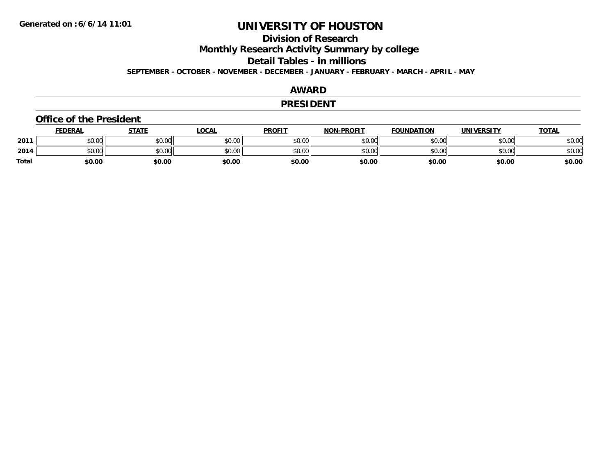## **Division of Research**

**Monthly Research Activity Summary by college**

**Detail Tables - in millions**

**SEPTEMBER - OCTOBER - NOVEMBER - DECEMBER - JANUARY - FEBRUARY - MARCH - APRIL - MAY**

#### **AWARD**

### **PRESIDENT**

#### **Office of the President**

|              | <b>FEDERAL</b> | STATE  | <b>LOCAL</b> | <b>PROFIT</b> | <b>NON-PROFIT</b> | <b>FOUNDATION</b> | UNIVERSITY | <u> ΤΟΤΑL</u> |
|--------------|----------------|--------|--------------|---------------|-------------------|-------------------|------------|---------------|
| 2011         | \$0.00         | \$0.00 | \$0.00       | \$0.00        | \$0.00            | \$0.00            | \$0.00     | \$0.00        |
| 2014         | \$0.00         | \$0.00 | \$0.00       | \$0.00        | \$0.00            | \$0.00            | \$0.00     | \$0.00        |
| <b>Total</b> | \$0.00         | \$0.00 | \$0.00       | \$0.00        | \$0.00            | \$0.00            | \$0.00     | \$0.00        |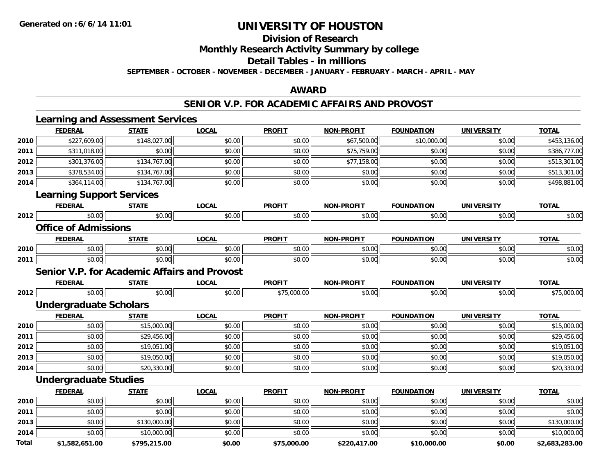**Division of Research**

**Monthly Research Activity Summary by college**

**Detail Tables - in millions**

**SEPTEMBER - OCTOBER - NOVEMBER - DECEMBER - JANUARY - FEBRUARY - MARCH - APRIL - MAY**

### **AWARD**

### **SENIOR V.P. FOR ACADEMIC AFFAIRS AND PROVOST**

|              | <b>Learning and Assessment Services</b>             |              |              |               |                   |                   |                   |                |
|--------------|-----------------------------------------------------|--------------|--------------|---------------|-------------------|-------------------|-------------------|----------------|
|              | <b>FEDERAL</b>                                      | <b>STATE</b> | <b>LOCAL</b> | <b>PROFIT</b> | <b>NON-PROFIT</b> | <b>FOUNDATION</b> | <b>UNIVERSITY</b> | <b>TOTAL</b>   |
| 2010         | \$227,609.00                                        | \$148,027.00 | \$0.00       | \$0.00        | \$67,500.00       | \$10,000.00       | \$0.00            | \$453,136.00   |
| 2011         | \$311,018.00                                        | \$0.00       | \$0.00       | \$0.00        | \$75,759.00       | \$0.00            | \$0.00            | \$386,777.00   |
| 2012         | \$301,376.00                                        | \$134,767.00 | \$0.00       | \$0.00        | \$77,158.00       | \$0.00            | \$0.00            | \$513,301.00   |
| 2013         | \$378,534.00                                        | \$134,767.00 | \$0.00       | \$0.00        | \$0.00            | \$0.00            | \$0.00            | \$513,301.00   |
| 2014         | \$364,114.00                                        | \$134,767.00 | \$0.00       | \$0.00        | \$0.00            | \$0.00            | \$0.00            | \$498,881.00   |
|              | <b>Learning Support Services</b>                    |              |              |               |                   |                   |                   |                |
|              | <b>FEDERAL</b>                                      | <b>STATE</b> | <b>LOCAL</b> | <b>PROFIT</b> | NON-PROFIT        | <b>FOUNDATION</b> | <b>UNIVERSITY</b> | <b>TOTAL</b>   |
| 2012         | \$0.00                                              | \$0.00       | \$0.00       | \$0.00        | \$0.00            | \$0.00            | \$0.00            | \$0.00         |
|              | <b>Office of Admissions</b>                         |              |              |               |                   |                   |                   |                |
|              | <b>FEDERAL</b>                                      | <b>STATE</b> | <b>LOCAL</b> | <b>PROFIT</b> | <b>NON-PROFIT</b> | <b>FOUNDATION</b> | <b>UNIVERSITY</b> | <b>TOTAL</b>   |
| 2010         | \$0.00                                              | \$0.00       | \$0.00       | \$0.00        | \$0.00            | \$0.00            | \$0.00            | \$0.00         |
| 2011         | \$0.00                                              | \$0.00       | \$0.00       | \$0.00        | \$0.00            | \$0.00            | \$0.00            | \$0.00         |
|              | <b>Senior V.P. for Academic Affairs and Provost</b> |              |              |               |                   |                   |                   |                |
|              | <b>FEDERAL</b>                                      | <b>STATE</b> | <b>LOCAL</b> | <b>PROFIT</b> | <b>NON-PROFIT</b> | <b>FOUNDATION</b> | <b>UNIVERSITY</b> | <b>TOTAL</b>   |
| 2012         | \$0.00                                              | \$0.00       | \$0.00       | \$75,000.00   | \$0.00            | \$0.00            | \$0.00            | \$75,000.00    |
|              | <b>Undergraduate Scholars</b>                       |              |              |               |                   |                   |                   |                |
|              | <b>FEDERAL</b>                                      | <b>STATE</b> | <b>LOCAL</b> | <b>PROFIT</b> | <b>NON-PROFIT</b> | <b>FOUNDATION</b> | <b>UNIVERSITY</b> | <b>TOTAL</b>   |
| 2010         | \$0.00                                              | \$15,000.00  | \$0.00       | \$0.00        | \$0.00            | \$0.00            | \$0.00            | \$15,000.00    |
| 2011         | \$0.00                                              | \$29,456.00  | \$0.00       | \$0.00        | \$0.00            | \$0.00            | \$0.00            | \$29,456.00    |
| 2012         | \$0.00                                              | \$19,051.00  | \$0.00       | \$0.00        | \$0.00            | \$0.00            | \$0.00            | \$19,051.00    |
| 2013         | \$0.00                                              | \$19,050.00  | \$0.00       | \$0.00        | \$0.00            | \$0.00            | \$0.00            | \$19,050.00    |
| 2014         | \$0.00                                              | \$20,330.00  | \$0.00       | \$0.00        | \$0.00            | \$0.00            | \$0.00            | \$20,330.00    |
|              | <b>Undergraduate Studies</b>                        |              |              |               |                   |                   |                   |                |
|              | <b>FEDERAL</b>                                      | <b>STATE</b> | <b>LOCAL</b> | <b>PROFIT</b> | <b>NON-PROFIT</b> | <b>FOUNDATION</b> | <b>UNIVERSITY</b> | <b>TOTAL</b>   |
| 2010         | \$0.00                                              | \$0.00       | \$0.00       | \$0.00        | \$0.00            | \$0.00            | \$0.00            | \$0.00         |
| 2011         | \$0.00                                              | \$0.00       | \$0.00       | \$0.00        | \$0.00            | \$0.00            | \$0.00            | \$0.00         |
| 2013         | \$0.00                                              | \$130,000.00 | \$0.00       | \$0.00        | \$0.00            | \$0.00            | \$0.00            | \$130,000.00   |
| 2014         | \$0.00                                              | \$10,000.00  | \$0.00       | \$0.00        | \$0.00            | \$0.00            | \$0.00            | \$10,000.00    |
| <b>Total</b> | \$1.582.651.00                                      | \$795.215.00 | \$0.00       | \$75.000.00   | \$220.417.00      | \$10,000.00       | \$0.00            | \$2.683.283.00 |

**\$1,582,651.00 \$795,215.00 \$0.00 \$75,000.00 \$220,417.00 \$10,000.00 \$0.00 \$2,683,283.00**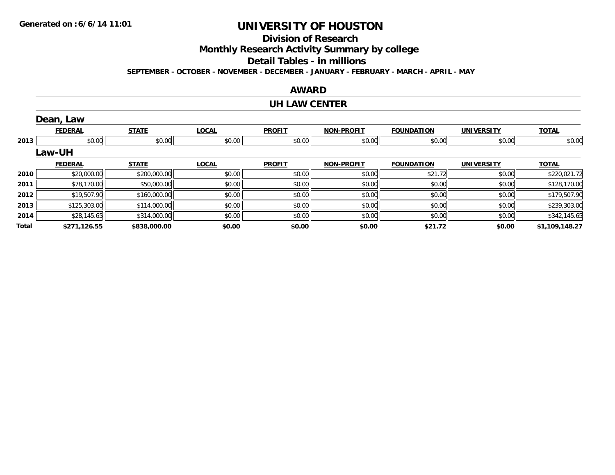## **Division of Research**

**Monthly Research Activity Summary by college**

**Detail Tables - in millions**

**SEPTEMBER - OCTOBER - NOVEMBER - DECEMBER - JANUARY - FEBRUARY - MARCH - APRIL - MAY**

### **AWARD**

#### **UH LAW CENTER**

|       | Dean, Law      |              |              |               |                   |                   |                   |                |
|-------|----------------|--------------|--------------|---------------|-------------------|-------------------|-------------------|----------------|
|       | <b>FEDERAL</b> | <b>STATE</b> | <b>LOCAL</b> | <b>PROFIT</b> | NON-PROFIT        | <b>FOUNDATION</b> | <b>UNIVERSITY</b> | <b>TOTAL</b>   |
| 2013  | \$0.00         | \$0.00       | \$0.00       | \$0.00        | \$0.00            | \$0.00            | \$0.00            | \$0.00         |
|       | <b>Law-UH</b>  |              |              |               |                   |                   |                   |                |
|       | <b>FEDERAL</b> | <b>STATE</b> | <b>LOCAL</b> | <b>PROFIT</b> | <b>NON-PROFIT</b> | <b>FOUNDATION</b> | <b>UNIVERSITY</b> | <b>TOTAL</b>   |
| 2010  | \$20,000.00    | \$200,000.00 | \$0.00       | \$0.00        | \$0.00            | \$21.72           | \$0.00            | \$220,021.72   |
| 2011  | \$78,170.00    | \$50,000.00  | \$0.00       | \$0.00        | \$0.00            | \$0.00            | \$0.00            | \$128,170.00   |
| 2012  | \$19,507.90    | \$160,000.00 | \$0.00       | \$0.00        | \$0.00            | \$0.00            | \$0.00            | \$179,507.90   |
| 2013  | \$125,303.00   | \$114,000.00 | \$0.00       | \$0.00        | \$0.00            | \$0.00            | \$0.00            | \$239,303.00   |
| 2014  | \$28,145.65    | \$314,000.00 | \$0.00       | \$0.00        | \$0.00            | \$0.00            | \$0.00            | \$342,145.65   |
| Total | \$271,126.55   | \$838,000.00 | \$0.00       | \$0.00        | \$0.00            | \$21.72           | \$0.00            | \$1,109,148.27 |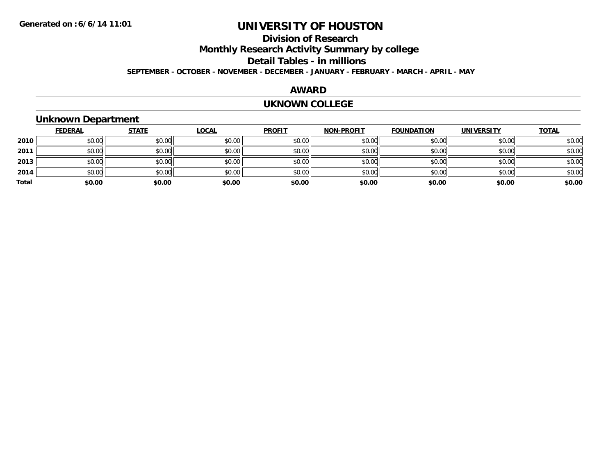## **Division of ResearchMonthly Research Activity Summary by college Detail Tables - in millions SEPTEMBER - OCTOBER - NOVEMBER - DECEMBER - JANUARY - FEBRUARY - MARCH - APRIL - MAY**

#### **AWARD**

#### **UKNOWN COLLEGE**

## **Unknown Department**

|       | <b>FEDERAL</b> | <b>STATE</b> | <b>LOCAL</b> | <b>PROFIT</b> | <b>NON-PROFIT</b> | <b>FOUNDATION</b> | <b>UNIVERSITY</b> | <b>TOTAL</b> |
|-------|----------------|--------------|--------------|---------------|-------------------|-------------------|-------------------|--------------|
| 2010  | \$0.00         | \$0.00       | \$0.00       | \$0.00        | \$0.00            | \$0.00            | \$0.00            | \$0.00       |
| 2011  | \$0.00         | \$0.00       | \$0.00       | \$0.00        | \$0.00            | \$0.00            | \$0.00            | \$0.00       |
| 2013  | \$0.00         | \$0.00       | \$0.00       | \$0.00        | \$0.00            | \$0.00            | \$0.00            | \$0.00       |
| 2014  | \$0.00         | \$0.00       | \$0.00       | \$0.00        | \$0.00            | \$0.00            | \$0.00            | \$0.00       |
| Total | \$0.00         | \$0.00       | \$0.00       | \$0.00        | \$0.00            | \$0.00            | \$0.00            | \$0.00       |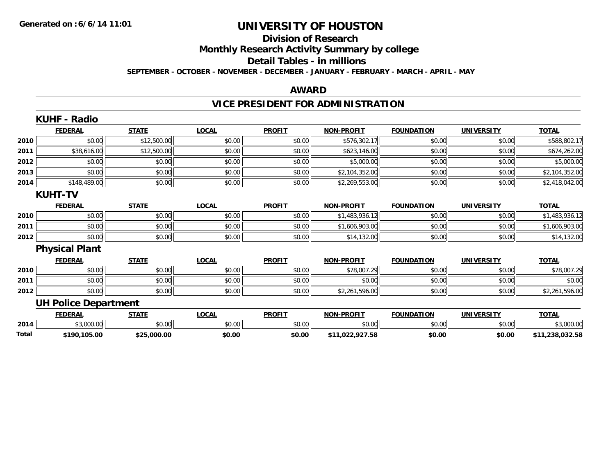### **Division of Research**

**Monthly Research Activity Summary by college**

**Detail Tables - in millions**

**SEPTEMBER - OCTOBER - NOVEMBER - DECEMBER - JANUARY - FEBRUARY - MARCH - APRIL - MAY**

#### **AWARD**

# **VICE PRESIDENT FOR ADMINISTRATION**

|       | <b>KUHF - Radio</b>         |              |              |               |                   |                   |                   |                 |
|-------|-----------------------------|--------------|--------------|---------------|-------------------|-------------------|-------------------|-----------------|
|       | <b>FEDERAL</b>              | <b>STATE</b> | <b>LOCAL</b> | <b>PROFIT</b> | <b>NON-PROFIT</b> | <b>FOUNDATION</b> | <b>UNIVERSITY</b> | <b>TOTAL</b>    |
| 2010  | \$0.00                      | \$12,500.00  | \$0.00       | \$0.00        | \$576,302.17      | \$0.00            | \$0.00            | \$588,802.17    |
| 2011  | \$38,616.00                 | \$12,500.00  | \$0.00       | \$0.00        | \$623,146.00      | \$0.00            | \$0.00            | \$674,262.00    |
| 2012  | \$0.00                      | \$0.00       | \$0.00       | \$0.00        | \$5,000.00        | \$0.00            | \$0.00            | \$5,000.00      |
| 2013  | \$0.00                      | \$0.00       | \$0.00       | \$0.00        | \$2,104,352.00    | \$0.00            | \$0.00            | \$2,104,352.00  |
| 2014  | \$148,489.00                | \$0.00       | \$0.00       | \$0.00        | \$2,269,553.00    | \$0.00            | \$0.00            | \$2,418,042.00  |
|       | <b>KUHT-TV</b>              |              |              |               |                   |                   |                   |                 |
|       | <b>FEDERAL</b>              | <b>STATE</b> | <b>LOCAL</b> | <b>PROFIT</b> | <b>NON-PROFIT</b> | <b>FOUNDATION</b> | <b>UNIVERSITY</b> | <b>TOTAL</b>    |
| 2010  | \$0.00                      | \$0.00       | \$0.00       | \$0.00        | \$1,483,936.12    | \$0.00            | \$0.00            | \$1,483,936.12  |
| 2011  | \$0.00                      | \$0.00       | \$0.00       | \$0.00        | \$1,606,903.00    | \$0.00            | \$0.00            | \$1,606,903.00  |
| 2012  | \$0.00                      | \$0.00       | \$0.00       | \$0.00        | \$14,132.00       | \$0.00            | \$0.00            | \$14,132.00     |
|       | <b>Physical Plant</b>       |              |              |               |                   |                   |                   |                 |
|       | <b>FEDERAL</b>              | <b>STATE</b> | <b>LOCAL</b> | <b>PROFIT</b> | <b>NON-PROFIT</b> | <b>FOUNDATION</b> | <b>UNIVERSITY</b> | <b>TOTAL</b>    |
| 2010  | \$0.00                      | \$0.00       | \$0.00       | \$0.00        | \$78,007.29       | \$0.00            | \$0.00            | \$78,007.29     |
| 2011  | \$0.00                      | \$0.00       | \$0.00       | \$0.00        | \$0.00            | \$0.00            | \$0.00            | \$0.00          |
| 2012  | \$0.00                      | \$0.00       | \$0.00       | \$0.00        | \$2,261,596.00    | \$0.00            | \$0.00            | \$2,261,596.00  |
|       | <b>UH Police Department</b> |              |              |               |                   |                   |                   |                 |
|       | <b>FEDERAL</b>              | <b>STATE</b> | <b>LOCAL</b> | <b>PROFIT</b> | <b>NON-PROFIT</b> | <b>FOUNDATION</b> | <b>UNIVERSITY</b> | <b>TOTAL</b>    |
| 2014  | \$3,000.00                  | \$0.00       | \$0.00       | \$0.00        | \$0.00            | \$0.00            | \$0.00            | \$3,000.00      |
| Total | \$190,105.00                | \$25,000.00  | \$0.00       | \$0.00        | \$11,022,927.58   | \$0.00            | \$0.00            | \$11,238,032.58 |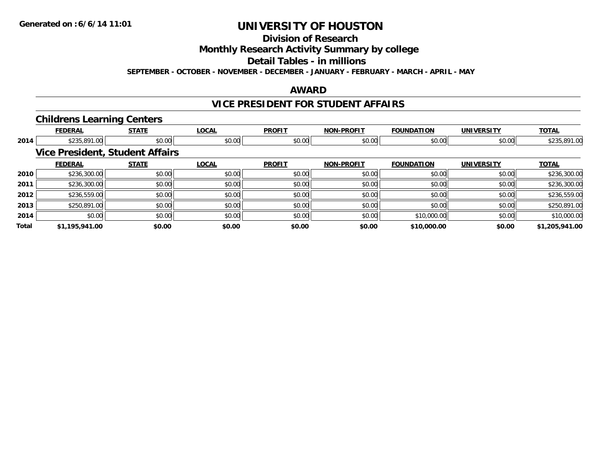**Division of Research**

**Monthly Research Activity Summary by college**

**Detail Tables - in millions**

**SEPTEMBER - OCTOBER - NOVEMBER - DECEMBER - JANUARY - FEBRUARY - MARCH - APRIL - MAY**

### **AWARD**

## **VICE PRESIDENT FOR STUDENT AFFAIRS**

### **Childrens Learning Centers**

|       | <b>FEDERAL</b> | <b>STATE</b>                           | <b>LOCAL</b> | <b>PROFIT</b> | <b>NON-PROFIT</b> | <b>FOUNDATION</b> | <b>UNIVERSITY</b> | <b>TOTAL</b>   |
|-------|----------------|----------------------------------------|--------------|---------------|-------------------|-------------------|-------------------|----------------|
| 2014  | \$235,891.00   | \$0.00                                 | \$0.00       | \$0.00        | \$0.00            | \$0.00            | \$0.00            | \$235,891.00   |
|       |                | <b>Vice President, Student Affairs</b> |              |               |                   |                   |                   |                |
|       | <b>FEDERAL</b> | <b>STATE</b>                           | <b>LOCAL</b> | <b>PROFIT</b> | <b>NON-PROFIT</b> | <b>FOUNDATION</b> | <b>UNIVERSITY</b> | <b>TOTAL</b>   |
| 2010  | \$236,300.00   | \$0.00                                 | \$0.00       | \$0.00        | \$0.00            | \$0.00            | \$0.00            | \$236,300.00   |
| 2011  | \$236,300.00   | \$0.00                                 | \$0.00       | \$0.00        | \$0.00            | \$0.00            | \$0.00            | \$236,300.00   |
| 2012  | \$236,559.00   | \$0.00                                 | \$0.00       | \$0.00        | \$0.00            | \$0.00            | \$0.00            | \$236,559.00   |
| 2013  | \$250,891.00   | \$0.00                                 | \$0.00       | \$0.00        | \$0.00            | \$0.00            | \$0.00            | \$250,891.00   |
| 2014  | \$0.00         | \$0.00                                 | \$0.00       | \$0.00        | \$0.00            | \$10,000.00       | \$0.00            | \$10,000.00    |
| Total | \$1,195,941.00 | \$0.00                                 | \$0.00       | \$0.00        | \$0.00            | \$10,000.00       | \$0.00            | \$1,205,941.00 |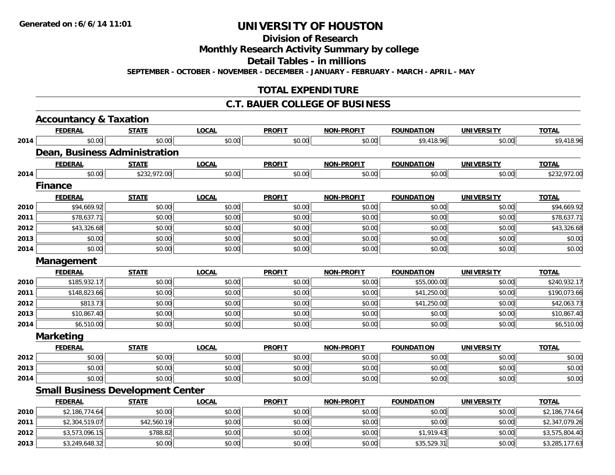**Division of Research**

**Monthly Research Activity Summary by college**

**Detail Tables - in millions**

**SEPTEMBER - OCTOBER - NOVEMBER - DECEMBER - JANUARY - FEBRUARY - MARCH - APRIL - MAY**

## **TOTAL EXPENDITURE**

### **C.T. BAUER COLLEGE OF BUSINESS**

|      | <b>Accountancy &amp; Taxation</b>        |              |              |               |                   |                   |                   |                |
|------|------------------------------------------|--------------|--------------|---------------|-------------------|-------------------|-------------------|----------------|
|      | <b>FEDERAL</b>                           | <b>STATE</b> | <b>LOCAL</b> | <b>PROFIT</b> | <b>NON-PROFIT</b> | <b>FOUNDATION</b> | <b>UNIVERSITY</b> | <b>TOTAL</b>   |
| 2014 | \$0.00                                   | \$0.00       | \$0.00       | \$0.00        | \$0.00            | \$9,418.96        | \$0.00            | \$9,418.96     |
|      | <b>Dean, Business Administration</b>     |              |              |               |                   |                   |                   |                |
|      | <b>FEDERAL</b>                           | <b>STATE</b> | <b>LOCAL</b> | <b>PROFIT</b> | <b>NON-PROFIT</b> | <b>FOUNDATION</b> | <b>UNIVERSITY</b> | <b>TOTAL</b>   |
| 2014 | \$0.00                                   | \$232,972.00 | \$0.00       | \$0.00        | \$0.00            | \$0.00            | \$0.00            | \$232,972.00   |
|      | <b>Finance</b>                           |              |              |               |                   |                   |                   |                |
|      | <b>FEDERAL</b>                           | <b>STATE</b> | <b>LOCAL</b> | <b>PROFIT</b> | <b>NON-PROFIT</b> | <b>FOUNDATION</b> | <b>UNIVERSITY</b> | <b>TOTAL</b>   |
| 2010 | \$94,669.92                              | \$0.00       | \$0.00       | \$0.00        | \$0.00            | \$0.00            | \$0.00            | \$94,669.92    |
| 2011 | \$78,637.71                              | \$0.00       | \$0.00       | \$0.00        | \$0.00            | \$0.00            | \$0.00            | \$78,637.71    |
| 2012 | \$43,326.68                              | \$0.00       | \$0.00       | \$0.00        | \$0.00            | \$0.00            | \$0.00            | \$43,326.68    |
| 2013 | \$0.00                                   | \$0.00       | \$0.00       | \$0.00        | \$0.00            | \$0.00            | \$0.00            | \$0.00         |
| 2014 | \$0.00                                   | \$0.00       | \$0.00       | \$0.00        | \$0.00            | \$0.00            | \$0.00            | \$0.00         |
|      | Management                               |              |              |               |                   |                   |                   |                |
|      | <b>FEDERAL</b>                           | <b>STATE</b> | <b>LOCAL</b> | <b>PROFIT</b> | <b>NON-PROFIT</b> | <b>FOUNDATION</b> | <b>UNIVERSITY</b> | <b>TOTAL</b>   |
| 2010 | \$185,932.17                             | \$0.00       | \$0.00       | \$0.00        | \$0.00            | \$55,000.00       | \$0.00            | \$240,932.17   |
| 2011 | \$148,823.66                             | \$0.00       | \$0.00       | \$0.00        | \$0.00            | \$41,250.00       | \$0.00            | \$190,073.66   |
| 2012 | \$813.73                                 | \$0.00       | \$0.00       | \$0.00        | \$0.00            | \$41,250.00       | \$0.00            | \$42,063.73    |
| 2013 | \$10,867.40                              | \$0.00       | \$0.00       | \$0.00        | \$0.00            | \$0.00            | \$0.00            | \$10,867.40    |
| 2014 | \$6,510.00                               | \$0.00       | \$0.00       | \$0.00        | \$0.00            | \$0.00            | \$0.00            | \$6,510.00     |
|      | <b>Marketing</b>                         |              |              |               |                   |                   |                   |                |
|      | <b>FEDERAL</b>                           | <b>STATE</b> | <b>LOCAL</b> | <b>PROFIT</b> | <b>NON-PROFIT</b> | <b>FOUNDATION</b> | <b>UNIVERSITY</b> | <b>TOTAL</b>   |
| 2012 | \$0.00                                   | \$0.00       | \$0.00       | \$0.00        | \$0.00            | \$0.00            | \$0.00            | \$0.00         |
| 2013 | \$0.00                                   | \$0.00       | \$0.00       | \$0.00        | \$0.00            | \$0.00            | \$0.00            | \$0.00         |
| 2014 | \$0.00                                   | \$0.00       | \$0.00       | \$0.00        | \$0.00            | \$0.00            | \$0.00            | \$0.00         |
|      | <b>Small Business Development Center</b> |              |              |               |                   |                   |                   |                |
|      | <b>FEDERAL</b>                           | <b>STATE</b> | <b>LOCAL</b> | <b>PROFIT</b> | <b>NON-PROFIT</b> | <b>FOUNDATION</b> | <b>UNIVERSITY</b> | <b>TOTAL</b>   |
| 2010 | \$2,186,774.64                           | \$0.00       | \$0.00       | \$0.00        | \$0.00            | \$0.00            | \$0.00            | \$2,186,774.64 |
| 2011 | \$2,304,519.07                           | \$42,560.19  | \$0.00       | \$0.00        | \$0.00            | \$0.00            | \$0.00            | \$2,347,079.26 |
| 2012 | \$3,573,096.15                           | \$788.82     | \$0.00       | \$0.00        | \$0.00            | \$1,919.43        | \$0.00            | \$3,575,804.40 |
| 2013 | \$3,249,648.32                           | \$0.00       | \$0.00       | \$0.00        | \$0.00            | \$35,529.31       | \$0.00            | \$3,285,177.63 |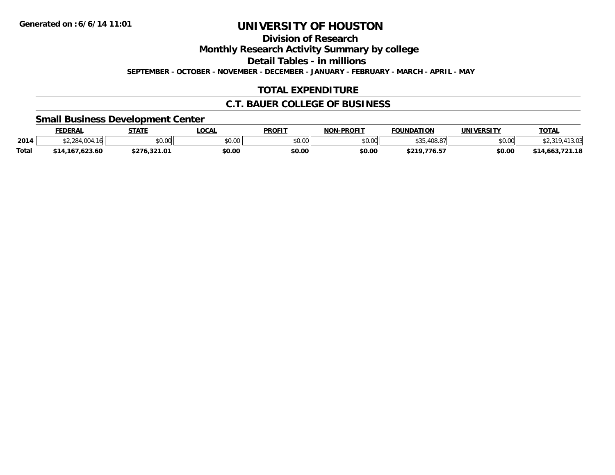**Division of Research**

**Monthly Research Activity Summary by college**

**Detail Tables - in millions**

**SEPTEMBER - OCTOBER - NOVEMBER - DECEMBER - JANUARY - FEBRUARY - MARCH - APRIL - MAY**

## **TOTAL EXPENDITURE**

### **C.T. BAUER COLLEGE OF BUSINESS**

### **Small Business Development Center**

|              | <b>FEDERAL</b>      | <b>STATE</b>        | LOCAL  | <b>PROFIT</b>  | <b>NON-PROFIT</b> | <b>FOUNDATION</b> | <b>UNIVERSITY</b> | <b>TOTAL</b>        |
|--------------|---------------------|---------------------|--------|----------------|-------------------|-------------------|-------------------|---------------------|
| 2014         | 16<br>4.004<br>.    | \$0.00              | \$0.00 | ≮N UV<br>JU.UU | \$0.00            | よつに<br>.408.87    | \$0.00            | 11000<br><b>210</b> |
| <b>Total</b> | ,167,623.60<br>\$14 | 221.01<br>70.JZ 1.U | \$0.00 | \$0.00         | \$0.00            | \$219,776.57      | \$0.00            | \$14,663,721.18     |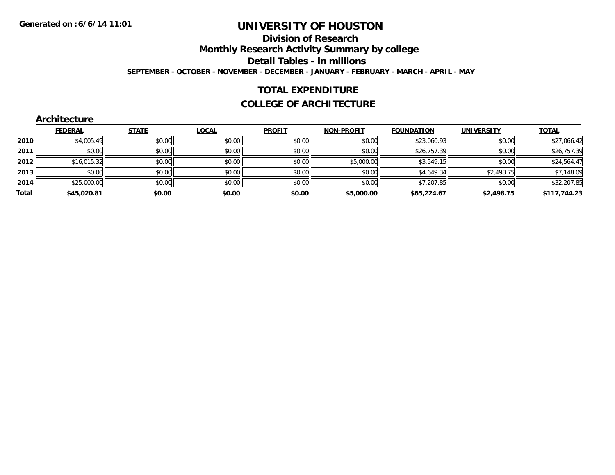#### **Division of Research**

**Monthly Research Activity Summary by college**

**Detail Tables - in millions**

**SEPTEMBER - OCTOBER - NOVEMBER - DECEMBER - JANUARY - FEBRUARY - MARCH - APRIL - MAY**

### **TOTAL EXPENDITURE**

### **COLLEGE OF ARCHITECTURE**

| <b>FEDERAL</b><br><b>STATE</b><br><b>TOTAL</b><br><b>LOCAL</b><br><b>PROFIT</b><br><b>FOUNDATION</b><br><b>NON-PROFIT</b><br><b>UNIVERSITY</b><br>\$23,060.93<br>\$0.00<br>\$0.00<br>\$0.00<br>\$0.00<br>\$4,005.49<br>\$0.00<br>2010<br>\$0.00<br>\$0.00<br>\$26,757.39<br>\$0.00<br>\$0.00<br>\$0.00<br>\$0.00<br>2011<br>\$0.00<br>\$5,000.00<br>\$0.00<br>\$0.00<br>\$0.00<br>\$3,549.15<br>\$16,015.32<br>2012<br>\$4,649.34<br>\$0.00<br>\$2,498.75<br>\$0.00<br>\$0.00<br>\$0.00<br>\$0.00<br>2013<br>\$7,207.85<br>\$0.00<br>\$0.00<br>\$0.00<br>\$25,000.00<br>\$0.00<br>\$0.00<br>2014<br>Total<br>\$0.00<br>\$45,020.81<br>\$0.00<br>\$0.00<br>\$65,224.67<br>\$5,000.00<br>\$2,498.75 | <b>Architecture</b> |  |  |  |  |  |  |              |  |  |
|---------------------------------------------------------------------------------------------------------------------------------------------------------------------------------------------------------------------------------------------------------------------------------------------------------------------------------------------------------------------------------------------------------------------------------------------------------------------------------------------------------------------------------------------------------------------------------------------------------------------------------------------------------------------------------------------------|---------------------|--|--|--|--|--|--|--------------|--|--|
|                                                                                                                                                                                                                                                                                                                                                                                                                                                                                                                                                                                                                                                                                                   |                     |  |  |  |  |  |  |              |  |  |
|                                                                                                                                                                                                                                                                                                                                                                                                                                                                                                                                                                                                                                                                                                   |                     |  |  |  |  |  |  | \$27,066.42  |  |  |
|                                                                                                                                                                                                                                                                                                                                                                                                                                                                                                                                                                                                                                                                                                   |                     |  |  |  |  |  |  | \$26,757.39  |  |  |
|                                                                                                                                                                                                                                                                                                                                                                                                                                                                                                                                                                                                                                                                                                   |                     |  |  |  |  |  |  | \$24,564.47  |  |  |
|                                                                                                                                                                                                                                                                                                                                                                                                                                                                                                                                                                                                                                                                                                   |                     |  |  |  |  |  |  | \$7,148.09   |  |  |
|                                                                                                                                                                                                                                                                                                                                                                                                                                                                                                                                                                                                                                                                                                   |                     |  |  |  |  |  |  | \$32,207.85  |  |  |
|                                                                                                                                                                                                                                                                                                                                                                                                                                                                                                                                                                                                                                                                                                   |                     |  |  |  |  |  |  | \$117,744.23 |  |  |

#### **Architecture**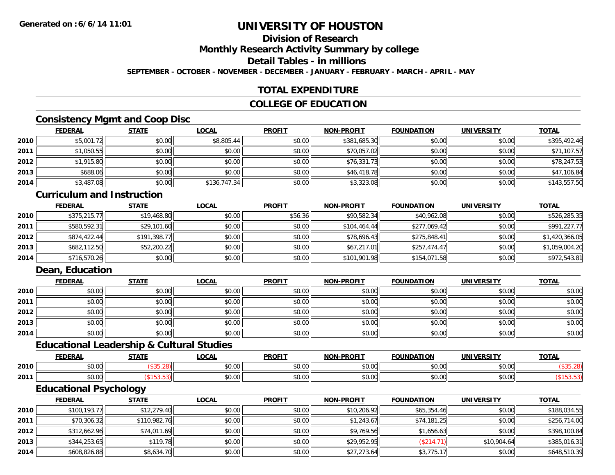## **Division of Research**

**Monthly Research Activity Summary by college**

**Detail Tables - in millions**

**SEPTEMBER - OCTOBER - NOVEMBER - DECEMBER - JANUARY - FEBRUARY - MARCH - APRIL - MAY**

## **TOTAL EXPENDITURE**

### **COLLEGE OF EDUCATION**

### **Consistency Mgmt and Coop Disc**

|      | <b>FEDERAL</b> | <b>STATE</b> | <u>LOCAL</u> | <b>PROFIT</b> | <b>NON-PROFIT</b> | <b>FOUNDATION</b> | <b>UNIVERSITY</b> | <b>TOTAL</b> |
|------|----------------|--------------|--------------|---------------|-------------------|-------------------|-------------------|--------------|
| 2010 | \$5,001.72     | \$0.00       | \$8,805.44   | \$0.00        | \$381,685.30      | \$0.00            | \$0.00            | \$395,492.46 |
| 2011 | \$1,050.55     | \$0.00       | \$0.00       | \$0.00        | \$70,057.02       | \$0.00            | \$0.00            | \$71,107.57  |
| 2012 | \$1,915.80     | \$0.00       | \$0.00       | \$0.00        | \$76,331.73       | \$0.00            | \$0.00            | \$78,247.53  |
| 2013 | \$688.06       | \$0.00       | \$0.00       | \$0.00        | \$46,418.78       | \$0.00            | \$0.00            | \$47,106.84  |
| 2014 | \$3,487.08     | \$0.00       | \$136,747.34 | \$0.00        | \$3,323.08        | \$0.00            | \$0.00            | \$143,557.50 |

#### **Curriculum and Instruction**

|      | <b>FEDERAL</b> | <b>STATE</b> | <u>LOCAL</u> | <b>PROFIT</b> | <b>NON-PROFIT</b> | <b>FOUNDATION</b> | <b>UNIVERSITY</b> | <b>TOTAL</b>   |
|------|----------------|--------------|--------------|---------------|-------------------|-------------------|-------------------|----------------|
| 2010 | \$375,215.77   | \$19,468.80  | \$0.00       | \$56.36       | \$90,582.34       | \$40,962.08       | \$0.00            | \$526,285.35   |
| 2011 | \$580,592.31   | \$29,101.60  | \$0.00       | \$0.00        | \$104.464.44      | \$277.069.42      | \$0.00            | \$991,227.77   |
| 2012 | \$874,422.44   | \$191,398.77 | \$0.00       | \$0.00        | \$78,696.43       | \$275,848.41      | \$0.00            | \$1,420,366.05 |
| 2013 | \$682,112.50   | \$52,200.22  | \$0.00       | \$0.00        | \$67,217.01       | \$257,474.47      | \$0.00            | \$1,059,004.20 |
| 2014 | \$716,570.26   | \$0.00       | \$0.00       | \$0.00        | \$101,901.98      | \$154,071.58      | \$0.00            | \$972,543.81   |

## **Dean, Education**

|      | <b>FEDERAL</b> | <b>STATE</b> | <u>LOCAL</u> | <b>PROFIT</b> | <b>NON-PROFIT</b> | <b>FOUNDATION</b> | <b>UNIVERSITY</b> | <b>TOTAL</b> |
|------|----------------|--------------|--------------|---------------|-------------------|-------------------|-------------------|--------------|
| 2010 | \$0.00         | \$0.00       | \$0.00       | \$0.00        | \$0.00            | \$0.00            | \$0.00            | \$0.00       |
| 2011 | \$0.00         | \$0.00       | \$0.00       | \$0.00        | \$0.00            | \$0.00            | \$0.00            | \$0.00       |
| 2012 | \$0.00         | \$0.00       | \$0.00       | \$0.00        | \$0.00            | \$0.00            | \$0.00            | \$0.00       |
| 2013 | \$0.00         | \$0.00       | \$0.00       | \$0.00        | \$0.00            | \$0.00            | \$0.00            | \$0.00       |
| 2014 | \$0.00         | \$0.00       | \$0.00       | \$0.00        | \$0.00            | \$0.00            | \$0.00            | \$0.00       |

### **Educational Leadership & Cultural Studies**

|      | <b>CENEDA</b><br>.     | C T A T T | <b>OCAL</b>   | <b>PROFIT</b>              | <b>LPROFIT</b><br>NON. | <b>FOUNDATION</b>      | UNIVERSITY                                                  | <b>TOTAL</b> |
|------|------------------------|-----------|---------------|----------------------------|------------------------|------------------------|-------------------------------------------------------------|--------------|
| 2010 | $\sim$ $\sim$<br>vv.vv |           | 0.00<br>vv.vv | $h \cap \cap \cap$<br>י. ש | 0000<br>vv.vv          | 0 <sub>n</sub><br>u.uu | 0000<br>. . UN -                                            |              |
| 2011 | vv.vv                  |           | 0.00<br>JU.UU | JU.                        | 0000<br>PO.OO          | 0000<br>u.uu           | $\mathfrak{g} \cap \mathfrak{g} \cap \mathfrak{g}$<br>JU.UU |              |

<u> 1980 - Johann Stoff, amerikansk politiker (d. 1980)</u>

## **Educational Psychology**

|      | <b>FEDERAL</b> | <b>STATE</b> | <u>LOCAL</u> | <b>PROFIT</b> | <b>NON-PROFIT</b> | <b>FOUNDATION</b> | <b>UNIVERSITY</b> | <b>TOTAL</b> |
|------|----------------|--------------|--------------|---------------|-------------------|-------------------|-------------------|--------------|
| 2010 | \$100,193.77   | \$12,279.40  | \$0.00       | \$0.00        | \$10,206.92       | \$65,354.46       | \$0.00            | \$188,034.55 |
| 2011 | \$70,306.32    | \$110,982.76 | \$0.00       | \$0.00        | \$1,243.67        | \$74,181.25       | \$0.00            | \$256,714.00 |
| 2012 | \$312,662.96   | \$74,011.69  | \$0.00       | \$0.00        | \$9,769.56        | \$1,656.63        | \$0.00            | \$398,100.84 |
| 2013 | \$344,253.65   | \$119.78     | \$0.00       | \$0.00        | \$29,952.95       | (\$214.71)        | \$10,904.64       | \$385,016.31 |
| 2014 | \$608,826.88   | \$8,634.70   | \$0.00       | \$0.00        | \$27,273.64       | \$3,775.17        | \$0.00            | \$648,510.39 |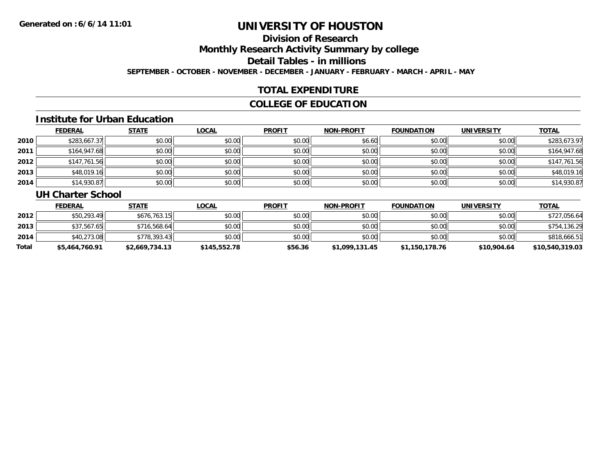# **Division of Research**

**Monthly Research Activity Summary by college**

**Detail Tables - in millions**

**SEPTEMBER - OCTOBER - NOVEMBER - DECEMBER - JANUARY - FEBRUARY - MARCH - APRIL - MAY**

## **TOTAL EXPENDITURE**

### **COLLEGE OF EDUCATION**

### **Institute for Urban Education**

|      | <b>FEDERAL</b> | <b>STATE</b> | <u>LOCAL</u> | <b>PROFIT</b> | <b>NON-PROFIT</b> | <b>FOUNDATION</b> | <b>UNIVERSITY</b> | <b>TOTAL</b> |
|------|----------------|--------------|--------------|---------------|-------------------|-------------------|-------------------|--------------|
| 2010 | \$283,667.37   | \$0.00       | \$0.00       | \$0.00        | \$6.60            | \$0.00            | \$0.00            | \$283,673.97 |
| 2011 | \$164,947.68   | \$0.00       | \$0.00       | \$0.00        | \$0.00            | \$0.00            | \$0.00            | \$164,947.68 |
| 2012 | \$147,761.56   | \$0.00       | \$0.00       | \$0.00        | \$0.00            | \$0.00            | \$0.00            | \$147,761.56 |
| 2013 | \$48,019.16    | \$0.00       | \$0.00       | \$0.00        | \$0.00            | \$0.00            | \$0.00            | \$48,019.16  |
| 2014 | \$14,930.87    | \$0.00       | \$0.00       | \$0.00        | \$0.00            | \$0.00            | \$0.00            | \$14,930.87  |

### **UH Charter School**

|       | <b>FEDERAL</b> | <u>STATE</u>   | <u>LOCAL</u> | <b>PROFIT</b> | <b>NON-PROFIT</b> | <b>FOUNDATION</b> | <b>UNIVERSITY</b> | <b>TOTAL</b>    |
|-------|----------------|----------------|--------------|---------------|-------------------|-------------------|-------------------|-----------------|
| 2012  | \$50,293.49    | \$676.763.15   | \$0.00       | \$0.00        | \$0.00            | \$0.00            | \$0.00            | \$727,056.64    |
| 2013  | \$37,567.65    | \$716,568.64   | \$0.00       | \$0.00        | \$0.00            | \$0.00            | \$0.00            | \$754,136.29    |
| 2014  | \$40,273.08    | \$778.393.43   | \$0.00       | \$0.00        | \$0.00            | \$0.00            | \$0.00            | \$818,666.51    |
| Total | \$5,464,760.91 | \$2,669,734.13 | \$145,552.78 | \$56.36       | \$1,099,131.45    | \$1,150,178.76    | \$10,904.64       | \$10,540,319.03 |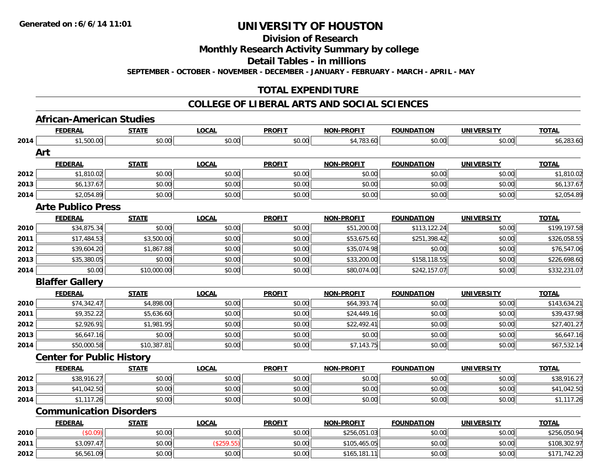**Division of Research**

**Monthly Research Activity Summary by college**

**Detail Tables - in millions**

**SEPTEMBER - OCTOBER - NOVEMBER - DECEMBER - JANUARY - FEBRUARY - MARCH - APRIL - MAY**

## **TOTAL EXPENDITURE**

### **COLLEGE OF LIBERAL ARTS AND SOCIAL SCIENCES**

# **African-American Studies**

|      | <b>FEDERAL</b>                   | <b>STATE</b> | <b>LOCAL</b> | <b>PROFIT</b> | <b>NON-PROFIT</b> | <b>FOUNDATION</b> | <b>UNIVERSITY</b> | <b>TOTAL</b> |
|------|----------------------------------|--------------|--------------|---------------|-------------------|-------------------|-------------------|--------------|
| 2014 | \$1,500.00                       | \$0.00       | \$0.00       | \$0.00        | \$4,783.60        | \$0.00            | \$0.00            | \$6,283.60   |
|      | Art                              |              |              |               |                   |                   |                   |              |
|      | <b>FEDERAL</b>                   | <b>STATE</b> | <b>LOCAL</b> | <b>PROFIT</b> | <b>NON-PROFIT</b> | <b>FOUNDATION</b> | <b>UNIVERSITY</b> | <b>TOTAL</b> |
| 2012 | \$1,810.02                       | \$0.00       | \$0.00       | \$0.00        | \$0.00            | \$0.00            | \$0.00            | \$1,810.02   |
| 2013 | \$6,137.67                       | \$0.00       | \$0.00       | \$0.00        | \$0.00            | \$0.00            | \$0.00            | \$6,137.67   |
| 2014 | \$2,054.89                       | \$0.00       | \$0.00       | \$0.00        | \$0.00            | \$0.00            | \$0.00            | \$2,054.89   |
|      | <b>Arte Publico Press</b>        |              |              |               |                   |                   |                   |              |
|      | <b>FEDERAL</b>                   | <b>STATE</b> | <b>LOCAL</b> | <b>PROFIT</b> | <b>NON-PROFIT</b> | <b>FOUNDATION</b> | <b>UNIVERSITY</b> | <b>TOTAL</b> |
| 2010 | \$34,875.34                      | \$0.00       | \$0.00       | \$0.00        | \$51,200.00       | \$113,122.24      | \$0.00            | \$199,197.58 |
| 2011 | \$17,484.53                      | \$3,500.00   | \$0.00       | \$0.00        | \$53,675.60       | \$251,398.42      | \$0.00            | \$326,058.55 |
| 2012 | \$39,604.20                      | \$1,867.88   | \$0.00       | \$0.00        | \$35,074.98       | \$0.00            | \$0.00            | \$76,547.06  |
| 2013 | \$35,380.05                      | \$0.00       | \$0.00       | \$0.00        | \$33,200.00       | \$158,118.55      | \$0.00            | \$226,698.60 |
| 2014 | \$0.00                           | \$10,000.00  | \$0.00       | \$0.00        | \$80,074.00       | \$242,157.07      | \$0.00            | \$332,231.07 |
|      | <b>Blaffer Gallery</b>           |              |              |               |                   |                   |                   |              |
|      | <b>FEDERAL</b>                   | <b>STATE</b> | <b>LOCAL</b> | <b>PROFIT</b> | <b>NON-PROFIT</b> | <b>FOUNDATION</b> | <b>UNIVERSITY</b> | <b>TOTAL</b> |
| 2010 | \$74,342.47                      | \$4,898.00   | \$0.00       | \$0.00        | \$64,393.74       | \$0.00            | \$0.00            | \$143,634.21 |
| 2011 | \$9,352.22                       | \$5,636.60   | \$0.00       | \$0.00        | \$24,449.16       | \$0.00            | \$0.00            | \$39,437.98  |
| 2012 | \$2,926.91                       | \$1,981.95   | \$0.00       | \$0.00        | \$22,492.41       | \$0.00            | \$0.00            | \$27,401.27  |
| 2013 | \$6,647.16                       | \$0.00       | \$0.00       | \$0.00        | \$0.00            | \$0.00            | \$0.00            | \$6,647.16   |
| 2014 | \$50,000.58                      | \$10,387.81  | \$0.00       | \$0.00        | \$7,143.75        | \$0.00            | \$0.00            | \$67,532.14  |
|      | <b>Center for Public History</b> |              |              |               |                   |                   |                   |              |
|      | <b>FEDERAL</b>                   | <b>STATE</b> | <b>LOCAL</b> | <b>PROFIT</b> | <b>NON-PROFIT</b> | <b>FOUNDATION</b> | <b>UNIVERSITY</b> | <b>TOTAL</b> |
| 2012 | \$38,916.27                      | \$0.00       | \$0.00       | \$0.00        | \$0.00            | \$0.00            | \$0.00            | \$38,916.27  |
| 2013 | \$41,042.50                      | \$0.00       | \$0.00       | \$0.00        | \$0.00            | \$0.00            | \$0.00            | \$41,042.50  |
| 2014 | \$1,117.26                       | \$0.00       | \$0.00       | \$0.00        | \$0.00            | \$0.00            | \$0.00            | \$1,117.26   |
|      | <b>Communication Disorders</b>   |              |              |               |                   |                   |                   |              |
|      | <b>FEDERAL</b>                   | <b>STATE</b> | <b>LOCAL</b> | <b>PROFIT</b> | <b>NON-PROFIT</b> | <b>FOUNDATION</b> | <b>UNIVERSITY</b> | <b>TOTAL</b> |
| 2010 | (S0.09)                          | \$0.00       | \$0.00       | \$0.00        | \$256,051.03      | \$0.00            | \$0.00            | \$256,050.94 |
| 2011 | \$3,097.47                       | \$0.00       | (\$259.55)   | \$0.00        | \$105,465.05      | \$0.00            | \$0.00            | \$108,302.97 |
| 2012 | \$6,561.09                       | \$0.00       | \$0.00       | \$0.00        | \$165,181.11      | \$0.00            | \$0.00            | \$171,742.20 |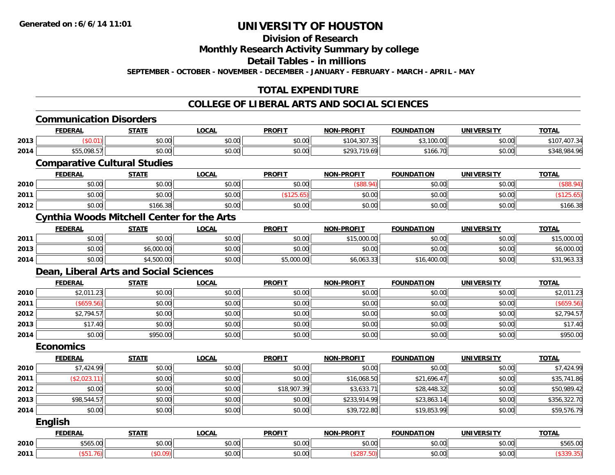# **Division of Research**

**Monthly Research Activity Summary by college**

**Detail Tables - in millions**

**SEPTEMBER - OCTOBER - NOVEMBER - DECEMBER - JANUARY - FEBRUARY - MARCH - APRIL - MAY**

## **TOTAL EXPENDITURE**

### **COLLEGE OF LIBERAL ARTS AND SOCIAL SCIENCES**

|      | <b>FEDERAL</b>                      | <b>STATE</b>                                      | <b>LOCAL</b> | <b>PROFIT</b> | <b>NON-PROFIT</b> | <b>FOUNDATION</b> | <b>UNIVERSITY</b> | <b>TOTAL</b> |
|------|-------------------------------------|---------------------------------------------------|--------------|---------------|-------------------|-------------------|-------------------|--------------|
| 2013 | (\$0.01)                            | \$0.00                                            | \$0.00       | \$0.00        | \$104,307.35      | \$3,100.00        | \$0.00            | \$107,407.34 |
| 2014 | \$55,098.57                         | \$0.00                                            | \$0.00       | \$0.00        | \$293,719.69      | \$166.70          | \$0.00            | \$348,984.96 |
|      | <b>Comparative Cultural Studies</b> |                                                   |              |               |                   |                   |                   |              |
|      | <b>FEDERAL</b>                      | <b>STATE</b>                                      | <b>LOCAL</b> | <b>PROFIT</b> | <b>NON-PROFIT</b> | <b>FOUNDATION</b> | <b>UNIVERSITY</b> | <b>TOTAL</b> |
| 2010 | \$0.00                              | \$0.00                                            | \$0.00       | \$0.00        | (\$88.94)         | \$0.00            | \$0.00            | (\$88.94)    |
| 2011 | \$0.00                              | \$0.00                                            | \$0.00       | (\$125.65)    | \$0.00            | \$0.00            | \$0.00            | (\$125.65)   |
| 2012 | \$0.00                              | \$166.38                                          | \$0.00       | \$0.00        | \$0.00            | \$0.00            | \$0.00            | \$166.38     |
|      |                                     | <b>Cynthia Woods Mitchell Center for the Arts</b> |              |               |                   |                   |                   |              |
|      | <b>FEDERAL</b>                      | <b>STATE</b>                                      | <b>LOCAL</b> | <b>PROFIT</b> | <b>NON-PROFIT</b> | <b>FOUNDATION</b> | <b>UNIVERSITY</b> | <b>TOTAL</b> |
| 2011 | \$0.00                              | \$0.00                                            | \$0.00       | \$0.00        | \$15,000.00       | \$0.00            | \$0.00            | \$15,000.00  |
| 2013 | \$0.00                              | \$6,000.00                                        | \$0.00       | \$0.00        | \$0.00            | \$0.00            | \$0.00            | \$6,000.00   |
| 2014 | \$0.00                              | \$4,500.00                                        | \$0.00       | \$5,000.00    | \$6,063.33        | \$16,400.00       | \$0.00            | \$31,963.33  |
|      |                                     | Dean, Liberal Arts and Social Sciences            |              |               |                   |                   |                   |              |
|      | <b>FEDERAL</b>                      | <b>STATE</b>                                      | <b>LOCAL</b> | <b>PROFIT</b> | <b>NON-PROFIT</b> | <b>FOUNDATION</b> | <b>UNIVERSITY</b> | <b>TOTAL</b> |
| 2010 | \$2,011.23                          | \$0.00                                            | \$0.00       | \$0.00        | \$0.00            | \$0.00            | \$0.00            | \$2,011.23   |
| 2011 | (\$659.56)                          | \$0.00                                            | \$0.00       | \$0.00        | \$0.00            | \$0.00            | \$0.00            | (\$659.56)   |
| 2012 | \$2,794.57                          | \$0.00                                            | \$0.00       | \$0.00        | \$0.00            | \$0.00            | \$0.00            | \$2,794.57   |
| 2013 | \$17.40                             | \$0.00                                            | \$0.00       | \$0.00        | \$0.00            | \$0.00            | \$0.00            | \$17.40      |
| 2014 | \$0.00                              | \$950.00                                          | \$0.00       | \$0.00        | \$0.00            | \$0.00            | \$0.00            | \$950.00     |
|      | <b>Economics</b>                    |                                                   |              |               |                   |                   |                   |              |
|      | <b>FEDERAL</b>                      | <b>STATE</b>                                      | <b>LOCAL</b> | <b>PROFIT</b> | <b>NON-PROFIT</b> | <b>FOUNDATION</b> | <b>UNIVERSITY</b> | <b>TOTAL</b> |
| 2010 | \$7,424.99                          | \$0.00                                            | \$0.00       | \$0.00        | \$0.00            | \$0.00            | \$0.00            | \$7,424.99   |
| 2011 | (\$2,023.11)                        | \$0.00                                            | \$0.00       | \$0.00        | \$16,068.50       | \$21,696.47       | \$0.00            | \$35,741.86  |
| 2012 | \$0.00                              | \$0.00                                            | \$0.00       | \$18,907.39   | \$3,633.71        | \$28,448.32       | \$0.00            | \$50,989.42  |
| 2013 | \$98,544.57                         | \$0.00                                            | \$0.00       | \$0.00        | \$233,914.99      | \$23,863.14       | \$0.00            | \$356,322.70 |
| 2014 | \$0.00                              | \$0.00                                            | \$0.00       | \$0.00        | \$39,722.80       | \$19,853.99       | \$0.00            | \$59,576.79  |
|      | <b>English</b>                      |                                                   |              |               |                   |                   |                   |              |
|      | <b>FEDERAL</b>                      | <b>STATE</b>                                      | <b>LOCAL</b> | <b>PROFIT</b> | <b>NON-PROFIT</b> | <b>FOUNDATION</b> | <b>UNIVERSITY</b> | <b>TOTAL</b> |
| 2010 | \$565.00                            | \$0.00                                            | \$0.00       | \$0.00        | \$0.00            | \$0.00            | \$0.00            | \$565.00     |
| 2011 | (\$51.76)                           | (\$0.09)                                          | \$0.00       | \$0.00        | (\$287.50)        | \$0.00            | \$0.00            | (\$339.35)   |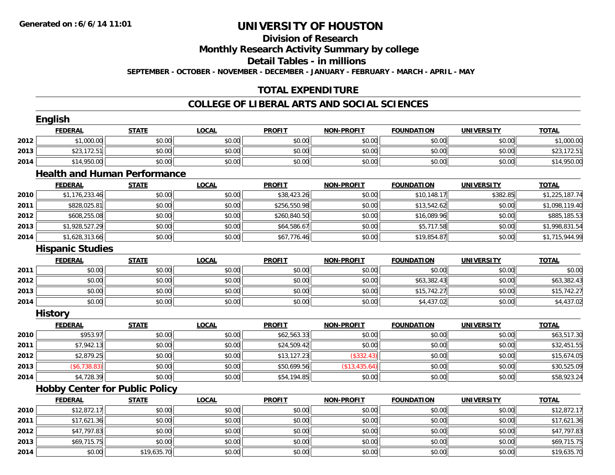# **Division of Research**

**Monthly Research Activity Summary by college**

**Detail Tables - in millions**

**SEPTEMBER - OCTOBER - NOVEMBER - DECEMBER - JANUARY - FEBRUARY - MARCH - APRIL - MAY**

## **TOTAL EXPENDITURE**

### **COLLEGE OF LIBERAL ARTS AND SOCIAL SCIENCES**

|      | <b>English</b>          |                                       |              |               |                   |                   |                   |                |
|------|-------------------------|---------------------------------------|--------------|---------------|-------------------|-------------------|-------------------|----------------|
|      | <b>FEDERAL</b>          | <b>STATE</b>                          | <b>LOCAL</b> | <b>PROFIT</b> | <b>NON-PROFIT</b> | <b>FOUNDATION</b> | <b>UNIVERSITY</b> | <b>TOTAL</b>   |
| 2012 | \$1,000.00              | \$0.00                                | \$0.00       | \$0.00        | \$0.00            | \$0.00            | \$0.00            | \$1,000.00     |
| 2013 | \$23,172.51             | \$0.00                                | \$0.00       | \$0.00        | \$0.00            | \$0.00            | \$0.00            | \$23,172.51    |
| 2014 | \$14,950.00             | \$0.00                                | \$0.00       | \$0.00        | \$0.00            | \$0.00            | \$0.00            | \$14,950.00    |
|      |                         | <b>Health and Human Performance</b>   |              |               |                   |                   |                   |                |
|      | <b>FEDERAL</b>          | <b>STATE</b>                          | <b>LOCAL</b> | <b>PROFIT</b> | <b>NON-PROFIT</b> | <b>FOUNDATION</b> | <b>UNIVERSITY</b> | <b>TOTAL</b>   |
| 2010 | \$1,176,233.46          | \$0.00                                | \$0.00       | \$38,423.26   | \$0.00            | \$10,148.17       | \$382.85          | \$1,225,187.74 |
| 2011 | \$828,025.81            | \$0.00                                | \$0.00       | \$256,550.98  | \$0.00            | \$13,542.62       | \$0.00            | \$1,098,119.40 |
| 2012 | \$608,255.08            | \$0.00                                | \$0.00       | \$260,840.50  | \$0.00            | \$16,089.96       | \$0.00            | \$885,185.53   |
| 2013 | \$1,928,527.29          | \$0.00                                | \$0.00       | \$64,586.67   | \$0.00            | \$5,717.58        | \$0.00            | \$1,998,831.54 |
| 2014 | \$1,628,313.66          | \$0.00                                | \$0.00       | \$67,776.46   | \$0.00            | \$19,854.87       | \$0.00            | \$1,715,944.99 |
|      | <b>Hispanic Studies</b> |                                       |              |               |                   |                   |                   |                |
|      | <b>FEDERAL</b>          | <b>STATE</b>                          | <b>LOCAL</b> | <b>PROFIT</b> | <b>NON-PROFIT</b> | <b>FOUNDATION</b> | <b>UNIVERSITY</b> | <b>TOTAL</b>   |
| 2011 | \$0.00                  | \$0.00                                | \$0.00       | \$0.00        | \$0.00            | \$0.00            | \$0.00            | \$0.00         |
| 2012 | \$0.00                  | \$0.00                                | \$0.00       | \$0.00        | \$0.00            | \$63,382.43       | \$0.00            | \$63,382.43    |
| 2013 | \$0.00                  | \$0.00                                | \$0.00       | \$0.00        | \$0.00            | \$15,742.27       | \$0.00            | \$15,742.27    |
| 2014 | \$0.00                  | \$0.00                                | \$0.00       | \$0.00        | \$0.00            | \$4,437.02        | \$0.00            | \$4,437.02     |
|      | <b>History</b>          |                                       |              |               |                   |                   |                   |                |
|      | <b>FEDERAL</b>          | <b>STATE</b>                          | <b>LOCAL</b> | <b>PROFIT</b> | <b>NON-PROFIT</b> | <b>FOUNDATION</b> | <b>UNIVERSITY</b> | <b>TOTAL</b>   |
| 2010 | \$953.97                | \$0.00                                | \$0.00       | \$62,563.33   | \$0.00            | \$0.00            | \$0.00            | \$63,517.30    |
| 2011 | \$7,942.13              | \$0.00                                | \$0.00       | \$24,509.42   | \$0.00            | \$0.00            | \$0.00            | \$32,451.55    |
| 2012 | \$2,879.25              | \$0.00                                | \$0.00       | \$13,127.23   | (\$332.43)        | \$0.00            | \$0.00            | \$15,674.05    |
| 2013 | ( \$6, 738.83)          | \$0.00                                | \$0.00       | \$50,699.56   | (\$13,435.64)     | \$0.00            | \$0.00            | \$30,525.09    |
| 2014 | \$4,728.39              | \$0.00                                | \$0.00       | \$54,194.85   | \$0.00            | \$0.00            | \$0.00            | \$58,923.24    |
|      |                         | <b>Hobby Center for Public Policy</b> |              |               |                   |                   |                   |                |
|      | <b>FEDERAL</b>          | <b>STATE</b>                          | <b>LOCAL</b> | <b>PROFIT</b> | <b>NON-PROFIT</b> | <b>FOUNDATION</b> | <b>UNIVERSITY</b> | <b>TOTAL</b>   |
| 2010 | \$12,872.17             | \$0.00                                | \$0.00       | \$0.00        | \$0.00            | \$0.00            | \$0.00            | \$12,872.17    |
| 2011 | \$17,621.36             | \$0.00                                | \$0.00       | \$0.00        | \$0.00            | \$0.00            | \$0.00            | \$17,621.36    |
| 2012 | \$47,797.83             | \$0.00                                | \$0.00       | \$0.00        | \$0.00            | \$0.00            | \$0.00            | \$47,797.83    |
| 2013 | \$69,715.75             | \$0.00                                | \$0.00       | \$0.00        | \$0.00            | \$0.00            | \$0.00            | \$69,715.75    |
| 2014 | \$0.00                  | \$19,635.70                           | \$0.00       | \$0.00        | \$0.00            | \$0.00            | \$0.00            | \$19,635.70    |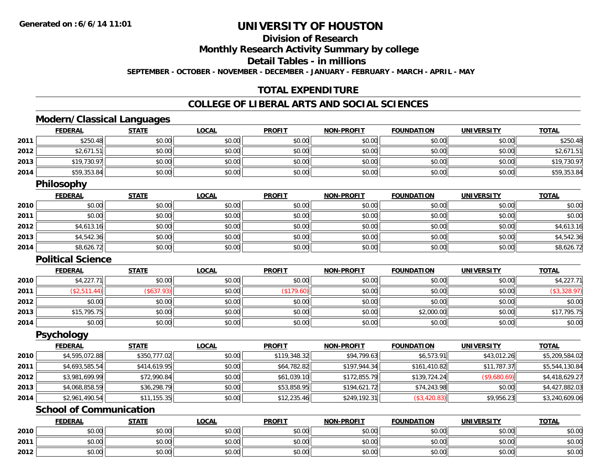**2012**

# **UNIVERSITY OF HOUSTON**

## **Division of Research**

**Monthly Research Activity Summary by college**

**Detail Tables - in millions**

**SEPTEMBER - OCTOBER - NOVEMBER - DECEMBER - JANUARY - FEBRUARY - MARCH - APRIL - MAY**

## **TOTAL EXPENDITURE**

### **COLLEGE OF LIBERAL ARTS AND SOCIAL SCIENCES**

## **Modern/Classical Languages**

|      | <b>FEDERAL</b>                 | <b>STATE</b> | <b>LOCAL</b> | <b>PROFIT</b> | <b>NON-PROFIT</b> | <b>FOUNDATION</b> | <b>UNIVERSITY</b> | <b>TOTAL</b>   |
|------|--------------------------------|--------------|--------------|---------------|-------------------|-------------------|-------------------|----------------|
| 2011 | \$250.48                       | \$0.00       | \$0.00       | \$0.00        | \$0.00            | \$0.00            | \$0.00            | \$250.48       |
| 2012 | \$2,671.51                     | \$0.00       | \$0.00       | \$0.00        | \$0.00            | \$0.00            | \$0.00            | \$2,671.51     |
| 2013 | \$19,730.97                    | \$0.00       | \$0.00       | \$0.00        | \$0.00            | \$0.00            | \$0.00            | \$19,730.97    |
| 2014 | \$59,353.84                    | \$0.00       | \$0.00       | \$0.00        | \$0.00            | \$0.00            | \$0.00            | \$59,353.84    |
|      | <b>Philosophy</b>              |              |              |               |                   |                   |                   |                |
|      | <b>FEDERAL</b>                 | <b>STATE</b> | <b>LOCAL</b> | <b>PROFIT</b> | <b>NON-PROFIT</b> | <b>FOUNDATION</b> | <b>UNIVERSITY</b> | <b>TOTAL</b>   |
| 2010 | \$0.00                         | \$0.00       | \$0.00       | \$0.00        | \$0.00            | \$0.00            | \$0.00            | \$0.00         |
| 2011 | \$0.00                         | \$0.00       | \$0.00       | \$0.00        | \$0.00            | \$0.00            | \$0.00            | \$0.00         |
| 2012 | \$4,613.16                     | \$0.00       | \$0.00       | \$0.00        | \$0.00            | \$0.00            | \$0.00            | \$4,613.16     |
| 2013 | \$4,542.36                     | \$0.00       | \$0.00       | \$0.00        | \$0.00            | \$0.00            | \$0.00            | \$4,542.36     |
| 2014 | \$8,626.72                     | \$0.00       | \$0.00       | \$0.00        | \$0.00            | \$0.00            | \$0.00            | \$8,626.72     |
|      | <b>Political Science</b>       |              |              |               |                   |                   |                   |                |
|      | <b>FEDERAL</b>                 | <b>STATE</b> | <b>LOCAL</b> | <b>PROFIT</b> | <b>NON-PROFIT</b> | <b>FOUNDATION</b> | <b>UNIVERSITY</b> | <b>TOTAL</b>   |
| 2010 | \$4,227.71                     | \$0.00       | \$0.00       | \$0.00        | \$0.00            | \$0.00            | \$0.00            | \$4,227.71     |
| 2011 | (\$2,511.44)                   | (\$637.93)   | \$0.00       | (\$179.60)    | \$0.00            | \$0.00            | \$0.00            | (\$3,328.97)   |
| 2012 | \$0.00                         | \$0.00       | \$0.00       | \$0.00        | \$0.00            | \$0.00            | \$0.00            | \$0.00         |
| 2013 | \$15,795.75                    | \$0.00       | \$0.00       | \$0.00        | \$0.00            | \$2,000.00        | \$0.00            | \$17,795.75    |
| 2014 | \$0.00                         | \$0.00       | \$0.00       | \$0.00        | \$0.00            | \$0.00            | \$0.00            | \$0.00         |
|      | <b>Psychology</b>              |              |              |               |                   |                   |                   |                |
|      | <b>FEDERAL</b>                 | <b>STATE</b> | <b>LOCAL</b> | <b>PROFIT</b> | <b>NON-PROFIT</b> | <b>FOUNDATION</b> | <b>UNIVERSITY</b> | <b>TOTAL</b>   |
| 2010 | \$4,595,072.88                 | \$350,777.02 | \$0.00       | \$119,348.32  | \$94,799.63       | \$6,573.91        | \$43,012.26       | \$5,209,584.02 |
| 2011 | \$4,693,585.54                 | \$414,619.95 | \$0.00       | \$64,782.82   | \$197,944.34      | \$161,410.82      | \$11,787.37       | \$5,544,130.84 |
| 2012 | \$3,981,699.99                 | \$72,990.84  | \$0.00       | \$61,039.10   | \$172,855.79      | \$139,724.24      | (\$9,680.69)      | \$4,418,629.27 |
| 2013 | \$4,068,858.59                 | \$36,298.79  | \$0.00       | \$53,858.95   | \$194,621.72      | \$74,243.98       | \$0.00            | \$4,427,882.03 |
| 2014 | \$2,961,490.54                 | \$11,155.35  | \$0.00       | \$12,235.46   | \$249,192.31      | (\$3,420.83)      | \$9,956.23        | \$3,240,609.06 |
|      | <b>School of Communication</b> |              |              |               |                   |                   |                   |                |
|      | <b>FEDERAL</b>                 | <b>STATE</b> | <b>LOCAL</b> | <b>PROFIT</b> | <b>NON-PROFIT</b> | <b>FOUNDATION</b> | <b>UNIVERSITY</b> | <b>TOTAL</b>   |
| 2010 | \$0.00                         | \$0.00       | \$0.00       | \$0.00        | \$0.00            | \$0.00            | \$0.00            | \$0.00         |
| 2011 | \$0.00                         | \$0.00       | \$0.00       | \$0.00        | \$0.00            | \$0.00            | \$0.00            | \$0.00         |

2 | \$0.00 \$0.00 \$0.00 \$0.00 \$0.00 \$0.00 \$0.00 \$0.00 \$0.00 \$0.00 \$0.00 \$0.00 \$0.00 \$0.00 \$0.00 \$0.00 \$0.00 \$0.0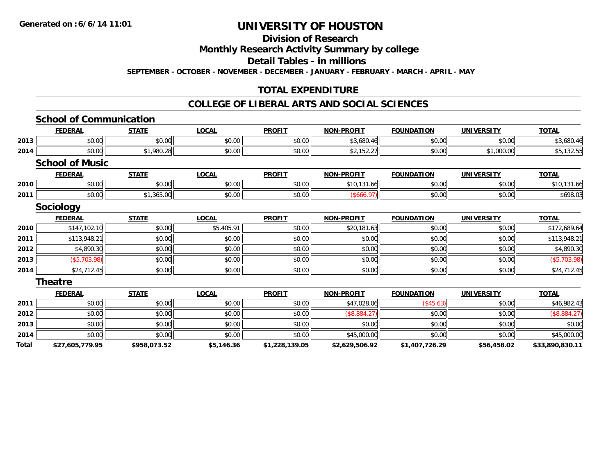#### **Division of Research**

**Monthly Research Activity Summary by college**

**Detail Tables - in millions**

**SEPTEMBER - OCTOBER - NOVEMBER - DECEMBER - JANUARY - FEBRUARY - MARCH - APRIL - MAY**

## **TOTAL EXPENDITURE**

### **COLLEGE OF LIBERAL ARTS AND SOCIAL SCIENCES**

|       | <b>School of Communication</b> |              |              |                |                   |                   |                   |                 |
|-------|--------------------------------|--------------|--------------|----------------|-------------------|-------------------|-------------------|-----------------|
|       | <b>FEDERAL</b>                 | <b>STATE</b> | <b>LOCAL</b> | <b>PROFIT</b>  | <b>NON-PROFIT</b> | <b>FOUNDATION</b> | <b>UNIVERSITY</b> | <b>TOTAL</b>    |
| 2013  | \$0.00                         | \$0.00       | \$0.00       | \$0.00         | \$3,680.46        | \$0.00            | \$0.00            | \$3,680.46      |
| 2014  | \$0.00                         | \$1,980.28   | \$0.00       | \$0.00         | \$2,152.27        | \$0.00            | \$1,000.00        | \$5,132.55      |
|       | <b>School of Music</b>         |              |              |                |                   |                   |                   |                 |
|       | <b>FEDERAL</b>                 | <b>STATE</b> | <b>LOCAL</b> | <b>PROFIT</b>  | <b>NON-PROFIT</b> | <b>FOUNDATION</b> | <b>UNIVERSITY</b> | <b>TOTAL</b>    |
| 2010  | \$0.00                         | \$0.00       | \$0.00       | \$0.00         | \$10,131.66       | \$0.00            | \$0.00            | \$10,131.66     |
| 2011  | \$0.00                         | \$1,365.00   | \$0.00       | \$0.00         | (\$666.97)        | \$0.00            | \$0.00            | \$698.03        |
|       | <b>Sociology</b>               |              |              |                |                   |                   |                   |                 |
|       | <b>FEDERAL</b>                 | <b>STATE</b> | <b>LOCAL</b> | <b>PROFIT</b>  | <b>NON-PROFIT</b> | <b>FOUNDATION</b> | <b>UNIVERSITY</b> | <b>TOTAL</b>    |
| 2010  | \$147,102.10                   | \$0.00       | \$5,405.91   | \$0.00         | \$20,181.63       | \$0.00            | \$0.00            | \$172,689.64    |
| 2011  | \$113,948.21                   | \$0.00       | \$0.00       | \$0.00         | \$0.00            | \$0.00            | \$0.00            | \$113,948.21    |
| 2012  | \$4,890.30                     | \$0.00       | \$0.00       | \$0.00         | \$0.00            | \$0.00            | \$0.00            | \$4,890.30      |
| 2013  | (\$5,703.98)                   | \$0.00       | \$0.00       | \$0.00         | \$0.00            | \$0.00            | \$0.00            | (\$5,703.98)    |
| 2014  | \$24,712.45                    | \$0.00       | \$0.00       | \$0.00         | \$0.00            | \$0.00            | \$0.00            | \$24,712.45     |
|       | <b>Theatre</b>                 |              |              |                |                   |                   |                   |                 |
|       | <b>FEDERAL</b>                 | <b>STATE</b> | <b>LOCAL</b> | <b>PROFIT</b>  | <b>NON-PROFIT</b> | <b>FOUNDATION</b> | <b>UNIVERSITY</b> | <b>TOTAL</b>    |
| 2011  | \$0.00                         | \$0.00       | \$0.00       | \$0.00         | \$47,028.06       | (\$45.63)         | \$0.00            | \$46,982.43     |
| 2012  | \$0.00                         | \$0.00       | \$0.00       | \$0.00         | (\$8,884.27)      | \$0.00            | \$0.00            | (\$8,884.27)    |
| 2013  | \$0.00                         | \$0.00       | \$0.00       | \$0.00         | \$0.00            | \$0.00            | \$0.00            | \$0.00          |
| 2014  | \$0.00                         | \$0.00       | \$0.00       | \$0.00         | \$45,000.00       | \$0.00            | \$0.00            | \$45,000.00     |
| Total | \$27,605,779.95                | \$958,073.52 | \$5,146.36   | \$1,228,139.05 | \$2,629,506.92    | \$1,407,726.29    | \$56,458.02       | \$33,890,830.11 |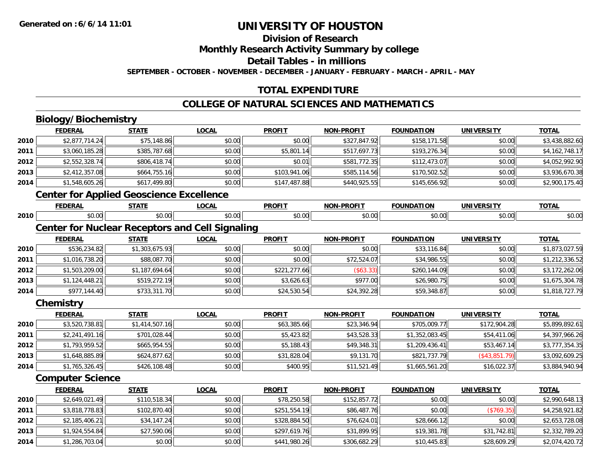## **Division of Research**

**Monthly Research Activity Summary by college**

**Detail Tables - in millions**

**SEPTEMBER - OCTOBER - NOVEMBER - DECEMBER - JANUARY - FEBRUARY - MARCH - APRIL - MAY**

## **TOTAL EXPENDITURE**

## **COLLEGE OF NATURAL SCIENCES AND MATHEMATICS**

## **Biology/Biochemistry**

**2013**

**2014**

|      | <b>FEDERAL</b>                                  | <b>STATE</b>   | <b>LOCAL</b>                                           | <b>PROFIT</b> | <b>NON-PROFIT</b> | <b>FOUNDATION</b> | <b>UNIVERSITY</b> | <b>TOTAL</b>   |
|------|-------------------------------------------------|----------------|--------------------------------------------------------|---------------|-------------------|-------------------|-------------------|----------------|
| 2010 | \$2,877,714.24                                  | \$75,148.86    | \$0.00                                                 | \$0.00        | \$327,847.92      | \$158,171.58      | \$0.00            | \$3,438,882.60 |
| 2011 | \$3,060,185.28                                  | \$385,787.68   | \$0.00                                                 | \$5,801.14    | \$517,697.73      | \$193,276.34      | \$0.00            | \$4,162,748.17 |
| 2012 | \$2,552,328.74                                  | \$806,418.74   | \$0.00                                                 | \$0.01        | \$581,772.35      | \$112,473.07      | \$0.00            | \$4,052,992.90 |
| 2013 | \$2,412,357.08                                  | \$664,755.16   | \$0.00                                                 | \$103,941.06  | \$585,114.56      | \$170,502.52      | \$0.00            | \$3,936,670.38 |
| 2014 | \$1,548,605.26                                  | \$617,499.80   | \$0.00                                                 | \$147,487.88  | \$440,925.55      | \$145,656.92      | \$0.00            | \$2,900,175.40 |
|      | <b>Center for Applied Geoscience Excellence</b> |                |                                                        |               |                   |                   |                   |                |
|      | <b>FEDERAL</b>                                  | <b>STATE</b>   | <b>LOCAL</b>                                           | <b>PROFIT</b> | <b>NON-PROFIT</b> | <b>FOUNDATION</b> | <b>UNIVERSITY</b> | <b>TOTAL</b>   |
| 2010 | \$0.00                                          | \$0.00         | \$0.00                                                 | \$0.00        | \$0.00            | \$0.00            | \$0.00            | \$0.00         |
|      |                                                 |                | <b>Center for Nuclear Receptors and Cell Signaling</b> |               |                   |                   |                   |                |
|      | <b>FEDERAL</b>                                  | <b>STATE</b>   | <b>LOCAL</b>                                           | <b>PROFIT</b> | <b>NON-PROFIT</b> | <b>FOUNDATION</b> | <b>UNIVERSITY</b> | <b>TOTAL</b>   |
| 2010 | \$536,234.82                                    | \$1,303,675.93 | \$0.00                                                 | \$0.00        | \$0.00            | \$33,116.84       | \$0.00            | \$1,873,027.59 |
| 2011 | \$1,016,738.20                                  | \$88,087.70    | \$0.00                                                 | \$0.00        | \$72,524.07       | \$34,986.55       | \$0.00            | \$1,212,336.52 |
| 2012 | \$1,503,209.00                                  | \$1,187,694.64 | \$0.00                                                 | \$221,277.66  | ( \$63.33)        | \$260,144.09      | \$0.00            | \$3,172,262.06 |
| 2013 | \$1,124,448.21                                  | \$519,272.19   | \$0.00                                                 | \$3,626.63    | \$977.00          | \$26,980.75       | \$0.00            | \$1,675,304.78 |
| 2014 | \$977,144.40                                    | \$733,311.70   | \$0.00                                                 | \$24,530.54   | \$24,392.28       | \$59,348.87       | \$0.00            | \$1,818,727.79 |
|      | Chemistry                                       |                |                                                        |               |                   |                   |                   |                |
|      | <b>FEDERAL</b>                                  | <b>STATE</b>   | <b>LOCAL</b>                                           | <b>PROFIT</b> | <b>NON-PROFIT</b> | <b>FOUNDATION</b> | <b>UNIVERSITY</b> | <b>TOTAL</b>   |
| 2010 | \$3,520,738.81                                  | \$1,414,507.16 | \$0.00                                                 | \$63,385.66   | \$23,346.94       | \$705,009.77      | \$172,904.28      | \$5,899,892.61 |
| 2011 | \$2,241,491.16                                  | \$701,028.44   | \$0.00                                                 | \$5,423.82    | \$43,528.33       | \$1,352,083.45    | \$54,411.06       | \$4,397,966.26 |
| 2012 | \$1,793,959.52                                  | \$665,954.55   | \$0.00                                                 | \$5,188.43    | \$49,348.31       | \$1,209,436.41    | \$53,467.14       | \$3,777,354.35 |
| 2013 | \$1,648,885.89                                  | \$624,877.62   | \$0.00                                                 | \$31,828.04   | \$9,131.70        | \$821,737.79      | $($ \$43,851.79)  | \$3,092,609.25 |
| 2014 | \$1,765,326.45                                  | \$426,108.48   | \$0.00                                                 | \$400.95      | \$11,521.49       | \$1,665,561.20    | \$16,022.37       | \$3,884,940.94 |
|      | <b>Computer Science</b>                         |                |                                                        |               |                   |                   |                   |                |
|      | <b>FEDERAL</b>                                  | <b>STATE</b>   | <b>LOCAL</b>                                           | <b>PROFIT</b> | <b>NON-PROFIT</b> | <b>FOUNDATION</b> | <b>UNIVERSITY</b> | <b>TOTAL</b>   |
| 2010 | \$2,649,021.49                                  | \$110,518.34   | \$0.00                                                 | \$78,250.58   | \$152,857.72      | \$0.00            | \$0.00            | \$2,990,648.13 |
| 2011 | \$3,818,778.83                                  | \$102,870.40   | \$0.00                                                 | \$251,554.19  | \$86,487.76       | \$0.00            | (\$769.35)        | \$4,258,921.82 |
| 2012 | \$2,185,406.21                                  | \$34,147.24    | \$0.00                                                 | \$328,884.50  | \$76,624.01       | \$28,666.12       | \$0.00            | \$2,653,728.08 |

**3** \$1,924,554.84 \$1,924,554.84 \$27,590.06 \$27,590.06 \$0.00 \$0.00 \$2,000 \$2,000 \$2,000 \$2,000 \$2,000 \$2,000 \$2,000 \$2,000 \$2,000 \$2,000

4 \$1,286,703.04 \$2,074,420.72 \$0.00 \$0.00 \$0.00 \$441,980.26 \$441,980.26 \$306,682.29 \$210,445.83 \$28,609.29 \$2,074,420.72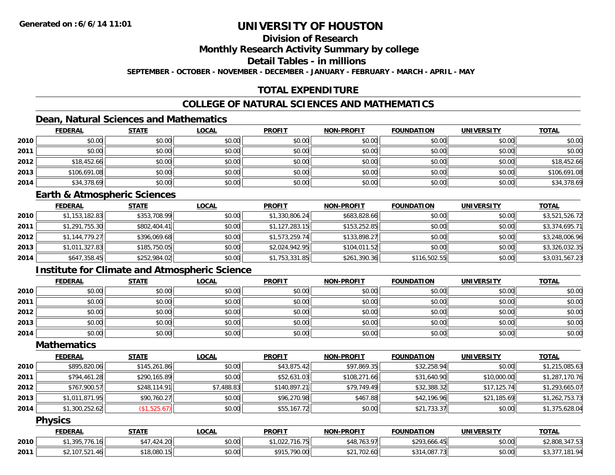## **Division of Research**

**Monthly Research Activity Summary by college**

**Detail Tables - in millions**

**SEPTEMBER - OCTOBER - NOVEMBER - DECEMBER - JANUARY - FEBRUARY - MARCH - APRIL - MAY**

## **TOTAL EXPENDITURE**

## **COLLEGE OF NATURAL SCIENCES AND MATHEMATICS**

## **Dean, Natural Sciences and Mathematics**

|      | <b>FEDERAL</b> | <b>STATE</b> | <u>LOCAL</u> | <b>PROFIT</b> | <b>NON-PROFIT</b> | <b>FOUNDATION</b> | <b>UNIVERSITY</b> | <b>TOTAL</b> |
|------|----------------|--------------|--------------|---------------|-------------------|-------------------|-------------------|--------------|
| 2010 | \$0.00         | \$0.00       | \$0.00       | \$0.00        | \$0.00            | \$0.00            | \$0.00            | \$0.00       |
| 2011 | \$0.00         | \$0.00       | \$0.00       | \$0.00        | \$0.00            | \$0.00            | \$0.00            | \$0.00       |
| 2012 | \$18,452.66    | \$0.00       | \$0.00       | \$0.00        | \$0.00            | \$0.00            | \$0.00            | \$18,452.66  |
| 2013 | \$106,691.08   | \$0.00       | \$0.00       | \$0.00        | \$0.00            | \$0.00            | \$0.00            | \$106,691.08 |
| 2014 | \$34,378.69    | \$0.00       | \$0.00       | \$0.00        | \$0.00            | \$0.00            | \$0.00            | \$34,378.69  |

#### **Earth & Atmospheric Sciences**

|      | <b>FEDERAL</b> | <u>STATE</u> | <b>LOCAL</b> | <b>PROFIT</b>  | <b>NON-PROFIT</b> | <b>FOUNDATION</b> | <b>UNIVERSITY</b> | <b>TOTAL</b>   |
|------|----------------|--------------|--------------|----------------|-------------------|-------------------|-------------------|----------------|
| 2010 | \$1,153,182.83 | \$353,708.99 | \$0.00       | \$1,330,806.24 | \$683,828.66      | \$0.00            | \$0.00            | \$3,521,526.72 |
| 2011 | \$1,291,755.30 | \$802,404.41 | \$0.00       | \$1,127,283.15 | \$153,252.85      | \$0.00            | \$0.00            | \$3,374,695.71 |
| 2012 | \$1,144,779.27 | \$396,069.68 | \$0.00       | \$1,573,259.74 | \$133,898.27      | \$0.00            | \$0.00            | \$3,248,006.96 |
| 2013 | \$1,011,327.83 | \$185,750.05 | \$0.00       | \$2,024,942.95 | \$104,011.52      | \$0.00            | \$0.00            | \$3,326,032.35 |
| 2014 | \$647,358.45   | \$252,984.02 | \$0.00       | \$1,753,331.85 | \$261,390.36      | \$116,502.55      | \$0.00            | \$3,031,567.23 |

## **Institute for Climate and Atmospheric Science**

|      | <b>FEDERAL</b> | <b>STATE</b> | <u>LOCAL</u> | <b>PROFIT</b> | <b>NON-PROFIT</b> | <b>FOUNDATION</b> | <b>UNIVERSITY</b> | <b>TOTAL</b> |
|------|----------------|--------------|--------------|---------------|-------------------|-------------------|-------------------|--------------|
| 2010 | \$0.00         | \$0.00       | \$0.00       | \$0.00        | \$0.00            | \$0.00            | \$0.00            | \$0.00       |
| 2011 | \$0.00         | \$0.00       | \$0.00       | \$0.00        | \$0.00            | \$0.00            | \$0.00            | \$0.00       |
| 2012 | \$0.00         | \$0.00       | \$0.00       | \$0.00        | \$0.00            | \$0.00            | \$0.00            | \$0.00       |
| 2013 | \$0.00         | \$0.00       | \$0.00       | \$0.00        | \$0.00            | \$0.00            | \$0.00            | \$0.00       |
| 2014 | \$0.00         | \$0.00       | \$0.00       | \$0.00        | \$0.00            | \$0.00            | \$0.00            | \$0.00       |

## **Mathematics**

|      | <b>FEDERAL</b> | <b>STATE</b> | <b>LOCAL</b> | <b>PROFIT</b> | <b>NON-PROFIT</b> | <b>FOUNDATION</b> | <b>UNIVERSITY</b> | <b>TOTAL</b>   |
|------|----------------|--------------|--------------|---------------|-------------------|-------------------|-------------------|----------------|
| 2010 | \$895,820.06   | \$145,261.86 | \$0.00       | \$43,875.42   | \$97,869.35       | \$32,258.94       | \$0.00            | \$1,215,085.63 |
| 2011 | \$794,461.28   | \$290,165.89 | \$0.00       | \$52,631.03   | \$108,271.66      | \$31,640.90       | \$10,000.00       | \$1,287,170.76 |
| 2012 | \$767,900.57   | \$248,114.91 | \$7,488.83   | \$140,897.21  | \$79,749.49       | \$32,388.32       | \$17,125.74       | \$1,293,665.07 |
| 2013 | \$1,011,871.95 | \$90,760.27  | \$0.00       | \$96,270.98   | \$467.88          | \$42,196.96       | \$21,185.69       | \$1,262,753.73 |
| 2014 | \$1,300,252.62 | (\$1,525.67) | \$0.00       | \$55,167.72   | \$0.00            | \$21,733.37       | \$0.00            | \$1,375,628.04 |

### **Physics**

|      | <b>FEDERAL</b>        | <b>STATE</b>                              | <b>_OCAL</b> | <b>PROFIT</b>                     | <b>NON-PROFIT</b> | <b>FOUNDATION</b> | <b>UNIVERSITY</b> | <b>TOTAL</b>                                 |
|------|-----------------------|-------------------------------------------|--------------|-----------------------------------|-------------------|-------------------|-------------------|----------------------------------------------|
| 2010 | 1,395,776.16          | 121.20<br>$A$ $\overline{A}$<br>* 424.ZU. | \$0.00       | 714 75<br>16.751<br>' I , UZZ , J | \$48,763.97       | \$293,666.45      | \$0.00            | \$2,808,347.53                               |
| 2011 | 62.107.521<br>521.40، | \$18,080.15                               | \$0.00       | \$915,790.00                      | .702.60<br>JZ I   | \$314,087.73      | \$0.00            | 101 0A<br>$\sim$ $ -$<br>٬۳۰ تا ۱۵<br>، ن. ب |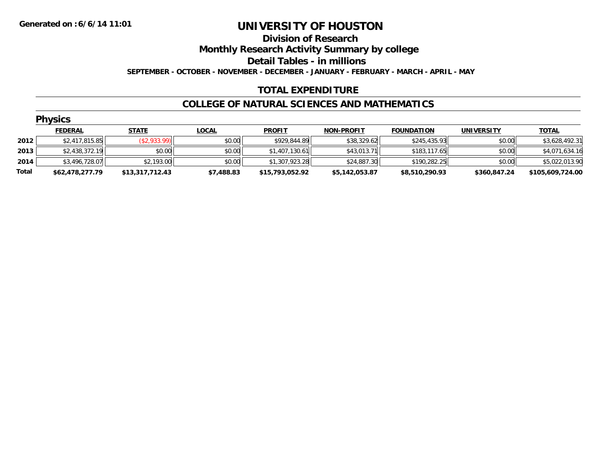#### **Division of Research**

**Monthly Research Activity Summary by college**

**Detail Tables - in millions**

**SEPTEMBER - OCTOBER - NOVEMBER - DECEMBER - JANUARY - FEBRUARY - MARCH - APRIL - MAY**

## **TOTAL EXPENDITURE**

### **COLLEGE OF NATURAL SCIENCES AND MATHEMATICS**

|       | <b>Physics</b>  |                 |              |                 |                   |                   |                   |                  |  |  |  |  |
|-------|-----------------|-----------------|--------------|-----------------|-------------------|-------------------|-------------------|------------------|--|--|--|--|
|       | <b>FEDERAL</b>  | <b>STATE</b>    | <b>LOCAL</b> | <b>PROFIT</b>   | <b>NON-PROFIT</b> | <b>FOUNDATION</b> | <b>UNIVERSITY</b> | <b>TOTAL</b>     |  |  |  |  |
| 2012  | \$2,417,815.85  | (\$2,933.99)    | \$0.00       | \$929,844.89    | \$38,329.62       | \$245,435.93      | \$0.00            | \$3,628,492.31   |  |  |  |  |
| 2013  | \$2,438,372.19  | \$0.00          | \$0.00       | \$1,407,130.61  | \$43,013.71       | \$183,117.65      | \$0.00            | \$4,071,634.16   |  |  |  |  |
| 2014  | \$3,496,728.07  | \$2,193.00      | \$0.00       | \$1,307,923.28  | \$24,887.30       | \$190,282.25      | \$0.00            | \$5,022,013.90   |  |  |  |  |
| Total | \$62,478,277.79 | \$13,317,712.43 | \$7,488.83   | \$15,793,052.92 | \$5,142,053.87    | \$8,510,290.93    | \$360,847.24      | \$105,609,724.00 |  |  |  |  |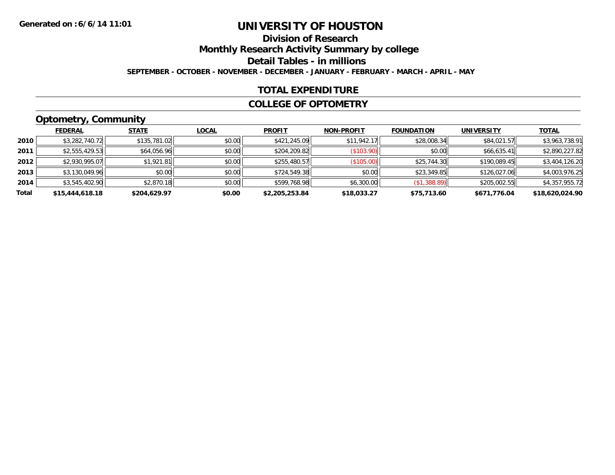## **Division of Research**

**Monthly Research Activity Summary by college**

**Detail Tables - in millions**

**SEPTEMBER - OCTOBER - NOVEMBER - DECEMBER - JANUARY - FEBRUARY - MARCH - APRIL - MAY**

### **TOTAL EXPENDITURE**

#### **COLLEGE OF OPTOMETRY**

## **Optometry, Community**

|       | ___             |              |              |                |                   |                   |                   |                 |
|-------|-----------------|--------------|--------------|----------------|-------------------|-------------------|-------------------|-----------------|
|       | <b>FEDERAL</b>  | <b>STATE</b> | <u>LOCAL</u> | <b>PROFIT</b>  | <b>NON-PROFIT</b> | <b>FOUNDATION</b> | <b>UNIVERSITY</b> | <b>TOTAL</b>    |
| 2010  | \$3,282,740.72  | \$135,781.02 | \$0.00       | \$421,245.09   | \$11.942.17       | \$28,008.34       | \$84,021.57       | \$3,963,738.91  |
| 2011  | \$2,555,429.53  | \$64,056.96  | \$0.00       | \$204,209.82   | (S103.90)         | \$0.00            | \$66,635.41       | \$2,890,227.82  |
| 2012  | \$2,930,995.07  | \$1,921.81   | \$0.00       | \$255,480.57   | (\$105.00)        | \$25,744.30       | \$190,089.45      | \$3,404,126.20  |
| 2013  | \$3,130,049.96  | \$0.00       | \$0.00       | \$724,549.38   | \$0.00            | \$23,349.85       | \$126,027.06      | \$4,003,976.25  |
| 2014  | \$3,545,402.90  | \$2,870.18   | \$0.00       | \$599,768.98   | \$6,300.00        | (\$1,388.89)      | \$205,002.55      | \$4,357,955.72  |
| Total | \$15,444,618.18 | \$204.629.97 | \$0.00       | \$2,205,253.84 | \$18,033.27       | \$75,713.60       | \$671,776.04      | \$18,620,024.90 |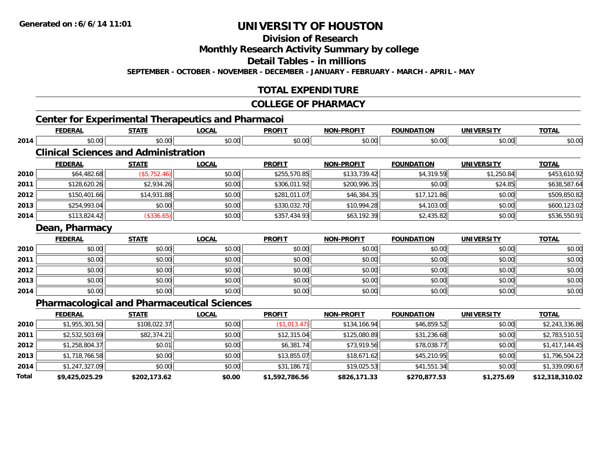**Division of Research**

**Monthly Research Activity Summary by college**

**Detail Tables - in millions**

**SEPTEMBER - OCTOBER - NOVEMBER - DECEMBER - JANUARY - FEBRUARY - MARCH - APRIL - MAY**

## **TOTAL EXPENDITURE**

#### **COLLEGE OF PHARMACY**

## **Center for Experimental Therapeutics and Pharmacoi**

|      | <b>FEDERAL</b>                                     | <b>STATE</b> | <b>LOCAL</b> | <b>PROFIT</b> | <b>NON-PROFIT</b> | <b>FOUNDATION</b> | <b>UNIVERSITY</b> | <b>TOTAL</b>   |  |  |  |
|------|----------------------------------------------------|--------------|--------------|---------------|-------------------|-------------------|-------------------|----------------|--|--|--|
| 2014 | \$0.00                                             | \$0.00       | \$0.00       | \$0.00        | \$0.00            | \$0.00            | \$0.00            | \$0.00         |  |  |  |
|      | <b>Clinical Sciences and Administration</b>        |              |              |               |                   |                   |                   |                |  |  |  |
|      | <b>FEDERAL</b>                                     | <b>STATE</b> | <b>LOCAL</b> | <b>PROFIT</b> | <b>NON-PROFIT</b> | <b>FOUNDATION</b> | <b>UNIVERSITY</b> | <b>TOTAL</b>   |  |  |  |
| 2010 | \$64,482.68                                        | (\$5,752.46) | \$0.00       | \$255,570.85  | \$133,739.42      | \$4,319.59        | \$1,250.84        | \$453,610.92   |  |  |  |
| 2011 | \$128,620.26                                       | \$2,934.26   | \$0.00       | \$306,011.92  | \$200,996.35      | \$0.00            | \$24.85           | \$638,587.64   |  |  |  |
| 2012 | \$150,401.66                                       | \$14,931.88  | \$0.00       | \$281,011.07  | \$46,384.35       | \$17,121.86       | \$0.00            | \$509,850.82   |  |  |  |
| 2013 | \$254,993.04                                       | \$0.00       | \$0.00       | \$330,032.70  | \$10,994.28       | \$4,103.00        | \$0.00            | \$600,123.02   |  |  |  |
| 2014 | \$113,824.42                                       | (\$336.65)   | \$0.00       | \$357,434.93  | \$63,192.39       | \$2,435.82        | \$0.00            | \$536,550.91   |  |  |  |
|      | Dean, Pharmacy                                     |              |              |               |                   |                   |                   |                |  |  |  |
|      | <b>FEDERAL</b>                                     | <b>STATE</b> | <b>LOCAL</b> | <b>PROFIT</b> | <b>NON-PROFIT</b> | <b>FOUNDATION</b> | <b>UNIVERSITY</b> | <b>TOTAL</b>   |  |  |  |
| 2010 | \$0.00                                             | \$0.00       | \$0.00       | \$0.00        | \$0.00            | \$0.00            | \$0.00            | \$0.00         |  |  |  |
| 2011 | \$0.00                                             | \$0.00       | \$0.00       | \$0.00        | \$0.00            | \$0.00            | \$0.00            | \$0.00         |  |  |  |
| 2012 | \$0.00                                             | \$0.00       | \$0.00       | \$0.00        | \$0.00            | \$0.00            | \$0.00            | \$0.00         |  |  |  |
| 2013 | \$0.00                                             | \$0.00       | \$0.00       | \$0.00        | \$0.00            | \$0.00            | \$0.00            | \$0.00         |  |  |  |
| 2014 | \$0.00                                             | \$0.00       | \$0.00       | \$0.00        | \$0.00            | \$0.00            | \$0.00            | \$0.00         |  |  |  |
|      | <b>Pharmacological and Pharmaceutical Sciences</b> |              |              |               |                   |                   |                   |                |  |  |  |
|      | <b>FEDERAL</b>                                     | <b>STATE</b> | <b>LOCAL</b> | <b>PROFIT</b> | <b>NON-PROFIT</b> | <b>FOUNDATION</b> | <b>UNIVERSITY</b> | <b>TOTAL</b>   |  |  |  |
| 2010 | \$1,955,301.50                                     | \$108,022.37 | \$0.00       | (\$1,013.47)  | \$134,166.94      | \$46,859.52       | \$0.00            | \$2,243,336.86 |  |  |  |

| Total | \$9,425,025.29 | \$202,173.62 | \$0.00 | \$1,592,786.56 | \$826,171.33 | \$270,877.53 | \$1,275.69 | \$12,318,310.02 |
|-------|----------------|--------------|--------|----------------|--------------|--------------|------------|-----------------|
| 2014  | \$1,247,327.09 | \$0.00       | \$0.00 | \$31,186.71    | \$19,025.53  | \$41,551.34  | \$0.00     | \$1,339,090.67  |
| 2013  | \$1,718,766.58 | \$0.00       | \$0.00 | \$13,855.07    | \$18,671.62  | \$45,210.95  | \$0.00     | \$1,796,504.22  |
| 2012  | \$1,258,804.37 | \$0.01       | \$0.00 | \$6,381.74     | \$73,919.56  | \$78,038.77  | \$0.00     | \$1,417,144.45  |
| 2011  | \$2,532,503.69 | \$82,374.21  | \$0.00 | \$12,315.04    | \$125,080.89 | \$31,236.68  | \$0.00     | \$2,783,510.51  |
| 2010  | \$1,955,301.50 | \$108,022.37 | \$0.00 | 1,013.47)      | \$134,166.94 | \$46,859.52  | \$0.00     | \$2,243,336.86  |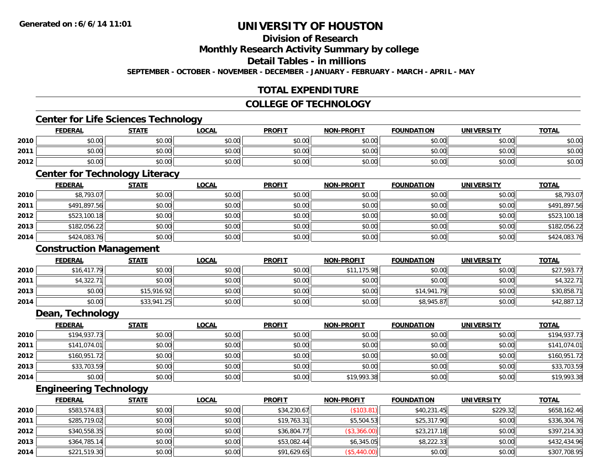## **Division of Research**

**Monthly Research Activity Summary by college**

**Detail Tables - in millions**

**SEPTEMBER - OCTOBER - NOVEMBER - DECEMBER - JANUARY - FEBRUARY - MARCH - APRIL - MAY**

## **TOTAL EXPENDITURE**

#### **COLLEGE OF TECHNOLOGY**

### **Center for Life Sciences Technology**

|      | <b>FEDERAL</b> | <b>STATE</b> | <b>LOCAL</b> | <b>PROFIT</b> | NON-PROFIT | <b>FOUNDATION</b> | <b>UNIVERSITY</b> | <b>TOTAL</b> |
|------|----------------|--------------|--------------|---------------|------------|-------------------|-------------------|--------------|
| 2010 | \$0.00         | \$0.00       | \$0.00       | \$0.00        | \$0.00     | \$0.00            | \$0.00            | \$0.00       |
| 2011 | \$0.00         | \$0.00       | \$0.00       | \$0.00        | \$0.00     | \$0.00            | \$0.00            | \$0.00       |
| 2012 | \$0.00         | \$0.00       | \$0.00       | \$0.00        | \$0.00     | \$0.00            | \$0.00            | \$0.00       |

## **Center for Technology Literacy**

|      | <b>FEDERAL</b> | <b>STATE</b> | <b>LOCAL</b> | <b>PROFIT</b> | <b>NON-PROFIT</b> | <b>FOUNDATION</b> | <b>UNIVERSITY</b> | <b>TOTAL</b> |
|------|----------------|--------------|--------------|---------------|-------------------|-------------------|-------------------|--------------|
| 2010 | \$8,793.07     | \$0.00       | \$0.00       | \$0.00        | \$0.00            | \$0.00            | \$0.00            | \$8,793.07   |
| 2011 | \$491,897.56   | \$0.00       | \$0.00       | \$0.00        | \$0.00            | \$0.00            | \$0.00            | \$491,897.56 |
| 2012 | \$523,100.18   | \$0.00       | \$0.00       | \$0.00        | \$0.00            | \$0.00            | \$0.00            | \$523,100.18 |
| 2013 | \$182,056.22   | \$0.00       | \$0.00       | \$0.00        | \$0.00            | \$0.00            | \$0.00            | \$182,056.22 |
| 2014 | \$424,083.76   | \$0.00       | \$0.00       | \$0.00        | \$0.00            | \$0.00            | \$0.00            | \$424,083.76 |

### **Construction Management**

|      | <b>FEDERAL</b> | <b>STATE</b> | <u>LOCAL</u> | <b>PROFIT</b> | <b>NON-PROFIT</b> | <b>FOUNDATION</b> | <b>UNIVERSITY</b> | <b>TOTAL</b> |
|------|----------------|--------------|--------------|---------------|-------------------|-------------------|-------------------|--------------|
| 2010 | \$16,417.79    | \$0.00       | \$0.00       | \$0.00        | 175.98<br>\$11    | \$0.00            | \$0.00            | \$27,593.77  |
| 2011 | \$4,322.71     | \$0.00       | \$0.00       | \$0.00        | \$0.00            | \$0.00            | \$0.00            | \$4,322.71   |
| 2013 | \$0.00         | \$15,916.92  | \$0.00       | \$0.00        | \$0.00            | \$14,941.79       | \$0.00            | \$30,858.71  |
| 2014 | \$0.00         | \$33,941.25  | \$0.00       | \$0.00        | \$0.00            | \$8,945.87        | \$0.00            | \$42,887.12  |

#### **Dean, Technology**

|      | <b>FEDERAL</b> | <b>STATE</b> | <u>LOCAL</u> | <b>PROFIT</b> | <b>NON-PROFIT</b> | <b>FOUNDATION</b> | <b>UNIVERSITY</b> | <b>TOTAL</b> |
|------|----------------|--------------|--------------|---------------|-------------------|-------------------|-------------------|--------------|
| 2010 | \$194,937.73   | \$0.00       | \$0.00       | \$0.00        | \$0.00            | \$0.00            | \$0.00            | \$194,937.73 |
| 2011 | \$141,074.01   | \$0.00       | \$0.00       | \$0.00        | \$0.00            | \$0.00            | \$0.00            | \$141,074.01 |
| 2012 | \$160,951.72   | \$0.00       | \$0.00       | \$0.00        | \$0.00            | \$0.00            | \$0.00            | \$160,951.72 |
| 2013 | \$33,703.59    | \$0.00       | \$0.00       | \$0.00        | \$0.00            | \$0.00            | \$0.00            | \$33,703.59  |
| 2014 | \$0.00         | \$0.00       | \$0.00       | \$0.00        | \$19,993.38       | \$0.00            | \$0.00            | \$19,993.38  |

## **Engineering Technology**

|      | <b>FEDERAL</b> | <u>STATE</u> | <b>LOCAL</b> | <b>PROFIT</b> | <b>NON-PROFIT</b> | <b>FOUNDATION</b> | <b>UNIVERSITY</b> | <b>TOTAL</b> |
|------|----------------|--------------|--------------|---------------|-------------------|-------------------|-------------------|--------------|
| 2010 | \$583,574.83   | \$0.00       | \$0.00       | \$34,230.67   | (\$103.81)        | \$40,231.45       | \$229.32          | \$658,162.46 |
| 2011 | \$285,719.02   | \$0.00       | \$0.00       | \$19,763.31   | \$5,504.53        | \$25,317.90       | \$0.00            | \$336,304.76 |
| 2012 | \$340,558.35   | \$0.00       | \$0.00       | \$36,804.77   | (\$3,366.00)      | \$23,217.18       | \$0.00            | \$397,214.30 |
| 2013 | \$364,785.14   | \$0.00       | \$0.00       | \$53,082.44   | \$6,345.05        | \$8,222.33        | \$0.00            | \$432,434.96 |
| 2014 | \$221,519.30   | \$0.00       | \$0.00       | \$91,629.65   | (\$5,440.00)      | \$0.00            | \$0.00            | \$307,708.95 |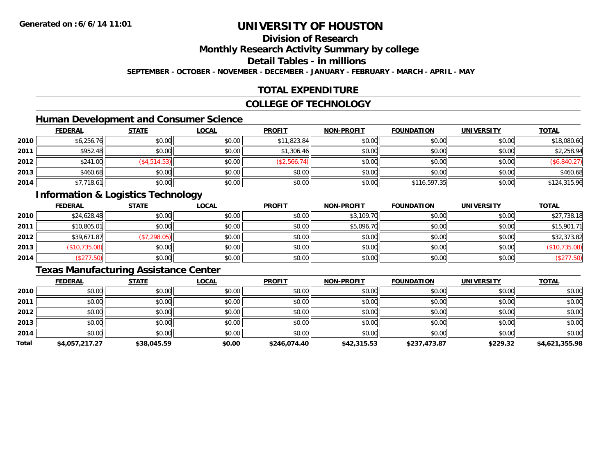## **Division of Research**

**Monthly Research Activity Summary by college**

**Detail Tables - in millions**

**SEPTEMBER - OCTOBER - NOVEMBER - DECEMBER - JANUARY - FEBRUARY - MARCH - APRIL - MAY**

## **TOTAL EXPENDITURE**

#### **COLLEGE OF TECHNOLOGY**

## **Human Development and Consumer Science**

|      | <b>FEDERAL</b> | <b>STATE</b> | <b>LOCAL</b> | <b>PROFIT</b> | <b>NON-PROFIT</b> | <b>FOUNDATION</b> | <b>UNIVERSITY</b> | <b>TOTAL</b> |
|------|----------------|--------------|--------------|---------------|-------------------|-------------------|-------------------|--------------|
| 2010 | \$6,256.76     | \$0.00       | \$0.00       | \$11,823.84   | \$0.00            | \$0.00            | \$0.00            | \$18,080.60  |
| 2011 | \$952.48       | \$0.00       | \$0.00       | \$1,306.46    | \$0.00            | \$0.00            | \$0.00            | \$2,258.94   |
| 2012 | \$241.00       | (\$4,514.53) | \$0.00       | (\$2,566.74)  | \$0.00            | \$0.00            | \$0.00            | (\$6,840.27) |
| 2013 | \$460.68       | \$0.00       | \$0.00       | \$0.00        | \$0.00            | \$0.00            | \$0.00            | \$460.68     |
| 2014 | \$7,718.61     | \$0.00       | \$0.00       | \$0.00        | \$0.00            | \$116,597.35      | \$0.00            | \$124,315.96 |

## **Information & Logistics Technology**

|      | <b>FEDERAL</b> | <b>STATE</b> | <u>LOCAL</u> | <b>PROFIT</b> | <b>NON-PROFIT</b> | <b>FOUNDATION</b> | <b>UNIVERSITY</b> | <b>TOTAL</b>  |
|------|----------------|--------------|--------------|---------------|-------------------|-------------------|-------------------|---------------|
| 2010 | \$24,628.48    | \$0.00       | \$0.00       | \$0.00        | \$3,109.70        | \$0.00            | \$0.00            | \$27,738.18   |
| 2011 | \$10,805.01    | \$0.00       | \$0.00       | \$0.00        | \$5,096.70        | \$0.00            | \$0.00            | \$15,901.71   |
| 2012 | \$39,671.87    | (\$7,298.05) | \$0.00       | \$0.00        | \$0.00            | \$0.00            | \$0.00            | \$32,373.82   |
| 2013 | (\$10,735.08)  | \$0.00       | \$0.00       | \$0.00        | \$0.00            | \$0.00            | \$0.00            | (\$10,735.08) |
| 2014 | \$277.50       | \$0.00       | \$0.00       | \$0.00        | \$0.00            | \$0.00            | \$0.00            | (\$277.50)    |

## **Texas Manufacturing Assistance Center**

|       | <b>FEDERAL</b> | <b>STATE</b> | <b>LOCAL</b> | <b>PROFIT</b> | <b>NON-PROFIT</b> | <b>FOUNDATION</b> | <b>UNIVERSITY</b> | <b>TOTAL</b>   |
|-------|----------------|--------------|--------------|---------------|-------------------|-------------------|-------------------|----------------|
| 2010  | \$0.00         | \$0.00       | \$0.00       | \$0.00        | \$0.00            | \$0.00            | \$0.00            | \$0.00         |
| 2011  | \$0.00         | \$0.00       | \$0.00       | \$0.00        | \$0.00            | \$0.00            | \$0.00            | \$0.00         |
| 2012  | \$0.00         | \$0.00       | \$0.00       | \$0.00        | \$0.00            | \$0.00            | \$0.00            | \$0.00         |
| 2013  | \$0.00         | \$0.00       | \$0.00       | \$0.00        | \$0.00            | \$0.00            | \$0.00            | \$0.00         |
| 2014  | \$0.00         | \$0.00       | \$0.00       | \$0.00        | \$0.00            | \$0.00            | \$0.00            | \$0.00         |
| Total | \$4,057,217.27 | \$38,045.59  | \$0.00       | \$246,074.40  | \$42,315.53       | \$237,473.87      | \$229.32          | \$4,621,355.98 |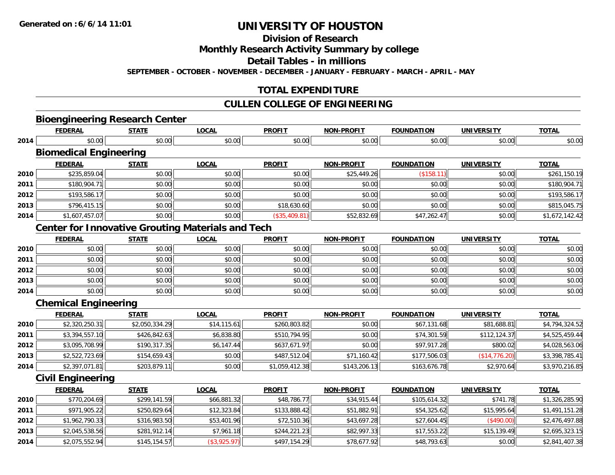**Division of Research**

**Monthly Research Activity Summary by college**

**Detail Tables - in millions**

**SEPTEMBER - OCTOBER - NOVEMBER - DECEMBER - JANUARY - FEBRUARY - MARCH - APRIL - MAY**

## **TOTAL EXPENDITURE**

## **CULLEN COLLEGE OF ENGINEERING**

# **Bioengineering Research Center**

|      | <b>FEDERAL</b>                | <b>STATE</b> | LOCAL        | <b>PROFIT</b>  | <b>NON-PROFIT</b> | <b>FOUNDATION</b> | UNIVERSITY        | <b>TOTAL</b>   |
|------|-------------------------------|--------------|--------------|----------------|-------------------|-------------------|-------------------|----------------|
| 2014 | \$0.00                        | \$0.00       | \$0.00       | \$0.00         | \$0.00            | \$0.00            | \$0.00            | \$0.00         |
|      | <b>Biomedical Engineering</b> |              |              |                |                   |                   |                   |                |
|      | <b>FEDERAL</b>                | <b>STATE</b> | <b>LOCAL</b> | <b>PROFIT</b>  | <b>NON-PROFIT</b> | <b>FOUNDATION</b> | <b>UNIVERSITY</b> | <b>TOTAL</b>   |
| 2010 | \$235,859.04                  | \$0.00       | \$0.00       | \$0.00         | \$25,449.26       | (\$158.11)        | \$0.00            | \$261,150.19   |
| 2011 | \$180,904.71                  | \$0.00       | \$0.00       | \$0.00         | \$0.00            | \$0.00            | \$0.00            | \$180,904.71   |
| 2012 | \$193,586.17                  | \$0.00       | \$0.00       | \$0.00         | \$0.00            | \$0.00            | \$0.00            | \$193,586.17   |
| 2013 | \$796,415.15                  | \$0.00       | \$0.00       | \$18,630.60    | \$0.00            | \$0.00            | \$0.00            | \$815,045.75   |
| 2014 | \$1,607,457.07                | \$0.00       | \$0.00       | $(*35,409.81)$ | \$52,832.69       | \$47,262.47       | \$0.00            | \$1,672,142.42 |

## **Center for Innovative Grouting Materials and Tech**

|      | <b>FEDERAL</b> | <b>STATE</b> | <u>LOCAL</u> | <b>PROFIT</b> | <b>NON-PROFIT</b> | <b>FOUNDATION</b> | <b>UNIVERSITY</b> | <b>TOTAL</b> |
|------|----------------|--------------|--------------|---------------|-------------------|-------------------|-------------------|--------------|
| 2010 | \$0.00         | \$0.00       | \$0.00       | \$0.00        | \$0.00            | \$0.00            | \$0.00            | \$0.00       |
| 2011 | \$0.00         | \$0.00       | \$0.00       | \$0.00        | \$0.00            | \$0.00            | \$0.00            | \$0.00       |
| 2012 | \$0.00         | \$0.00       | \$0.00       | \$0.00        | \$0.00            | \$0.00            | \$0.00            | \$0.00       |
| 2013 | \$0.00         | \$0.00       | \$0.00       | \$0.00        | \$0.00            | \$0.00            | \$0.00            | \$0.00       |
| 2014 | \$0.00         | \$0.00       | \$0.00       | \$0.00        | \$0.00            | \$0.00            | \$0.00            | \$0.00       |

## **Chemical Engineering**

|      | <b>FEDERAL</b> | <b>STATE</b>   | <u>LOCAL</u> | <b>PROFIT</b>  | <b>NON-PROFIT</b> | <b>FOUNDATION</b> | <b>UNIVERSITY</b> | <b>TOTAL</b>   |
|------|----------------|----------------|--------------|----------------|-------------------|-------------------|-------------------|----------------|
| 2010 | \$2,320,250.31 | \$2,050,334.29 | \$14,115.61  | \$260,803.82   | \$0.00            | \$67,131.68       | \$81,688.81       | \$4,794,324.52 |
| 2011 | \$3,394,557.10 | \$426,842.63   | \$6,838.80   | \$510,794.95   | \$0.00            | \$74,301.59       | \$112.124.37      | \$4,525,459.44 |
| 2012 | \$3,095,708.99 | \$190,317.35   | \$6,147.44   | \$637,671.97   | \$0.00            | \$97,917.28       | \$800.02          | \$4,028,563.06 |
| 2013 | \$2,522,723.69 | \$154.659.43   | \$0.00       | \$487,512.04   | \$71,160.42       | \$177,506.03      | (S14, 776.20)     | \$3,398,785.41 |
| 2014 | \$2,397,071.81 | \$203,879.11   | \$0.00       | \$1,059,412.38 | \$143,206.13      | \$163,676.78      | \$2,970.64        | \$3,970,216.85 |

## **Civil Engineering**

|      | <b>FEDERAL</b> | <b>STATE</b> | <b>LOCAL</b> | <b>PROFIT</b> | <b>NON-PROFIT</b> | <b>FOUNDATION</b> | <b>UNIVERSITY</b> | <u>TOTAL</u>   |
|------|----------------|--------------|--------------|---------------|-------------------|-------------------|-------------------|----------------|
| 2010 | \$770,204.69   | \$299,141.59 | \$66,881.32  | \$48,786.77   | \$34,915.44       | \$105,614.32      | \$741.78          | \$1,326,285.90 |
| 2011 | \$971,905.22   | \$250,829.64 | \$12,323.84  | \$133,888.42  | \$51,882.91       | \$54,325.62       | \$15,995.64       | \$1,491,151.28 |
| 2012 | \$1,962,790.33 | \$316,983.50 | \$53,401.96  | \$72,510.36   | \$43,697.28       | \$27,604.45       | (\$490.00)        | \$2,476,497.88 |
| 2013 | \$2,045,538.56 | \$281,912.14 | \$7,961.18   | \$244,221.23  | \$82,997.33       | \$17,553.22       | \$15,139.49       | \$2,695,323.15 |
| 2014 | \$2,075,552.94 | \$145.154.57 | (\$3,925.97) | \$497,154.29  | \$78,677.92       | \$48,793.63       | \$0.00            | \$2,841,407.38 |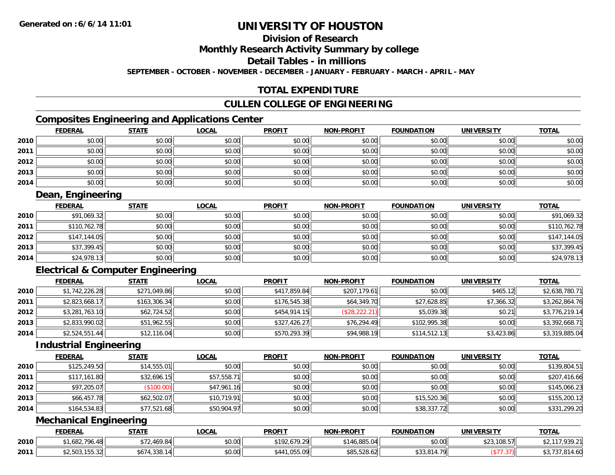## **Division of Research**

**Monthly Research Activity Summary by college**

**Detail Tables - in millions**

**SEPTEMBER - OCTOBER - NOVEMBER - DECEMBER - JANUARY - FEBRUARY - MARCH - APRIL - MAY**

## **TOTAL EXPENDITURE**

## **CULLEN COLLEGE OF ENGINEERING**

## **Composites Engineering and Applications Center**

|      | <b>FEDERAL</b> | <b>STATE</b> | <u>LOCAL</u> | <b>PROFIT</b> | <b>NON-PROFIT</b> | <b>FOUNDATION</b> | <b>UNIVERSITY</b> | <b>TOTAL</b> |
|------|----------------|--------------|--------------|---------------|-------------------|-------------------|-------------------|--------------|
| 2010 | \$0.00         | \$0.00       | \$0.00       | \$0.00        | \$0.00            | \$0.00            | \$0.00            | \$0.00       |
| 2011 | \$0.00         | \$0.00       | \$0.00       | \$0.00        | \$0.00            | \$0.00            | \$0.00            | \$0.00       |
| 2012 | \$0.00         | \$0.00       | \$0.00       | \$0.00        | \$0.00            | \$0.00            | \$0.00            | \$0.00       |
| 2013 | \$0.00         | \$0.00       | \$0.00       | \$0.00        | \$0.00            | \$0.00            | \$0.00            | \$0.00       |
| 2014 | \$0.00         | \$0.00       | \$0.00       | \$0.00        | \$0.00            | \$0.00            | \$0.00            | \$0.00       |

## **Dean, Engineering**

|      | <u>FEDERAL</u> | <u>STATE</u> | <u>LOCAL</u> | <b>PROFIT</b> | <b>NON-PROFIT</b> | <b>FOUNDATION</b> | <b>UNIVERSITY</b> | <b>TOTAL</b> |
|------|----------------|--------------|--------------|---------------|-------------------|-------------------|-------------------|--------------|
| 2010 | \$91,069.32    | \$0.00       | \$0.00       | \$0.00        | \$0.00            | \$0.00            | \$0.00            | \$91,069.32  |
| 2011 | \$110,762.78   | \$0.00       | \$0.00       | \$0.00        | \$0.00            | \$0.00            | \$0.00            | \$110,762.78 |
| 2012 | \$147,144.05   | \$0.00       | \$0.00       | \$0.00        | \$0.00            | \$0.00            | \$0.00            | \$147,144.05 |
| 2013 | \$37,399.45    | \$0.00       | \$0.00       | \$0.00        | \$0.00            | \$0.00            | \$0.00            | \$37,399.45  |
| 2014 | \$24,978.13    | \$0.00       | \$0.00       | \$0.00        | \$0.00            | \$0.00            | \$0.00            | \$24,978.13  |

## **Electrical & Computer Engineering**

|      | <b>FEDERAL</b> | <b>STATE</b> | <u>LOCAL</u> | <b>PROFIT</b> | <b>NON-PROFIT</b> | <b>FOUNDATION</b> | <b>UNIVERSITY</b> | <b>TOTAL</b>   |
|------|----------------|--------------|--------------|---------------|-------------------|-------------------|-------------------|----------------|
| 2010 | \$1,742,226.28 | \$271,049.86 | \$0.00       | \$417,859.84  | \$207,179.61      | \$0.00            | \$465.12          | \$2,638,780.71 |
| 2011 | \$2,823,668.17 | \$163,306.34 | \$0.00       | \$176,545.38  | \$64,349.70       | \$27,628.85       | \$7,366.32        | \$3,262,864.76 |
| 2012 | \$3,281,763.10 | \$62,724.52  | \$0.00       | \$454,914.15  | (\$28,222.21)     | \$5,039.38        | \$0.21            | \$3,776,219.14 |
| 2013 | \$2,833,990.02 | \$51,962.55  | \$0.00       | \$327,426.27  | \$76.294.49       | \$102,995.38      | \$0.00            | \$3,392,668.71 |
| 2014 | \$2,524,551.44 | \$12,116.04  | \$0.00       | \$570,293.39  | \$94,988.19       | \$114,512.13      | \$3,423.86        | \$3,319,885.04 |

### **Industrial Engineering**

|      | <b>FEDERAL</b> | <b>STATE</b> | <u>LOCAL</u> | <b>PROFIT</b> | <b>NON-PROFIT</b> | <b>FOUNDATION</b> | <b>UNIVERSITY</b> | <b>TOTAL</b> |
|------|----------------|--------------|--------------|---------------|-------------------|-------------------|-------------------|--------------|
| 2010 | \$125,249.50   | \$14,555.01  | \$0.00       | \$0.00        | \$0.00            | \$0.00            | \$0.00            | \$139,804.51 |
| 2011 | \$117,161.80   | \$32,696.15  | \$57,558.71  | \$0.00        | \$0.00            | \$0.00            | \$0.00            | \$207,416.66 |
| 2012 | \$97,205.07    | (\$100.00)   | \$47,961.16  | \$0.00        | \$0.00            | \$0.00            | \$0.00            | \$145,066.23 |
| 2013 | \$66,457.78    | \$62,502.07  | \$10,719.91  | \$0.00        | \$0.00            | \$15,520.36       | \$0.00            | \$155,200.12 |
| 2014 | \$164,534.83   | \$77,521.68  | \$50,904.97  | \$0.00        | \$0.00            | \$38,337.72       | \$0.00            | \$331,299.20 |

## **Mechanical Engineering**

|      | <b>FEDERAL</b>                                                   | <b>STATE</b>                                       | LOCAL  | <b>PROFIT</b>            | NON-PROFIT                    | <b>FOUNDATION</b> | UNIVERSITY | <b>TOTAL</b>   |
|------|------------------------------------------------------------------|----------------------------------------------------|--------|--------------------------|-------------------------------|-------------------|------------|----------------|
| 2010 | .682.796<br>$\sim$                                               | $A \wedge Q$ $Q$ $A$<br>$\overline{a}$<br>∵ 27.0⊶. | \$0.00 | <b>¢102</b><br>92.679.29 | \$146.885.04                  | \$0.00            | ,108.57    | 1 0 20 71      |
| 2011 | $\sim$ COO AFF ONL.<br>ሖ へ<br>ے ت. ت ت ا<br>$\mathcal{L}$ , JVJ, | .338.14<br>\$674                                   | \$0.00 | .055.09<br>\$44'         | 0.05, 0.06, 0.01<br>N6.825.58 | \$33,814.79       |            | 011<br>.814.60 |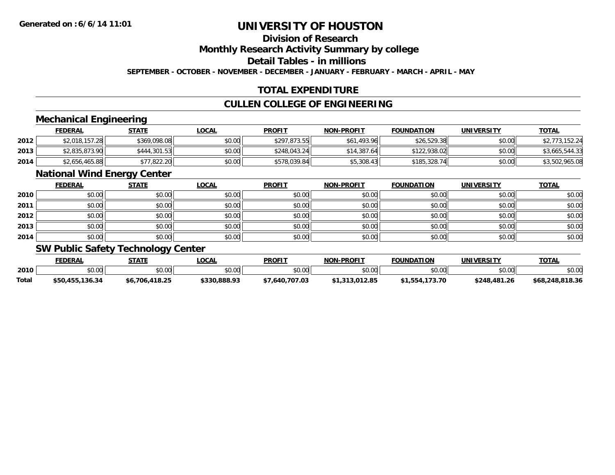## **Division of Research**

**Monthly Research Activity Summary by college**

**Detail Tables - in millions**

**SEPTEMBER - OCTOBER - NOVEMBER - DECEMBER - JANUARY - FEBRUARY - MARCH - APRIL - MAY**

## **TOTAL EXPENDITURE**

## **CULLEN COLLEGE OF ENGINEERING**

## **Mechanical Engineering**

|      | <b>FEDERAL</b> | <u>STATE</u> | <u>LOCAL</u> | <b>PROFIT</b> | <b>NON-PROFIT</b> | <b>FOUNDATION</b> | UNIVERSITY | <b>TOTAL</b>   |
|------|----------------|--------------|--------------|---------------|-------------------|-------------------|------------|----------------|
| 2012 | \$2,018,157.28 | \$369,098.08 | \$0.00       | \$297,873.55  | \$61,493.96       | \$26,529.38       | \$0.00     | \$2,773,152.24 |
| 2013 | \$2,835,873.90 | \$444,301.53 | \$0.00       | \$248,043.24  | \$14,387.64       | \$122,938.02      | \$0.00     | \$3,665,544.33 |
| 2014 | \$2,656,465.88 | \$77.822.20  | \$0.00       | \$578,039.84  | \$5,308.43        | \$185,328.74      | \$0.00     | \$3,502,965.08 |

### **National Wind Energy Center**

|      | <b>FEDERAL</b> | <b>STATE</b> | <b>LOCAL</b> | <b>PROFIT</b> | <b>NON-PROFIT</b> | <b>FOUNDATION</b> | <b>UNIVERSITY</b> | <b>TOTAL</b> |
|------|----------------|--------------|--------------|---------------|-------------------|-------------------|-------------------|--------------|
| 2010 | \$0.00         | \$0.00       | \$0.00       | \$0.00        | \$0.00            | \$0.00            | \$0.00            | \$0.00       |
| 2011 | \$0.00         | \$0.00       | \$0.00       | \$0.00        | \$0.00            | \$0.00            | \$0.00            | \$0.00       |
| 2012 | \$0.00         | \$0.00       | \$0.00       | \$0.00        | \$0.00            | \$0.00            | \$0.00            | \$0.00       |
| 2013 | \$0.00         | \$0.00       | \$0.00       | \$0.00        | \$0.00            | \$0.00            | \$0.00            | \$0.00       |
| 2014 | \$0.00         | \$0.00       | \$0.00       | \$0.00        | \$0.00            | \$0.00            | \$0.00            | \$0.00       |

### **SW Public Safety Technology Center**

|       | <b>FEDERAL</b>     | STATE          | <b>LOCAL</b> | <b>PROFIT</b>  | <b>NON-PROFIT</b> | <b>FOUNDATION</b> | <b>UNIVERSITY</b> | <b>TOTAL</b>    |
|-------|--------------------|----------------|--------------|----------------|-------------------|-------------------|-------------------|-----------------|
| 2010  | $\sim$ 00<br>DU.UU | \$0.00         | \$0.00       | \$0.00         | \$0.00            | \$0.00            | \$0.00            | \$0.00          |
| Total | \$50,455,136.34    | \$6,706,418.25 | \$330,888.93 | \$7,640,707.03 | \$1,313,012.85    | \$1.554.173.70    | \$248,481.26      | \$68,248,818.36 |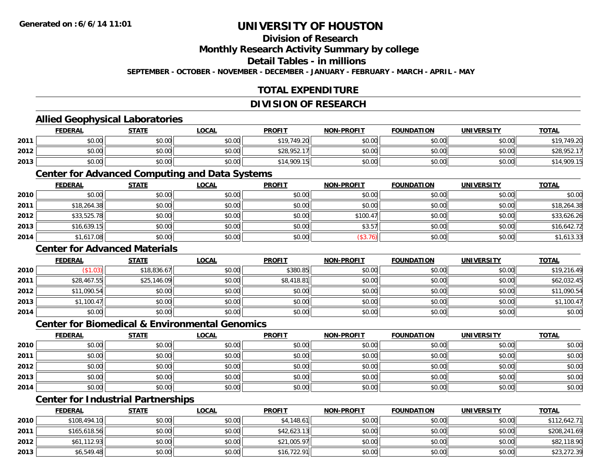## **Division of Research**

**Monthly Research Activity Summary by college**

**Detail Tables - in millions**

**SEPTEMBER - OCTOBER - NOVEMBER - DECEMBER - JANUARY - FEBRUARY - MARCH - APRIL - MAY**

## **TOTAL EXPENDITURE**

### **DIVISION OF RESEARCH**

### **Allied Geophysical Laboratories**

|      | <b>FEDERAL</b> | <b>STATE</b> | <u>LOCAL</u> | <b>PROFIT</b> | <b>NON-PROFIT</b> | <b>FOUNDATION</b> | <b>UNIVERSITY</b> | <b>TOTAL</b> |
|------|----------------|--------------|--------------|---------------|-------------------|-------------------|-------------------|--------------|
| 2011 | \$0.00         | \$0.00       | \$0.00       | \$19.749.20   | \$0.00            | \$0.00            | \$0.00            | \$19,749.20  |
| 2012 | \$0.00         | \$0.00       | \$0.00       | \$28,952.17   | \$0.00            | \$0.00            | \$0.00            | \$28,952.17  |
| 2013 | \$0.00         | \$0.00       | \$0.00       | \$14,909.15   | \$0.00            | \$0.00            | \$0.00            | 14,909.15    |

#### **Center for Advanced Computing and Data Systems**

|      | <u>FEDERAL</u> | <u>STATE</u> | <u>LOCAL</u> | <b>PROFIT</b> | <b>NON-PROFIT</b> | <b>FOUNDATION</b> | <b>UNIVERSITY</b> | <b>TOTAL</b> |
|------|----------------|--------------|--------------|---------------|-------------------|-------------------|-------------------|--------------|
| 2010 | \$0.00         | \$0.00       | \$0.00       | \$0.00        | \$0.00            | \$0.00            | \$0.00            | \$0.00       |
| 2011 | \$18,264.38    | \$0.00       | \$0.00       | \$0.00        | \$0.00            | \$0.00            | \$0.00            | \$18,264.38  |
| 2012 | \$33,525.78    | \$0.00       | \$0.00       | \$0.00        | \$100.47          | \$0.00            | \$0.00            | \$33,626.26  |
| 2013 | \$16,639.15    | \$0.00       | \$0.00       | \$0.00        | \$3.57            | \$0.00            | \$0.00            | \$16,642.72  |
| 2014 | \$1,617.08     | \$0.00       | \$0.00       | \$0.00        | (\$3.76)          | \$0.00            | \$0.00            | \$1,613.33   |

### **Center for Advanced Materials**

|      | <b>FEDERAL</b> | <b>STATE</b> | <u>LOCAL</u> | <b>PROFIT</b> | <b>NON-PROFIT</b> | <b>FOUNDATION</b> | <b>UNIVERSITY</b> | <b>TOTAL</b> |
|------|----------------|--------------|--------------|---------------|-------------------|-------------------|-------------------|--------------|
| 2010 | \$1.03         | \$18,836.67  | \$0.00       | \$380.85      | \$0.00            | \$0.00            | \$0.00            | \$19,216.49  |
| 2011 | \$28,467.55    | \$25,146.09  | \$0.00       | \$8,418.81    | \$0.00            | \$0.00            | \$0.00            | \$62,032.45  |
| 2012 | \$11,090.54    | \$0.00       | \$0.00       | \$0.00        | \$0.00            | \$0.00            | \$0.00            | \$11,090.54  |
| 2013 | \$1,100.47     | \$0.00       | \$0.00       | \$0.00        | \$0.00            | \$0.00            | \$0.00            | \$1,100.47   |
| 2014 | \$0.00         | \$0.00       | \$0.00       | \$0.00        | \$0.00            | \$0.00            | \$0.00            | \$0.00       |

### **Center for Biomedical & Environmental Genomics**

|      | <u>FEDERAL</u> | <b>STATE</b> | <b>LOCAL</b> | <b>PROFIT</b> | <b>NON-PROFIT</b> | <b>FOUNDATION</b> | <b>UNIVERSITY</b> | <b>TOTAL</b> |
|------|----------------|--------------|--------------|---------------|-------------------|-------------------|-------------------|--------------|
| 2010 | \$0.00         | \$0.00       | \$0.00       | \$0.00        | \$0.00            | \$0.00            | \$0.00            | \$0.00       |
| 2011 | \$0.00         | \$0.00       | \$0.00       | \$0.00        | \$0.00            | \$0.00            | \$0.00            | \$0.00       |
| 2012 | \$0.00         | \$0.00       | \$0.00       | \$0.00        | \$0.00            | \$0.00            | \$0.00            | \$0.00       |
| 2013 | \$0.00         | \$0.00       | \$0.00       | \$0.00        | \$0.00            | \$0.00            | \$0.00            | \$0.00       |
| 2014 | \$0.00         | \$0.00       | \$0.00       | \$0.00        | \$0.00            | \$0.00            | \$0.00            | \$0.00       |

## **Center for Industrial Partnerships**

|      | <u>FEDERAL</u> | <b>STATE</b> | <b>LOCAL</b> | <b>PROFIT</b> | <b>NON-PROFIT</b> | <b>FOUNDATION</b> | <b>UNIVERSITY</b> | <b>TOTAL</b> |
|------|----------------|--------------|--------------|---------------|-------------------|-------------------|-------------------|--------------|
| 2010 | \$108,494.10   | \$0.00       | \$0.00       | \$4,148.61    | \$0.00            | \$0.00            | \$0.00            | \$112,642.71 |
| 2011 | \$165,618.56   | \$0.00       | \$0.00       | \$42,623.13   | \$0.00            | \$0.00            | \$0.00            | \$208,241.69 |
| 2012 | \$61,112.93    | \$0.00       | \$0.00       | \$21,005.97   | \$0.00            | \$0.00            | \$0.00            | \$82,118.90  |
| 2013 | \$6,549.48     | \$0.00       | \$0.00       | \$16,722.91   | \$0.00            | \$0.00            | \$0.00            | \$23,272.39  |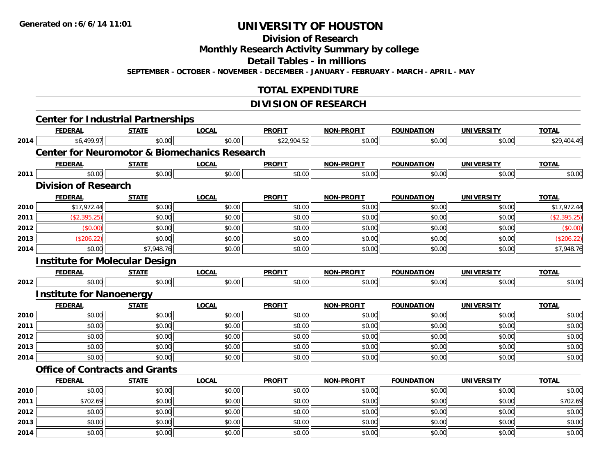## **Division of Research**

**Monthly Research Activity Summary by college**

**Detail Tables - in millions**

**SEPTEMBER - OCTOBER - NOVEMBER - DECEMBER - JANUARY - FEBRUARY - MARCH - APRIL - MAY**

## **TOTAL EXPENDITURE**

## **DIVISION OF RESEARCH**

|      | <b>Center for Industrial Partnerships</b>                |              |              |               |                   |                   |                   |              |
|------|----------------------------------------------------------|--------------|--------------|---------------|-------------------|-------------------|-------------------|--------------|
|      | <b>FEDERAL</b>                                           | <b>STATE</b> | <b>LOCAL</b> | <b>PROFIT</b> | <b>NON-PROFIT</b> | <b>FOUNDATION</b> | <b>UNIVERSITY</b> | <b>TOTAL</b> |
| 2014 | \$6,499.97                                               | \$0.00       | \$0.00       | \$22,904.52   | \$0.00            | \$0.00            | \$0.00            | \$29,404.49  |
|      | <b>Center for Neuromotor &amp; Biomechanics Research</b> |              |              |               |                   |                   |                   |              |
|      | <b>FEDERAL</b>                                           | <b>STATE</b> | <b>LOCAL</b> | <b>PROFIT</b> | <b>NON-PROFIT</b> | <b>FOUNDATION</b> | <b>UNIVERSITY</b> | <b>TOTAL</b> |
| 2011 | \$0.00                                                   | \$0.00       | \$0.00       | \$0.00        | \$0.00            | \$0.00            | \$0.00            | \$0.00       |
|      | <b>Division of Research</b>                              |              |              |               |                   |                   |                   |              |
|      | <b>FEDERAL</b>                                           | <b>STATE</b> | <b>LOCAL</b> | <b>PROFIT</b> | <b>NON-PROFIT</b> | <b>FOUNDATION</b> | <b>UNIVERSITY</b> | <b>TOTAL</b> |
| 2010 | \$17,972.44                                              | \$0.00       | \$0.00       | \$0.00        | \$0.00            | \$0.00            | \$0.00            | \$17,972.44  |
| 2011 | (\$2,395.25)                                             | \$0.00       | \$0.00       | \$0.00        | \$0.00            | \$0.00            | \$0.00            | (\$2,395.25) |
| 2012 | (\$0.00)                                                 | \$0.00       | \$0.00       | \$0.00        | \$0.00            | \$0.00            | \$0.00            | (\$0.00)     |
| 2013 | (\$206.22)                                               | \$0.00       | \$0.00       | \$0.00        | \$0.00            | \$0.00            | \$0.00            | (\$206.22)   |
| 2014 | \$0.00                                                   | \$7,948.76   | \$0.00       | \$0.00        | \$0.00            | \$0.00            | \$0.00            | \$7,948.76   |
|      | <b>Institute for Molecular Design</b>                    |              |              |               |                   |                   |                   |              |
|      | <b>FEDERAL</b>                                           | <b>STATE</b> | <b>LOCAL</b> | <b>PROFIT</b> | <b>NON-PROFIT</b> | <b>FOUNDATION</b> | <b>UNIVERSITY</b> | <b>TOTAL</b> |
| 2012 | \$0.00                                                   | \$0.00       | \$0.00       | \$0.00        | \$0.00            | \$0.00            | \$0.00            | \$0.00       |
|      | <b>Institute for Nanoenergy</b>                          |              |              |               |                   |                   |                   |              |
|      | <b>FEDERAL</b>                                           | <b>STATE</b> | <b>LOCAL</b> | <b>PROFIT</b> | <b>NON-PROFIT</b> | <b>FOUNDATION</b> | <b>UNIVERSITY</b> | <b>TOTAL</b> |
| 2010 | \$0.00                                                   | \$0.00       | \$0.00       | \$0.00        | \$0.00            | \$0.00            | \$0.00            | \$0.00       |
| 2011 | \$0.00                                                   | \$0.00       | \$0.00       | \$0.00        | \$0.00            | \$0.00            | \$0.00            | \$0.00       |
| 2012 | \$0.00                                                   | \$0.00       | \$0.00       | \$0.00        | \$0.00            | \$0.00            | \$0.00            | \$0.00       |
| 2013 | \$0.00                                                   | \$0.00       | \$0.00       | \$0.00        | \$0.00            | \$0.00            | \$0.00            | \$0.00       |
| 2014 | \$0.00                                                   | \$0.00       | \$0.00       | \$0.00        | \$0.00            | \$0.00            | \$0.00            | \$0.00       |
|      | <b>Office of Contracts and Grants</b>                    |              |              |               |                   |                   |                   |              |
|      | <b>FEDERAL</b>                                           | <b>STATE</b> | <b>LOCAL</b> | <b>PROFIT</b> | <b>NON-PROFIT</b> | <b>FOUNDATION</b> | <b>UNIVERSITY</b> | <b>TOTAL</b> |
| 2010 | \$0.00                                                   | \$0.00       | \$0.00       | \$0.00        | \$0.00            | \$0.00            | \$0.00            | \$0.00       |
| 2011 | \$702.69                                                 | \$0.00       | \$0.00       | \$0.00        | \$0.00            | \$0.00            | \$0.00            | \$702.69     |
| 2012 | \$0.00                                                   | \$0.00       | \$0.00       | \$0.00        | \$0.00            | \$0.00            | \$0.00            | \$0.00       |
| 2013 | \$0.00                                                   | \$0.00       | \$0.00       | \$0.00        | \$0.00            | \$0.00            | \$0.00            | \$0.00       |
| 2014 | \$0.00                                                   | \$0.00       | \$0.00       | \$0.00        | \$0.00            | \$0.00            | \$0.00            | \$0.00       |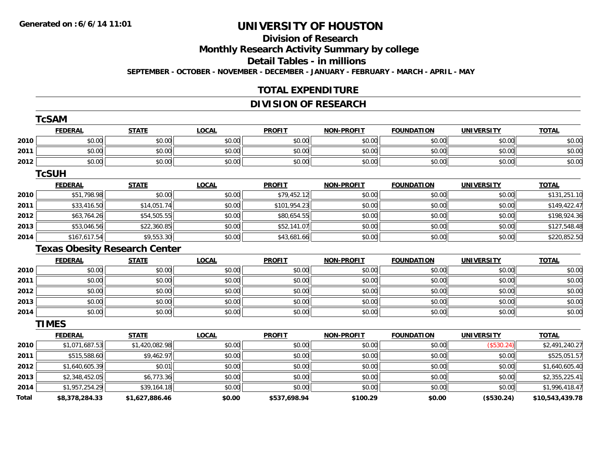## **Division of Research**

**Monthly Research Activity Summary by college**

**Detail Tables - in millions**

**SEPTEMBER - OCTOBER - NOVEMBER - DECEMBER - JANUARY - FEBRUARY - MARCH - APRIL - MAY**

## **TOTAL EXPENDITURE**

## **DIVISION OF RESEARCH**

|       | <b>TcSAM</b>   |                                      |              |               |                   |                   |                   |                 |
|-------|----------------|--------------------------------------|--------------|---------------|-------------------|-------------------|-------------------|-----------------|
|       | <b>FEDERAL</b> | <b>STATE</b>                         | <b>LOCAL</b> | <b>PROFIT</b> | <b>NON-PROFIT</b> | <b>FOUNDATION</b> | <b>UNIVERSITY</b> | <b>TOTAL</b>    |
| 2010  | \$0.00         | \$0.00                               | \$0.00       | \$0.00        | \$0.00            | \$0.00            | \$0.00            | \$0.00          |
| 2011  | \$0.00         | \$0.00                               | \$0.00       | \$0.00        | \$0.00            | \$0.00            | \$0.00            | \$0.00          |
| 2012  | \$0.00         | \$0.00                               | \$0.00       | \$0.00        | \$0.00            | \$0.00            | \$0.00            | \$0.00          |
|       | <b>TcSUH</b>   |                                      |              |               |                   |                   |                   |                 |
|       | <b>FEDERAL</b> | <b>STATE</b>                         | <b>LOCAL</b> | <b>PROFIT</b> | <b>NON-PROFIT</b> | <b>FOUNDATION</b> | <b>UNIVERSITY</b> | <b>TOTAL</b>    |
| 2010  | \$51,798.98    | \$0.00                               | \$0.00       | \$79,452.12   | \$0.00            | \$0.00            | \$0.00            | \$131,251.10    |
| 2011  | \$33,416.50    | \$14,051.74                          | \$0.00       | \$101,954.23  | \$0.00            | \$0.00            | \$0.00            | \$149,422.47    |
| 2012  | \$63,764.26    | \$54,505.55                          | \$0.00       | \$80,654.55   | \$0.00            | \$0.00            | \$0.00            | \$198,924.36    |
| 2013  | \$53,046.56    | \$22,360.85                          | \$0.00       | \$52,141.07   | \$0.00            | \$0.00            | \$0.00            | \$127,548.48    |
| 2014  | \$167,617.54   | \$9,553.30                           | \$0.00       | \$43,681.66   | \$0.00            | \$0.00            | \$0.00            | \$220,852.50    |
|       |                | <b>Texas Obesity Research Center</b> |              |               |                   |                   |                   |                 |
|       | <b>FEDERAL</b> | <b>STATE</b>                         | <b>LOCAL</b> | <b>PROFIT</b> | <b>NON-PROFIT</b> | <b>FOUNDATION</b> | <b>UNIVERSITY</b> | <b>TOTAL</b>    |
| 2010  | \$0.00         | \$0.00                               | \$0.00       | \$0.00        | \$0.00            | \$0.00            | \$0.00            | \$0.00          |
| 2011  | \$0.00         | \$0.00                               | \$0.00       | \$0.00        | \$0.00            | \$0.00            | \$0.00            | \$0.00          |
| 2012  | \$0.00         | \$0.00                               | \$0.00       | \$0.00        | \$0.00            | \$0.00            | \$0.00            | \$0.00          |
| 2013  | \$0.00         | \$0.00                               | \$0.00       | \$0.00        | \$0.00            | \$0.00            | \$0.00            | \$0.00          |
| 2014  | \$0.00         | \$0.00                               | \$0.00       | \$0.00        | \$0.00            | \$0.00            | \$0.00            | \$0.00          |
|       | <b>TIMES</b>   |                                      |              |               |                   |                   |                   |                 |
|       | <b>FEDERAL</b> | <b>STATE</b>                         | <b>LOCAL</b> | <b>PROFIT</b> | <b>NON-PROFIT</b> | <b>FOUNDATION</b> | <b>UNIVERSITY</b> | <b>TOTAL</b>    |
| 2010  | \$1,071,687.53 | \$1,420,082.98                       | \$0.00       | \$0.00        | \$0.00            | \$0.00            | (\$530.24)        | \$2,491,240.27  |
| 2011  | \$515,588.60   | \$9,462.97                           | \$0.00       | \$0.00        | \$0.00            | \$0.00            | \$0.00            | \$525,051.57    |
| 2012  | \$1,640,605.39 | \$0.01                               | \$0.00       | \$0.00        | \$0.00            | \$0.00            | \$0.00            | \$1,640,605.40  |
| 2013  | \$2,348,452.05 | \$6,773.36                           | \$0.00       | \$0.00        | \$0.00            | \$0.00            | \$0.00            | \$2,355,225.41  |
| 2014  | \$1,957,254.29 | \$39,164.18                          | \$0.00       | \$0.00        | \$0.00            | \$0.00            | \$0.00            | \$1,996,418.47  |
| Total | \$8,378,284.33 | \$1,627,886.46                       | \$0.00       | \$537,698.94  | \$100.29          | \$0.00            | (\$530.24)        | \$10,543,439.78 |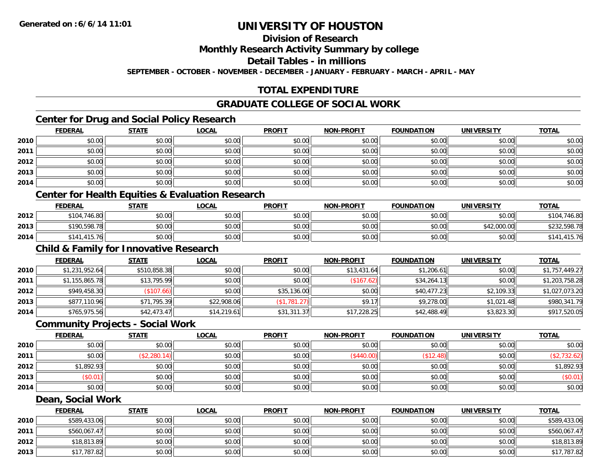## **Division of Research**

**Monthly Research Activity Summary by college**

**Detail Tables - in millions**

**SEPTEMBER - OCTOBER - NOVEMBER - DECEMBER - JANUARY - FEBRUARY - MARCH - APRIL - MAY**

## **TOTAL EXPENDITURE**

### **GRADUATE COLLEGE OF SOCIAL WORK**

## **Center for Drug and Social Policy Research**

|      | <b>FEDERAL</b> | <b>STATE</b> | <u>LOCAL</u> | <b>PROFIT</b> | <b>NON-PROFIT</b> | <b>FOUNDATION</b> | <b>UNIVERSITY</b> | <b>TOTAL</b> |
|------|----------------|--------------|--------------|---------------|-------------------|-------------------|-------------------|--------------|
| 2010 | \$0.00         | \$0.00       | \$0.00       | \$0.00        | \$0.00            | \$0.00            | \$0.00            | \$0.00       |
| 2011 | \$0.00         | \$0.00       | \$0.00       | \$0.00        | \$0.00            | \$0.00            | \$0.00            | \$0.00       |
| 2012 | \$0.00         | \$0.00       | \$0.00       | \$0.00        | \$0.00            | \$0.00            | \$0.00            | \$0.00       |
| 2013 | \$0.00         | \$0.00       | \$0.00       | \$0.00        | \$0.00            | \$0.00            | \$0.00            | \$0.00       |
| 2014 | \$0.00         | \$0.00       | \$0.00       | \$0.00        | \$0.00            | \$0.00            | \$0.00            | \$0.00       |

### **Center for Health Equities & Evaluation Research**

|      | <b>FEDERAL</b> | <b>STATE</b> | <u>LOCAL</u> | <b>PROFIT</b> | <b>NON-PROFIT</b> | <b>FOUNDATION</b> | UNIVERSITY  | <b>TOTAL</b> |
|------|----------------|--------------|--------------|---------------|-------------------|-------------------|-------------|--------------|
| 2012 | \$104,746.80   | \$0.00       | \$0.00       | \$0.00        | \$0.00            | \$0.00            | \$0.00      | \$104,746.80 |
| 2013 | \$190,598.78   | \$0.00       | \$0.00       | \$0.00        | \$0.00            | \$0.00            | \$42,000.00 | \$232,598.78 |
| 2014 | \$141,415.76   | \$0.00       | \$0.00       | \$0.00        | \$0.00            | \$0.00            | \$0.00      | ,415.76      |

## **Child & Family for Innovative Research**

|      | <b>FEDERAL</b> | <b>STATE</b> | <b>LOCAL</b> | <b>PROFIT</b> | <b>NON-PROFIT</b> | <b>FOUNDATION</b> | <b>UNIVERSITY</b> | <b>TOTAL</b>   |
|------|----------------|--------------|--------------|---------------|-------------------|-------------------|-------------------|----------------|
| 2010 | \$1,231,952.64 | \$510,858.38 | \$0.00       | \$0.00        | \$13,431.64       | \$1,206.61        | \$0.00            | \$1,757,449.27 |
| 2011 | \$1,155,865.78 | \$13,795.99  | \$0.00       | \$0.00        | (\$167.62)        | \$34,264.13       | \$0.00            | \$1,203,758.28 |
| 2012 | \$949,458.30   | (\$107.66)   | \$0.00       | \$35,136.00   | \$0.00            | \$40,477.23       | \$2,109.33        | \$1,027,073.20 |
| 2013 | \$877,110.96   | \$71,795.39  | \$22,908.06  | (\$1,781.27)  | \$9.17            | \$9,278.00        | \$1,021.48        | \$980,341.79   |
| 2014 | \$765,975.56   | \$42,473.47  | \$14,219.61  | \$31,311.37   | \$17,228.25       | \$42,488.49       | \$3,823.30        | \$917,520.05   |

#### **Community Projects - Social Work**

|      | <b>FEDERAL</b> | <b>STATE</b> | <b>LOCAL</b> | <b>PROFIT</b> | <b>NON-PROFIT</b> | <b>FOUNDATION</b> | <b>UNIVERSITY</b> | <b>TOTAL</b> |
|------|----------------|--------------|--------------|---------------|-------------------|-------------------|-------------------|--------------|
| 2010 | \$0.00         | \$0.00       | \$0.00       | \$0.00        | \$0.00            | \$0.00            | \$0.00            | \$0.00       |
| 2011 | \$0.00         | (\$2,280.14) | \$0.00       | \$0.00        | \$440.00          | \$12.48           | \$0.00            | \$2,732.62\$ |
| 2012 | \$1,892.93     | \$0.00       | \$0.00       | \$0.00        | \$0.00            | \$0.00            | \$0.00            | \$1,892.93   |
| 2013 | \$0.01         | \$0.00       | \$0.00       | \$0.00        | \$0.00            | \$0.00            | \$0.00            | (\$0.01)     |
| 2014 | \$0.00         | \$0.00       | \$0.00       | \$0.00        | \$0.00            | \$0.00            | \$0.00            | \$0.00       |

#### **Dean, Social Work**

|      | <b>FEDERAL</b> | <b>STATE</b> | <u>LOCAL</u> | <b>PROFIT</b> | <b>NON-PROFIT</b> | <b>FOUNDATION</b> | <b>UNIVERSITY</b> | <b>TOTAL</b> |
|------|----------------|--------------|--------------|---------------|-------------------|-------------------|-------------------|--------------|
| 2010 | \$589,433.06   | \$0.00       | \$0.00       | \$0.00        | \$0.00            | \$0.00            | \$0.00            | \$589,433.06 |
| 2011 | \$560,067.47   | \$0.00       | \$0.00       | \$0.00        | \$0.00            | \$0.00            | \$0.00            | \$560,067.47 |
| 2012 | \$18,813.89    | \$0.00       | \$0.00       | \$0.00        | \$0.00            | \$0.00            | \$0.00            | \$18,813.89  |
| 2013 | \$17,787.82    | \$0.00       | \$0.00       | \$0.00        | \$0.00            | \$0.00            | \$0.00            | \$17,787.82  |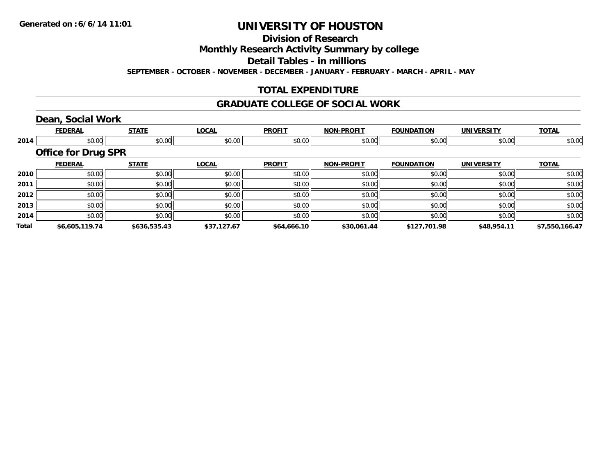## **Division of Research**

**Monthly Research Activity Summary by college**

**Detail Tables - in millions**

**SEPTEMBER - OCTOBER - NOVEMBER - DECEMBER - JANUARY - FEBRUARY - MARCH - APRIL - MAY**

## **TOTAL EXPENDITURE**

#### **GRADUATE COLLEGE OF SOCIAL WORK**

## **Dean, Social Work**

|       | <b>FEDERAL</b>             | <b>STATE</b> | <b>LOCAL</b> | <b>PROFIT</b> | <b>NON-PROFIT</b> | <b>FOUNDATION</b> | <b>UNIVERSITY</b> | <b>TOTAL</b>   |
|-------|----------------------------|--------------|--------------|---------------|-------------------|-------------------|-------------------|----------------|
| 2014  | \$0.00                     | \$0.00       | \$0.00       | \$0.00        | \$0.00            | \$0.00            | \$0.00            | \$0.00         |
|       | <b>Office for Drug SPR</b> |              |              |               |                   |                   |                   |                |
|       | <b>FEDERAL</b>             | <b>STATE</b> | <b>LOCAL</b> | <b>PROFIT</b> | <b>NON-PROFIT</b> | <b>FOUNDATION</b> | <b>UNIVERSITY</b> | <b>TOTAL</b>   |
| 2010  | \$0.00                     | \$0.00       | \$0.00       | \$0.00        | \$0.00            | \$0.00            | \$0.00            | \$0.00         |
| 2011  | \$0.00                     | \$0.00       | \$0.00       | \$0.00        | \$0.00            | \$0.00            | \$0.00            | \$0.00         |
| 2012  | \$0.00                     | \$0.00       | \$0.00       | \$0.00        | \$0.00            | \$0.00            | \$0.00            | \$0.00         |
| 2013  | \$0.00                     | \$0.00       | \$0.00       | \$0.00        | \$0.00            | \$0.00            | \$0.00            | \$0.00         |
| 2014  | \$0.00                     | \$0.00       | \$0.00       | \$0.00        | \$0.00            | \$0.00            | \$0.00            | \$0.00         |
| Total | \$6,605,119.74             | \$636,535.43 | \$37,127.67  | \$64,666.10   | \$30,061.44       | \$127,701.98      | \$48,954.11       | \$7,550,166.47 |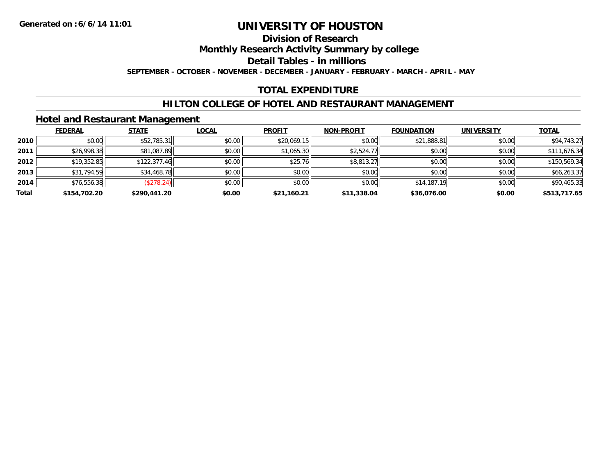### **Division of Research**

**Monthly Research Activity Summary by college**

**Detail Tables - in millions**

**SEPTEMBER - OCTOBER - NOVEMBER - DECEMBER - JANUARY - FEBRUARY - MARCH - APRIL - MAY**

## **TOTAL EXPENDITURE**

### **HILTON COLLEGE OF HOTEL AND RESTAURANT MANAGEMENT**

### **Hotel and Restaurant Management**

|       | <b>FEDERAL</b> | <b>STATE</b> | <u>LOCAL</u> | <b>PROFIT</b> | <b>NON-PROFIT</b> | <b>FOUNDATION</b> | <b>UNIVERSITY</b> | <b>TOTAL</b> |
|-------|----------------|--------------|--------------|---------------|-------------------|-------------------|-------------------|--------------|
| 2010  | \$0.00         | \$52,785.31  | \$0.00       | \$20,069.15   | \$0.00            | \$21,888.81       | \$0.00            | \$94,743.27  |
| 2011  | \$26,998.38    | \$81,087.89  | \$0.00       | \$1,065.30    | \$2,524.77        | \$0.00            | \$0.00            | \$111,676.34 |
| 2012  | \$19,352.85    | \$122,377.46 | \$0.00       | \$25.76       | \$8,813.27        | \$0.00            | \$0.00            | \$150,569.34 |
| 2013  | \$31,794.59    | \$34,468.78  | \$0.00       | \$0.00        | \$0.00            | \$0.00            | \$0.00            | \$66,263.37  |
| 2014  | \$76,556.38    | (\$278.24)   | \$0.00       | \$0.00        | \$0.00            | \$14,187.19       | \$0.00            | \$90,465.33  |
| Total | \$154,702.20   | \$290,441.20 | \$0.00       | \$21,160.21   | \$11,338.04       | \$36,076.00       | \$0.00            | \$513,717.65 |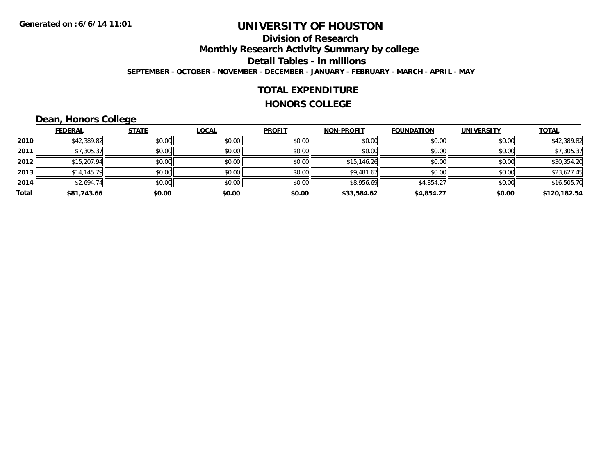## **Division of Research**

**Monthly Research Activity Summary by college**

**Detail Tables - in millions**

**SEPTEMBER - OCTOBER - NOVEMBER - DECEMBER - JANUARY - FEBRUARY - MARCH - APRIL - MAY**

## **TOTAL EXPENDITURE**

#### **HONORS COLLEGE**

## **Dean, Honors College**

|       |                | __           |              |               |                   |                   |                   |              |
|-------|----------------|--------------|--------------|---------------|-------------------|-------------------|-------------------|--------------|
|       | <b>FEDERAL</b> | <b>STATE</b> | <b>LOCAL</b> | <b>PROFIT</b> | <b>NON-PROFIT</b> | <b>FOUNDATION</b> | <b>UNIVERSITY</b> | <b>TOTAL</b> |
| 2010  | \$42,389.82    | \$0.00       | \$0.00       | \$0.00        | \$0.00            | \$0.00            | \$0.00            | \$42,389.82  |
| 2011  | \$7,305.37     | \$0.00       | \$0.00       | \$0.00        | \$0.00            | \$0.00            | \$0.00            | \$7,305.37   |
| 2012  | \$15,207.94    | \$0.00       | \$0.00       | \$0.00        | \$15,146.26       | \$0.00            | \$0.00            | \$30,354.20  |
| 2013  | \$14,145.79    | \$0.00       | \$0.00       | \$0.00        | \$9,481.67        | \$0.00            | \$0.00            | \$23,627.45  |
| 2014  | \$2,694.74     | \$0.00       | \$0.00       | \$0.00        | \$8,956.69        | \$4,854.27        | \$0.00            | \$16,505.70  |
| Total | \$81,743.66    | \$0.00       | \$0.00       | \$0.00        | \$33,584.62       | \$4,854.27        | \$0.00            | \$120,182.54 |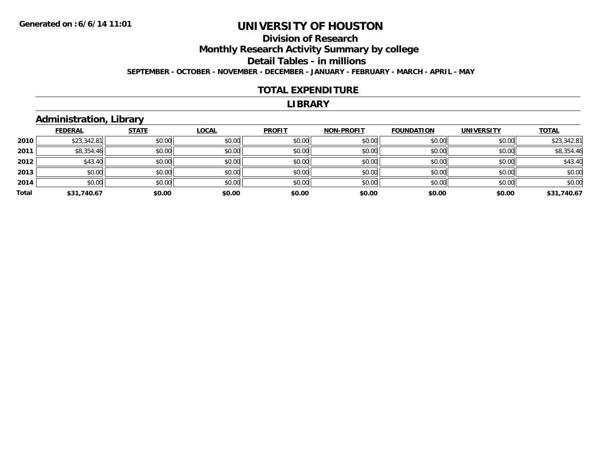## **Division of ResearchMonthly Research Activity Summary by college Detail Tables - in millions**

**SEPTEMBER - OCTOBER - NOVEMBER - DECEMBER - JANUARY - FEBRUARY - MARCH - APRIL - MAY**

### **TOTAL EXPENDITURE**

#### **LIBRARY**

## **Administration, Library**

|       | <b>FEDERAL</b> | <b>STATE</b> | <b>LOCAL</b> | <b>PROFIT</b> | <b>NON-PROFIT</b> | <b>FOUNDATION</b> | <b>UNIVERSITY</b> | <b>TOTAL</b> |
|-------|----------------|--------------|--------------|---------------|-------------------|-------------------|-------------------|--------------|
| 2010  | \$23,342.81    | \$0.00       | \$0.00       | \$0.00        | \$0.00            | \$0.00            | \$0.00            | \$23,342.81  |
| 2011  | \$8,354.46     | \$0.00       | \$0.00       | \$0.00        | \$0.00            | \$0.00            | \$0.00            | \$8,354.46   |
| 2012  | \$43.40        | \$0.00       | \$0.00       | \$0.00        | \$0.00            | \$0.00            | \$0.00            | \$43.40      |
| 2013  | \$0.00         | \$0.00       | \$0.00       | \$0.00        | \$0.00            | \$0.00            | \$0.00            | \$0.00       |
| 2014  | \$0.00         | \$0.00       | \$0.00       | \$0.00        | \$0.00            | \$0.00            | \$0.00            | \$0.00       |
| Total | \$31,740.67    | \$0.00       | \$0.00       | \$0.00        | \$0.00            | \$0.00            | \$0.00            | \$31,740.67  |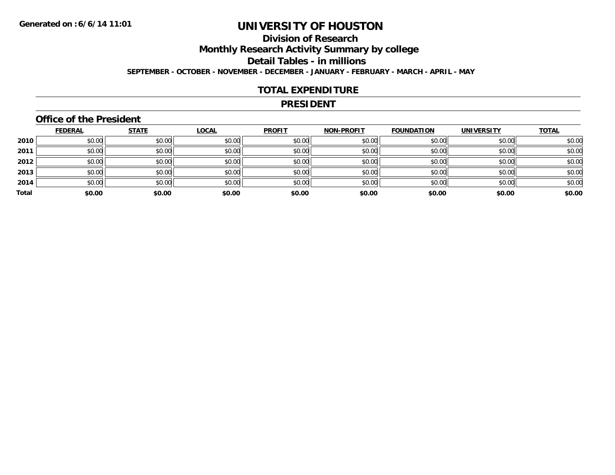## **Division of Research**

**Monthly Research Activity Summary by college**

**Detail Tables - in millions**

**SEPTEMBER - OCTOBER - NOVEMBER - DECEMBER - JANUARY - FEBRUARY - MARCH - APRIL - MAY**

### **TOTAL EXPENDITURE**

#### **PRESIDENT**

## **Office of the President**

|       | <b>FEDERAL</b> | <b>STATE</b> | <b>LOCAL</b> | <b>PROFIT</b> | <b>NON-PROFIT</b> | <b>FOUNDATION</b> | <b>UNIVERSITY</b> | <b>TOTAL</b> |
|-------|----------------|--------------|--------------|---------------|-------------------|-------------------|-------------------|--------------|
| 2010  | \$0.00         | \$0.00       | \$0.00       | \$0.00        | \$0.00            | \$0.00            | \$0.00            | \$0.00       |
| 2011  | \$0.00         | \$0.00       | \$0.00       | \$0.00        | \$0.00            | \$0.00            | \$0.00            | \$0.00       |
| 2012  | \$0.00         | \$0.00       | \$0.00       | \$0.00        | \$0.00            | \$0.00            | \$0.00            | \$0.00       |
| 2013  | \$0.00         | \$0.00       | \$0.00       | \$0.00        | \$0.00            | \$0.00            | \$0.00            | \$0.00       |
| 2014  | \$0.00         | \$0.00       | \$0.00       | \$0.00        | \$0.00            | \$0.00            | \$0.00            | \$0.00       |
| Total | \$0.00         | \$0.00       | \$0.00       | \$0.00        | \$0.00            | \$0.00            | \$0.00            | \$0.00       |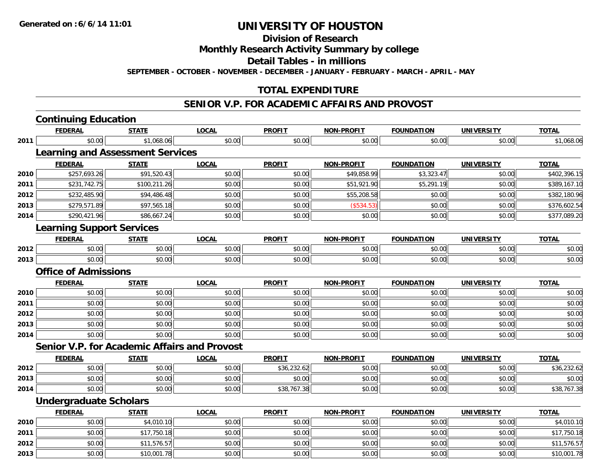**Division of Research**

**Monthly Research Activity Summary by college**

**Detail Tables - in millions**

**SEPTEMBER - OCTOBER - NOVEMBER - DECEMBER - JANUARY - FEBRUARY - MARCH - APRIL - MAY**

## **TOTAL EXPENDITURE**

### **SENIOR V.P. FOR ACADEMIC AFFAIRS AND PROVOST**

|      | <b>Continuing Education</b>                         |              |              |               |                   |                   |                   |              |
|------|-----------------------------------------------------|--------------|--------------|---------------|-------------------|-------------------|-------------------|--------------|
|      | <b>FEDERAL</b>                                      | <b>STATE</b> | <b>LOCAL</b> | <b>PROFIT</b> | <b>NON-PROFIT</b> | <b>FOUNDATION</b> | <b>UNIVERSITY</b> | <b>TOTAL</b> |
| 2011 | \$0.00                                              | \$1,068.06   | \$0.00       | \$0.00        | \$0.00            | \$0.00            | \$0.00            | \$1,068.06   |
|      | <b>Learning and Assessment Services</b>             |              |              |               |                   |                   |                   |              |
|      | <b>FEDERAL</b>                                      | <b>STATE</b> | <b>LOCAL</b> | <b>PROFIT</b> | <b>NON-PROFIT</b> | <b>FOUNDATION</b> | <b>UNIVERSITY</b> | <b>TOTAL</b> |
| 2010 | \$257,693.26                                        | \$91,520.43  | \$0.00       | \$0.00        | \$49,858.99       | \$3,323.47        | \$0.00            | \$402,396.15 |
| 2011 | \$231,742.75                                        | \$100,211.26 | \$0.00       | \$0.00        | \$51,921.90       | \$5,291.19        | \$0.00            | \$389,167.10 |
| 2012 | \$232,485.90                                        | \$94,486.48  | \$0.00       | \$0.00        | \$55,208.58       | \$0.00            | \$0.00            | \$382,180.96 |
| 2013 | \$279,571.89                                        | \$97,565.18  | \$0.00       | \$0.00        | (\$534.53)        | \$0.00            | \$0.00            | \$376,602.54 |
| 2014 | \$290,421.96                                        | \$86,667.24  | \$0.00       | \$0.00        | \$0.00            | \$0.00            | \$0.00            | \$377,089.20 |
|      | <b>Learning Support Services</b>                    |              |              |               |                   |                   |                   |              |
|      | <b>FEDERAL</b>                                      | <b>STATE</b> | <b>LOCAL</b> | <b>PROFIT</b> | <b>NON-PROFIT</b> | <b>FOUNDATION</b> | <b>UNIVERSITY</b> | <b>TOTAL</b> |
| 2012 | \$0.00                                              | \$0.00       | \$0.00       | \$0.00        | \$0.00            | \$0.00            | \$0.00            | \$0.00       |
| 2013 | \$0.00                                              | \$0.00       | \$0.00       | \$0.00        | \$0.00            | \$0.00            | \$0.00            | \$0.00       |
|      | <b>Office of Admissions</b>                         |              |              |               |                   |                   |                   |              |
|      | <b>FEDERAL</b>                                      | <b>STATE</b> | <b>LOCAL</b> | <b>PROFIT</b> | <b>NON-PROFIT</b> | <b>FOUNDATION</b> | <b>UNIVERSITY</b> | <b>TOTAL</b> |
| 2010 | \$0.00                                              | \$0.00       | \$0.00       | \$0.00        | \$0.00            | \$0.00            | \$0.00            | \$0.00       |
| 2011 | \$0.00                                              | \$0.00       | \$0.00       | \$0.00        | \$0.00            | \$0.00            | \$0.00            | \$0.00       |
| 2012 | \$0.00                                              | \$0.00       | \$0.00       | \$0.00        | \$0.00            | \$0.00            | \$0.00            | \$0.00       |
| 2013 | \$0.00                                              | \$0.00       | \$0.00       | \$0.00        | \$0.00            | \$0.00            | \$0.00            | \$0.00       |
| 2014 | \$0.00                                              | \$0.00       | \$0.00       | \$0.00        | \$0.00            | \$0.00            | \$0.00            | \$0.00       |
|      | <b>Senior V.P. for Academic Affairs and Provost</b> |              |              |               |                   |                   |                   |              |
|      | <b>FEDERAL</b>                                      | <b>STATE</b> | <b>LOCAL</b> | <b>PROFIT</b> | <b>NON-PROFIT</b> | <b>FOUNDATION</b> | <b>UNIVERSITY</b> | <b>TOTAL</b> |
| 2012 | \$0.00                                              | \$0.00       | \$0.00       | \$36,232.62   | \$0.00            | \$0.00            | \$0.00            | \$36,232.62  |
| 2013 | \$0.00                                              | \$0.00       | \$0.00       | \$0.00        | \$0.00            | \$0.00            | \$0.00            | \$0.00       |
| 2014 | \$0.00                                              | \$0.00       | \$0.00       | \$38,767.38   | \$0.00            | \$0.00            | \$0.00            | \$38,767.38  |
|      | <b>Undergraduate Scholars</b>                       |              |              |               |                   |                   |                   |              |
|      | <b>FEDERAL</b>                                      | <b>STATE</b> | <b>LOCAL</b> | <b>PROFIT</b> | <b>NON-PROFIT</b> | <b>FOUNDATION</b> | <b>UNIVERSITY</b> | <b>TOTAL</b> |
| 2010 | \$0.00                                              | \$4,010.10   | \$0.00       | \$0.00        | \$0.00            | \$0.00            | \$0.00            | \$4,010.10   |
| 2011 | \$0.00                                              | \$17,750.18  | \$0.00       | \$0.00        | \$0.00            | \$0.00            | \$0.00            | \$17,750.18  |
| 2012 | \$0.00                                              | \$11,576.57  | \$0.00       | \$0.00        | \$0.00            | \$0.00            | \$0.00            | \$11,576.57  |
| 2013 | \$0.00                                              | \$10,001.78  | \$0.00       | \$0.00        | \$0.00            | \$0.00            | \$0.00            | \$10,001.78  |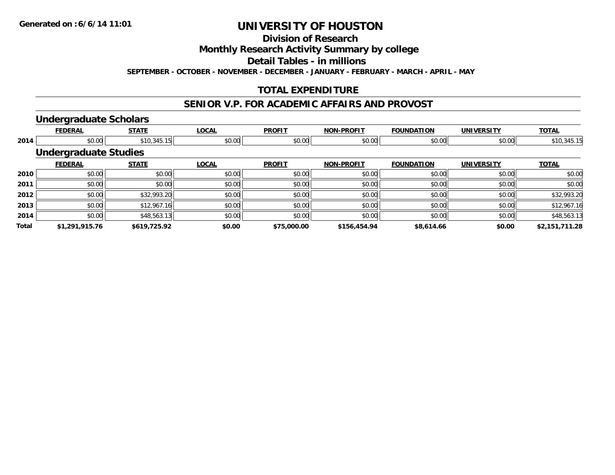**Division of Research**

**Monthly Research Activity Summary by college**

**Detail Tables - in millions**

**SEPTEMBER - OCTOBER - NOVEMBER - DECEMBER - JANUARY - FEBRUARY - MARCH - APRIL - MAY**

## **TOTAL EXPENDITURE**

## **SENIOR V.P. FOR ACADEMIC AFFAIRS AND PROVOST**

#### **Undergraduate Scholars**

|              | <b>FEDERAL</b>               | <b>STATE</b> | <b>LOCAL</b> | <b>PROFIT</b> | <b>NON-PROFIT</b> | <b>FOUNDATION</b> | <b>UNIVERSITY</b> | <b>TOTAL</b>   |  |  |  |  |
|--------------|------------------------------|--------------|--------------|---------------|-------------------|-------------------|-------------------|----------------|--|--|--|--|
| 2014         | \$0.00                       | \$10,345.15  | \$0.00       | \$0.00        | \$0.00            | \$0.00            | \$0.00            | \$10,345.15    |  |  |  |  |
|              | <b>Undergraduate Studies</b> |              |              |               |                   |                   |                   |                |  |  |  |  |
|              | <b>FEDERAL</b>               | <b>STATE</b> | <b>LOCAL</b> | <b>PROFIT</b> | <b>NON-PROFIT</b> | <b>FOUNDATION</b> | <b>UNIVERSITY</b> | <b>TOTAL</b>   |  |  |  |  |
| 2010         | \$0.00                       | \$0.00       | \$0.00       | \$0.00        | \$0.00            | \$0.00            | \$0.00            | \$0.00         |  |  |  |  |
| 2011         | \$0.00                       | \$0.00       | \$0.00       | \$0.00        | \$0.00            | \$0.00            | \$0.00            | \$0.00         |  |  |  |  |
| 2012         | \$0.00                       | \$32,993.20  | \$0.00       | \$0.00        | \$0.00            | \$0.00            | \$0.00            | \$32,993.20    |  |  |  |  |
| 2013         | \$0.00                       | \$12,967.16  | \$0.00       | \$0.00        | \$0.00            | \$0.00            | \$0.00            | \$12,967.16    |  |  |  |  |
| 2014         | \$0.00                       | \$48,563.13  | \$0.00       | \$0.00        | \$0.00            | \$0.00            | \$0.00            | \$48,563.13    |  |  |  |  |
| <b>Total</b> | \$1,291,915.76               | \$619,725.92 | \$0.00       | \$75,000.00   | \$156,454.94      | \$8,614.66        | \$0.00            | \$2,151,711.28 |  |  |  |  |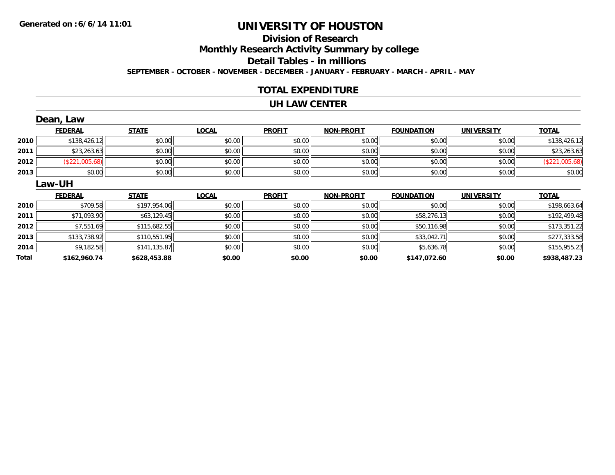## **Division of ResearchMonthly Research Activity Summary by college Detail Tables - in millions**

**SEPTEMBER - OCTOBER - NOVEMBER - DECEMBER - JANUARY - FEBRUARY - MARCH - APRIL - MAY**

### **TOTAL EXPENDITURE**

#### **UH LAW CENTER**

|      | Dean, Law      |               |              |               |                   |                   |                   |                |  |  |  |
|------|----------------|---------------|--------------|---------------|-------------------|-------------------|-------------------|----------------|--|--|--|
|      | <b>FEDERAL</b> | <b>STATE</b>  | <b>LOCAL</b> | <b>PROFIT</b> | <b>NON-PROFIT</b> | <b>FOUNDATION</b> | <b>UNIVERSITY</b> | <b>TOTAL</b>   |  |  |  |
| 2010 | \$138,426.12   | \$0.00        | \$0.00       | \$0.00        | \$0.00            | \$0.00            | \$0.00            | \$138,426.12   |  |  |  |
| 2011 | \$23,263.63    | \$0.00        | \$0.00       | \$0.00        | \$0.00            | \$0.00            | \$0.00            | \$23,263.63    |  |  |  |
| 2012 | (\$221,005.68) | \$0.00        | \$0.00       | \$0.00        | \$0.00            | \$0.00            | \$0.00            | (\$221,005.68) |  |  |  |
| 2013 | \$0.00         | \$0.00        | \$0.00       | \$0.00        | \$0.00            | \$0.00            | \$0.00            | \$0.00         |  |  |  |
|      | Law-UH         |               |              |               |                   |                   |                   |                |  |  |  |
|      |                |               |              |               |                   |                   |                   |                |  |  |  |
|      | <b>FEDERAL</b> | <b>STATE</b>  | <b>LOCAL</b> | <b>PROFIT</b> | <b>NON-PROFIT</b> | <b>FOUNDATION</b> | <b>UNIVERSITY</b> | <b>TOTAL</b>   |  |  |  |
| 2010 | \$709.58       | \$197,954.06  | \$0.00       | \$0.00        | \$0.00            | \$0.00            | \$0.00            | \$198,663.64   |  |  |  |
| 2011 | \$71,093.90    | \$63,129.45   | \$0.00       | \$0.00        | \$0.00            | \$58,276.13       | \$0.00            | \$192,499.48   |  |  |  |
| 2012 | \$7,551.69     | \$115,682.55  | \$0.00       | \$0.00        | \$0.00            | \$50,116.98       | \$0.00            | \$173,351.22   |  |  |  |
| 2013 | \$133,738.92   | \$110,551.95  | \$0.00       | \$0.00        | \$0.00            | \$33,042.71       | \$0.00            | \$277,333.58   |  |  |  |
| 2014 | \$9,182.58     | \$141, 135.87 | \$0.00       | \$0.00        | \$0.00            | \$5,636.78        | \$0.00            | \$155,955.23   |  |  |  |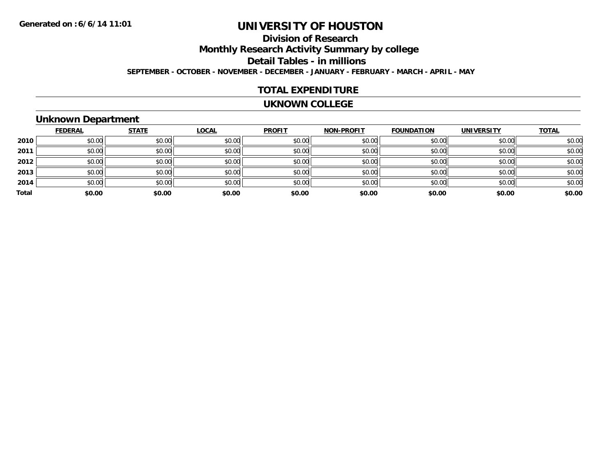## **Division of Research**

**Monthly Research Activity Summary by college**

**Detail Tables - in millions**

**SEPTEMBER - OCTOBER - NOVEMBER - DECEMBER - JANUARY - FEBRUARY - MARCH - APRIL - MAY**

## **TOTAL EXPENDITURE**

#### **UKNOWN COLLEGE**

## **Unknown Department**

|       | <b>FEDERAL</b> | <b>STATE</b> | <b>LOCAL</b> | <b>PROFIT</b> | <b>NON-PROFIT</b> | <b>FOUNDATION</b> | <b>UNIVERSITY</b> | <b>TOTAL</b> |
|-------|----------------|--------------|--------------|---------------|-------------------|-------------------|-------------------|--------------|
| 2010  | \$0.00         | \$0.00       | \$0.00       | \$0.00        | \$0.00            | \$0.00            | \$0.00            | \$0.00       |
| 2011  | \$0.00         | \$0.00       | \$0.00       | \$0.00        | \$0.00            | \$0.00            | \$0.00            | \$0.00       |
| 2012  | \$0.00         | \$0.00       | \$0.00       | \$0.00        | \$0.00            | \$0.00            | \$0.00            | \$0.00       |
| 2013  | \$0.00         | \$0.00       | \$0.00       | \$0.00        | \$0.00            | \$0.00            | \$0.00            | \$0.00       |
| 2014  | \$0.00         | \$0.00       | \$0.00       | \$0.00        | \$0.00            | \$0.00            | \$0.00            | \$0.00       |
| Total | \$0.00         | \$0.00       | \$0.00       | \$0.00        | \$0.00            | \$0.00            | \$0.00            | \$0.00       |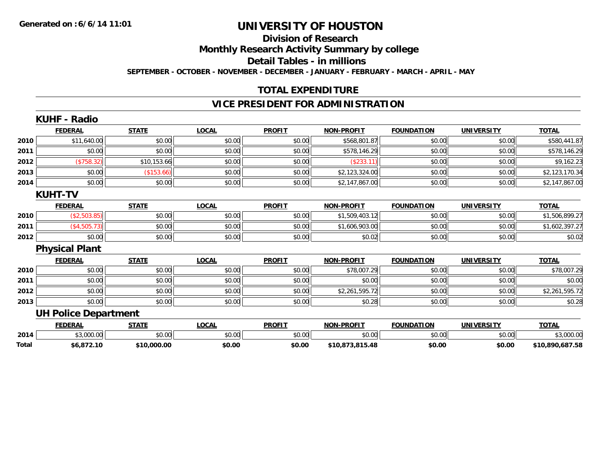## **Division of Research**

**Monthly Research Activity Summary by college**

**Detail Tables - in millions**

**SEPTEMBER - OCTOBER - NOVEMBER - DECEMBER - JANUARY - FEBRUARY - MARCH - APRIL - MAY**

## **TOTAL EXPENDITURE**

## **VICE PRESIDENT FOR ADMINISTRATION**

|       | <b>KUHF - Radio</b>         |              |              |               |                   |                   |                   |                 |
|-------|-----------------------------|--------------|--------------|---------------|-------------------|-------------------|-------------------|-----------------|
|       | <b>FEDERAL</b>              | <b>STATE</b> | <b>LOCAL</b> | <b>PROFIT</b> | <b>NON-PROFIT</b> | <b>FOUNDATION</b> | <b>UNIVERSITY</b> | <b>TOTAL</b>    |
| 2010  | \$11,640.00                 | \$0.00       | \$0.00       | \$0.00        | \$568,801.87      | \$0.00            | \$0.00            | \$580,441.87    |
| 2011  | \$0.00                      | \$0.00       | \$0.00       | \$0.00        | \$578,146.29      | \$0.00            | \$0.00            | \$578,146.29    |
| 2012  | (\$758.32)                  | \$10,153.66  | \$0.00       | \$0.00        | (\$233.11)        | \$0.00            | \$0.00            | \$9,162.23      |
| 2013  | \$0.00                      | (\$153.66)   | \$0.00       | \$0.00        | \$2,123,324.00    | \$0.00            | \$0.00            | \$2,123,170.34  |
| 2014  | \$0.00                      | \$0.00       | \$0.00       | \$0.00        | \$2,147,867.00    | \$0.00            | \$0.00            | \$2,147,867.00  |
|       | <b>KUHT-TV</b>              |              |              |               |                   |                   |                   |                 |
|       | <b>FEDERAL</b>              | <b>STATE</b> | <b>LOCAL</b> | <b>PROFIT</b> | <b>NON-PROFIT</b> | <b>FOUNDATION</b> | <b>UNIVERSITY</b> | <b>TOTAL</b>    |
| 2010  | (\$2,503.85)                | \$0.00       | \$0.00       | \$0.00        | \$1,509,403.12    | \$0.00            | \$0.00            | \$1,506,899.27  |
| 2011  | (\$4,505.73)                | \$0.00       | \$0.00       | \$0.00        | \$1,606,903.00    | \$0.00            | \$0.00            | \$1,602,397.27  |
| 2012  | \$0.00                      | \$0.00       | \$0.00       | \$0.00        | \$0.02            | \$0.00            | \$0.00            | \$0.02          |
|       | <b>Physical Plant</b>       |              |              |               |                   |                   |                   |                 |
|       | <b>FEDERAL</b>              | <b>STATE</b> | <b>LOCAL</b> | <b>PROFIT</b> | <b>NON-PROFIT</b> | <b>FOUNDATION</b> | <b>UNIVERSITY</b> | <b>TOTAL</b>    |
| 2010  | \$0.00                      | \$0.00       | \$0.00       | \$0.00        | \$78,007.29       | \$0.00            | \$0.00            | \$78,007.29     |
| 2011  | \$0.00                      | \$0.00       | \$0.00       | \$0.00        | \$0.00            | \$0.00            | \$0.00            | \$0.00          |
| 2012  | \$0.00                      | \$0.00       | \$0.00       | \$0.00        | \$2,261,595.72    | \$0.00            | \$0.00            | \$2,261,595.72  |
| 2013  | \$0.00                      | \$0.00       | \$0.00       | \$0.00        | \$0.28            | \$0.00            | \$0.00            | \$0.28          |
|       | <b>UH Police Department</b> |              |              |               |                   |                   |                   |                 |
|       | <b>FEDERAL</b>              | <b>STATE</b> | <b>LOCAL</b> | <b>PROFIT</b> | <b>NON-PROFIT</b> | <b>FOUNDATION</b> | <b>UNIVERSITY</b> | <b>TOTAL</b>    |
| 2014  | \$3,000.00                  | \$0.00       | \$0.00       | \$0.00        | \$0.00            | \$0.00            | \$0.00            | \$3,000.00      |
| Total | \$6,872.10                  | \$10,000.00  | \$0.00       | \$0.00        | \$10,873,815.48   | \$0.00            | \$0.00            | \$10,890,687.58 |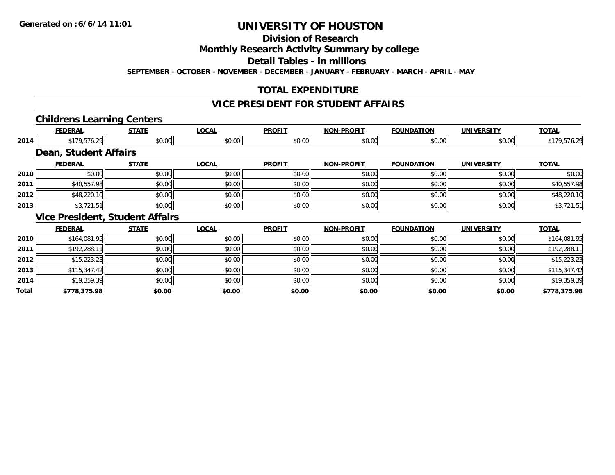## **Division of Research**

**Monthly Research Activity Summary by college**

**Detail Tables - in millions**

**SEPTEMBER - OCTOBER - NOVEMBER - DECEMBER - JANUARY - FEBRUARY - MARCH - APRIL - MAY**

## **TOTAL EXPENDITURE**

## **VICE PRESIDENT FOR STUDENT AFFAIRS**

#### **Childrens Learning Centers**

|       | <b>FEDERAL</b>                         | <b>STATE</b> | <b>LOCAL</b> | <b>PROFIT</b> | <b>NON-PROFIT</b> | <b>FOUNDATION</b> | <b>UNIVERSITY</b> | <b>TOTAL</b> |
|-------|----------------------------------------|--------------|--------------|---------------|-------------------|-------------------|-------------------|--------------|
| 2014  | \$179,576.29                           | \$0.00       | \$0.00       | \$0.00        | \$0.00            | \$0.00            | \$0.00            | \$179,576.29 |
|       | Dean, Student Affairs                  |              |              |               |                   |                   |                   |              |
|       | <b>FEDERAL</b>                         | <b>STATE</b> | <b>LOCAL</b> | <b>PROFIT</b> | <b>NON-PROFIT</b> | <b>FOUNDATION</b> | <b>UNIVERSITY</b> | <b>TOTAL</b> |
| 2010  | \$0.00                                 | \$0.00       | \$0.00       | \$0.00        | \$0.00            | \$0.00            | \$0.00            | \$0.00       |
| 2011  | \$40,557.98                            | \$0.00       | \$0.00       | \$0.00        | \$0.00            | \$0.00            | \$0.00            | \$40,557.98  |
| 2012  | \$48,220.10                            | \$0.00       | \$0.00       | \$0.00        | \$0.00            | \$0.00            | \$0.00            | \$48,220.10  |
| 2013  | \$3,721.51                             | \$0.00       | \$0.00       | \$0.00        | \$0.00            | \$0.00            | \$0.00            | \$3,721.51   |
|       | <b>Vice President, Student Affairs</b> |              |              |               |                   |                   |                   |              |
|       | <b>FEDERAL</b>                         | <b>STATE</b> | <b>LOCAL</b> | <b>PROFIT</b> | <b>NON-PROFIT</b> | <b>FOUNDATION</b> | <b>UNIVERSITY</b> | <b>TOTAL</b> |
| 2010  | \$164,081.95                           | \$0.00       | \$0.00       | \$0.00        | \$0.00            | \$0.00            | \$0.00            | \$164,081.95 |
| 2011  | \$192,288.11                           | \$0.00       | \$0.00       | \$0.00        | \$0.00            | \$0.00            | \$0.00            | \$192,288.11 |
| 2012  | \$15,223.23                            | \$0.00       | \$0.00       | \$0.00        | \$0.00            | \$0.00            | \$0.00            | \$15,223.23  |
| 2013  | \$115,347.42                           | \$0.00       | \$0.00       | \$0.00        | \$0.00            | \$0.00            | \$0.00            | \$115,347.42 |
| 2014  | \$19,359.39                            | \$0.00       | \$0.00       | \$0.00        | \$0.00            | \$0.00            | \$0.00            | \$19,359.39  |
| Total | \$778,375.98                           | \$0.00       | \$0.00       | \$0.00        | \$0.00            | \$0.00            | \$0.00            | \$778,375.98 |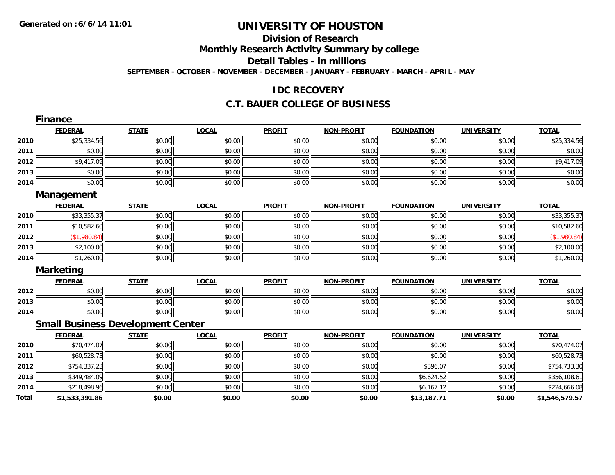## **Division of Research**

**Monthly Research Activity Summary by college**

**Detail Tables - in millions**

**SEPTEMBER - OCTOBER - NOVEMBER - DECEMBER - JANUARY - FEBRUARY - MARCH - APRIL - MAY**

### **IDC RECOVERY**

### **C.T. BAUER COLLEGE OF BUSINESS**

|       | <b>Finance</b>                           |              |              |               |                   |                   |                   |                |
|-------|------------------------------------------|--------------|--------------|---------------|-------------------|-------------------|-------------------|----------------|
|       | <b>FEDERAL</b>                           | <b>STATE</b> | <b>LOCAL</b> | <b>PROFIT</b> | <b>NON-PROFIT</b> | <b>FOUNDATION</b> | <b>UNIVERSITY</b> | <b>TOTAL</b>   |
| 2010  | \$25,334.56                              | \$0.00       | \$0.00       | \$0.00        | \$0.00            | \$0.00            | \$0.00            | \$25,334.56    |
| 2011  | \$0.00                                   | \$0.00       | \$0.00       | \$0.00        | \$0.00            | \$0.00            | \$0.00            | \$0.00         |
| 2012  | \$9,417.09                               | \$0.00       | \$0.00       | \$0.00        | \$0.00            | \$0.00            | \$0.00            | \$9,417.09     |
| 2013  | \$0.00                                   | \$0.00       | \$0.00       | \$0.00        | \$0.00            | \$0.00            | \$0.00            | \$0.00         |
| 2014  | \$0.00                                   | \$0.00       | \$0.00       | \$0.00        | \$0.00            | \$0.00            | \$0.00            | \$0.00         |
|       | Management                               |              |              |               |                   |                   |                   |                |
|       | <b>FEDERAL</b>                           | <b>STATE</b> | <b>LOCAL</b> | <b>PROFIT</b> | <b>NON-PROFIT</b> | <b>FOUNDATION</b> | <b>UNIVERSITY</b> | <b>TOTAL</b>   |
| 2010  | \$33,355.37                              | \$0.00       | \$0.00       | \$0.00        | \$0.00            | \$0.00            | \$0.00            | \$33,355.37    |
| 2011  | \$10,582.60                              | \$0.00       | \$0.00       | \$0.00        | \$0.00            | \$0.00            | \$0.00            | \$10,582.60    |
| 2012  | (\$1,980.84)                             | \$0.00       | \$0.00       | \$0.00        | \$0.00            | \$0.00            | \$0.00            | (\$1,980.84)   |
| 2013  | \$2,100.00                               | \$0.00       | \$0.00       | \$0.00        | \$0.00            | \$0.00            | \$0.00            | \$2,100.00     |
| 2014  | \$1,260.00                               | \$0.00       | \$0.00       | \$0.00        | \$0.00            | \$0.00            | \$0.00            | \$1,260.00     |
|       | <b>Marketing</b>                         |              |              |               |                   |                   |                   |                |
|       | <b>FEDERAL</b>                           | <b>STATE</b> | LOCAL        | <b>PROFIT</b> | <b>NON-PROFIT</b> | <b>FOUNDATION</b> | <b>UNIVERSITY</b> | <b>TOTAL</b>   |
| 2012  | \$0.00                                   | \$0.00       | \$0.00       | \$0.00        | \$0.00            | \$0.00            | \$0.00            | \$0.00         |
| 2013  | \$0.00                                   | \$0.00       | \$0.00       | \$0.00        | \$0.00            | \$0.00            | \$0.00            | \$0.00         |
| 2014  | \$0.00                                   | \$0.00       | \$0.00       | \$0.00        | \$0.00            | \$0.00            | \$0.00            | \$0.00         |
|       | <b>Small Business Development Center</b> |              |              |               |                   |                   |                   |                |
|       | <b>FEDERAL</b>                           | <b>STATE</b> | <b>LOCAL</b> | <b>PROFIT</b> | <b>NON-PROFIT</b> | <b>FOUNDATION</b> | <b>UNIVERSITY</b> | <b>TOTAL</b>   |
| 2010  | \$70,474.07                              | \$0.00       | \$0.00       | \$0.00        | \$0.00            | \$0.00            | \$0.00            | \$70,474.07    |
| 2011  | \$60,528.73                              | \$0.00       | \$0.00       | \$0.00        | \$0.00            | \$0.00            | \$0.00            | \$60,528.73    |
| 2012  | \$754,337.23                             | \$0.00       | \$0.00       | \$0.00        | \$0.00            | \$396.07          | \$0.00            | \$754,733.30   |
| 2013  | \$349,484.09                             | \$0.00       | \$0.00       | \$0.00        | \$0.00            | \$6,624.52        | \$0.00            | \$356,108.61   |
| 2014  | \$218,498.96                             | \$0.00       | \$0.00       | \$0.00        | \$0.00            | \$6,167.12        | \$0.00            | \$224,666.08   |
| Total | \$1,533,391.86                           | \$0.00       | \$0.00       | \$0.00        | \$0.00            | \$13,187.71       | \$0.00            | \$1,546,579.57 |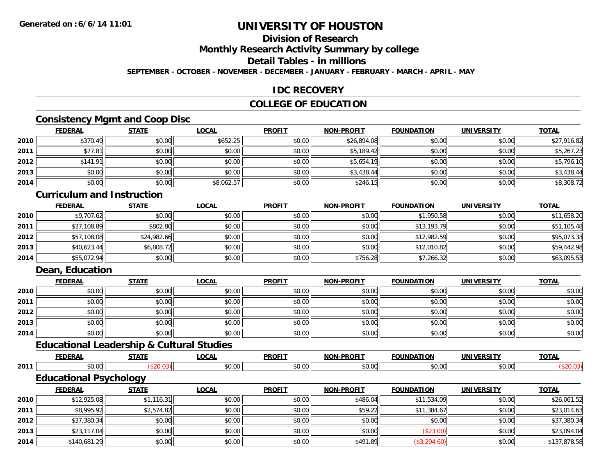## **Division of Research**

**Monthly Research Activity Summary by college**

**Detail Tables - in millions**

**SEPTEMBER - OCTOBER - NOVEMBER - DECEMBER - JANUARY - FEBRUARY - MARCH - APRIL - MAY**

### **IDC RECOVERY**

## **COLLEGE OF EDUCATION**

## **Consistency Mgmt and Coop Disc**

|      | <b>FEDERAL</b> | <b>STATE</b> | <b>LOCAL</b> | <b>PROFIT</b> | <b>NON-PROFIT</b> | <b>FOUNDATION</b> | <b>UNIVERSITY</b> | <b>TOTAL</b> |
|------|----------------|--------------|--------------|---------------|-------------------|-------------------|-------------------|--------------|
| 2010 | \$370.49       | \$0.00       | \$652.25     | \$0.00        | \$26,894.08       | \$0.00            | \$0.00            | \$27,916.82  |
| 2011 | \$77.81        | \$0.00       | \$0.00       | \$0.00        | \$5,189.42        | \$0.00            | \$0.00            | \$5,267.23   |
| 2012 | \$141.91       | \$0.00       | \$0.00       | \$0.00        | \$5,654.19        | \$0.00            | \$0.00            | \$5,796.10   |
| 2013 | \$0.00         | \$0.00       | \$0.00       | \$0.00        | \$3,438.44        | \$0.00            | \$0.00            | \$3,438.44   |
| 2014 | \$0.00         | \$0.00       | \$8,062.57   | \$0.00        | \$246.15          | \$0.00            | \$0.00            | \$8,308.72   |

#### **Curriculum and Instruction**

|      | <b>FEDERAL</b> | <b>STATE</b> | <b>LOCAL</b> | <b>PROFIT</b> | <b>NON-PROFIT</b> | <b>FOUNDATION</b> | <b>UNIVERSITY</b> | <b>TOTAL</b> |
|------|----------------|--------------|--------------|---------------|-------------------|-------------------|-------------------|--------------|
| 2010 | \$9,707.62     | \$0.00       | \$0.00       | \$0.00        | \$0.00            | \$1,950.58        | \$0.00            | \$11,658.20  |
| 2011 | \$37,108.89    | \$802.80     | \$0.00       | \$0.00        | \$0.00            | \$13,193.79       | \$0.00            | \$51,105.48  |
| 2012 | \$57,108.08    | \$24,982.66  | \$0.00       | \$0.00        | \$0.00            | \$12,982.59       | \$0.00            | \$95,073.33  |
| 2013 | \$40,623.44    | \$6,808.72   | \$0.00       | \$0.00        | \$0.00            | \$12,010.82       | \$0.00            | \$59,442.98  |
| 2014 | \$55,072.94    | \$0.00       | \$0.00       | \$0.00        | \$756.28          | \$7,266.32        | \$0.00            | \$63,095.53  |

### **Dean, Education**

|      | <b>FEDERAL</b> | <b>STATE</b> | <b>LOCAL</b> | <b>PROFIT</b> | <b>NON-PROFIT</b> | <b>FOUNDATION</b> | <b>UNIVERSITY</b> | <b>TOTAL</b> |
|------|----------------|--------------|--------------|---------------|-------------------|-------------------|-------------------|--------------|
| 2010 | \$0.00         | \$0.00       | \$0.00       | \$0.00        | \$0.00            | \$0.00            | \$0.00            | \$0.00       |
| 2011 | \$0.00         | \$0.00       | \$0.00       | \$0.00        | \$0.00            | \$0.00            | \$0.00            | \$0.00       |
| 2012 | \$0.00         | \$0.00       | \$0.00       | \$0.00        | \$0.00            | \$0.00            | \$0.00            | \$0.00       |
| 2013 | \$0.00         | \$0.00       | \$0.00       | \$0.00        | \$0.00            | \$0.00            | \$0.00            | \$0.00       |
| 2014 | \$0.00         | \$0.00       | \$0.00       | \$0.00        | \$0.00            | \$0.00            | \$0.00            | \$0.00       |

## **Educational Leadership & Cultural Studies**

|                      | <u>FEDERAL</u>                     | <b>STATE</b> | <b>LOCAL</b>  | <b>PROFIT</b> | <b>NON-PROFIT</b>                     | <b>FOUNDATION</b>                     | UNIVERSITY | <b>TOTAL</b>           |
|----------------------|------------------------------------|--------------|---------------|---------------|---------------------------------------|---------------------------------------|------------|------------------------|
| 2011                 | \$0.00                             | ა∠∪.∪ა       | \$0.00        | \$0.00        | \$0.00                                | \$0.00                                | \$0.00     | \$20.03)               |
|                      | <b>Educational Psychology</b>      |              |               |               |                                       |                                       |            |                        |
|                      | <u>FEDERAL</u>                     | <b>STATE</b> | <u>LOCAL</u>  | <b>PROFIT</b> | <b>NON-PROFIT</b>                     | <b>FOUNDATION</b>                     | UNIVERSITY | <b>TOTAL</b>           |
| $\sim$ $\sim$ $\sim$ | $\sim$ $\sim$ $\sim$ $\sim$ $\sim$ | امم بیمید    | $\sim$ $\sim$ | $\sim$ $\sim$ | $\begin{array}{c} \hline \end{array}$ | $\begin{array}{c} \hline \end{array}$ | الممصم     | $A \cap I$ $A$ $A$ $B$ |

| 2010 | \$12,925.08  | \$1,116.31 | \$0.00 | \$0.00 | \$486.04 | \$11,534.09  | \$0.00 | \$26,061.52  |
|------|--------------|------------|--------|--------|----------|--------------|--------|--------------|
| 2011 | \$8,995.92   | \$2,574.82 | \$0.00 | \$0.00 | \$59.22  | \$11,384.67  | \$0.00 | \$23,014.63  |
| 2012 | \$37,380.34  | \$0.00     | \$0.00 | \$0.00 | \$0.00   | \$0.00       | \$0.00 | \$37,380.34  |
| 2013 | \$23,117.04  | \$0.00     | \$0.00 | \$0.00 | \$0.00   | (\$23.00)    | \$0.00 | \$23,094.04  |
| 2014 | \$140,681.29 | \$0.00     | \$0.00 | \$0.00 | \$491.89 | (\$3,294.60) | \$0.00 | \$137,878.58 |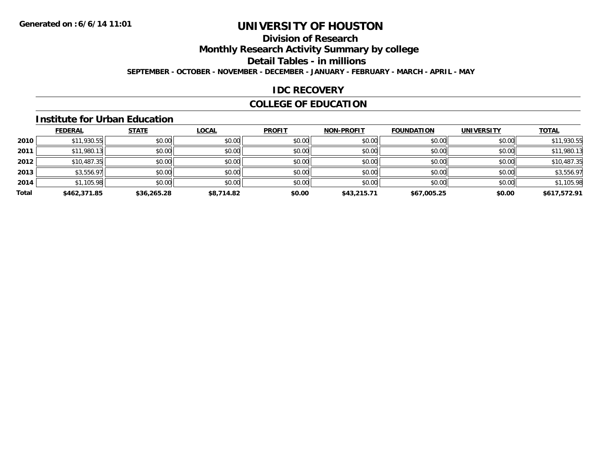## **Division of Research**

**Monthly Research Activity Summary by college**

**Detail Tables - in millions**

**SEPTEMBER - OCTOBER - NOVEMBER - DECEMBER - JANUARY - FEBRUARY - MARCH - APRIL - MAY**

### **IDC RECOVERY**

## **COLLEGE OF EDUCATION**

#### **Institute for Urban Education**

|       | <b>FEDERAL</b> | <b>STATE</b> | <b>LOCAL</b> | <b>PROFIT</b> | <b>NON-PROFIT</b> | <b>FOUNDATION</b> | <b>UNIVERSITY</b> | <b>TOTAL</b> |
|-------|----------------|--------------|--------------|---------------|-------------------|-------------------|-------------------|--------------|
| 2010  | \$11,930.55    | \$0.00       | \$0.00       | \$0.00        | \$0.00            | \$0.00            | \$0.00            | \$11,930.55  |
| 2011  | \$11,980.13    | \$0.00       | \$0.00       | \$0.00        | \$0.00            | \$0.00            | \$0.00            | \$11,980.13  |
| 2012  | \$10,487.35    | \$0.00       | \$0.00       | \$0.00        | \$0.00            | \$0.00            | \$0.00            | \$10,487.35  |
| 2013  | \$3,556.97     | \$0.00       | \$0.00       | \$0.00        | \$0.00            | \$0.00            | \$0.00            | \$3,556.97   |
| 2014  | \$1,105.98     | \$0.00       | \$0.00       | \$0.00        | \$0.00            | \$0.00            | \$0.00            | \$1,105.98   |
| Total | \$462,371.85   | \$36,265.28  | \$8,714.82   | \$0.00        | \$43,215.71       | \$67,005.25       | \$0.00            | \$617,572.91 |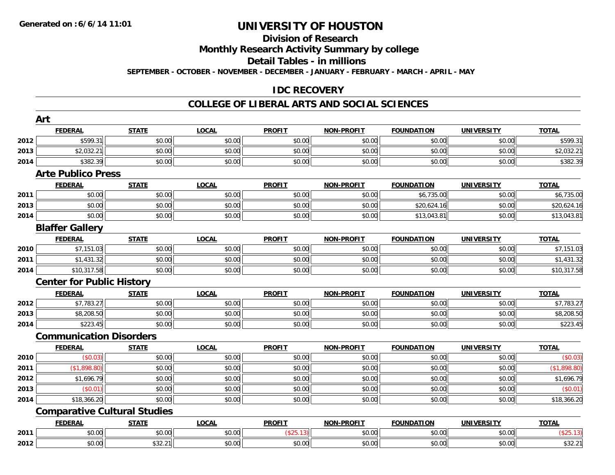#### **Division of Research**

**Monthly Research Activity Summary by college**

**Detail Tables - in millions**

**SEPTEMBER - OCTOBER - NOVEMBER - DECEMBER - JANUARY - FEBRUARY - MARCH - APRIL - MAY**

## **IDC RECOVERY**

### **COLLEGE OF LIBERAL ARTS AND SOCIAL SCIENCES**

|      | Art                                 |              |              |               |                   |                   |                   |              |
|------|-------------------------------------|--------------|--------------|---------------|-------------------|-------------------|-------------------|--------------|
|      | <b>FEDERAL</b>                      | <b>STATE</b> | <b>LOCAL</b> | <b>PROFIT</b> | <b>NON-PROFIT</b> | <b>FOUNDATION</b> | <b>UNIVERSITY</b> | <b>TOTAL</b> |
| 2012 | \$599.31                            | \$0.00       | \$0.00       | \$0.00        | \$0.00            | \$0.00            | \$0.00            | \$599.31     |
| 2013 | \$2,032.21                          | \$0.00       | \$0.00       | \$0.00        | \$0.00            | \$0.00            | \$0.00            | \$2,032.21   |
| 2014 | \$382.39                            | \$0.00       | \$0.00       | \$0.00        | \$0.00            | \$0.00            | \$0.00            | \$382.39     |
|      | <b>Arte Publico Press</b>           |              |              |               |                   |                   |                   |              |
|      | <b>FEDERAL</b>                      | <b>STATE</b> | <b>LOCAL</b> | <b>PROFIT</b> | <b>NON-PROFIT</b> | <b>FOUNDATION</b> | <b>UNIVERSITY</b> | <b>TOTAL</b> |
| 2011 | \$0.00                              | \$0.00       | \$0.00       | \$0.00        | \$0.00            | \$6,735.00        | \$0.00            | \$6,735.00   |
| 2013 | \$0.00                              | \$0.00       | \$0.00       | \$0.00        | \$0.00            | \$20,624.16       | \$0.00            | \$20,624.16  |
| 2014 | \$0.00                              | \$0.00       | \$0.00       | \$0.00        | \$0.00            | \$13,043.81       | \$0.00            | \$13,043.81  |
|      | <b>Blaffer Gallery</b>              |              |              |               |                   |                   |                   |              |
|      | <b>FEDERAL</b>                      | <b>STATE</b> | <b>LOCAL</b> | <b>PROFIT</b> | <b>NON-PROFIT</b> | <b>FOUNDATION</b> | <b>UNIVERSITY</b> | <b>TOTAL</b> |
| 2010 | \$7,151.03                          | \$0.00       | \$0.00       | \$0.00        | \$0.00            | \$0.00            | \$0.00            | \$7,151.03   |
| 2011 | \$1,431.32                          | \$0.00       | \$0.00       | \$0.00        | \$0.00            | \$0.00            | \$0.00            | \$1,431.32   |
| 2014 | \$10,317.58                         | \$0.00       | \$0.00       | \$0.00        | \$0.00            | \$0.00            | \$0.00            | \$10,317.58  |
|      | <b>Center for Public History</b>    |              |              |               |                   |                   |                   |              |
|      | <b>FEDERAL</b>                      | <b>STATE</b> | <b>LOCAL</b> | <b>PROFIT</b> | <b>NON-PROFIT</b> | <b>FOUNDATION</b> | <b>UNIVERSITY</b> | <b>TOTAL</b> |
| 2012 | \$7,783.27                          | \$0.00       | \$0.00       | \$0.00        | \$0.00            | \$0.00            | \$0.00            | \$7,783.27   |
| 2013 | \$8,208.50                          | \$0.00       | \$0.00       | \$0.00        | \$0.00            | \$0.00            | \$0.00            | \$8,208.50   |
| 2014 | \$223.45                            | \$0.00       | \$0.00       | \$0.00        | \$0.00            | \$0.00            | \$0.00            | \$223.45     |
|      | <b>Communication Disorders</b>      |              |              |               |                   |                   |                   |              |
|      | <b>FEDERAL</b>                      | <b>STATE</b> | <b>LOCAL</b> | <b>PROFIT</b> | <b>NON-PROFIT</b> | <b>FOUNDATION</b> | <b>UNIVERSITY</b> | <b>TOTAL</b> |
| 2010 | (\$0.03)                            | \$0.00       | \$0.00       | \$0.00        | \$0.00            | \$0.00            | \$0.00            | (\$0.03)     |
| 2011 | (\$1,898.80)                        | \$0.00       | \$0.00       | \$0.00        | \$0.00            | \$0.00            | \$0.00            | (\$1,898.80) |
| 2012 | \$1,696.79                          | \$0.00       | \$0.00       | \$0.00        | \$0.00            | \$0.00            | \$0.00            | \$1,696.79   |
| 2013 | (\$0.01)                            | \$0.00       | \$0.00       | \$0.00        | \$0.00            | \$0.00            | \$0.00            | (\$0.01)     |
| 2014 | \$18,366.20                         | \$0.00       | \$0.00       | \$0.00        | \$0.00            | \$0.00            | \$0.00            | \$18,366.20  |
|      | <b>Comparative Cultural Studies</b> |              |              |               |                   |                   |                   |              |
|      | <b>FEDERAL</b>                      | <b>STATE</b> | <b>LOCAL</b> | <b>PROFIT</b> | <b>NON-PROFIT</b> | <b>FOUNDATION</b> | <b>UNIVERSITY</b> | <b>TOTAL</b> |
| 2011 | \$0.00                              | \$0.00       | \$0.00       | (\$25.13)     | \$0.00            | \$0.00            | \$0.00            | (\$25.13)    |
| 2012 | \$0.00                              | \$32.21      | \$0.00       | \$0.00        | \$0.00            | \$0.00            | \$0.00            | \$32.21      |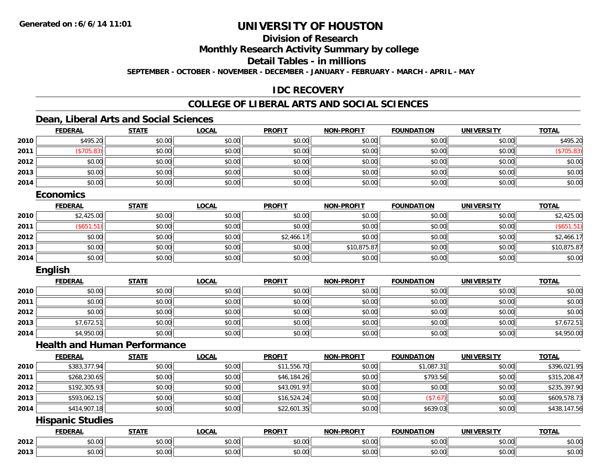## **Division of Research**

**Monthly Research Activity Summary by college**

**Detail Tables - in millions**

**SEPTEMBER - OCTOBER - NOVEMBER - DECEMBER - JANUARY - FEBRUARY - MARCH - APRIL - MAY**

## **IDC RECOVERY**

## **COLLEGE OF LIBERAL ARTS AND SOCIAL SCIENCES**

### **Dean, Liberal Arts and Social Sciences**

|      | <b>FEDERAL</b> | <b>STATE</b> | <u>LOCAL</u> | <b>PROFIT</b> | <b>NON-PROFIT</b> | <b>FOUNDATION</b> | <b>UNIVERSITY</b> | <b>TOTAL</b> |
|------|----------------|--------------|--------------|---------------|-------------------|-------------------|-------------------|--------------|
| 2010 | \$495.20       | \$0.00       | \$0.00       | \$0.00        | \$0.00            | \$0.00            | \$0.00            | \$495.20     |
| 2011 | \$705.83       | \$0.00       | \$0.00       | \$0.00        | \$0.00            | \$0.00            | \$0.00            | (\$705.83)   |
| 2012 | \$0.00         | \$0.00       | \$0.00       | \$0.00        | \$0.00            | \$0.00            | \$0.00            | \$0.00       |
| 2013 | \$0.00         | \$0.00       | \$0.00       | \$0.00        | \$0.00            | \$0.00            | \$0.00            | \$0.00       |
| 2014 | \$0.00         | \$0.00       | \$0.00       | \$0.00        | \$0.00            | \$0.00            | \$0.00            | \$0.00       |
|      |                |              |              |               |                   |                   |                   |              |

#### **Economics**

|      | <b>FEDERAL</b> | <b>STATE</b> | <b>LOCAL</b> | <b>PROFIT</b> | <b>NON-PROFIT</b> | <b>FOUNDATION</b> | <b>UNIVERSITY</b> | <b>TOTAL</b> |
|------|----------------|--------------|--------------|---------------|-------------------|-------------------|-------------------|--------------|
| 2010 | \$2,425.00     | \$0.00       | \$0.00       | \$0.00        | \$0.00            | \$0.00            | \$0.00            | \$2,425.00   |
| 2011 | (\$651.51      | \$0.00       | \$0.00       | \$0.00        | \$0.00            | \$0.00            | \$0.00            | \$651.51)    |
| 2012 | \$0.00         | \$0.00       | \$0.00       | \$2,466.17    | \$0.00            | \$0.00            | \$0.00            | \$2,466.17   |
| 2013 | \$0.00         | \$0.00       | \$0.00       | \$0.00        | \$10,875.87       | \$0.00            | \$0.00            | \$10,875.87  |
| 2014 | \$0.00         | \$0.00       | \$0.00       | \$0.00        | \$0.00            | \$0.00            | \$0.00            | \$0.00       |

### **English**

|      | <b>FEDERAL</b> | <b>STATE</b> | <b>LOCAL</b> | <b>PROFIT</b> | <b>NON-PROFIT</b> | <b>FOUNDATION</b> | <b>UNIVERSITY</b> | <b>TOTAL</b> |
|------|----------------|--------------|--------------|---------------|-------------------|-------------------|-------------------|--------------|
| 2010 | \$0.00         | \$0.00       | \$0.00       | \$0.00        | \$0.00            | \$0.00            | \$0.00            | \$0.00       |
| 2011 | \$0.00         | \$0.00       | \$0.00       | \$0.00        | \$0.00            | \$0.00            | \$0.00            | \$0.00       |
| 2012 | \$0.00         | \$0.00       | \$0.00       | \$0.00        | \$0.00            | \$0.00            | \$0.00            | \$0.00       |
| 2013 | \$7,672.51     | \$0.00       | \$0.00       | \$0.00        | \$0.00            | \$0.00            | \$0.00            | \$7,672.51   |
| 2014 | \$4,950.00     | \$0.00       | \$0.00       | \$0.00        | \$0.00            | \$0.00            | \$0.00            | \$4,950.00   |

### **Health and Human Performance**

|      | <b>FEDERAL</b> | <b>STATE</b> | <b>LOCAL</b> | <b>PROFIT</b> | <b>NON-PROFIT</b> | <b>FOUNDATION</b> | UNIVERSITY | <b>TOTAL</b> |
|------|----------------|--------------|--------------|---------------|-------------------|-------------------|------------|--------------|
| 2010 | \$383,377.94   | \$0.00       | \$0.00       | \$11,556.70   | \$0.00            | \$1,087.31        | \$0.00     | \$396,021.95 |
| 2011 | \$268,230.65   | \$0.00       | \$0.00       | \$46,184.26   | \$0.00            | \$793.56          | \$0.00     | \$315,208.47 |
| 2012 | \$192,305.93   | \$0.00       | \$0.00       | \$43,091.97   | \$0.00            | \$0.00            | \$0.00     | \$235,397.90 |
| 2013 | \$593,062.15   | \$0.00       | \$0.00       | \$16,524.24   | \$0.00            | (\$7.67)          | \$0.00     | \$609,578.73 |
| 2014 | \$414,907.18   | \$0.00       | \$0.00       | \$22,601.35   | \$0.00            | \$639.03          | \$0.00     | \$438,147.56 |

### **Hispanic Studies**

|      | <b>DERAI</b>                    | CTATI  | $\bigcap_{n=1}^{\infty}$<br>.OCAL | <b>PROFIT</b>          | <b>DDAFIT</b><br><b>NION</b> | .<br>INDA<br>ាលក | - IV. 31                                  | <b>TOTAL</b> |
|------|---------------------------------|--------|-----------------------------------|------------------------|------------------------------|------------------|-------------------------------------------|--------------|
| 2012 | $\sim$ $\sim$<br>$\sim$<br>u.uu | $\sim$ | $*$ $\sim$ $\sim$<br>, U.U        | 0000                   | 0.00<br>JU.UU                | JU.              | $\uparrow$ $\uparrow$ $\uparrow$<br>JU.UU | \$0.00       |
| 2013 | $\sim$<br>ט.טע                  | יש.טע  | $\sim$ $\sim$<br>JU.UU            | $\sim$ $\sim$<br>JU.UU | 0000<br>JU.UU                | JU.UU            | 0.001<br>PO.OO                            | \$0.00       |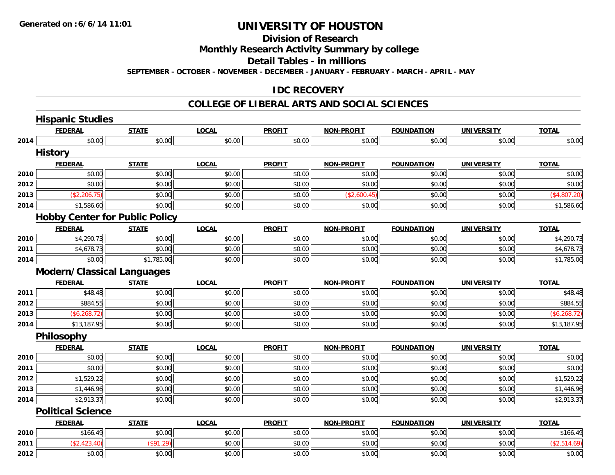**Division of Research**

**Monthly Research Activity Summary by college**

**Detail Tables - in millions**

**SEPTEMBER - OCTOBER - NOVEMBER - DECEMBER - JANUARY - FEBRUARY - MARCH - APRIL - MAY**

### **IDC RECOVERY**

#### **COLLEGE OF LIBERAL ARTS AND SOCIAL SCIENCES**

|      | <b>Hispanic Studies</b>               |              |              |               |                   |                   |                   |               |
|------|---------------------------------------|--------------|--------------|---------------|-------------------|-------------------|-------------------|---------------|
|      | <b>FEDERAL</b>                        | <b>STATE</b> | <b>LOCAL</b> | <b>PROFIT</b> | <b>NON-PROFIT</b> | <b>FOUNDATION</b> | <b>UNIVERSITY</b> | <b>TOTAL</b>  |
| 2014 | \$0.00                                | \$0.00       | \$0.00       | \$0.00        | \$0.00            | \$0.00            | \$0.00            | \$0.00        |
|      | <b>History</b>                        |              |              |               |                   |                   |                   |               |
|      | <b>FEDERAL</b>                        | <b>STATE</b> | <b>LOCAL</b> | <b>PROFIT</b> | <b>NON-PROFIT</b> | <b>FOUNDATION</b> | <b>UNIVERSITY</b> | <b>TOTAL</b>  |
| 2010 | \$0.00                                | \$0.00       | \$0.00       | \$0.00        | \$0.00            | \$0.00            | \$0.00            | \$0.00        |
| 2012 | \$0.00                                | \$0.00       | \$0.00       | \$0.00        | \$0.00            | \$0.00            | \$0.00            | \$0.00        |
| 2013 | (\$2,206.75)                          | \$0.00       | \$0.00       | \$0.00        | (\$2,600.45)      | \$0.00            | \$0.00            | (\$4,807.20)  |
| 2014 | \$1,586.60                            | \$0.00       | \$0.00       | \$0.00        | \$0.00            | \$0.00            | \$0.00            | \$1,586.60    |
|      | <b>Hobby Center for Public Policy</b> |              |              |               |                   |                   |                   |               |
|      | <b>FEDERAL</b>                        | <b>STATE</b> | <b>LOCAL</b> | <b>PROFIT</b> | <b>NON-PROFIT</b> | <b>FOUNDATION</b> | <b>UNIVERSITY</b> | <b>TOTAL</b>  |
| 2010 | \$4,290.73                            | \$0.00       | \$0.00       | \$0.00        | \$0.00            | \$0.00            | \$0.00            | \$4,290.73    |
| 2011 | \$4,678.73                            | \$0.00       | \$0.00       | \$0.00        | \$0.00            | \$0.00            | \$0.00            | \$4,678.73    |
| 2014 | \$0.00                                | \$1,785.06   | \$0.00       | \$0.00        | \$0.00            | \$0.00            | \$0.00            | \$1,785.06    |
|      | Modern/Classical Languages            |              |              |               |                   |                   |                   |               |
|      | <b>FEDERAL</b>                        | <b>STATE</b> | <b>LOCAL</b> | <b>PROFIT</b> | <b>NON-PROFIT</b> | <b>FOUNDATION</b> | <b>UNIVERSITY</b> | <b>TOTAL</b>  |
| 2011 | \$48.48                               | \$0.00       | \$0.00       | \$0.00        | \$0.00            | \$0.00            | \$0.00            | \$48.48       |
| 2012 | \$884.55                              | \$0.00       | \$0.00       | \$0.00        | \$0.00            | \$0.00            | \$0.00            | \$884.55      |
| 2013 | (\$6,268.72)                          | \$0.00       | \$0.00       | \$0.00        | \$0.00            | \$0.00            | \$0.00            | (\$6, 268.72) |
| 2014 | \$13,187.95                           | \$0.00       | \$0.00       | \$0.00        | \$0.00            | \$0.00            | \$0.00            | \$13,187.95   |
|      | Philosophy                            |              |              |               |                   |                   |                   |               |
|      | <b>FEDERAL</b>                        | <b>STATE</b> | <b>LOCAL</b> | <b>PROFIT</b> | <b>NON-PROFIT</b> | <b>FOUNDATION</b> | <b>UNIVERSITY</b> | <b>TOTAL</b>  |
| 2010 | \$0.00                                | \$0.00       | \$0.00       | \$0.00        | \$0.00            | \$0.00            | \$0.00            | \$0.00        |
| 2011 | \$0.00                                | \$0.00       | \$0.00       | \$0.00        | \$0.00            | \$0.00            | \$0.00            | \$0.00        |
| 2012 | \$1,529.22                            | \$0.00       | \$0.00       | \$0.00        | \$0.00            | \$0.00            | \$0.00            | \$1,529.22    |
| 2013 | \$1,446.96                            | \$0.00       | \$0.00       | \$0.00        | \$0.00            | \$0.00            | \$0.00            | \$1,446.96    |
| 2014 | \$2,913.37                            | \$0.00       | \$0.00       | \$0.00        | \$0.00            | \$0.00            | \$0.00            | \$2,913.37    |
|      | <b>Political Science</b>              |              |              |               |                   |                   |                   |               |
|      | <b>FEDERAL</b>                        | <b>STATE</b> | <b>LOCAL</b> | <b>PROFIT</b> | <b>NON-PROFIT</b> | <b>FOUNDATION</b> | <b>UNIVERSITY</b> | <b>TOTAL</b>  |
| 2010 | \$166.49                              | \$0.00       | \$0.00       | \$0.00        | \$0.00            | \$0.00            | \$0.00            | \$166.49      |
| 2011 | (\$2,423.40)                          | (\$91.29)    | \$0.00       | \$0.00        | \$0.00            | \$0.00            | \$0.00            | (\$2,514.69)  |
| 2012 | \$0.00                                | \$0.00       | \$0.00       | \$0.00        | \$0.00            | \$0.00            | \$0.00            | \$0.00        |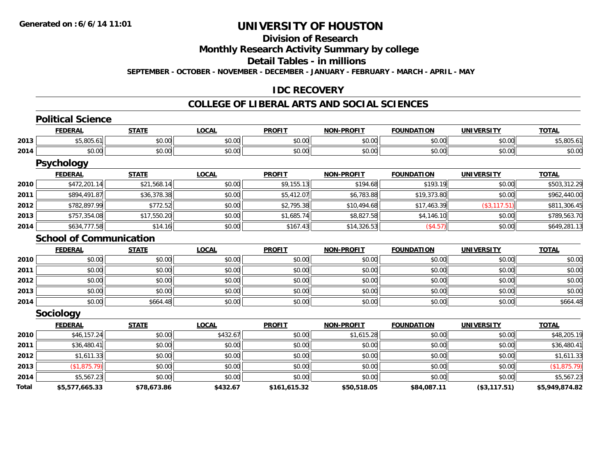#### **Division of Research**

**Monthly Research Activity Summary by college**

**Detail Tables - in millions**

**SEPTEMBER - OCTOBER - NOVEMBER - DECEMBER - JANUARY - FEBRUARY - MARCH - APRIL - MAY**

### **IDC RECOVERY**

#### **COLLEGE OF LIBERAL ARTS AND SOCIAL SCIENCES**

|       | <b>Political Science</b>       |              |              |               |                   |                   |                   |                |
|-------|--------------------------------|--------------|--------------|---------------|-------------------|-------------------|-------------------|----------------|
|       | <b>FEDERAL</b>                 | <b>STATE</b> | <b>LOCAL</b> | <b>PROFIT</b> | <b>NON-PROFIT</b> | <b>FOUNDATION</b> | <b>UNIVERSITY</b> | <b>TOTAL</b>   |
| 2013  | \$5,805.61                     | \$0.00       | \$0.00       | \$0.00        | \$0.00            | \$0.00            | \$0.00            | \$5,805.61     |
| 2014  | \$0.00                         | \$0.00       | \$0.00       | \$0.00        | \$0.00            | \$0.00            | \$0.00            | \$0.00         |
|       | <b>Psychology</b>              |              |              |               |                   |                   |                   |                |
|       | <b>FEDERAL</b>                 | <b>STATE</b> | <b>LOCAL</b> | <b>PROFIT</b> | <b>NON-PROFIT</b> | <b>FOUNDATION</b> | <b>UNIVERSITY</b> | <b>TOTAL</b>   |
| 2010  | \$472,201.14                   | \$21,568.14  | \$0.00       | \$9,155.13    | \$194.68          | \$193.19          | \$0.00            | \$503,312.29   |
| 2011  | \$894,491.87                   | \$36,378.38  | \$0.00       | \$5,412.07    | \$6,783.88        | \$19,373.80       | \$0.00            | \$962,440.00   |
| 2012  | \$782,897.99                   | \$772.52     | \$0.00       | \$2,795.38    | \$10,494.68       | \$17,463.39       | (\$3,117.51)      | \$811,306.45   |
| 2013  | \$757,354.08                   | \$17,550.20  | \$0.00       | \$1,685.74    | \$8,827.58        | \$4,146.10        | \$0.00            | \$789,563.70   |
| 2014  | \$634,777.58                   | \$14.16      | \$0.00       | \$167.43      | \$14,326.53       | (\$4.57)          | \$0.00            | \$649,281.13   |
|       | <b>School of Communication</b> |              |              |               |                   |                   |                   |                |
|       | <b>FEDERAL</b>                 | <b>STATE</b> | <b>LOCAL</b> | <b>PROFIT</b> | <b>NON-PROFIT</b> | <b>FOUNDATION</b> | <b>UNIVERSITY</b> | <b>TOTAL</b>   |
| 2010  | \$0.00                         | \$0.00       | \$0.00       | \$0.00        | \$0.00            | \$0.00            | \$0.00            | \$0.00         |
| 2011  | \$0.00                         | \$0.00       | \$0.00       | \$0.00        | \$0.00            | \$0.00            | \$0.00            | \$0.00         |
| 2012  | \$0.00                         | \$0.00       | \$0.00       | \$0.00        | \$0.00            | \$0.00            | \$0.00            | \$0.00         |
| 2013  | \$0.00                         | \$0.00       | \$0.00       | \$0.00        | \$0.00            | \$0.00            | \$0.00            | \$0.00         |
| 2014  | \$0.00                         | \$664.48     | \$0.00       | \$0.00        | \$0.00            | \$0.00            | \$0.00            | \$664.48       |
|       | <b>Sociology</b>               |              |              |               |                   |                   |                   |                |
|       | <b>FEDERAL</b>                 | <b>STATE</b> | <b>LOCAL</b> | <b>PROFIT</b> | <b>NON-PROFIT</b> | <b>FOUNDATION</b> | <b>UNIVERSITY</b> | <b>TOTAL</b>   |
| 2010  | \$46,157.24                    | \$0.00       | \$432.67     | \$0.00        | \$1,615.28        | \$0.00            | \$0.00            | \$48,205.19    |
| 2011  | \$36,480.41                    | \$0.00       | \$0.00       | \$0.00        | \$0.00            | \$0.00            | \$0.00            | \$36,480.41    |
| 2012  | \$1,611.33                     | \$0.00       | \$0.00       | \$0.00        | \$0.00            | \$0.00            | \$0.00            | \$1,611.33     |
| 2013  | (\$1,875.79)                   | \$0.00       | \$0.00       | \$0.00        | \$0.00            | \$0.00            | \$0.00            | (\$1,875.79)   |
| 2014  | \$5,567.23                     | \$0.00       | \$0.00       | \$0.00        | \$0.00            | \$0.00            | \$0.00            | \$5,567.23     |
| Total | \$5,577,665.33                 | \$78,673.86  | \$432.67     | \$161,615.32  | \$50,518.05       | \$84,087.11       | (\$3,117.51)      | \$5,949,874.82 |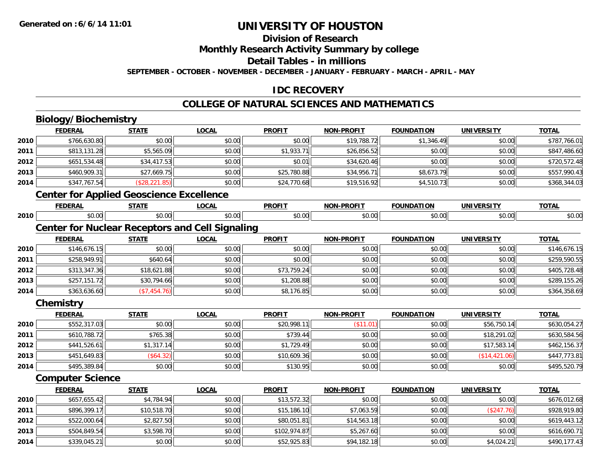## **Division of Research**

**Monthly Research Activity Summary by college**

**Detail Tables - in millions**

**SEPTEMBER - OCTOBER - NOVEMBER - DECEMBER - JANUARY - FEBRUARY - MARCH - APRIL - MAY**

## **IDC RECOVERY**

## **COLLEGE OF NATURAL SCIENCES AND MATHEMATICS**

# **Biology/Biochemistry**

**2014**

|      | <b>FEDERAL</b>                                  | <b>STATE</b>   | <b>LOCAL</b>                                           | <b>PROFIT</b> | <b>NON-PROFIT</b> | <b>FOUNDATION</b> | <b>UNIVERSITY</b> | <b>TOTAL</b> |
|------|-------------------------------------------------|----------------|--------------------------------------------------------|---------------|-------------------|-------------------|-------------------|--------------|
| 2010 | \$766,630.80                                    | \$0.00         | \$0.00                                                 | \$0.00        | \$19,788.72       | \$1,346.49        | \$0.00            | \$787,766.01 |
| 2011 | \$813,131.28                                    | \$5,565.09     | \$0.00                                                 | \$1,933.71    | \$26,856.52       | \$0.00            | \$0.00            | \$847,486.60 |
| 2012 | \$651,534.48                                    | \$34,417.53    | \$0.00                                                 | \$0.01        | \$34,620.46       | \$0.00            | \$0.00            | \$720,572.48 |
| 2013 | \$460,909.31                                    | \$27,669.75    | \$0.00                                                 | \$25,780.88   | \$34,956.71       | \$8,673.79        | \$0.00            | \$557,990.43 |
| 2014 | \$347,767.54                                    | (\$28, 221.85) | \$0.00                                                 | \$24,770.68   | \$19,516.92       | \$4,510.73        | \$0.00            | \$368,344.03 |
|      | <b>Center for Applied Geoscience Excellence</b> |                |                                                        |               |                   |                   |                   |              |
|      | <b>FEDERAL</b>                                  | <b>STATE</b>   | <b>LOCAL</b>                                           | <b>PROFIT</b> | <b>NON-PROFIT</b> | <b>FOUNDATION</b> | <b>UNIVERSITY</b> | <b>TOTAL</b> |
| 2010 | \$0.00                                          | \$0.00         | \$0.00                                                 | \$0.00        | \$0.00            | \$0.00            | \$0.00            | \$0.00       |
|      |                                                 |                | <b>Center for Nuclear Receptors and Cell Signaling</b> |               |                   |                   |                   |              |
|      | <b>FEDERAL</b>                                  | <b>STATE</b>   | <b>LOCAL</b>                                           | <b>PROFIT</b> | <b>NON-PROFIT</b> | <b>FOUNDATION</b> | <b>UNIVERSITY</b> | <b>TOTAL</b> |
| 2010 | \$146,676.15                                    | \$0.00         | \$0.00                                                 | \$0.00        | \$0.00            | \$0.00            | \$0.00            | \$146,676.15 |
| 2011 | \$258,949.91                                    | \$640.64       | \$0.00                                                 | \$0.00        | \$0.00            | \$0.00            | \$0.00            | \$259,590.55 |
| 2012 | \$313,347.36                                    | \$18,621.88    | \$0.00                                                 | \$73,759.24   | \$0.00            | \$0.00            | \$0.00            | \$405,728.48 |
| 2013 | \$257,151.72                                    | \$30,794.66    | \$0.00                                                 | \$1,208.88    | \$0.00            | \$0.00            | \$0.00            | \$289,155.26 |
| 2014 | \$363,636.60                                    | (\$7,454.76)   | \$0.00                                                 | \$8,176.85    | \$0.00            | \$0.00            | \$0.00            | \$364,358.69 |
|      | Chemistry                                       |                |                                                        |               |                   |                   |                   |              |
|      | <b>FEDERAL</b>                                  | <b>STATE</b>   | <b>LOCAL</b>                                           | <b>PROFIT</b> | <b>NON-PROFIT</b> | <b>FOUNDATION</b> | <b>UNIVERSITY</b> | <b>TOTAL</b> |
| 2010 | \$552,317.03                                    | \$0.00         | \$0.00                                                 | \$20,998.11   | (\$11.01)         | \$0.00            | \$56,750.14       | \$630,054.27 |
| 2011 | \$610,788.72                                    | \$765.38       | \$0.00                                                 | \$739.44      | \$0.00            | \$0.00            | \$18,291.02       | \$630,584.56 |
| 2012 | \$441,526.61                                    | \$1,317.14     | \$0.00                                                 | \$1,729.49    | \$0.00            | \$0.00            | \$17,583.14       | \$462,156.37 |
| 2013 | \$451,649.83                                    | (\$64.32)      | \$0.00                                                 | \$10,609.36   | \$0.00            | \$0.00            | (\$14,421.06)     | \$447,773.81 |
| 2014 | \$495,389.84                                    | \$0.00         | \$0.00                                                 | \$130.95      | \$0.00            | \$0.00            | \$0.00            | \$495,520.79 |
|      | <b>Computer Science</b>                         |                |                                                        |               |                   |                   |                   |              |
|      | <b>FEDERAL</b>                                  | <b>STATE</b>   | <b>LOCAL</b>                                           | <b>PROFIT</b> | <b>NON-PROFIT</b> | <b>FOUNDATION</b> | <b>UNIVERSITY</b> | <b>TOTAL</b> |
| 2010 | \$657,655.42                                    | \$4,784.94     | \$0.00                                                 | \$13,572.32   | \$0.00            | \$0.00            | \$0.00            | \$676,012.68 |
| 2011 | \$896,399.17                                    | \$10,518.70    | \$0.00                                                 | \$15,186.10   | \$7,063.59        | \$0.00            | (\$247.76)        | \$928,919.80 |
| 2012 | \$522,000.64                                    | \$2,827.50     | \$0.00                                                 | \$80,051.81   | \$14,563.18       | \$0.00            | \$0.00            | \$619,443.12 |
| 2013 | \$504,849.54                                    | \$3,598.70     | \$0.00                                                 | \$102,974.87  | \$5,267.60        | \$0.00            | \$0.00            | \$616,690.71 |

4 \$339,045.21|| \$0.00|| \$0.00|| \$52,925.83|| \$94,182.18|| \$0.00|| \$4,024.21|| \$490,177.43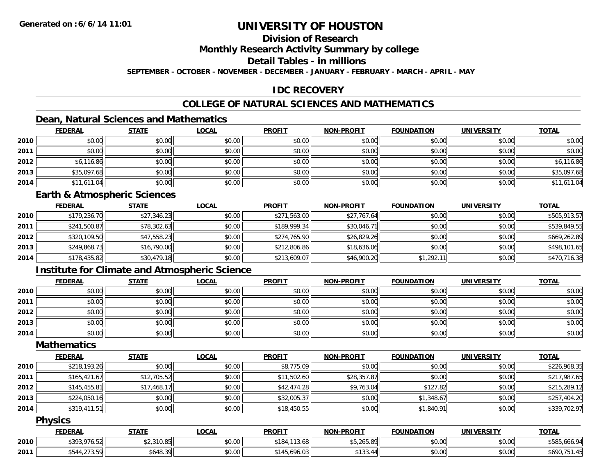## **Division of Research**

**Monthly Research Activity Summary by college**

**Detail Tables - in millions**

**SEPTEMBER - OCTOBER - NOVEMBER - DECEMBER - JANUARY - FEBRUARY - MARCH - APRIL - MAY**

## **IDC RECOVERY**

## **COLLEGE OF NATURAL SCIENCES AND MATHEMATICS**

## **Dean, Natural Sciences and Mathematics**

|      | <b>FEDERAL</b> | <b>STATE</b> | <u>LOCAL</u> | <b>PROFIT</b> | <b>NON-PROFIT</b> | <b>FOUNDATION</b> | <b>UNIVERSITY</b> | <b>TOTAL</b> |
|------|----------------|--------------|--------------|---------------|-------------------|-------------------|-------------------|--------------|
| 2010 | \$0.00         | \$0.00       | \$0.00       | \$0.00        | \$0.00            | \$0.00            | \$0.00            | \$0.00       |
| 2011 | \$0.00         | \$0.00       | \$0.00       | \$0.00        | \$0.00            | \$0.00            | \$0.00            | \$0.00       |
| 2012 | \$6,116.86     | \$0.00       | \$0.00       | \$0.00        | \$0.00            | \$0.00            | \$0.00            | \$6,116.86   |
| 2013 | \$35,097.68    | \$0.00       | \$0.00       | \$0.00        | \$0.00            | \$0.00            | \$0.00            | \$35,097.68  |
| 2014 | \$11,611.04    | \$0.00       | \$0.00       | \$0.00        | \$0.00            | \$0.00            | \$0.00            | \$11,611.04  |

#### **Earth & Atmospheric Sciences**

|      | <b>FEDERAL</b> | <u>STATE</u> | <b>LOCAL</b> | <b>PROFIT</b> | <b>NON-PROFIT</b> | <b>FOUNDATION</b> | <b>UNIVERSITY</b> | <b>TOTAL</b> |
|------|----------------|--------------|--------------|---------------|-------------------|-------------------|-------------------|--------------|
| 2010 | \$179,236.70   | \$27,346.23  | \$0.00       | \$271,563.00  | \$27,767.64       | \$0.00            | \$0.00            | \$505,913.57 |
| 2011 | \$241,500.87   | \$78,302.63  | \$0.00       | \$189,999.34  | \$30,046.71       | \$0.00            | \$0.00            | \$539,849.55 |
| 2012 | \$320,109.50   | \$47,558.23  | \$0.00       | \$274,765.90  | \$26,829.26       | \$0.00            | \$0.00            | \$669,262.89 |
| 2013 | \$249,868.73   | \$16,790.00  | \$0.00       | \$212,806.86  | \$18,636.06       | \$0.00            | \$0.00            | \$498,101.65 |
| 2014 | \$178,435.82   | \$30,479.18  | \$0.00       | \$213,609.07  | \$46,900.20       | \$1,292.11        | \$0.00            | \$470,716.38 |

## **Institute for Climate and Atmospheric Science**

|      | <b>FEDERAL</b> | <b>STATE</b> | <b>LOCAL</b> | <b>PROFIT</b> | <b>NON-PROFIT</b> | <b>FOUNDATION</b> | <b>UNIVERSITY</b> | <b>TOTAL</b> |
|------|----------------|--------------|--------------|---------------|-------------------|-------------------|-------------------|--------------|
| 2010 | \$0.00         | \$0.00       | \$0.00       | \$0.00        | \$0.00            | \$0.00            | \$0.00            | \$0.00       |
| 2011 | \$0.00         | \$0.00       | \$0.00       | \$0.00        | \$0.00            | \$0.00            | \$0.00            | \$0.00       |
| 2012 | \$0.00         | \$0.00       | \$0.00       | \$0.00        | \$0.00            | \$0.00            | \$0.00            | \$0.00       |
| 2013 | \$0.00         | \$0.00       | \$0.00       | \$0.00        | \$0.00            | \$0.00            | \$0.00            | \$0.00       |
| 2014 | \$0.00         | \$0.00       | \$0.00       | \$0.00        | \$0.00            | \$0.00            | \$0.00            | \$0.00       |

### **Mathematics**

|      | <b>FEDERAL</b> | <b>STATE</b> | <u>LOCAL</u> | <b>PROFIT</b> | <b>NON-PROFIT</b> | <b>FOUNDATION</b> | <b>UNIVERSITY</b> | <b>TOTAL</b> |
|------|----------------|--------------|--------------|---------------|-------------------|-------------------|-------------------|--------------|
| 2010 | \$218,193.26   | \$0.00       | \$0.00       | \$8,775.09    | \$0.00            | \$0.00            | \$0.00            | \$226,968.35 |
| 2011 | \$165,421.67   | \$12,705.52  | \$0.00       | \$11,502.60   | \$28,357.87       | \$0.00            | \$0.00            | \$217,987.65 |
| 2012 | \$145,455.81   | \$17,468.17  | \$0.00       | \$42,474.28   | \$9,763.04        | \$127.82          | \$0.00            | \$215,289.12 |
| 2013 | \$224,050.16   | \$0.00       | \$0.00       | \$32,005.37   | \$0.00            | \$1,348.67        | \$0.00            | \$257,404.20 |
| 2014 | \$319,411.51   | \$0.00       | \$0.00       | \$18,450.55   | \$0.00            | \$1,840.91        | \$0.00            | \$339,702.97 |

### **Physics**

|      | <b>FEDERAL</b>                  | STATE                                                              | LOCAI                  | <b>PROFIT</b>                 | <b>N-PROFIT</b><br>ש∩ו                   | <b>FOUNDATION</b> | <b>UNIVERSITY</b> | <b>TOTAL</b>           |
|------|---------------------------------|--------------------------------------------------------------------|------------------------|-------------------------------|------------------------------------------|-------------------|-------------------|------------------------|
| 2010 | <b>¢202076</b><br>$ -$<br>،5.0/ | $\uparrow$ $\uparrow$ $\uparrow$ $\uparrow$<br>$\sim$ $-$<br>10.OJ | $\sim$ $\sim$<br>DU.UG | \$184.<br>$\sqrt{2}$<br>13.08 | $AT$ $AT$ $A$ $T$ $A$ $T$<br>ັມມ,∠05.oy⊔ | \$0.00            | \$0.00            | \$585<br>6601<br>,000. |
| 2011 | $\sim$ $\sim$ $\sim$<br>.       | \$648.39                                                           | ሶስ ሰሰ<br>DU.UG         | $A \cdot A$<br>.696.03        | $\sim$ $\sim$<br>\$133.44                | \$0.00            | \$0.00            | 460N                   |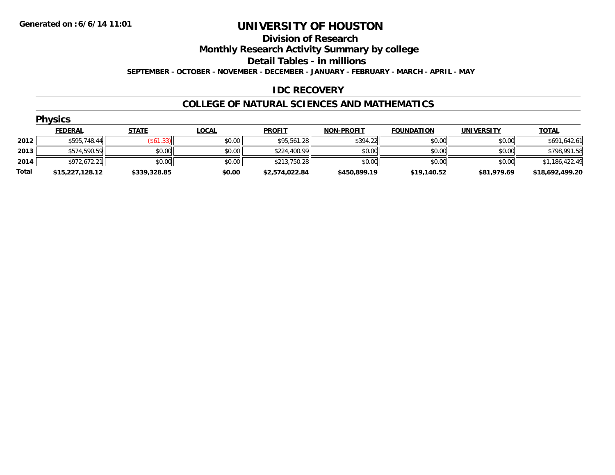#### **Division of Research**

**Monthly Research Activity Summary by college**

**Detail Tables - in millions**

**SEPTEMBER - OCTOBER - NOVEMBER - DECEMBER - JANUARY - FEBRUARY - MARCH - APRIL - MAY**

### **IDC RECOVERY**

#### **COLLEGE OF NATURAL SCIENCES AND MATHEMATICS**

|       | <b>Physics</b>  |                  |              |                |                   |                   |                   |                 |  |  |  |  |
|-------|-----------------|------------------|--------------|----------------|-------------------|-------------------|-------------------|-----------------|--|--|--|--|
|       | <b>FEDERAL</b>  | <b>STATE</b>     | <b>LOCAL</b> | <b>PROFIT</b>  | <b>NON-PROFIT</b> | <b>FOUNDATION</b> | <b>UNIVERSITY</b> | <b>TOTAL</b>    |  |  |  |  |
| 2012  | \$595,748.44    | $($ \$61.33) $ $ | \$0.00       | \$95,561.28    | \$394.22          | \$0.00            | \$0.00            | \$691,642.61    |  |  |  |  |
| 2013  | \$574,590.59    | \$0.00           | \$0.00       | \$224,400.99   | \$0.00            | \$0.00            | \$0.00            | \$798,991.58    |  |  |  |  |
| 2014  | \$972,672.21    | \$0.00           | \$0.00       | \$213,750.28   | \$0.00            | \$0.00            | \$0.00            | \$1,186,422.49  |  |  |  |  |
| Total | \$15,227,128.12 | \$339,328.85     | \$0.00       | \$2,574,022.84 | \$450,899.19      | \$19,140.52       | \$81,979.69       | \$18,692,499.20 |  |  |  |  |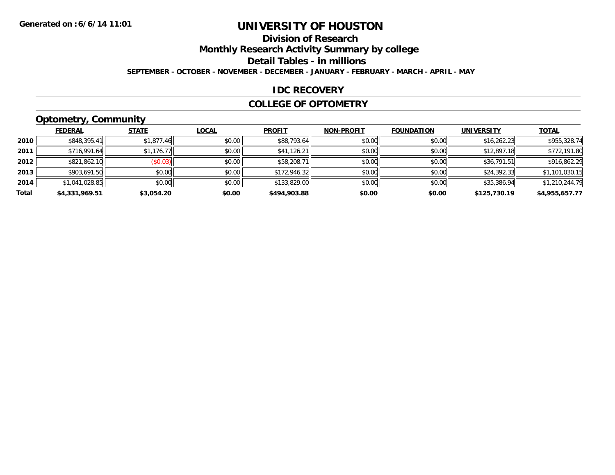## **Division of Research**

**Monthly Research Activity Summary by college**

**Detail Tables - in millions**

**SEPTEMBER - OCTOBER - NOVEMBER - DECEMBER - JANUARY - FEBRUARY - MARCH - APRIL - MAY**

### **IDC RECOVERY**

#### **COLLEGE OF OPTOMETRY**

## **Optometry, Community**

|       | .              |              |              |               |                   |                   |                   |                |
|-------|----------------|--------------|--------------|---------------|-------------------|-------------------|-------------------|----------------|
|       | <b>FEDERAL</b> | <b>STATE</b> | <b>LOCAL</b> | <b>PROFIT</b> | <b>NON-PROFIT</b> | <b>FOUNDATION</b> | <b>UNIVERSITY</b> | <b>TOTAL</b>   |
| 2010  | \$848,395.41   | \$1,877.46   | \$0.00       | \$88,793.64   | \$0.00            | \$0.00            | \$16,262.23       | \$955,328.74   |
| 2011  | \$716,991.64   | \$1,176.77   | \$0.00       | \$41,126.21   | \$0.00            | \$0.00            | \$12,897.18       | \$772,191.80   |
| 2012  | \$821,862.10   | (\$0.03)     | \$0.00       | \$58,208.71   | \$0.00            | \$0.00            | \$36,791.51       | \$916,862.29   |
| 2013  | \$903,691.50   | \$0.00       | \$0.00       | \$172,946.32  | \$0.00            | \$0.00            | \$24,392.33       | \$1,101,030.15 |
| 2014  | \$1,041,028.85 | \$0.00       | \$0.00       | \$133,829.00  | \$0.00            | \$0.00            | \$35,386.94       | \$1,210,244.79 |
| Total | \$4,331,969.51 | \$3,054.20   | \$0.00       | \$494,903.88  | \$0.00            | \$0.00            | \$125,730.19      | \$4,955,657.77 |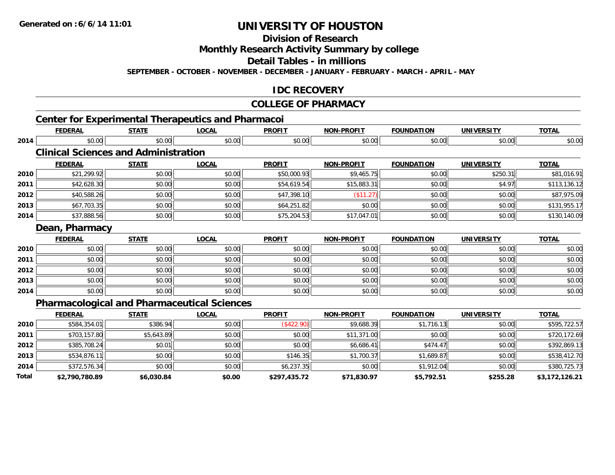**Division of Research**

**Monthly Research Activity Summary by college**

**Detail Tables - in millions**

**SEPTEMBER - OCTOBER - NOVEMBER - DECEMBER - JANUARY - FEBRUARY - MARCH - APRIL - MAY**

#### **IDC RECOVERY**

#### **COLLEGE OF PHARMACY**

|              | <b>FEDERAL</b>                              | <b>STATE</b> | <b>LOCAL</b>                                       | <b>PROFIT</b> | <b>NON-PROFIT</b> | <b>FOUNDATION</b> | <b>UNIVERSITY</b> | <b>TOTAL</b>   |
|--------------|---------------------------------------------|--------------|----------------------------------------------------|---------------|-------------------|-------------------|-------------------|----------------|
| 2014         | \$0.00                                      | \$0.00       | \$0.00                                             | \$0.00        | \$0.00            | \$0.00            | \$0.00            | \$0.00         |
|              | <b>Clinical Sciences and Administration</b> |              |                                                    |               |                   |                   |                   |                |
|              | <b>FEDERAL</b>                              | <b>STATE</b> | <b>LOCAL</b>                                       | <b>PROFIT</b> | <b>NON-PROFIT</b> | <b>FOUNDATION</b> | <b>UNIVERSITY</b> | <b>TOTAL</b>   |
| 2010         | \$21,299.92                                 | \$0.00       | \$0.00                                             | \$50,000.93   | \$9,465.75        | \$0.00            | \$250.31          | \$81,016.91    |
| 2011         | \$42,628.30                                 | \$0.00       | \$0.00                                             | \$54,619.54   | \$15,883.31       | \$0.00            | \$4.97            | \$113,136.12   |
| 2012         | \$40,588.26                                 | \$0.00       | \$0.00                                             | \$47,398.10   | (\$11.27)         | \$0.00            | \$0.00            | \$87,975.09    |
| 2013         | \$67,703.35                                 | \$0.00       | \$0.00                                             | \$64,251.82   | \$0.00            | \$0.00            | \$0.00            | \$131,955.17   |
| 2014         | \$37,888.56                                 | \$0.00       | \$0.00                                             | \$75,204.53   | \$17,047.01       | \$0.00            | \$0.00            | \$130,140.09   |
|              | Dean, Pharmacy                              |              |                                                    |               |                   |                   |                   |                |
|              | <b>FEDERAL</b>                              | <b>STATE</b> | <b>LOCAL</b>                                       | <b>PROFIT</b> | <b>NON-PROFIT</b> | <b>FOUNDATION</b> | <b>UNIVERSITY</b> | <b>TOTAL</b>   |
| 2010         | \$0.00                                      | \$0.00       | \$0.00                                             | \$0.00        | \$0.00            | \$0.00            | \$0.00            | \$0.00         |
| 2011         | \$0.00                                      | \$0.00       | \$0.00                                             | \$0.00        | \$0.00            | \$0.00            | \$0.00            | \$0.00         |
| 2012         | \$0.00                                      | \$0.00       | \$0.00                                             | \$0.00        | \$0.00            | \$0.00            | \$0.00            | \$0.00         |
| 2013         | \$0.00                                      | \$0.00       | \$0.00                                             | \$0.00        | \$0.00            | \$0.00            | \$0.00            | \$0.00         |
| 2014         | \$0.00                                      | \$0.00       | \$0.00                                             | \$0.00        | \$0.00            | \$0.00            | \$0.00            | \$0.00         |
|              |                                             |              | <b>Pharmacological and Pharmaceutical Sciences</b> |               |                   |                   |                   |                |
|              | <b>FEDERAL</b>                              | <b>STATE</b> | <b>LOCAL</b>                                       | <b>PROFIT</b> | <b>NON-PROFIT</b> | <b>FOUNDATION</b> | <b>UNIVERSITY</b> | <b>TOTAL</b>   |
| 2010         | \$584,354.01                                | \$386.94     | \$0.00                                             | (\$422.90)    | \$9,688.39        | \$1,716.13        | \$0.00            | \$595,722.57   |
| 2011         | \$703,157.80                                | \$5,643.89   | \$0.00                                             | \$0.00        | \$11,371.00       | \$0.00            | \$0.00            | \$720,172.69   |
| 2012         | \$385,708.24                                | \$0.01       | \$0.00                                             | \$0.00        | \$6,686.41        | \$474.47          | \$0.00            | \$392,869.13   |
| 2013         | \$534,876.11                                | \$0.00       | \$0.00                                             | \$146.35      | \$1,700.37        | \$1,689.87        | \$0.00            | \$538,412.70   |
| 2014         | \$372,576.34                                | \$0.00       | \$0.00                                             | \$6,237.35    | \$0.00            | \$1,912.04        | \$0.00            | \$380,725.73   |
| <b>Total</b> | \$2,790,780.89                              | \$6,030.84   | \$0.00                                             | \$297,435.72  | \$71,830.97       | \$5,792.51        | \$255.28          | \$3,172,126.21 |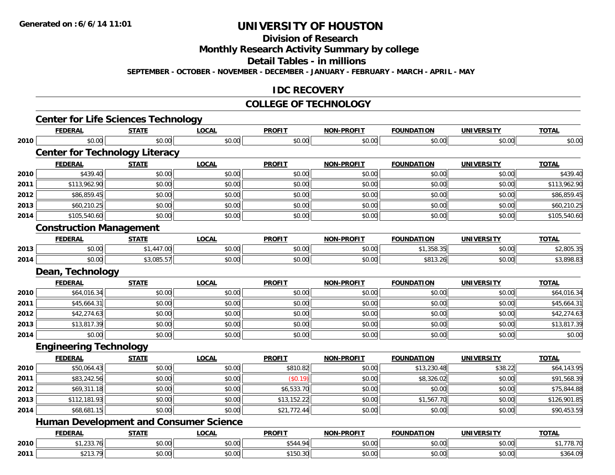**Division of Research**

**Monthly Research Activity Summary by college**

**Detail Tables - in millions**

**SEPTEMBER - OCTOBER - NOVEMBER - DECEMBER - JANUARY - FEBRUARY - MARCH - APRIL - MAY**

### **IDC RECOVERY**

#### **COLLEGE OF TECHNOLOGY**

|      | <b>FEDERAL</b>                 | <b>STATE</b>                                  | <b>LOCAL</b> | <b>PROFIT</b> | <b>NON-PROFIT</b> | <b>FOUNDATION</b> | <b>UNIVERSITY</b> | <b>TOTAL</b> |
|------|--------------------------------|-----------------------------------------------|--------------|---------------|-------------------|-------------------|-------------------|--------------|
| 2010 | \$0.00                         | \$0.00                                        | \$0.00       | \$0.00        | \$0.00            | \$0.00            | \$0.00            | \$0.00       |
|      |                                | <b>Center for Technology Literacy</b>         |              |               |                   |                   |                   |              |
|      | <b>FEDERAL</b>                 | <b>STATE</b>                                  | <b>LOCAL</b> | <b>PROFIT</b> | NON-PROFIT        | <b>FOUNDATION</b> | <b>UNIVERSITY</b> | <b>TOTAL</b> |
| 2010 | \$439.40                       | \$0.00                                        | \$0.00       | \$0.00        | \$0.00            | \$0.00            | \$0.00            | \$439.40     |
| 2011 | \$113,962.90                   | \$0.00                                        | \$0.00       | \$0.00        | \$0.00            | \$0.00            | \$0.00            | \$113,962.90 |
| 2012 | \$86,859.45                    | \$0.00                                        | \$0.00       | \$0.00        | \$0.00            | \$0.00            | \$0.00            | \$86,859.45  |
| 2013 | \$60,210.25                    | \$0.00                                        | \$0.00       | \$0.00        | \$0.00            | \$0.00            | \$0.00            | \$60,210.25  |
| 2014 | \$105,540.60                   | \$0.00                                        | \$0.00       | \$0.00        | \$0.00            | \$0.00            | \$0.00            | \$105,540.60 |
|      | <b>Construction Management</b> |                                               |              |               |                   |                   |                   |              |
|      | <b>FEDERAL</b>                 | <b>STATE</b>                                  | <b>LOCAL</b> | <b>PROFIT</b> | NON-PROFIT        | <b>FOUNDATION</b> | <b>UNIVERSITY</b> | <b>TOTAL</b> |
| 2013 | \$0.00                         | \$1,447.00                                    | \$0.00       | \$0.00        | \$0.00            | \$1,358.35        | \$0.00            | \$2,805.35   |
| 2014 | \$0.00                         | \$3,085.57                                    | \$0.00       | \$0.00        | \$0.00            | \$813.26          | \$0.00            | \$3,898.83   |
|      | Dean, Technology               |                                               |              |               |                   |                   |                   |              |
|      | <b>FEDERAL</b>                 | <b>STATE</b>                                  | <b>LOCAL</b> | <b>PROFIT</b> | <b>NON-PROFIT</b> | <b>FOUNDATION</b> | <b>UNIVERSITY</b> | <b>TOTAL</b> |
| 2010 | \$64,016.34                    | \$0.00                                        | \$0.00       | \$0.00        | \$0.00            | \$0.00            | \$0.00            | \$64,016.34  |
| 2011 | \$45,664.31                    | \$0.00                                        | \$0.00       | \$0.00        | \$0.00            | \$0.00            | \$0.00            | \$45,664.31  |
| 2012 | \$42,274.63                    | \$0.00                                        | \$0.00       | \$0.00        | \$0.00            | \$0.00            | \$0.00            | \$42,274.63  |
| 2013 | \$13,817.39                    | \$0.00                                        | \$0.00       | \$0.00        | \$0.00            | \$0.00            | \$0.00            | \$13,817.39  |
| 2014 | \$0.00                         | \$0.00                                        | \$0.00       | \$0.00        | \$0.00            | \$0.00            | \$0.00            | \$0.00       |
|      | <b>Engineering Technology</b>  |                                               |              |               |                   |                   |                   |              |
|      | <b>FEDERAL</b>                 | <b>STATE</b>                                  | <b>LOCAL</b> | <b>PROFIT</b> | <b>NON-PROFIT</b> | <b>FOUNDATION</b> | <b>UNIVERSITY</b> | <b>TOTAL</b> |
| 2010 | \$50,064.43                    | \$0.00                                        | \$0.00       | \$810.82      | \$0.00            | \$13,230.48       | \$38.22           | \$64,143.95  |
| 2011 | $\overline{$83,242.56}$        | \$0.00                                        | \$0.00       | (\$0.19)      | \$0.00            | \$8,326.02        | \$0.00            | \$91,568.39  |
| 2012 | \$69,311.18                    | \$0.00                                        | \$0.00       | \$6,533.70    | \$0.00            | \$0.00            | \$0.00            | \$75,844.88  |
| 2013 | \$112,181.93                   | \$0.00                                        | \$0.00       | \$13,152.22   | \$0.00            | \$1,567.70        | \$0.00            | \$126,901.85 |
| 2014 | \$68,681.15                    | \$0.00                                        | \$0.00       | \$21,772.44   | \$0.00            | \$0.00            | \$0.00            | \$90,453.59  |
|      |                                | <b>Human Development and Consumer Science</b> |              |               |                   |                   |                   |              |
|      | <b>FEDERAL</b>                 | <b>STATE</b>                                  | <b>LOCAL</b> | <b>PROFIT</b> | <b>NON-PROFIT</b> | <b>FOUNDATION</b> | <b>UNIVERSITY</b> | <b>TOTAL</b> |
| 2010 | \$1,233.76                     | \$0.00                                        | \$0.00       | \$544.94      | \$0.00            | \$0.00            | \$0.00            | \$1,778.70   |
| 2011 | \$213.79                       | \$0.00                                        | \$0.00       | \$150.30      | \$0.00            | \$0.00            | \$0.00            | \$364.09     |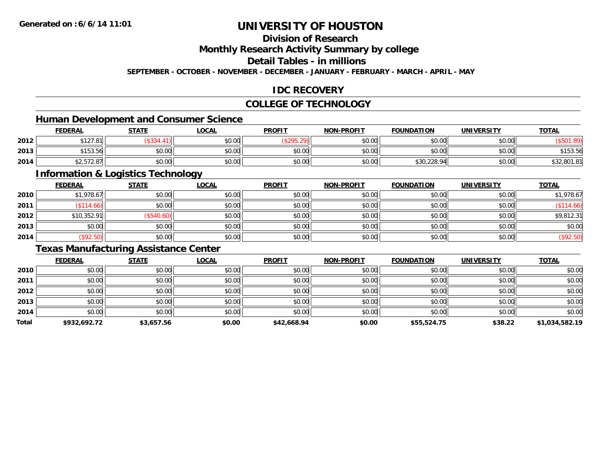### **Division of Research**

**Monthly Research Activity Summary by college**

**Detail Tables - in millions**

**SEPTEMBER - OCTOBER - NOVEMBER - DECEMBER - JANUARY - FEBRUARY - MARCH - APRIL - MAY**

### **IDC RECOVERY**

### **COLLEGE OF TECHNOLOGY**

### **Human Development and Consumer Science**

|      | <b>FEDERAL</b>                                | <b>STATE</b> | <b>_OCAL</b>             | <b>PROFIT</b>               | <b>NON-PROFIT</b> | <b>FOUNDATION</b> | <b>UNIVERSITY</b> | <b>TOTAL</b> |
|------|-----------------------------------------------|--------------|--------------------------|-----------------------------|-------------------|-------------------|-------------------|--------------|
| 2012 | 0.12701<br>127.U                              | $-0.01$      | $\epsilon$ n nn<br>DU.UU | $\sim$ $\sim$ $\sim$ $\sim$ | \$0.00            | \$0.00            | \$0.00            |              |
| 2013 | C15254<br>153.56                              | \$0.00       | 0.00<br>DU.UG            | \$0.00                      | \$0.00            | \$0.00            | \$0.00 l          | \$153.56     |
| 2014 | $\land$ $\land$ $\land$ $\land$<br>\$2,572.87 | \$0.00       | 0000<br><b>DU.UU</b>     | \$0.00                      | \$0.00            | \$30,228.94       | \$0.00            | \$32,801.81  |

<u> 1989 - Johann Stoff, deutscher Stoffen und der Stoffen und der Stoffen und der Stoffen und der Stoffen und der</u>

#### **Information & Logistics Technology**

|      | <u>FEDERAL</u> | <b>STATE</b> | <b>LOCAL</b> | <b>PROFIT</b> | <b>NON-PROFIT</b> | <b>FOUNDATION</b> | <b>UNIVERSITY</b> | <b>TOTAL</b> |
|------|----------------|--------------|--------------|---------------|-------------------|-------------------|-------------------|--------------|
| 2010 | \$1,978.67     | \$0.00       | \$0.00       | \$0.00        | \$0.00            | \$0.00            | \$0.00            | \$1,978.67   |
| 2011 | \$114.66       | \$0.00       | \$0.00       | \$0.00        | \$0.00            | \$0.00            | \$0.00            | (\$114.66)   |
| 2012 | \$10,352.91    | \$540.60     | \$0.00       | \$0.00        | \$0.00            | \$0.00            | \$0.00            | \$9,812.31   |
| 2013 | \$0.00         | \$0.00       | \$0.00       | \$0.00        | \$0.00            | \$0.00            | \$0.00            | \$0.00       |
| 2014 | (\$92.50)      | \$0.00       | \$0.00       | \$0.00        | \$0.00            | \$0.00            | \$0.00            | (\$92.50)    |

### **Texas Manufacturing Assistance Center**

|       | <b>FEDERAL</b> | <b>STATE</b> | <b>LOCAL</b> | <b>PROFIT</b> | <b>NON-PROFIT</b> | <b>FOUNDATION</b> | <b>UNIVERSITY</b> | <b>TOTAL</b>   |
|-------|----------------|--------------|--------------|---------------|-------------------|-------------------|-------------------|----------------|
| 2010  | \$0.00         | \$0.00       | \$0.00       | \$0.00        | \$0.00            | \$0.00            | \$0.00            | \$0.00         |
| 2011  | \$0.00         | \$0.00       | \$0.00       | \$0.00        | \$0.00            | \$0.00            | \$0.00            | \$0.00         |
| 2012  | \$0.00         | \$0.00       | \$0.00       | \$0.00        | \$0.00            | \$0.00            | \$0.00            | \$0.00         |
| 2013  | \$0.00         | \$0.00       | \$0.00       | \$0.00        | \$0.00            | \$0.00            | \$0.00            | \$0.00         |
| 2014  | \$0.00         | \$0.00       | \$0.00       | \$0.00        | \$0.00            | \$0.00            | \$0.00            | \$0.00         |
| Total | \$932,692.72   | \$3,657.56   | \$0.00       | \$42,668.94   | \$0.00            | \$55,524.75       | \$38.22           | \$1,034,582.19 |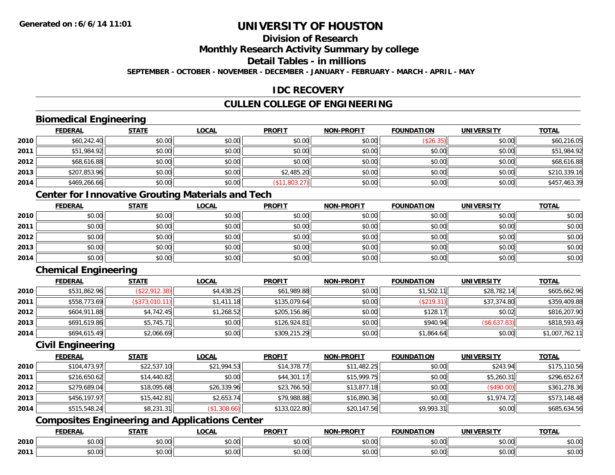## **Division of Research**

**Monthly Research Activity Summary by college**

**Detail Tables - in millions**

**SEPTEMBER - OCTOBER - NOVEMBER - DECEMBER - JANUARY - FEBRUARY - MARCH - APRIL - MAY**

### **IDC RECOVERY**

## **CULLEN COLLEGE OF ENGINEERING**

### **Biomedical Engineering**

|      | <b>FEDERAL</b> | <b>STATE</b> | <u>LOCAL</u> | <b>PROFIT</b> | <b>NON-PROFIT</b> | <b>FOUNDATION</b> | <b>UNIVERSITY</b> | <b>TOTAL</b> |
|------|----------------|--------------|--------------|---------------|-------------------|-------------------|-------------------|--------------|
| 2010 | \$60,242.40    | \$0.00       | \$0.00       | \$0.00        | \$0.00            | (\$26.35)         | \$0.00            | \$60,216.05  |
| 2011 | \$51,984.92    | \$0.00       | \$0.00       | \$0.00        | \$0.00            | \$0.00            | \$0.00            | \$51,984.92  |
| 2012 | \$68,616.88    | \$0.00       | \$0.00       | \$0.00        | \$0.00            | \$0.00            | \$0.00            | \$68,616.88  |
| 2013 | \$207,853.96   | \$0.00       | \$0.00       | \$2,485.20    | \$0.00            | \$0.00            | \$0.00            | \$210,339.16 |
| 2014 | \$469,266.66   | \$0.00       | \$0.00       | (\$11,803.27) | \$0.00            | \$0.00            | \$0.00            | \$457,463.39 |

## **Center for Innovative Grouting Materials and Tech**

|      | <u>FEDERAL</u> | <u>STATE</u> | <u>LOCAL</u> | <b>PROFIT</b> | <b>NON-PROFIT</b> | <b>FOUNDATION</b> | <b>UNIVERSITY</b> | <b>TOTAL</b> |
|------|----------------|--------------|--------------|---------------|-------------------|-------------------|-------------------|--------------|
| 2010 | \$0.00         | \$0.00       | \$0.00       | \$0.00        | \$0.00            | \$0.00            | \$0.00            | \$0.00       |
| 2011 | \$0.00         | \$0.00       | \$0.00       | \$0.00        | \$0.00            | \$0.00            | \$0.00            | \$0.00       |
| 2012 | \$0.00         | \$0.00       | \$0.00       | \$0.00        | \$0.00            | \$0.00            | \$0.00            | \$0.00       |
| 2013 | \$0.00         | \$0.00       | \$0.00       | \$0.00        | \$0.00            | \$0.00            | \$0.00            | \$0.00       |
| 2014 | \$0.00         | \$0.00       | \$0.00       | \$0.00        | \$0.00            | \$0.00            | \$0.00            | \$0.00       |

## **Chemical Engineering**

|      | <b>FEDERAL</b> | <b>STATE</b>   | <b>LOCAL</b> | <b>PROFIT</b> | <b>NON-PROFIT</b> | <b>FOUNDATION</b> | <b>UNIVERSITY</b> | <b>TOTAL</b>   |
|------|----------------|----------------|--------------|---------------|-------------------|-------------------|-------------------|----------------|
| 2010 | \$531,862.96   | (\$22,912.38)  | \$4,438.25   | \$61,989.88   | \$0.00            | \$1,502.11        | \$28,782.14       | \$605,662.96   |
| 2011 | \$558,773.69   | (\$373,010.11) | \$1,411.18   | \$135,079.64  | \$0.00            | (\$219.31)        | \$37,374.80       | \$359,409.88   |
| 2012 | \$604,911.88   | \$4,742.45     | \$1,268.52   | \$205,156.86  | \$0.00            | \$128.17          | \$0.02            | \$816,207.90   |
| 2013 | \$691,619.86   | \$5,745.71     | \$0.00       | \$126.924.81  | \$0.00            | \$940.94          | (\$6,637.83)      | \$818,593.49   |
| 2014 | \$694,615.49   | \$2,066.69     | \$0.00       | \$309,215.29  | \$0.00            | \$1,864.64        | \$0.00            | \$1,007,762.11 |

#### **Civil Engineering**

|      | <b>FEDERAL</b> | <b>STATE</b> | <b>LOCAL</b> | <b>PROFIT</b> | <b>NON-PROFIT</b> | <b>FOUNDATION</b> | <b>UNIVERSITY</b> | <b>TOTAL</b> |
|------|----------------|--------------|--------------|---------------|-------------------|-------------------|-------------------|--------------|
| 2010 | \$104,473.97   | \$22,537.10  | \$21,994.53  | \$14,378.77   | \$11,482.25       | \$0.00            | \$243.94          | \$175,110.56 |
| 2011 | \$216,650.62   | \$14,440.82  | \$0.00       | \$44,301.17   | \$15.999.75       | \$0.00            | \$5,260.31        | \$296,652.67 |
| 2012 | \$279,689.04   | \$18,095.68  | \$26,339.96  | \$23,766.50   | \$13,877.18       | \$0.00            | (\$490.00)        | \$361,278.36 |
| 2013 | \$456,197.97   | \$15,442.81  | \$2,653.74   | \$79,988.88   | \$16,890.36       | \$0.00            | \$1.974.72        | \$573,148.48 |
| 2014 | \$515,548.24   | \$8,231.31   | (\$1,308.66) | \$133,022.80  | \$20,147.56       | \$9,993.31        | \$0.00            | \$685,634.56 |

## **Composites Engineering and Applications Center**

|      | <b>FEDERAL</b> | <b>STATE</b><br>,,,,,, | <b>_OCAL</b>       | <b>PROFIT</b>           | -PROFIT<br><b>NON</b> | <b>FOUNDATION</b>                                 | <b>UNIVERSITY</b>     | <b>TOTAL</b> |
|------|----------------|------------------------|--------------------|-------------------------|-----------------------|---------------------------------------------------|-----------------------|--------------|
| 2010 | \$0.00         | Ψυ<br>יש.טע            | ሶስ ሰሰ<br>JU.UU     | 0 <sub>n</sub><br>JU.UU | 0000<br><b>DU.UU</b>  | $\mathsf{A}\cap\mathsf{A}\cap\mathsf{A}$<br>JU.UU | 0.001<br><b>JU.UU</b> | \$0.00       |
| 2011 | \$0.00         | ¢∩<br>JU.UU            | $\sim$ 00<br>JU.UU | 0000<br>JU.UU           | \$0.00                | JU.UU                                             | 0.00<br>PO.OO         | \$0.00       |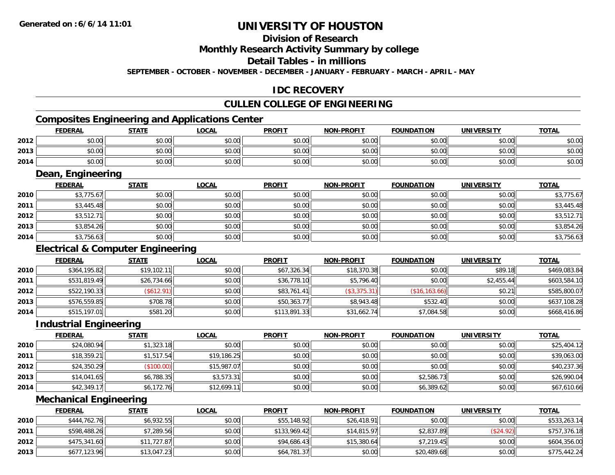## **Division of Research**

**Monthly Research Activity Summary by college**

**Detail Tables - in millions**

**SEPTEMBER - OCTOBER - NOVEMBER - DECEMBER - JANUARY - FEBRUARY - MARCH - APRIL - MAY**

#### **IDC RECOVERY**

### **CULLEN COLLEGE OF ENGINEERING**

## **Composites Engineering and Applications Center**

|      | <b>FEDERAL</b> | <b>STATE</b>   | LOCAL  | <b>PROFIT</b> | <b>NON-PROFIT</b> | <b>FOUNDATION</b> | <b>UNIVERSITY</b> | <b>TOTAL</b> |
|------|----------------|----------------|--------|---------------|-------------------|-------------------|-------------------|--------------|
| 2012 | \$0.00         | t∩ ∪v<br>JU.UU | \$0.00 | \$0.00        | \$0.00            | \$0.00            | \$0.00            | \$0.00       |
| 2013 | \$0.00         | \$0.00         | \$0.00 | \$0.00        | \$0.00            | \$0.00            | \$0.00            | \$0.00       |
| 2014 | \$0.00         | ≮N UU<br>JU.UU | \$0.00 | \$0.00        | \$0.00            | \$0.00            | \$0.00            | \$0.00       |

<u> 1989 - Johann Stoff, deutscher Stoffen und der Stoffen und der Stoffen und der Stoffen und der Stoffen und der</u>

#### **Dean, Engineering**

|      | <b>FEDERAL</b> | <b>STATE</b> | <b>LOCAL</b> | <b>PROFIT</b> | <b>NON-PROFIT</b> | <b>FOUNDATION</b> | <b>UNIVERSITY</b> | <b>TOTAL</b> |
|------|----------------|--------------|--------------|---------------|-------------------|-------------------|-------------------|--------------|
| 2010 | \$3,775.67     | \$0.00       | \$0.00       | \$0.00        | \$0.00            | \$0.00            | \$0.00            | \$3,775.67   |
| 2011 | \$3,445.48     | \$0.00       | \$0.00       | \$0.00        | \$0.00            | \$0.00            | \$0.00            | \$3,445.48   |
| 2012 | \$3,512.71     | \$0.00       | \$0.00       | \$0.00        | \$0.00            | \$0.00            | \$0.00            | \$3,512.71   |
| 2013 | \$3,854.26     | \$0.00       | \$0.00       | \$0.00        | \$0.00            | \$0.00            | \$0.00            | \$3,854.26   |
| 2014 | \$3,756.63     | \$0.00       | \$0.00       | \$0.00        | \$0.00            | \$0.00            | \$0.00            | \$3,756.63   |

### **Electrical & Computer Engineering**

|      | <b>FEDERAL</b> | <b>STATE</b> | <b>LOCAL</b> | <b>PROFIT</b> | <b>NON-PROFIT</b> | <b>FOUNDATION</b> | <b>UNIVERSITY</b> | <b>TOTAL</b> |
|------|----------------|--------------|--------------|---------------|-------------------|-------------------|-------------------|--------------|
| 2010 | \$364,195.82   | \$19,102.11  | \$0.00       | \$67,326.34   | \$18,370.38       | \$0.00            | \$89.18           | \$469,083.84 |
| 2011 | \$531,819.49   | \$26,734.66  | \$0.00       | \$36,778.10   | \$5,796.40        | \$0.00            | \$2,455.44        | \$603,584.10 |
| 2012 | \$522,190.33   | (\$612.91)   | \$0.00       | \$83,761.41   | (\$3,375.31)      | (\$16, 163.66)    | \$0.21            | \$585,800.07 |
| 2013 | \$576,559.85   | \$708.78     | \$0.00       | \$50,363.77   | \$8,943.48        | \$532.40          | \$0.00            | \$637,108.28 |
| 2014 | \$515,197.01   | \$581.20     | \$0.00       | \$113,891.33  | \$31,662.74       | \$7,084.58        | \$0.00            | \$668,416.86 |

#### **Industrial Engineering**

|      | <b>FEDERAL</b> | STATE      | <b>LOCAL</b> | <b>PROFIT</b> | <b>NON-PROFIT</b> | <b>FOUNDATION</b> | <b>UNIVERSITY</b> | <b>TOTAL</b> |
|------|----------------|------------|--------------|---------------|-------------------|-------------------|-------------------|--------------|
| 2010 | \$24,080.94    | \$1,323.18 | \$0.00       | \$0.00        | \$0.00            | \$0.00            | \$0.00            | \$25,404.12  |
| 2011 | \$18,359.21    | \$1,517.54 | \$19,186.25  | \$0.00        | \$0.00            | \$0.00            | \$0.00            | \$39,063.00  |
| 2012 | \$24,350.29    | (\$100.00) | \$15,987.07  | \$0.00        | \$0.00            | \$0.00            | \$0.00            | \$40,237.36  |
| 2013 | \$14,041.65    | \$6,788.35 | \$3,573.31   | \$0.00        | \$0.00            | \$2,586.73        | \$0.00            | \$26,990.04  |
| 2014 | \$42,349.17    | \$6,172.76 | \$12,699.11  | \$0.00        | \$0.00            | \$6,389.62        | \$0.00            | \$67,610.66  |

#### **Mechanical Engineering**

|      | <b>FEDERAL</b> | <u>STATE</u> | <u>LOCAL</u> | <b>PROFIT</b> | <b>NON-PROFIT</b> | <b>FOUNDATION</b> | UNIVERSITY | <b>TOTAL</b> |
|------|----------------|--------------|--------------|---------------|-------------------|-------------------|------------|--------------|
| 2010 | \$444,762.76   | \$6,932.55   | \$0.00       | \$55,148.92   | \$26,418.91       | \$0.00            | \$0.00     | \$533,263.14 |
| 2011 | \$598,488.26   | \$7,289.56   | \$0.00       | \$133.969.42  | \$14.815.97       | \$2,837.89        | (\$24.92)  | \$757,376.18 |
| 2012 | \$475,341.60   | \$11,727.87  | \$0.00       | \$94,686.43   | \$15,380.64       | \$7,219.45        | \$0.00     | \$604,356.00 |
| 2013 | \$677,123.96   | \$13,047.23  | \$0.00       | \$64,781.37   | \$0.00            | \$20,489.68       | \$0.00     | \$775,442.24 |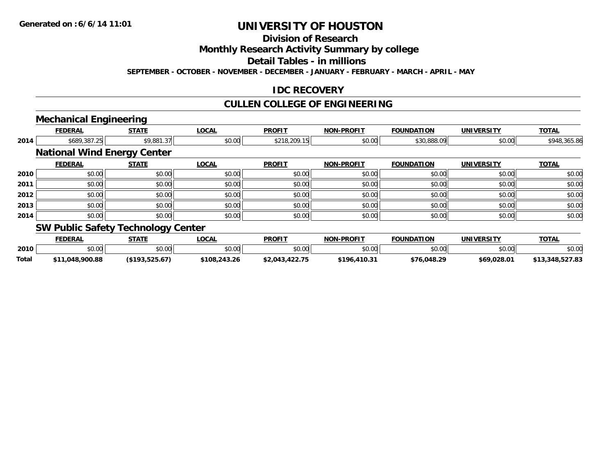# **Division of Research**

**Monthly Research Activity Summary by college**

**Detail Tables - in millions**

**SEPTEMBER - OCTOBER - NOVEMBER - DECEMBER - JANUARY - FEBRUARY - MARCH - APRIL - MAY**

### **IDC RECOVERY**

### **CULLEN COLLEGE OF ENGINEERING**

# **Mechanical Engineering**

| <b>FEDERAL</b>                            | <b>STATE</b> | <b>LOCAL</b>                       | <b>PROFIT</b> | <b>NON-PROFIT</b> | <b>FOUNDATION</b> | <b>UNIVERSITY</b> | <b>TOTAL</b> |
|-------------------------------------------|--------------|------------------------------------|---------------|-------------------|-------------------|-------------------|--------------|
|                                           |              |                                    |               |                   |                   |                   |              |
| \$689,387.25<br>\$9,881.37                |              | \$0.00                             | \$218,209.15  | \$0.00            | \$30,888.09       | \$0.00            | \$948,365.86 |
|                                           |              |                                    |               |                   |                   |                   |              |
| <b>FEDERAL</b>                            | <b>STATE</b> | LOCAL                              | <b>PROFIT</b> | <b>NON-PROFIT</b> | <b>FOUNDATION</b> | <b>UNIVERSITY</b> | <b>TOTAL</b> |
| \$0.00                                    | \$0.00       | \$0.00                             | \$0.00        | \$0.00            | \$0.00            | \$0.00            | \$0.00       |
| \$0.00                                    | \$0.00       | \$0.00                             | \$0.00        | \$0.00            | \$0.00            | \$0.00            | \$0.00       |
| \$0.00                                    | \$0.00       | \$0.00                             | \$0.00        | \$0.00            | \$0.00            | \$0.00            | \$0.00       |
| \$0.00                                    | \$0.00       | \$0.00                             | \$0.00        | \$0.00            | \$0.00            | \$0.00            | \$0.00       |
| \$0.00                                    | \$0.00       | \$0.00                             | \$0.00        | \$0.00            | \$0.00            | \$0.00            | \$0.00       |
| <b>SW Dublic Safety Technology Center</b> |              | <b>National Wind Energy Center</b> |               |                   |                   |                   |              |

#### **SW PUBLIC Safety Technology Center**

|              | <b>FEDERAL</b> | STATE                    | LOCAL        | <b>PROFIT</b>  | <b>NON-PROFIT</b> | FOUNDATION  | UNIVERSITY | <b>TOTAL</b>                     |
|--------------|----------------|--------------------------|--------------|----------------|-------------------|-------------|------------|----------------------------------|
| 2010         | ልስ ሀሀ<br>,U.UU | $n \cap \Omega$<br>JU.UU | \$0.00       | \$0.00         | \$0.00            | \$0.00      | \$0.00     | \$0.00                           |
| <b>Total</b> | .048.900.88    | よつち ムブ<br>,,,,,,,,,,,,   | \$108,243.26 | \$2.043.422.75 | \$196.410.3       | \$76.048.29 | \$69.028.0 | E97.09<br>∞⊥3.348 F‴<br>0.321.03 |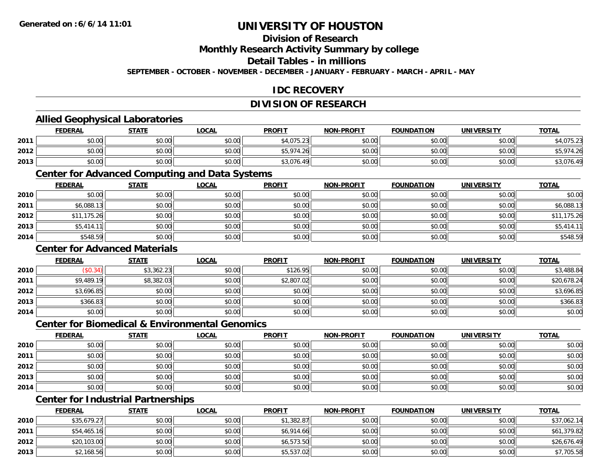## **Division of Research**

**Monthly Research Activity Summary by college**

**Detail Tables - in millions**

**SEPTEMBER - OCTOBER - NOVEMBER - DECEMBER - JANUARY - FEBRUARY - MARCH - APRIL - MAY**

### **IDC RECOVERY**

### **DIVISION OF RESEARCH**

#### **Allied Geophysical Laboratories**

|      | <b>FEDERAL</b> | <b>STATE</b> | <u>LOCAL</u>           | <b>PROFIT</b> | <b>NON-PROFIT</b> | <b>FOUNDATION</b> | <b>UNIVERSITY</b> | <b>TOTAL</b>            |
|------|----------------|--------------|------------------------|---------------|-------------------|-------------------|-------------------|-------------------------|
| 2011 | \$0.00         | \$0.00       | $n \cap \neg$<br>JU.UU | \$4,075.23    | \$0.00            | \$0.00            | \$0.00            | .075.23<br>1.3.2.3      |
| 2012 | \$0.00         | \$0.00       | \$0.00                 | \$5,974.26    | \$0.00            | \$0.00            | \$0.00            | 974 26                  |
| 2013 | \$0.00         | \$0.00       | \$0.00                 | \$3,076.49    | \$0.00            | \$0.00            | \$0.00            | $\sqrt{71}$<br>90.4∨,ل∢ |

#### **Center for Advanced Computing and Data Systems**

|      | <b>FEDERAL</b> | <b>STATE</b> | <b>LOCAL</b> | <b>PROFIT</b> | <b>NON-PROFIT</b> | <b>FOUNDATION</b> | <b>UNIVERSITY</b> | <b>TOTAL</b> |
|------|----------------|--------------|--------------|---------------|-------------------|-------------------|-------------------|--------------|
| 2010 | \$0.00         | \$0.00       | \$0.00       | \$0.00        | \$0.00            | \$0.00            | \$0.00            | \$0.00       |
| 2011 | \$6,088.13     | \$0.00       | \$0.00       | \$0.00        | \$0.00            | \$0.00            | \$0.00            | \$6,088.13   |
| 2012 | \$11,175.26    | \$0.00       | \$0.00       | \$0.00        | \$0.00            | \$0.00            | \$0.00            | \$11,175.26  |
| 2013 | \$5,414.11     | \$0.00       | \$0.00       | \$0.00        | \$0.00            | \$0.00            | \$0.00            | \$5,414.11   |
| 2014 | \$548.59       | \$0.00       | \$0.00       | \$0.00        | \$0.00            | \$0.00            | \$0.00            | \$548.59     |

#### **Center for Advanced Materials**

|      | <b>FEDERAL</b> | <b>STATE</b> | <b>LOCAL</b> | <b>PROFIT</b> | <b>NON-PROFIT</b> | <b>FOUNDATION</b> | <b>UNIVERSITY</b> | <b>TOTAL</b> |
|------|----------------|--------------|--------------|---------------|-------------------|-------------------|-------------------|--------------|
| 2010 | \$0.34)        | \$3,362.23   | \$0.00       | \$126.95      | \$0.00            | \$0.00            | \$0.00            | \$3,488.84   |
| 2011 | \$9,489.19     | \$8,382.03   | \$0.00       | \$2,807.02    | \$0.00            | \$0.00            | \$0.00            | \$20,678.24  |
| 2012 | \$3,696.85     | \$0.00       | \$0.00       | \$0.00        | \$0.00            | \$0.00            | \$0.00            | \$3,696.85   |
| 2013 | \$366.83       | \$0.00       | \$0.00       | \$0.00        | \$0.00            | \$0.00            | \$0.00            | \$366.83     |
| 2014 | \$0.00         | \$0.00       | \$0.00       | \$0.00        | \$0.00            | \$0.00            | \$0.00            | \$0.00       |

#### **Center for Biomedical & Environmental Genomics**

|      | <u>FEDERAL</u> | <b>STATE</b> | <b>LOCAL</b> | <b>PROFIT</b> | NON-PROFIT | <b>FOUNDATION</b> | <b>UNIVERSITY</b> | <b>TOTAL</b> |
|------|----------------|--------------|--------------|---------------|------------|-------------------|-------------------|--------------|
| 2010 | \$0.00         | \$0.00       | \$0.00       | \$0.00        | \$0.00     | \$0.00            | \$0.00            | \$0.00       |
| 2011 | \$0.00         | \$0.00       | \$0.00       | \$0.00        | \$0.00     | \$0.00            | \$0.00            | \$0.00       |
| 2012 | \$0.00         | \$0.00       | \$0.00       | \$0.00        | \$0.00     | \$0.00            | \$0.00            | \$0.00       |
| 2013 | \$0.00         | \$0.00       | \$0.00       | \$0.00        | \$0.00     | \$0.00            | \$0.00            | \$0.00       |
| 2014 | \$0.00         | \$0.00       | \$0.00       | \$0.00        | \$0.00     | \$0.00            | \$0.00            | \$0.00       |

## **Center for Industrial Partnerships**

|      | <u>FEDERAL</u> | <b>STATE</b> | <b>LOCAL</b> | <b>PROFIT</b> | <b>NON-PROFIT</b> | <b>FOUNDATION</b> | <b>UNIVERSITY</b> | <b>TOTAL</b> |
|------|----------------|--------------|--------------|---------------|-------------------|-------------------|-------------------|--------------|
| 2010 | \$35,679.27    | \$0.00       | \$0.00       | \$1,382.87    | \$0.00            | \$0.00            | \$0.00            | \$37,062.14  |
| 2011 | \$54,465.16    | \$0.00       | \$0.00       | \$6,914.66    | \$0.00            | \$0.00            | \$0.00            | \$61,379.82  |
| 2012 | \$20,103.00    | \$0.00       | \$0.00       | \$6,573.50    | \$0.00            | \$0.00            | \$0.00            | \$26,676.49  |
| 2013 | \$2,168.56     | \$0.00       | \$0.00       | \$5,537.02    | \$0.00            | \$0.00            | \$0.00            | \$7,705.58   |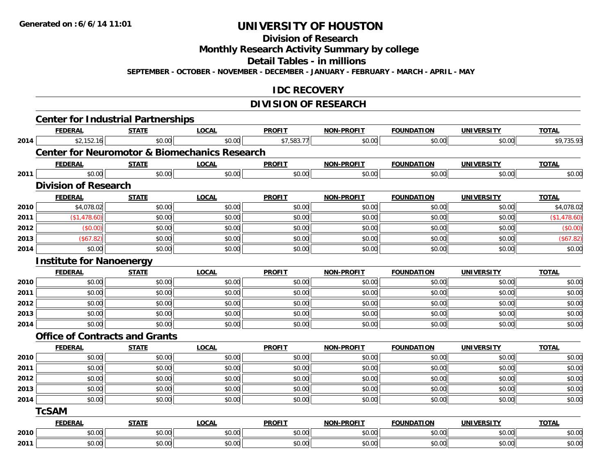**Division of Research**

**Monthly Research Activity Summary by college**

**Detail Tables - in millions**

**SEPTEMBER - OCTOBER - NOVEMBER - DECEMBER - JANUARY - FEBRUARY - MARCH - APRIL - MAY**

#### **IDC RECOVERY**

### **DIVISION OF RESEARCH**

|      |                                 | <b>Center for Industrial Partnerships</b>                |              |               |                   |                   |                   |              |
|------|---------------------------------|----------------------------------------------------------|--------------|---------------|-------------------|-------------------|-------------------|--------------|
|      | <b>FEDERAL</b>                  | <b>STATE</b>                                             | <b>LOCAL</b> | <b>PROFIT</b> | NON-PROFIT        | <b>FOUNDATION</b> | <b>UNIVERSITY</b> | <b>TOTAL</b> |
| 2014 | \$2,152.16                      | \$0.00                                                   | \$0.00       | \$7,583.77    | \$0.00            | \$0.00            | \$0.00            | \$9,735.93   |
|      |                                 | <b>Center for Neuromotor &amp; Biomechanics Research</b> |              |               |                   |                   |                   |              |
|      | <b>FEDERAL</b>                  | <b>STATE</b>                                             | <b>LOCAL</b> | <b>PROFIT</b> | <b>NON-PROFIT</b> | <b>FOUNDATION</b> | <b>UNIVERSITY</b> | <b>TOTAL</b> |
| 2011 | \$0.00                          | \$0.00                                                   | \$0.00       | \$0.00        | \$0.00            | \$0.00            | \$0.00            | \$0.00       |
|      | <b>Division of Research</b>     |                                                          |              |               |                   |                   |                   |              |
|      | <b>FEDERAL</b>                  | <b>STATE</b>                                             | <b>LOCAL</b> | <b>PROFIT</b> | <b>NON-PROFIT</b> | <b>FOUNDATION</b> | <b>UNIVERSITY</b> | <b>TOTAL</b> |
| 2010 | \$4,078.02                      | \$0.00                                                   | \$0.00       | \$0.00        | \$0.00            | \$0.00            | \$0.00            | \$4,078.02   |
| 2011 | (\$1,478.60)                    | \$0.00                                                   | \$0.00       | \$0.00        | \$0.00            | \$0.00            | \$0.00            | (\$1,478.60) |
| 2012 | (\$0.00)                        | \$0.00                                                   | \$0.00       | \$0.00        | \$0.00            | \$0.00            | \$0.00            | (\$0.00)     |
| 2013 | ( \$67.82)                      | \$0.00                                                   | \$0.00       | \$0.00        | \$0.00            | \$0.00            | \$0.00            | (\$67.82)    |
| 2014 | \$0.00                          | \$0.00                                                   | \$0.00       | \$0.00        | \$0.00            | \$0.00            | \$0.00            | \$0.00       |
|      | <b>Institute for Nanoenergy</b> |                                                          |              |               |                   |                   |                   |              |
|      | <b>FEDERAL</b>                  | <b>STATE</b>                                             | <b>LOCAL</b> | <b>PROFIT</b> | <b>NON-PROFIT</b> | <b>FOUNDATION</b> | <b>UNIVERSITY</b> | <b>TOTAL</b> |
| 2010 | \$0.00                          | \$0.00                                                   | \$0.00       | \$0.00        | \$0.00            | \$0.00            | \$0.00            | \$0.00       |
| 2011 | \$0.00                          | \$0.00                                                   | \$0.00       | \$0.00        | \$0.00            | \$0.00            | \$0.00            | \$0.00       |
| 2012 | \$0.00                          | \$0.00                                                   | \$0.00       | \$0.00        | \$0.00            | \$0.00            | \$0.00            | \$0.00       |
| 2013 | \$0.00                          | \$0.00                                                   | \$0.00       | \$0.00        | \$0.00            | \$0.00            | \$0.00            | \$0.00       |
| 2014 | \$0.00                          | \$0.00                                                   | \$0.00       | \$0.00        | \$0.00            | \$0.00            | \$0.00            | \$0.00       |
|      |                                 | <b>Office of Contracts and Grants</b>                    |              |               |                   |                   |                   |              |
|      | <b>FEDERAL</b>                  | <b>STATE</b>                                             | <b>LOCAL</b> | <b>PROFIT</b> | <b>NON-PROFIT</b> | <b>FOUNDATION</b> | <b>UNIVERSITY</b> | <b>TOTAL</b> |
| 2010 | \$0.00                          | \$0.00                                                   | \$0.00       | \$0.00        | \$0.00            | \$0.00            | \$0.00            | \$0.00       |
| 2011 | \$0.00                          | \$0.00                                                   | \$0.00       | \$0.00        | \$0.00            | \$0.00            | \$0.00            | \$0.00       |
| 2012 | \$0.00                          | \$0.00                                                   | \$0.00       | \$0.00        | \$0.00            | \$0.00            | \$0.00            | \$0.00       |
| 2013 | \$0.00                          | \$0.00                                                   | \$0.00       | \$0.00        | \$0.00            | \$0.00            | \$0.00            | \$0.00       |
| 2014 | \$0.00                          | \$0.00                                                   | \$0.00       | \$0.00        | \$0.00            | \$0.00            | \$0.00            | \$0.00       |
|      | <b>TcSAM</b>                    |                                                          |              |               |                   |                   |                   |              |
|      | <b>FEDERAL</b>                  | <b>STATE</b>                                             | <b>LOCAL</b> | <b>PROFIT</b> | NON-PROFIT        | <b>FOUNDATION</b> | <b>UNIVERSITY</b> | <b>TOTAL</b> |
| 2010 | \$0.00                          | \$0.00                                                   | \$0.00       | \$0.00        | \$0.00            | \$0.00            | \$0.00            | \$0.00       |
| 2011 | \$0.00                          | \$0.00                                                   | \$0.00       | \$0.00        | \$0.00            | \$0.00            | \$0.00            | \$0.00       |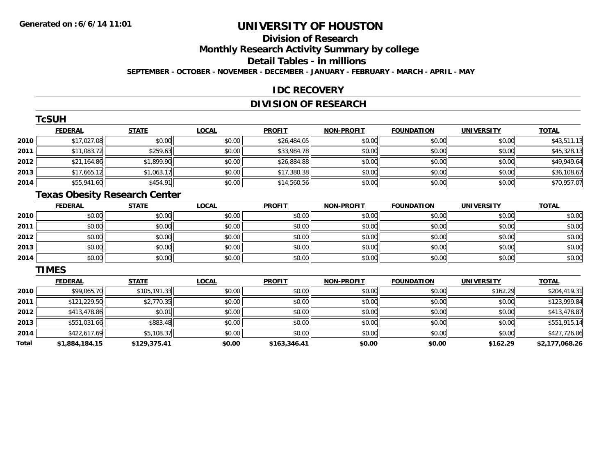# **Division of Research**

**Monthly Research Activity Summary by college**

**Detail Tables - in millions**

**SEPTEMBER - OCTOBER - NOVEMBER - DECEMBER - JANUARY - FEBRUARY - MARCH - APRIL - MAY**

#### **IDC RECOVERY**

## **DIVISION OF RESEARCH**

|      | TcSUH          |              |              |               |                   |                   |                   |              |
|------|----------------|--------------|--------------|---------------|-------------------|-------------------|-------------------|--------------|
|      | <b>FEDERAL</b> | <b>STATE</b> | <b>LOCAL</b> | <b>PROFIT</b> | <b>NON-PROFIT</b> | <b>FOUNDATION</b> | <b>UNIVERSITY</b> | <b>TOTAL</b> |
| 2010 | \$17,027.08    | \$0.00       | \$0.00       | \$26,484.05   | \$0.00            | \$0.00            | \$0.00            | \$43,511.13  |
| 2011 | \$11,083.72    | \$259.63     | \$0.00       | \$33,984.78   | \$0.00            | \$0.00            | \$0.00            | \$45,328.13  |
| 2012 | \$21,164.86    | \$1,899.90   | \$0.00       | \$26,884.88   | \$0.00            | \$0.00            | \$0.00            | \$49,949.64  |
| 2013 | \$17,665.12    | \$1,063.17   | \$0.00       | \$17,380.38   | \$0.00            | \$0.00            | \$0.00            | \$36,108.67  |
| 2014 | \$55,941.60    | \$454.91     | \$0.00       | \$14,560.56   | \$0.00            | \$0.00            | \$0.00            | \$70,957.07  |

#### **Texas Obesity Research Center**

|      | <b>FEDERAL</b> | <b>STATE</b> | <u>LOCAL</u> | <b>PROFIT</b> | <b>NON-PROFIT</b> | <b>FOUNDATION</b> | <b>UNIVERSITY</b> | <b>TOTAL</b> |
|------|----------------|--------------|--------------|---------------|-------------------|-------------------|-------------------|--------------|
| 2010 | \$0.00         | \$0.00       | \$0.00       | \$0.00        | \$0.00            | \$0.00            | \$0.00            | \$0.00       |
| 2011 | \$0.00         | \$0.00       | \$0.00       | \$0.00        | \$0.00            | \$0.00            | \$0.00            | \$0.00       |
| 2012 | \$0.00         | \$0.00       | \$0.00       | \$0.00        | \$0.00            | \$0.00            | \$0.00            | \$0.00       |
| 2013 | \$0.00         | \$0.00       | \$0.00       | \$0.00        | \$0.00            | \$0.00            | \$0.00            | \$0.00       |
| 2014 | \$0.00         | \$0.00       | \$0.00       | \$0.00        | \$0.00            | \$0.00            | \$0.00            | \$0.00       |

#### **TIMES**

|       | <b>FEDERAL</b> | <b>STATE</b> | <b>LOCAL</b> | <b>PROFIT</b> | <b>NON-PROFIT</b> | <b>FOUNDATION</b> | <b>UNIVERSITY</b> | <b>TOTAL</b>   |
|-------|----------------|--------------|--------------|---------------|-------------------|-------------------|-------------------|----------------|
| 2010  | \$99,065.70    | \$105,191.33 | \$0.00       | \$0.00        | \$0.00            | \$0.00            | \$162.29          | \$204,419.31   |
| 2011  | \$121,229.50   | \$2,770.35   | \$0.00       | \$0.00        | \$0.00            | \$0.00            | \$0.00            | \$123,999.84   |
| 2012  | \$413,478.86   | \$0.01       | \$0.00       | \$0.00        | \$0.00            | \$0.00            | \$0.00            | \$413,478.87   |
| 2013  | \$551,031.66   | \$883.48     | \$0.00       | \$0.00        | \$0.00            | \$0.00            | \$0.00            | \$551,915.14   |
| 2014  | \$422,617.69   | \$5,108.37   | \$0.00       | \$0.00        | \$0.00            | \$0.00            | \$0.00            | \$427,726.06   |
| Total | \$1,884,184.15 | \$129,375.41 | \$0.00       | \$163,346.41  | \$0.00            | \$0.00            | \$162.29          | \$2,177,068.26 |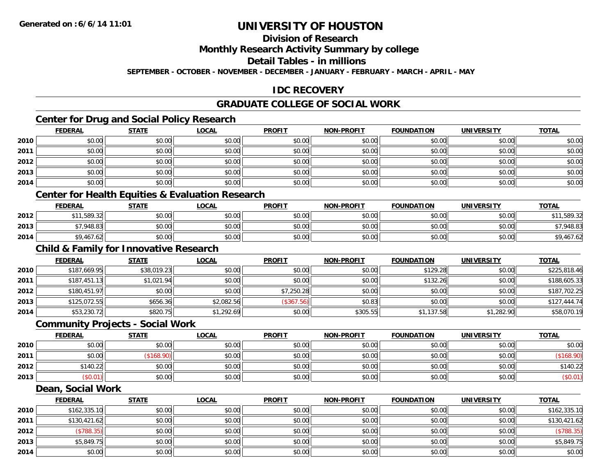## **Division of Research**

**Monthly Research Activity Summary by college**

**Detail Tables - in millions**

**SEPTEMBER - OCTOBER - NOVEMBER - DECEMBER - JANUARY - FEBRUARY - MARCH - APRIL - MAY**

### **IDC RECOVERY**

### **GRADUATE COLLEGE OF SOCIAL WORK**

## **Center for Drug and Social Policy Research**

|      | <b>FEDERAL</b> | <b>STATE</b> | <u>LOCAL</u> | <b>PROFIT</b> | <b>NON-PROFIT</b> | <b>FOUNDATION</b> | <b>UNIVERSITY</b> | <b>TOTAL</b> |
|------|----------------|--------------|--------------|---------------|-------------------|-------------------|-------------------|--------------|
| 2010 | \$0.00         | \$0.00       | \$0.00       | \$0.00        | \$0.00            | \$0.00            | \$0.00            | \$0.00       |
| 2011 | \$0.00         | \$0.00       | \$0.00       | \$0.00        | \$0.00            | \$0.00            | \$0.00            | \$0.00       |
| 2012 | \$0.00         | \$0.00       | \$0.00       | \$0.00        | \$0.00            | \$0.00            | \$0.00            | \$0.00       |
| 2013 | \$0.00         | \$0.00       | \$0.00       | \$0.00        | \$0.00            | \$0.00            | \$0.00            | \$0.00       |
| 2014 | \$0.00         | \$0.00       | \$0.00       | \$0.00        | \$0.00            | \$0.00            | \$0.00            | \$0.00       |

#### **Center for Health Equities & Evaluation Research**

|      | <b>FEDERAL</b>                                 | STATE                 | <b>LOCAL</b> | <b>PROFIT</b> | <b>NON-PROFIT</b> | <b>FOUNDATION</b> | UNIVERSITY | <b>TOTAL</b> |
|------|------------------------------------------------|-----------------------|--------------|---------------|-------------------|-------------------|------------|--------------|
| 2012 | .589.32                                        | <b>AO OO</b><br>JU.UU | \$0.00       | \$0.00        | \$0.00            | \$0.00            | \$0.00     | .589.32      |
| 2013 | \$7.948.83                                     | 0000<br>JU.UU         | \$0.00       | \$0.00        | \$0.00            | \$0.00            | \$0.00     | ,948.83      |
| 2014 | \$9.467<br>$.62$ <sup><math>\cdot</math></sup> | \$0.00                | \$0.00       | \$0.00        | \$0.00            | \$0.00            | \$0.00     | ∸ ה<br>∠0.   |

## **Child & Family for Innovative Research**

|      | <b>FEDERAL</b> | <u>STATE</u> | <u>LOCAL</u> | <b>PROFIT</b> | <b>NON-PROFIT</b> | <b>FOUNDATION</b> | <b>UNIVERSITY</b> | <b>TOTAL</b> |
|------|----------------|--------------|--------------|---------------|-------------------|-------------------|-------------------|--------------|
| 2010 | \$187,669.95   | \$38,019.23  | \$0.00       | \$0.00        | \$0.00            | \$129.28          | \$0.00            | \$225,818.46 |
| 2011 | \$187,451.13   | \$1,021.94   | \$0.00       | \$0.00        | \$0.00            | \$132.26          | \$0.00            | \$188,605.33 |
| 2012 | \$180,451.97   | \$0.00       | \$0.00       | \$7,250.28    | \$0.00            | \$0.00            | \$0.00            | \$187,702.25 |
| 2013 | \$125,072.55   | \$656.36     | \$2,082.56   | (\$367.56)    | \$0.83            | \$0.00            | \$0.00            | \$127,444.74 |
| 2014 | \$53,230.72    | \$820.75     | \$1,292.69   | \$0.00        | \$305.55          | \$1,137.58        | \$1,282.90        | \$58,070.19  |

#### **Community Projects - Social Work**

|      | <b>FEDERAL</b> | <b>STATE</b> | <u>LOCAL</u> | <b>PROFIT</b> | <b>NON-PROFIT</b> | <b>FOUNDATION</b> | <b>UNIVERSITY</b> | <b>TOTAL</b> |
|------|----------------|--------------|--------------|---------------|-------------------|-------------------|-------------------|--------------|
| 2010 | \$0.00         | \$0.00       | \$0.00       | \$0.00        | \$0.00            | \$0.00            | \$0.00            | \$0.00       |
| 2011 | \$0.00         | (\$168.90    | \$0.00       | \$0.00        | \$0.00            | \$0.00            | \$0.00            |              |
| 2012 | \$140.22       | \$0.00       | \$0.00       | \$0.00        | \$0.00            | \$0.00            | \$0.00            | \$140.22     |
| 2013 | \$0.01         | \$0.00       | \$0.00       | \$0.00        | \$0.00            | \$0.00            | \$0.00            | $(\$0.01)$   |

#### **Dean, Social Work**

|      | <b>FEDERAL</b> | <b>STATE</b> | <u>LOCAL</u> | <b>PROFIT</b> | <b>NON-PROFIT</b> | <b>FOUNDATION</b> | <b>UNIVERSITY</b> | <b>TOTAL</b> |
|------|----------------|--------------|--------------|---------------|-------------------|-------------------|-------------------|--------------|
| 2010 | \$162,335.10   | \$0.00       | \$0.00       | \$0.00        | \$0.00            | \$0.00            | \$0.00            | \$162,335.10 |
| 2011 | \$130,421.62   | \$0.00       | \$0.00       | \$0.00        | \$0.00            | \$0.00            | \$0.00            | \$130,421.62 |
| 2012 | \$788.35       | \$0.00       | \$0.00       | \$0.00        | \$0.00            | \$0.00            | \$0.00            | (\$788.35)   |
| 2013 | \$5,849.75     | \$0.00       | \$0.00       | \$0.00        | \$0.00            | \$0.00            | \$0.00            | \$5,849.75   |
| 2014 | \$0.00         | \$0.00       | \$0.00       | \$0.00        | \$0.00            | \$0.00            | \$0.00            | \$0.00       |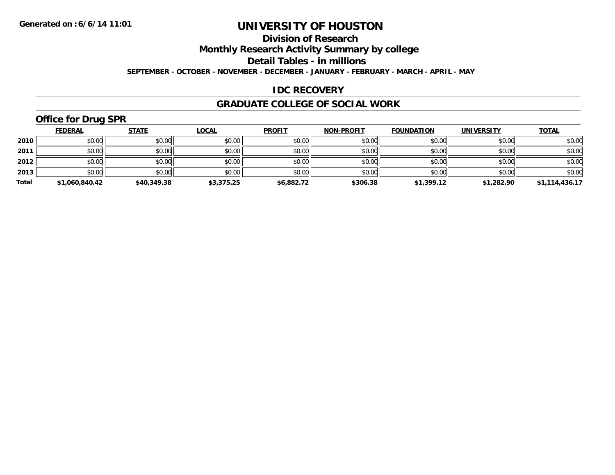## **Division of Research**

**Monthly Research Activity Summary by college**

**Detail Tables - in millions**

**SEPTEMBER - OCTOBER - NOVEMBER - DECEMBER - JANUARY - FEBRUARY - MARCH - APRIL - MAY**

### **IDC RECOVERY**

#### **GRADUATE COLLEGE OF SOCIAL WORK**

# **Office for Drug SPR**

|       | <b>FEDERAL</b> | <u>STATE</u> | <b>LOCAL</b> | <b>PROFIT</b> | <b>NON-PROFIT</b> | <b>FOUNDATION</b> | <b>UNIVERSITY</b> | <b>TOTAL</b>   |
|-------|----------------|--------------|--------------|---------------|-------------------|-------------------|-------------------|----------------|
| 2010  | \$0.00         | \$0.00       | \$0.00       | \$0.00        | \$0.00            | \$0.00            | \$0.00            | \$0.00         |
| 2011  | \$0.00         | \$0.00       | \$0.00       | \$0.00        | \$0.00            | \$0.00            | \$0.00            | \$0.00         |
| 2012  | \$0.00         | \$0.00       | \$0.00       | \$0.00        | \$0.00            | \$0.00            | \$0.00            | \$0.00         |
| 2013  | \$0.00         | \$0.00       | \$0.00       | \$0.00        | \$0.00            | \$0.00            | \$0.00            | \$0.00         |
| Total | \$1,060,840.42 | \$40,349.38  | \$3,375.25   | \$6,882.72    | \$306.38          | \$1,399.12        | \$1,282.90        | \$1,114,436.17 |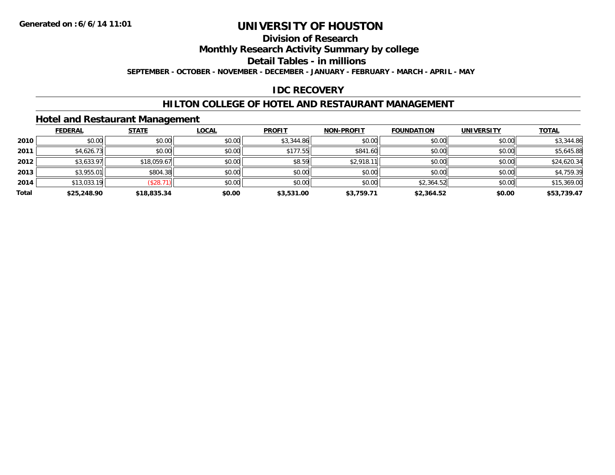## **Division of Research**

**Monthly Research Activity Summary by college**

**Detail Tables - in millions**

**SEPTEMBER - OCTOBER - NOVEMBER - DECEMBER - JANUARY - FEBRUARY - MARCH - APRIL - MAY**

#### **IDC RECOVERY**

#### **HILTON COLLEGE OF HOTEL AND RESTAURANT MANAGEMENT**

#### **Hotel and Restaurant Management**

|       | <b>FEDERAL</b> | <b>STATE</b> | <b>LOCAL</b> | <b>PROFIT</b> | <b>NON-PROFIT</b> | <b>FOUNDATION</b> | <b>UNIVERSITY</b> | <b>TOTAL</b> |
|-------|----------------|--------------|--------------|---------------|-------------------|-------------------|-------------------|--------------|
| 2010  | \$0.00         | \$0.00       | \$0.00       | \$3,344.86    | \$0.00            | \$0.00            | \$0.00            | \$3,344.86   |
| 2011  | \$4,626.73     | \$0.00       | \$0.00       | \$177.55      | \$841.60          | \$0.00            | \$0.00            | \$5,645.88   |
| 2012  | \$3,633.97     | \$18,059.67  | \$0.00       | \$8.59        | \$2,918.11        | \$0.00            | \$0.00            | \$24,620.34  |
| 2013  | \$3,955.01     | \$804.38     | \$0.00       | \$0.00        | \$0.00            | \$0.00            | \$0.00            | \$4,759.39   |
| 2014  | \$13,033.19    | (\$28.71)    | \$0.00       | \$0.00        | \$0.00            | \$2,364.52        | \$0.00            | \$15,369.00  |
| Total | \$25,248.90    | \$18,835.34  | \$0.00       | \$3,531.00    | \$3,759.71        | \$2,364.52        | \$0.00            | \$53,739.47  |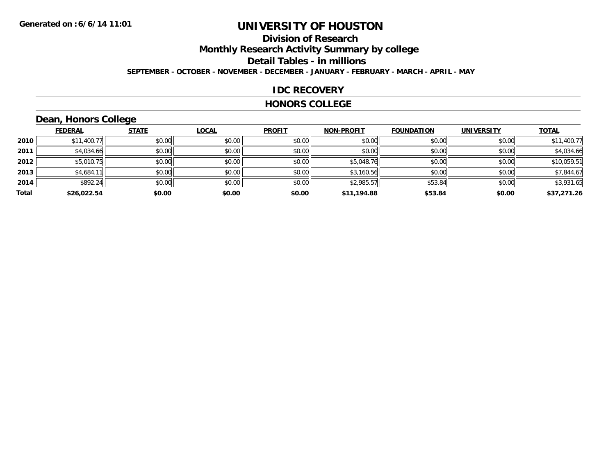# **Division of Research**

**Monthly Research Activity Summary by college**

**Detail Tables - in millions**

**SEPTEMBER - OCTOBER - NOVEMBER - DECEMBER - JANUARY - FEBRUARY - MARCH - APRIL - MAY**

#### **IDC RECOVERY**

#### **HONORS COLLEGE**

# **Dean, Honors College**

|       |                | $\sim$       |              |               |                   |                   |                   |              |
|-------|----------------|--------------|--------------|---------------|-------------------|-------------------|-------------------|--------------|
|       | <b>FEDERAL</b> | <b>STATE</b> | <b>LOCAL</b> | <b>PROFIT</b> | <b>NON-PROFIT</b> | <b>FOUNDATION</b> | <b>UNIVERSITY</b> | <b>TOTAL</b> |
| 2010  | \$11,400.77    | \$0.00       | \$0.00       | \$0.00        | \$0.00            | \$0.00            | \$0.00            | \$11,400.77  |
| 2011  | \$4,034.66     | \$0.00       | \$0.00       | \$0.00        | \$0.00            | \$0.00            | \$0.00            | \$4,034.66   |
| 2012  | \$5,010.75     | \$0.00       | \$0.00       | \$0.00        | \$5,048.76        | \$0.00            | \$0.00            | \$10,059.51  |
| 2013  | \$4,684.11     | \$0.00       | \$0.00       | \$0.00        | \$3,160.56        | \$0.00            | \$0.00            | \$7,844.67   |
| 2014  | \$892.24       | \$0.00       | \$0.00       | \$0.00        | \$2,985.57        | \$53.84           | \$0.00            | \$3,931.65   |
| Total | \$26,022.54    | \$0.00       | \$0.00       | \$0.00        | \$11,194.88       | \$53.84           | \$0.00            | \$37,271.26  |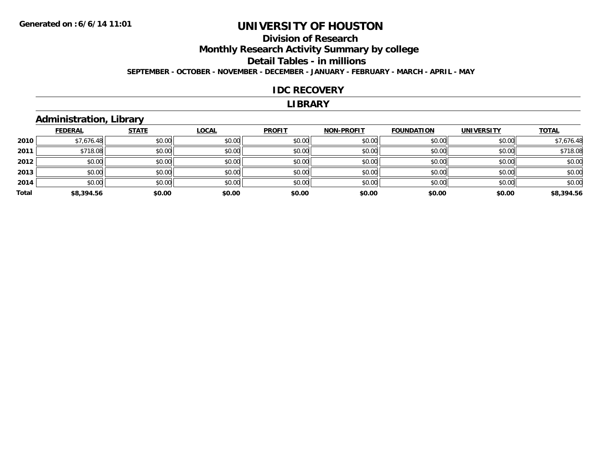# **Division of ResearchMonthly Research Activity Summary by college**

## **Detail Tables - in millions**

**SEPTEMBER - OCTOBER - NOVEMBER - DECEMBER - JANUARY - FEBRUARY - MARCH - APRIL - MAY**

#### **IDC RECOVERY**

#### **LIBRARY**

## **Administration, Library**

|       | <b>FEDERAL</b> | <b>STATE</b> | LOCAL  | <b>PROFIT</b> | <b>NON-PROFIT</b> | <b>FOUNDATION</b> | <b>UNIVERSITY</b> | <b>TOTAL</b> |
|-------|----------------|--------------|--------|---------------|-------------------|-------------------|-------------------|--------------|
| 2010  | \$7,676.48     | \$0.00       | \$0.00 | \$0.00        | \$0.00            | \$0.00            | \$0.00            | \$7,676.48   |
| 2011  | \$718.08       | \$0.00       | \$0.00 | \$0.00        | \$0.00            | \$0.00            | \$0.00            | \$718.08     |
| 2012  | \$0.00         | \$0.00       | \$0.00 | \$0.00        | \$0.00            | \$0.00            | \$0.00            | \$0.00       |
| 2013  | \$0.00         | \$0.00       | \$0.00 | \$0.00        | \$0.00            | \$0.00            | \$0.00            | \$0.00       |
| 2014  | \$0.00         | \$0.00       | \$0.00 | \$0.00        | \$0.00            | \$0.00            | \$0.00            | \$0.00       |
| Total | \$8,394.56     | \$0.00       | \$0.00 | \$0.00        | \$0.00            | \$0.00            | \$0.00            | \$8,394.56   |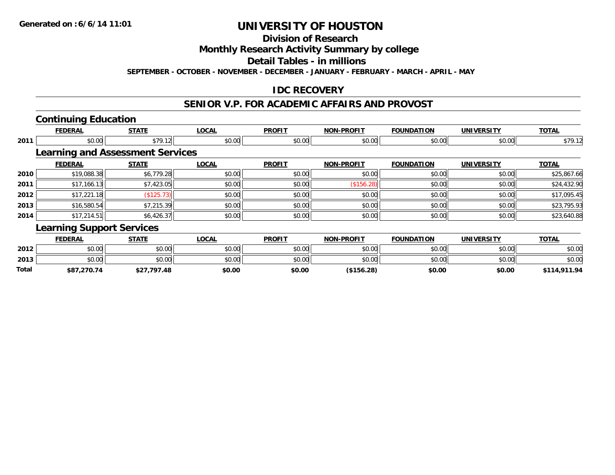### **Division of Research**

**Monthly Research Activity Summary by college**

**Detail Tables - in millions**

**SEPTEMBER - OCTOBER - NOVEMBER - DECEMBER - JANUARY - FEBRUARY - MARCH - APRIL - MAY**

### **IDC RECOVERY**

#### **SENIOR V.P. FOR ACADEMIC AFFAIRS AND PROVOST**

## **Continuing Education**

**2013**

**Total**

|      | <b>FEDERAL</b>                          | <b>STATE</b> | <b>LOCAL</b> | <b>PROFIT</b> | <b>NON-PROFIT</b> | <b>FOUNDATION</b> | <b>UNIVERSITY</b> | <b>TOTAL</b> |
|------|-----------------------------------------|--------------|--------------|---------------|-------------------|-------------------|-------------------|--------------|
| 2011 | \$0.00                                  | \$79.12      | \$0.00       | \$0.00        | \$0.00            | \$0.00            | \$0.00            | \$79.12      |
|      | <b>Learning and Assessment Services</b> |              |              |               |                   |                   |                   |              |
|      | <b>FEDERAL</b>                          | <b>STATE</b> | <b>LOCAL</b> | <b>PROFIT</b> | <b>NON-PROFIT</b> | <b>FOUNDATION</b> | <b>UNIVERSITY</b> | <b>TOTAL</b> |
| 2010 | \$19,088.38                             | \$6,779.28   | \$0.00       | \$0.00        | \$0.00            | \$0.00            | \$0.00            | \$25,867.66  |
| 2011 | \$17,166.13                             | \$7,423.05   | \$0.00       | \$0.00        | (\$156.28)        | \$0.00            | \$0.00            | \$24,432.90  |
| 2012 | \$17,221.18                             | (\$125.73)   | \$0.00       | \$0.00        | \$0.00            | \$0.00            | \$0.00            | \$17,095.45  |
| 2013 | \$16,580.54                             | \$7,215.39   | \$0.00       | \$0.00        | \$0.00            | \$0.00            | \$0.00            | \$23,795.93  |
| 2014 | \$17,214.51                             | \$6,426.37   | \$0.00       | \$0.00        | \$0.00            | \$0.00            | \$0.00            | \$23,640.88  |
|      | <b>Learning Support Services</b>        |              |              |               |                   |                   |                   |              |
|      | <b>FEDERAL</b>                          | <b>STATE</b> | <b>LOCAL</b> | <b>PROFIT</b> | <b>NON-PROFIT</b> | <b>FOUNDATION</b> | <b>UNIVERSITY</b> | <b>TOTAL</b> |
| 2012 | \$0.00                                  | \$0.00       | \$0.00       | \$0.00        | \$0.00            | \$0.00            | \$0.00            | \$0.00       |

3 \$0.00 | \$0.00 | \$0.00 | \$0.00 | \$0.00 | \$0.00 | \$0.00 | \$0.00

**\$87,270.74 \$27,797.48 \$0.00 \$0.00 (\$156.28) \$0.00 \$0.00 \$114,911.94**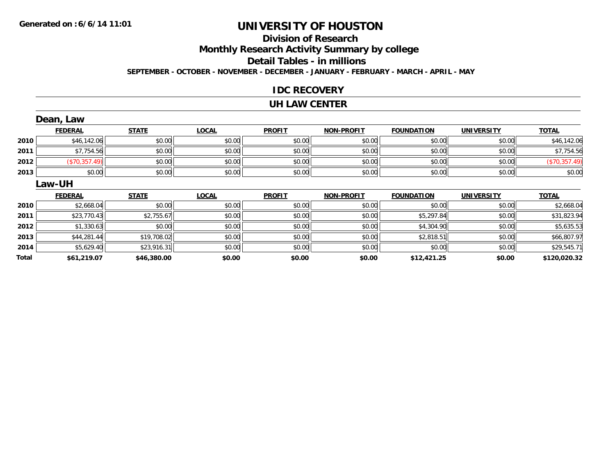# **Division of Research**

**Monthly Research Activity Summary by college**

**Detail Tables - in millions**

**SEPTEMBER - OCTOBER - NOVEMBER - DECEMBER - JANUARY - FEBRUARY - MARCH - APRIL - MAY**

#### **IDC RECOVERY**

#### **UH LAW CENTER**

|      | Dean, Law      |              |              |               |                   |                   |                   |               |
|------|----------------|--------------|--------------|---------------|-------------------|-------------------|-------------------|---------------|
|      | <b>FEDERAL</b> | <b>STATE</b> | <b>LOCAL</b> | <b>PROFIT</b> | <b>NON-PROFIT</b> | <b>FOUNDATION</b> | <b>UNIVERSITY</b> | <b>TOTAL</b>  |
| 2010 | \$46,142.06    | \$0.00       | \$0.00       | \$0.00        | \$0.00            | \$0.00            | \$0.00            | \$46,142.06   |
| 2011 | \$7,754.56     | \$0.00       | \$0.00       | \$0.00        | \$0.00            | \$0.00            | \$0.00            | \$7,754.56    |
| 2012 | (\$70,357.49)  | \$0.00       | \$0.00       | \$0.00        | \$0.00            | \$0.00            | \$0.00            | (\$70,357.49) |
| 2013 | \$0.00         | \$0.00       | \$0.00       | \$0.00        | \$0.00            | \$0.00            | \$0.00            | \$0.00        |
|      | Law-UH         |              |              |               |                   |                   |                   |               |
|      |                |              |              |               |                   |                   |                   |               |
|      | <b>FEDERAL</b> | <b>STATE</b> | <b>LOCAL</b> | <b>PROFIT</b> | <b>NON-PROFIT</b> | <b>FOUNDATION</b> | <b>UNIVERSITY</b> | <b>TOTAL</b>  |
| 2010 | \$2,668.04     | \$0.00       | \$0.00       | \$0.00        | \$0.00            | \$0.00            | \$0.00            | \$2,668.04    |
| 2011 | \$23,770.43    | \$2,755.67   | \$0.00       | \$0.00        | \$0.00            | \$5,297.84        | \$0.00            | \$31,823.94   |
| 2012 | \$1,330.63     | \$0.00       | \$0.00       | \$0.00        | \$0.00            | \$4,304.90        | \$0.00            | \$5,635.53    |
| 2013 | \$44,281.44    | \$19,708.02  | \$0.00       | \$0.00        | \$0.00            | \$2,818.51        | \$0.00            | \$66,807.97   |
| 2014 | \$5,629.40     | \$23,916.31  | \$0.00       | \$0.00        | \$0.00            | \$0.00            | \$0.00            | \$29,545.71   |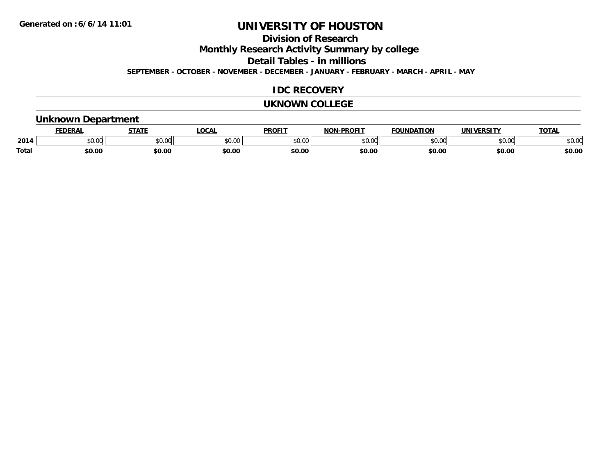**Division of Research**

**Monthly Research Activity Summary by college**

**Detail Tables - in millions**

**SEPTEMBER - OCTOBER - NOVEMBER - DECEMBER - JANUARY - FEBRUARY - MARCH - APRIL - MAY**

### **IDC RECOVERY**

#### **UKNOWN COLLEGE**

#### **Unknown Department**

|              | <b>JERAL</b> | <b>STATE</b>     | <b>LOCAL</b>      | <b>PROFIT</b>       | <b>DDAEIT</b><br><b>BIAB</b> | ΙΑΤΙΩΝ | JNI)<br><b>VEDCITY</b> | TOTA.  |
|--------------|--------------|------------------|-------------------|---------------------|------------------------------|--------|------------------------|--------|
| 2014         | \$0.00       | $\cdots$<br>JU.J | $\sim$ 00<br>ט.טע | 0000<br>JU.UU       | ስ ለሰ<br>ט.טע                 | 0000   | \$0.00                 | \$0.00 |
| <b>Total</b> | 60.00        | \$0.00           | \$0.00            | <b>¢∩ ∩</b><br>DU.U | \$0.00                       | \$0.00 | \$0.00                 | \$0.00 |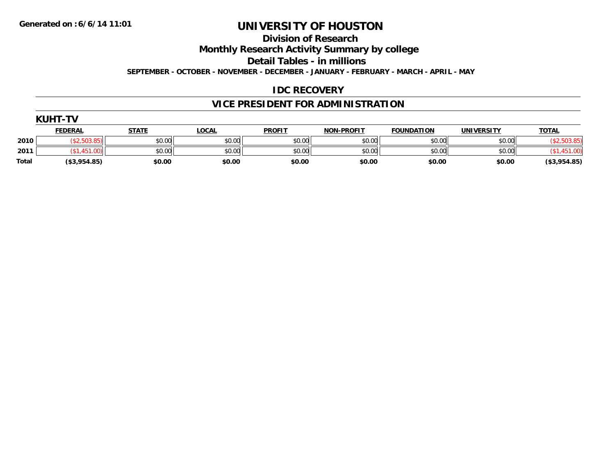**Division of Research**

**Monthly Research Activity Summary by college**

**Detail Tables - in millions**

**SEPTEMBER - OCTOBER - NOVEMBER - DECEMBER - JANUARY - FEBRUARY - MARCH - APRIL - MAY**

## **IDC RECOVERY**

## **VICE PRESIDENT FOR ADMINISTRATION**

|       | <b>KUHT-TV</b> |              |              |               |                   |                   |                   |              |
|-------|----------------|--------------|--------------|---------------|-------------------|-------------------|-------------------|--------------|
|       | <b>FEDERAL</b> | <u>STATE</u> | <u>LOCAL</u> | <b>PROFIT</b> | <b>NON-PROFIT</b> | <b>FOUNDATION</b> | <b>UNIVERSITY</b> | <b>TOTAL</b> |
| 2010  |                | \$0.00       | \$0.00       | \$0.00        | \$0.00            | \$0.00            | \$0.00            |              |
| 2011  |                | \$0.00       | \$0.00       | \$0.00        | \$0.00            | \$0.00            | \$0.00            |              |
| Total | (\$3,954.85)   | \$0.00       | \$0.00       | \$0.00        | \$0.00            | \$0.00            | \$0.00            | (\$3,954.85) |